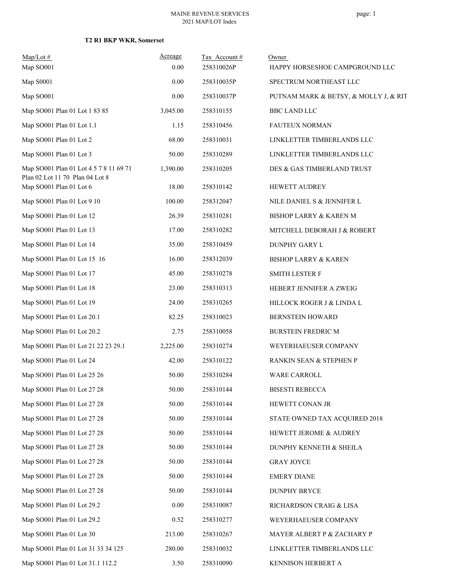| $Map/Lot$ #                                                               | Acreage  | Tax Account# | Owner                                 |
|---------------------------------------------------------------------------|----------|--------------|---------------------------------------|
| Map SO001                                                                 | 0.00     | 258310026P   | HAPPY HORSESHOE CAMPGROUND LLC        |
| Map S0001                                                                 | 0.00     | 258310035P   | SPECTRUM NORTHEAST LLC                |
| Map SO001                                                                 | 0.00     | 258310037P   | PUTNAM MARK & BETSY, & MOLLY J, & RIT |
| Map SO001 Plan 01 Lot 1 83 85                                             | 3,045.00 | 258310155    | <b>BBC LAND LLC</b>                   |
| Map SO001 Plan 01 Lot 1.1                                                 | 1.15     | 258310456    | <b>FAUTEUX NORMAN</b>                 |
| Map SO001 Plan 01 Lot 2                                                   | 68.00    | 258310031    | LINKLETTER TIMBERLANDS LLC            |
| Map SO001 Plan 01 Lot 3                                                   | 50.00    | 258310289    | LINKLETTER TIMBERLANDS LLC            |
| Map SO001 Plan 01 Lot 4 5 7 8 11 69 71<br>Plan 02 Lot 11 70 Plan 04 Lot 8 | 1,390.00 | 258310205    | DES & GAS TIMBERLAND TRUST            |
| Map SO001 Plan 01 Lot 6                                                   | 18.00    | 258310142    | HEWETT AUDREY                         |
| Map SO001 Plan 01 Lot 9 10                                                | 100.00   | 258312047    | NILE DANIEL S & JENNIFER L            |
| Map SO001 Plan 01 Lot 12                                                  | 26.39    | 258310281    | <b>BISHOP LARRY &amp; KAREN M</b>     |
| Map SO001 Plan 01 Lot 13                                                  | 17.00    | 258310282    | MITCHELL DEBORAH J & ROBERT           |
| Map SO001 Plan 01 Lot 14                                                  | 35.00    | 258310459    | DUNPHY GARY L                         |
| Map SO001 Plan 01 Lot 15 16                                               | 16.00    | 258312039    | <b>BISHOP LARRY &amp; KAREN</b>       |
| Map SO001 Plan 01 Lot 17                                                  | 45.00    | 258310278    | <b>SMITH LESTER F</b>                 |
| Map SO001 Plan 01 Lot 18                                                  | 23.00    | 258310313    | HEBERT JENNIFER A ZWEIG               |
| Map SO001 Plan 01 Lot 19                                                  | 24.00    | 258310265    | HILLOCK ROGER J & LINDA L             |
| Map SO001 Plan 01 Lot 20.1                                                | 82.25    | 258310023    | <b>BERNSTEIN HOWARD</b>               |
| Map SO001 Plan 01 Lot 20.2                                                | 2.75     | 258310058    | <b>BURSTEIN FREDRIC M</b>             |
| Map SO001 Plan 01 Lot 21 22 23 29.1                                       | 2,225.00 | 258310274    | WEYERHAEUSER COMPANY                  |
| Map SO001 Plan 01 Lot 24                                                  | 42.00    | 258310122    | RANKIN SEAN & STEPHEN P               |
| Map SO001 Plan 01 Lot 25 26                                               | 50.00    | 258310284    | WARE CARROLL                          |
| Map SO001 Plan 01 Lot 27 28                                               | 50.00    | 258310144    | <b>BISESTI REBECCA</b>                |
| Map SO001 Plan 01 Lot 27 28                                               | 50.00    | 258310144    | HEWETT CONAN JR                       |
| Map SO001 Plan 01 Lot 27 28                                               | 50.00    | 258310144    | STATE OWNED TAX ACQUIRED 2018         |
| Map SO001 Plan 01 Lot 27 28                                               | 50.00    | 258310144    | HEWETT JEROME & AUDREY                |
| Map SO001 Plan 01 Lot 27 28                                               | 50.00    | 258310144    | DUNPHY KENNETH & SHEILA               |
| Map SO001 Plan 01 Lot 27 28                                               | 50.00    | 258310144    | <b>GRAY JOYCE</b>                     |
| Map SO001 Plan 01 Lot 27 28                                               | 50.00    | 258310144    | <b>EMERY DIANE</b>                    |
| Map SO001 Plan 01 Lot 27 28                                               | 50.00    | 258310144    | <b>DUNPHY BRYCE</b>                   |
| Map SO001 Plan 01 Lot 29.2                                                | 0.00     | 258310087    | RICHARDSON CRAIG & LISA               |
| Map SO001 Plan 01 Lot 29.2                                                | 0.52     | 258310277    | WEYERHAEUSER COMPANY                  |
| Map SO001 Plan 01 Lot 30                                                  | 213.00   | 258310267    | MAYER ALBERT P & ZACHARY P            |
| Map SO001 Plan 01 Lot 31 33 34 125                                        | 280.00   | 258310032    | LINKLETTER TIMBERLANDS LLC            |
| Map SO001 Plan 01 Lot 31.1 112.2                                          | 3.50     | 258310090    | KENNISON HERBERT A                    |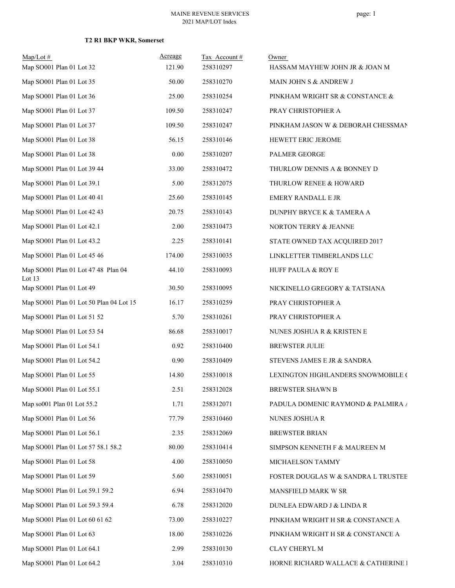| $Map/Lot \#$<br>Map SO001 Plan 01 Lot 32      | Acreage<br>121.90 | Tax Account#<br>258310297 | Owner                               |
|-----------------------------------------------|-------------------|---------------------------|-------------------------------------|
|                                               |                   |                           | HASSAM MAYHEW JOHN JR & JOAN M      |
| Map SO001 Plan 01 Lot 35                      | 50.00             | 258310270                 | MAIN JOHN S & ANDREW J              |
| Map SO001 Plan 01 Lot 36                      | 25.00             | 258310254                 | PINKHAM WRIGHT SR & CONSTANCE &     |
| Map SO001 Plan 01 Lot 37                      | 109.50            | 258310247                 | PRAY CHRISTOPHER A                  |
| Map SO001 Plan 01 Lot 37                      | 109.50            | 258310247                 | PINKHAM JASON W & DEBORAH CHESSMAN  |
| Map SO001 Plan 01 Lot 38                      | 56.15             | 258310146                 | HEWETT ERIC JEROME                  |
| Map SO001 Plan 01 Lot 38                      | 0.00              | 258310207                 | PALMER GEORGE                       |
| Map SO001 Plan 01 Lot 39 44                   | 33.00             | 258310472                 | THURLOW DENNIS A & BONNEY D         |
| Map SO001 Plan 01 Lot 39.1                    | 5.00              | 258312075                 | THURLOW RENEE & HOWARD              |
| Map SO001 Plan 01 Lot 40 41                   | 25.60             | 258310145                 | <b>EMERY RANDALL E JR</b>           |
| Map SO001 Plan 01 Lot 42 43                   | 20.75             | 258310143                 | DUNPHY BRYCE K & TAMERA A           |
| Map SO001 Plan 01 Lot 42.1                    | 2.00              | 258310473                 | NORTON TERRY & JEANNE               |
| Map SO001 Plan 01 Lot 43.2                    | 2.25              | 258310141                 | STATE OWNED TAX ACQUIRED 2017       |
| Map SO001 Plan 01 Lot 45 46                   | 174.00            | 258310035                 | LINKLETTER TIMBERLANDS LLC          |
| Map SO001 Plan 01 Lot 47 48 Plan 04<br>Lot 13 | 44.10             | 258310093                 | HUFF PAULA & ROY E                  |
| Map SO001 Plan 01 Lot 49                      | 30.50             | 258310095                 | NICKINELLO GREGORY & TATSIANA       |
| Map SO001 Plan 01 Lot 50 Plan 04 Lot 15       | 16.17             | 258310259                 | PRAY CHRISTOPHER A                  |
| Map SO001 Plan 01 Lot 51 52                   | 5.70              | 258310261                 | PRAY CHRISTOPHER A                  |
| Map SO001 Plan 01 Lot 53 54                   | 86.68             | 258310017                 | NUNES JOSHUA R & KRISTEN E          |
| Map SO001 Plan 01 Lot 54.1                    | 0.92              | 258310400                 | <b>BREWSTER JULIE</b>               |
| Map SO001 Plan 01 Lot 54.2                    | 0.90              | 258310409                 | STEVENS JAMES E JR & SANDRA         |
| Map SO001 Plan 01 Lot 55                      | 14.80             | 258310018                 | LEXINGTON HIGHLANDERS SNOWMOBILE (  |
| Map SO001 Plan 01 Lot 55.1                    | 2.51              | 258312028                 | BREWSTER SHAWN B                    |
| Map so001 Plan 01 Lot 55.2                    | 1.71              | 258312071                 | PADULA DOMENIC RAYMOND & PALMIRA /  |
| Map SO001 Plan 01 Lot 56                      | 77.79             | 258310460                 | NUNES JOSHUA R                      |
| Map SO001 Plan 01 Lot 56.1                    | 2.35              | 258312069                 | <b>BREWSTER BRIAN</b>               |
| Map SO001 Plan 01 Lot 57 58.1 58.2            | 80.00             | 258310414                 | SIMPSON KENNETH F & MAUREEN M       |
| Map SO001 Plan 01 Lot 58                      | 4.00              | 258310050                 | MICHAELSON TAMMY                    |
| Map SO001 Plan 01 Lot 59                      | 5.60              | 258310051                 | FOSTER DOUGLAS W & SANDRA L TRUSTEE |
| Map SO001 Plan 01 Lot 59.1 59.2               | 6.94              | 258310470                 | MANSFIELD MARK W SR                 |
| Map SO001 Plan 01 Lot 59.3 59.4               | 6.78              | 258312020                 | DUNLEA EDWARD J & LINDA R           |
| Map SO001 Plan 01 Lot 60 61 62                | 73.00             | 258310227                 | PINKHAM WRIGHT H SR & CONSTANCE A   |
| Map SO001 Plan 01 Lot 63                      | 18.00             | 258310226                 | PINKHAM WRIGHT H SR & CONSTANCE A   |
| Map SO001 Plan 01 Lot 64.1                    | 2.99              | 258310130                 | CLAY CHERYL M                       |
| Map SO001 Plan 01 Lot 64.2                    | 3.04              | 258310310                 | HORNE RICHARD WALLACE & CATHERINE I |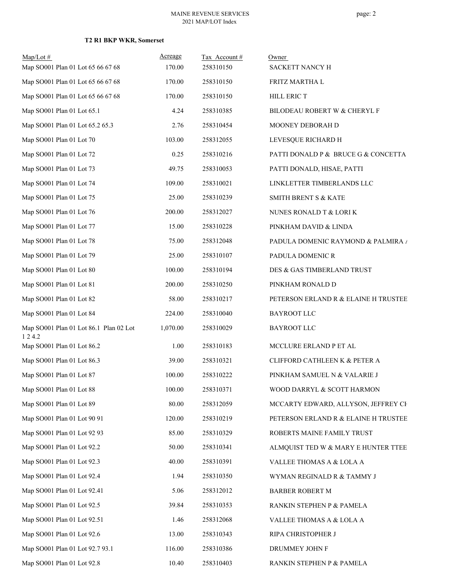| $Map/Lot \#$<br>Map SO001 Plan 01 Lot 65 66 67 68 | Acreage<br>170.00 | Tax Account#<br>258310150 | Owner<br>SACKETT NANCY H             |
|---------------------------------------------------|-------------------|---------------------------|--------------------------------------|
| Map SO001 Plan 01 Lot 65 66 67 68                 | 170.00            | 258310150                 | FRITZ MARTHA L                       |
|                                                   | 170.00            | 258310150                 |                                      |
| Map SO001 Plan 01 Lot 65 66 67 68                 |                   |                           | HILL ERIC T                          |
| Map SO001 Plan 01 Lot 65.1                        | 4.24              | 258310385                 | BILODEAU ROBERT W & CHERYL F         |
| Map SO001 Plan 01 Lot 65.2 65.3                   | 2.76              | 258310454                 | MOONEY DEBORAH D                     |
| Map SO001 Plan 01 Lot 70                          | 103.00            | 258312055                 | LEVESQUE RICHARD H                   |
| Map SO001 Plan 01 Lot 72                          | 0.25              | 258310216                 | PATTI DONALD P & BRUCE G & CONCETTA  |
| Map SO001 Plan 01 Lot 73                          | 49.75             | 258310053                 | PATTI DONALD, HISAE, PATTI           |
| Map SO001 Plan 01 Lot 74                          | 109.00            | 258310021                 | LINKLETTER TIMBERLANDS LLC           |
| Map SO001 Plan 01 Lot 75                          | 25.00             | 258310239                 | <b>SMITH BRENT S &amp; KATE</b>      |
| Map SO001 Plan 01 Lot 76                          | 200.00            | 258312027                 | NUNES RONALD T & LORI K              |
| Map SO001 Plan 01 Lot 77                          | 15.00             | 258310228                 | PINKHAM DAVID & LINDA                |
| Map SO001 Plan 01 Lot 78                          | 75.00             | 258312048                 | PADULA DOMENIC RAYMOND & PALMIRA /   |
| Map SO001 Plan 01 Lot 79                          | 25.00             | 258310107                 | PADULA DOMENIC R                     |
| Map SO001 Plan 01 Lot 80                          | 100.00            | 258310194                 | DES & GAS TIMBERLAND TRUST           |
| Map SO001 Plan 01 Lot 81                          | 200.00            | 258310250                 | PINKHAM RONALD D                     |
| Map SO001 Plan 01 Lot 82                          | 58.00             | 258310217                 | PETERSON ERLAND R & ELAINE H TRUSTEE |
| Map SO001 Plan 01 Lot 84                          | 224.00            | 258310040                 | <b>BAYROOT LLC</b>                   |
| Map SO001 Plan 01 Lot 86.1 Plan 02 Lot<br>1 2 4.2 | 1,070.00          | 258310029                 | <b>BAYROOT LLC</b>                   |
| Map SO001 Plan 01 Lot 86.2                        | 1.00              | 258310183                 | MCCLURE ERLAND P ET AL               |
| Map SO001 Plan 01 Lot 86.3                        | 39.00             | 258310321                 | CLIFFORD CATHLEEN K & PETER A        |
| Map SO001 Plan 01 Lot 87                          | 100.00            | 258310222                 | PINKHAM SAMUEL N & VALARIE J         |
| Map SO001 Plan 01 Lot 88                          | 100.00            | 258310371                 | WOOD DARRYL & SCOTT HARMON           |
| Map SO001 Plan 01 Lot 89                          | 80.00             | 258312059                 | MCCARTY EDWARD, ALLYSON, JEFFREY CE  |
| Map SO001 Plan 01 Lot 90 91                       | 120.00            | 258310219                 | PETERSON ERLAND R & ELAINE H TRUSTEE |
| Map SO001 Plan 01 Lot 92 93                       | 85.00             | 258310329                 | ROBERTS MAINE FAMILY TRUST           |
| Map SO001 Plan 01 Lot 92.2                        | 50.00             | 258310341                 | ALMQUIST TED W & MARY E HUNTER TTEE  |
| Map SO001 Plan 01 Lot 92.3                        | 40.00             | 258310391                 | VALLEE THOMAS A & LOLA A             |
| Map SO001 Plan 01 Lot 92.4                        | 1.94              | 258310350                 | WYMAN REGINALD R & TAMMY J           |
| Map SO001 Plan 01 Lot 92.41                       | 5.06              | 258312012                 | <b>BARBER ROBERT M</b>               |
| Map SO001 Plan 01 Lot 92.5                        | 39.84             | 258310353                 | RANKIN STEPHEN P & PAMELA            |
| Map SO001 Plan 01 Lot 92.51                       | 1.46              | 258312068                 | VALLEE THOMAS A & LOLA A             |
| Map SO001 Plan 01 Lot 92.6                        | 13.00             | 258310343                 | RIPA CHRISTOPHER J                   |
| Map SO001 Plan 01 Lot 92.7 93.1                   | 116.00            | 258310386                 | DRUMMEY JOHN F                       |
| Map SO001 Plan 01 Lot 92.8                        | 10.40             | 258310403                 | RANKIN STEPHEN P & PAMELA            |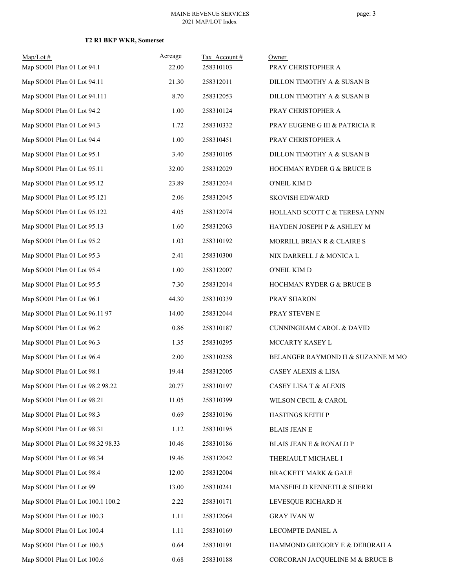| $Map/Lot \#$<br>Map SO001 Plan 01 Lot 94.1 | Acreage<br>22.00 | Tax Account#<br>258310103 | Owner<br>PRAY CHRISTOPHER A       |
|--------------------------------------------|------------------|---------------------------|-----------------------------------|
| Map SO001 Plan 01 Lot 94.11                | 21.30            | 258312011                 | DILLON TIMOTHY A & SUSAN B        |
| Map SO001 Plan 01 Lot 94.111               | 8.70             | 258312053                 | DILLON TIMOTHY A & SUSAN B        |
| Map SO001 Plan 01 Lot 94.2                 | 1.00             | 258310124                 | PRAY CHRISTOPHER A                |
| Map SO001 Plan 01 Lot 94.3                 | 1.72             | 258310332                 | PRAY EUGENE G III & PATRICIA R    |
| Map SO001 Plan 01 Lot 94.4                 | 1.00             | 258310451                 | PRAY CHRISTOPHER A                |
| Map SO001 Plan 01 Lot 95.1                 | 3.40             | 258310105                 | DILLON TIMOTHY A & SUSAN B        |
| Map SO001 Plan 01 Lot 95.11                | 32.00            | 258312029                 | HOCHMAN RYDER G & BRUCE B         |
| Map SO001 Plan 01 Lot 95.12                | 23.89            | 258312034                 | O'NEIL KIM D                      |
| Map SO001 Plan 01 Lot 95.121               | 2.06             | 258312045                 | <b>SKOVISH EDWARD</b>             |
| Map SO001 Plan 01 Lot 95.122               | 4.05             | 258312074                 | HOLLAND SCOTT C & TERESA LYNN     |
| Map SO001 Plan 01 Lot 95.13                | 1.60             | 258312063                 | HAYDEN JOSEPH P & ASHLEY M        |
| Map SO001 Plan 01 Lot 95.2                 | 1.03             | 258310192                 | MORRILL BRIAN R & CLAIRE S        |
| Map SO001 Plan 01 Lot 95.3                 | 2.41             | 258310300                 | NIX DARRELL J & MONICA L          |
| Map SO001 Plan 01 Lot 95.4                 | 1.00             | 258312007                 | O'NEIL KIM D                      |
| Map SO001 Plan 01 Lot 95.5                 | 7.30             | 258312014                 | HOCHMAN RYDER G & BRUCE B         |
| Map SO001 Plan 01 Lot 96.1                 | 44.30            | 258310339                 | PRAY SHARON                       |
| Map SO001 Plan 01 Lot 96.11 97             | 14.00            | 258312044                 | PRAY STEVEN E                     |
| Map SO001 Plan 01 Lot 96.2                 | 0.86             | 258310187                 | CUNNINGHAM CAROL & DAVID          |
| Map SO001 Plan 01 Lot 96.3                 | 1.35             | 258310295                 | MCCARTY KASEY L                   |
| Map SO001 Plan 01 Lot 96.4                 | 2.00             | 258310258                 | BELANGER RAYMOND H & SUZANNE M MO |
| Map SO001 Plan 01 Lot 98.1                 | 19.44            | 258312005                 | <b>CASEY ALEXIS &amp; LISA</b>    |
| Map SO001 Plan 01 Lot 98.2 98.22           | 20.77            | 258310197                 | <b>CASEY LISA T &amp; ALEXIS</b>  |
| Map SO001 Plan 01 Lot 98.21                | 11.05            | 258310399                 | WILSON CECIL & CAROL              |
| Map SO001 Plan 01 Lot 98.3                 | 0.69             | 258310196                 | HASTINGS KEITH P                  |
| Map SO001 Plan 01 Lot 98.31                | 1.12             | 258310195                 | <b>BLAIS JEAN E</b>               |
| Map SO001 Plan 01 Lot 98.32 98.33          | 10.46            | 258310186                 | BLAIS JEAN E & RONALD P           |
| Map SO001 Plan 01 Lot 98.34                | 19.46            | 258312042                 | THERIAULT MICHAEL I               |
| Map SO001 Plan 01 Lot 98.4                 | 12.00            | 258312004                 | <b>BRACKETT MARK &amp; GALE</b>   |
| Map SO001 Plan 01 Lot 99                   | 13.00            | 258310241                 | MANSFIELD KENNETH & SHERRI        |
| Map SO001 Plan 01 Lot 100.1 100.2          | 2.22             | 258310171                 | LEVESQUE RICHARD H                |
| Map SO001 Plan 01 Lot 100.3                | 1.11             | 258312064                 | <b>GRAY IVAN W</b>                |
| Map SO001 Plan 01 Lot 100.4                | 1.11             | 258310169                 | LECOMPTE DANIEL A                 |
| Map SO001 Plan 01 Lot 100.5                | 0.64             | 258310191                 | HAMMOND GREGORY E & DEBORAH A     |
| Map SO001 Plan 01 Lot 100.6                | 0.68             | 258310188                 | CORCORAN JACQUELINE M & BRUCE B   |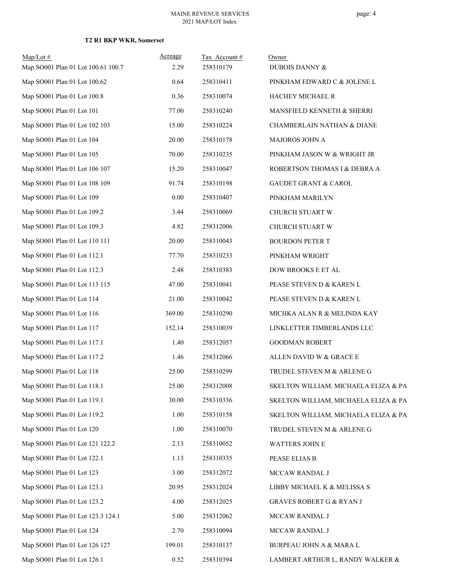| $Map/Lot$ #<br>Map SO001 Plan 01 Lot 100.61 100.7 | Acreage<br>2.29 | Tax Account#<br>258310179 | Owner<br>DUBOIS DANNY &              |
|---------------------------------------------------|-----------------|---------------------------|--------------------------------------|
| Map SO001 Plan 01 Lot 100.62                      | 0.64            | 258310411                 | PINKHAM EDWARD C & JOLENE L          |
| Map SO001 Plan 01 Lot 100.8                       | 0.36            | 258310074                 | HACHEY MICHAEL R                     |
| Map SO001 Plan 01 Lot 101                         | 77.00           | 258310240                 | MANSFIELD KENNETH & SHERRI           |
| Map SO001 Plan 01 Lot 102 103                     | 15.00           | 258310224                 | CHAMBERLAIN NATHAN & DIANE           |
| Map SO001 Plan 01 Lot 104                         | 20.00           | 258310178                 | MAJOROS JOHN A                       |
| Map SO001 Plan 01 Lot 105                         | 70.00           | 258310235                 | PINKHAM JASON W & WRIGHT JR          |
| Map SO001 Plan 01 Lot 106 107                     | 15.20           | 258310047                 | ROBERTSON THOMAS I & DEBRA A         |
| Map SO001 Plan 01 Lot 108 109                     | 91.74           | 258310198                 | <b>GAUDET GRANT &amp; CAROL</b>      |
| Map SO001 Plan 01 Lot 109                         | 0.00            | 258310407                 | PINKHAM MARILYN                      |
| Map SO001 Plan 01 Lot 109.2                       | 3.44            | 258310069                 | CHURCH STUART W                      |
| Map SO001 Plan 01 Lot 109.3                       | 4.82            | 258312006                 | CHURCH STUART W                      |
| Map SO001 Plan 01 Lot 110 111                     | 20.00           | 258310043                 | <b>BOURDON PETER T</b>               |
| Map SO001 Plan 01 Lot 112.1                       | 77.70           | 258310233                 | PINKHAM WRIGHT                       |
| Map SO001 Plan 01 Lot 112.3                       | 2.48            | 258310383                 | DOW BROOKS E ET AL                   |
| Map SO001 Plan 01 Lot 113 115                     | 47.00           | 258310041                 | PEASE STEVEN D & KAREN L             |
| Map SO001 Plan 01 Lot 114                         | 21.00           | 258310042                 | PEASE STEVEN D & KAREN L             |
| Map SO001 Plan 01 Lot 116                         | 369.00          | 258310290                 | MICHKA ALAN R & MELINDA KAY          |
| Map SO001 Plan 01 Lot 117                         | 152.14          | 258310039                 | LINKLETTER TIMBERLANDS LLC           |
| Map SO001 Plan 01 Lot 117.1                       | 1.40            | 258312057                 | <b>GOODMAN ROBERT</b>                |
| Map SO001 Plan 01 Lot 117.2                       | 1.46            | 258312066                 | ALLEN DAVID W & GRACE E              |
| Map SO001 Plan 01 Lot 118                         | 25.00           | 258310299                 | TRUDEL STEVEN M & ARLENE G           |
| Map SO001 Plan 01 Lot 118.1                       | 25.00           | 258312008                 | SKELTON WILLIAM, MICHAELA ELIZA & PA |
| Map SO001 Plan 01 Lot 119.1                       | 30.00           | 258310336                 | SKELTON WILLIAM, MICHAELA ELIZA & PA |
| Map SO001 Plan 01 Lot 119.2                       | 1.00            | 258310158                 | SKELTON WILLIAM, MICHAELA ELIZA & PA |
| Map SO001 Plan 01 Lot 120                         | 1.00            | 258310070                 | TRUDEL STEVEN M & ARLENE G           |
| Map SO001 Plan 01 Lot 121 122.2                   | 2.13            | 258310052                 | WATTERS JOHN E                       |
| Map SO001 Plan 01 Lot 122.1                       | 1.13            | 258310335                 | PEASE ELIAS B                        |
| Map SO001 Plan 01 Lot 123                         | 3.00            | 258312072                 | MCCAW RANDAL J                       |
| Map SO001 Plan 01 Lot 123.1                       | 20.95           | 258312024                 | LIBBY MICHAEL K & MELISSA S          |
| Map SO001 Plan 01 Lot 123.2                       | 4.00            | 258312025                 | GRAVES ROBERT G & RYAN J             |
| Map SO001 Plan 01 Lot 123.3 124.1                 | 5.00            | 258312062                 | MCCAW RANDAL J                       |
| Map SO001 Plan 01 Lot 124                         | 2.70            | 258310094                 | MCCAW RANDAL J                       |
| Map SO001 Plan 01 Lot 126 127                     | 199.01          | 258310137                 | BURPEAU JOHN A & MARA L              |
| Map SO001 Plan 01 Lot 126.1                       | 0.52            | 258310394                 | LAMBERT ARTHUR L, RANDY WALKER &     |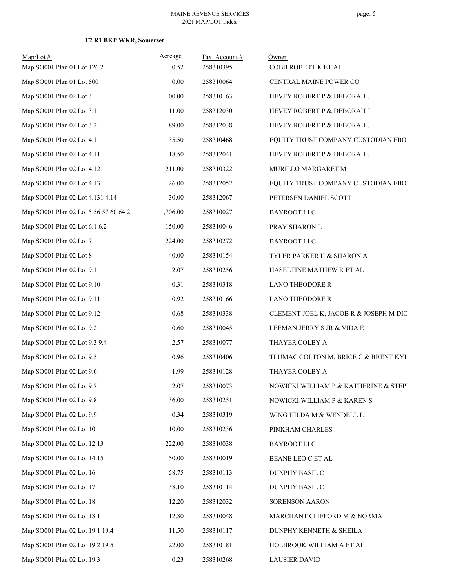| $Map/Lot \#$<br>Map SO001 Plan 01 Lot 126.2 | Acreage<br>0.52 | Tax Account#<br>258310395 | Owner<br>COBB ROBERT K ET AL           |
|---------------------------------------------|-----------------|---------------------------|----------------------------------------|
| Map SO001 Plan 01 Lot 500                   | 0.00            | 258310064                 | CENTRAL MAINE POWER CO                 |
| Map SO001 Plan 02 Lot 3                     | 100.00          | 258310163                 | HEVEY ROBERT P & DEBORAH J             |
| Map SO001 Plan 02 Lot 3.1                   | 11.00           | 258312030                 | HEVEY ROBERT P & DEBORAH J             |
| Map SO001 Plan 02 Lot 3.2                   | 89.00           | 258312038                 | HEVEY ROBERT P & DEBORAH J             |
| Map SO001 Plan 02 Lot 4.1                   | 135.50          | 258310468                 | EQUITY TRUST COMPANY CUSTODIAN FBO     |
| Map SO001 Plan 02 Lot 4.11                  | 18.50           | 258312041                 | HEVEY ROBERT P & DEBORAH J             |
| Map SO001 Plan 02 Lot 4.12                  | 211.00          | 258310322                 | MURILLO MARGARET M                     |
| Map SO001 Plan 02 Lot 4.13                  | 26.00           | 258312052                 | EQUITY TRUST COMPANY CUSTODIAN FBO     |
| Map SO001 Plan 02 Lot 4.131 4.14            | 30.00           | 258312067                 | PETERSEN DANIEL SCOTT                  |
| Map SO001 Plan 02 Lot 5 56 57 60 64.2       | 1,706.00        | 258310027                 | <b>BAYROOT LLC</b>                     |
| Map SO001 Plan 02 Lot 6.1 6.2               | 150.00          | 258310046                 | PRAY SHARON L                          |
| Map SO001 Plan 02 Lot 7                     | 224.00          | 258310272                 | <b>BAYROOT LLC</b>                     |
| Map SO001 Plan 02 Lot 8                     | 40.00           | 258310154                 | TYLER PARKER H & SHARON A              |
| Map SO001 Plan 02 Lot 9.1                   | 2.07            | 258310256                 | HASELTINE MATHEW R ET AL               |
| Map SO001 Plan 02 Lot 9.10                  | 0.31            | 258310318                 | <b>LANO THEODORE R</b>                 |
| Map SO001 Plan 02 Lot 9.11                  | 0.92            | 258310166                 | <b>LANO THEODORE R</b>                 |
| Map SO001 Plan 02 Lot 9.12                  | 0.68            | 258310338                 | CLEMENT JOEL K, JACOB R & JOSEPH M DIO |
| Map SO001 Plan 02 Lot 9.2                   | 0.60            | 258310045                 | LEEMAN JERRY S JR & VIDA E             |
| Map SO001 Plan 02 Lot 9.3 9.4               | 2.57            | 258310077                 | THAYER COLBY A                         |
| Map SO001 Plan 02 Lot 9.5                   | 0.96            | 258310406                 | TLUMAC COLTON M, BRICE C & BRENT KYL   |
| Map SO001 Plan 02 Lot 9.6                   | 1.99            | 258310128                 | THAYER COLBY A                         |
| Map SO001 Plan 02 Lot 9.7                   | 2.07            | 258310073                 | NOWICKI WILLIAM P & KATHERINE & STEPI  |
| Map SO001 Plan 02 Lot 9.8                   | 36.00           | 258310251                 | NOWICKI WILLIAM P & KAREN S            |
| Map SO001 Plan 02 Lot 9.9                   | 0.34            | 258310319                 | WING HILDA M & WENDELL L               |
| Map SO001 Plan 02 Lot 10                    | 10.00           | 258310236                 | PINKHAM CHARLES                        |
| Map SO001 Plan 02 Lot 12 13                 | 222.00          | 258310038                 | <b>BAYROOT LLC</b>                     |
| Map SO001 Plan 02 Lot 14 15                 | 50.00           | 258310019                 | BEANE LEO C ET AL                      |
| Map SO001 Plan 02 Lot 16                    | 58.75           | 258310113                 | DUNPHY BASIL C                         |
| Map SO001 Plan 02 Lot 17                    | 38.10           | 258310114                 | DUNPHY BASIL C                         |
| Map SO001 Plan 02 Lot 18                    | 12.20           | 258312032                 | SORENSON AARON                         |
| Map SO001 Plan 02 Lot 18.1                  | 12.80           | 258310048                 | MARCHANT CLIFFORD M & NORMA            |
| Map SO001 Plan 02 Lot 19.1 19.4             | 11.50           | 258310117                 | DUNPHY KENNETH & SHEILA                |
| Map SO001 Plan 02 Lot 19.2 19.5             | 22.00           | 258310181                 | HOLBROOK WILLIAM A ET AL               |
| Map SO001 Plan 02 Lot 19.3                  | 0.23            | 258310268                 | <b>LAUSIER DAVID</b>                   |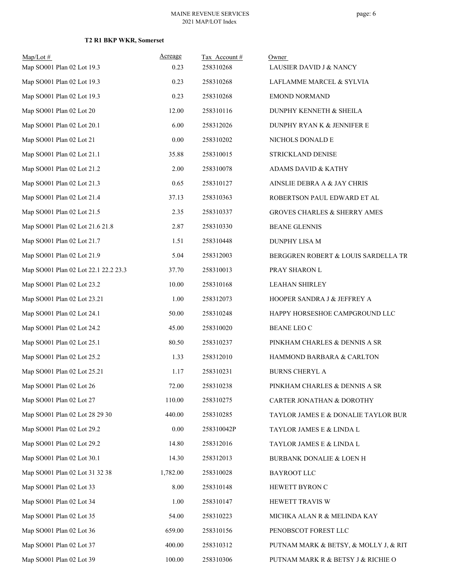| $Map/Lot$ #                          | Acreage  | Tax Account# | Owner                                   |
|--------------------------------------|----------|--------------|-----------------------------------------|
| Map SO001 Plan 02 Lot 19.3           | 0.23     | 258310268    | LAUSIER DAVID J & NANCY                 |
| Map SO001 Plan 02 Lot 19.3           | 0.23     | 258310268    | LAFLAMME MARCEL & SYLVIA                |
| Map SO001 Plan 02 Lot 19.3           | 0.23     | 258310268    | <b>EMOND NORMAND</b>                    |
| Map SO001 Plan 02 Lot 20             | 12.00    | 258310116    | DUNPHY KENNETH & SHEILA                 |
| Map SO001 Plan 02 Lot 20.1           | 6.00     | 258312026    | DUNPHY RYAN K & JENNIFER E              |
| Map SO001 Plan 02 Lot 21             | 0.00     | 258310202    | NICHOLS DONALD E                        |
| Map SO001 Plan 02 Lot 21.1           | 35.88    | 258310015    | STRICKLAND DENISE                       |
| Map SO001 Plan 02 Lot 21.2           | 2.00     | 258310078    | ADAMS DAVID & KATHY                     |
| Map SO001 Plan 02 Lot 21.3           | 0.65     | 258310127    | AINSLIE DEBRA A & JAY CHRIS             |
| Map SO001 Plan 02 Lot 21.4           | 37.13    | 258310363    | ROBERTSON PAUL EDWARD ET AL             |
| Map SO001 Plan 02 Lot 21.5           | 2.35     | 258310337    | <b>GROVES CHARLES &amp; SHERRY AMES</b> |
| Map SO001 Plan 02 Lot 21.6 21.8      | 2.87     | 258310330    | <b>BEANE GLENNIS</b>                    |
| Map SO001 Plan 02 Lot 21.7           | 1.51     | 258310448    | DUNPHY LISA M                           |
| Map SO001 Plan 02 Lot 21.9           | 5.04     | 258312003    | BERGGREN ROBERT & LOUIS SARDELLA TR     |
| Map SO001 Plan 02 Lot 22.1 22.2 23.3 | 37.70    | 258310013    | PRAY SHARON L                           |
| Map SO001 Plan 02 Lot 23.2           | 10.00    | 258310168    | <b>LEAHAN SHIRLEY</b>                   |
| Map SO001 Plan 02 Lot 23.21          | 1.00     | 258312073    | HOOPER SANDRA J & JEFFREY A             |
| Map SO001 Plan 02 Lot 24.1           | 50.00    | 258310248    | HAPPY HORSESHOE CAMPGROUND LLC          |
| Map SO001 Plan 02 Lot 24.2           | 45.00    | 258310020    | <b>BEANE LEO C</b>                      |
| Map SO001 Plan 02 Lot 25.1           | 80.50    | 258310237    | PINKHAM CHARLES & DENNIS A SR           |
| Map SO001 Plan 02 Lot 25.2           | 1.33     | 258312010    | HAMMOND BARBARA & CARLTON               |
| Map SO001 Plan 02 Lot 25.21          | 1.17     | 258310231    | BURNS CHERYL A                          |
| Map SO001 Plan 02 Lot 26             | 72.00    | 258310238    | PINKHAM CHARLES & DENNIS A SR           |
| Map SO001 Plan 02 Lot 27             | 110.00   | 258310275    | CARTER JONATHAN & DOROTHY               |
| Map SO001 Plan 02 Lot 28 29 30       | 440.00   | 258310285    | TAYLOR JAMES E & DONALIE TAYLOR BURT    |
| Map SO001 Plan 02 Lot 29.2           | $0.00\,$ | 258310042P   | TAYLOR JAMES E & LINDA L                |
| Map SO001 Plan 02 Lot 29.2           | 14.80    | 258312016    | TAYLOR JAMES E & LINDA L                |
| Map SO001 Plan 02 Lot 30.1           | 14.30    | 258312013    | BURBANK DONALIE & LOEN H                |
| Map SO001 Plan 02 Lot 31 32 38       | 1,782.00 | 258310028    | BAYROOT LLC                             |
| Map SO001 Plan 02 Lot 33             | 8.00     | 258310148    | HEWETT BYRON C                          |
| Map SO001 Plan 02 Lot 34             | 1.00     | 258310147    | HEWETT TRAVIS W                         |
| Map SO001 Plan 02 Lot 35             | 54.00    | 258310223    | MICHKA ALAN R & MELINDA KAY             |
| Map SO001 Plan 02 Lot 36             | 659.00   | 258310156    | PENOBSCOT FOREST LLC                    |
| Map SO001 Plan 02 Lot 37             | 400.00   | 258310312    | PUTNAM MARK & BETSY, & MOLLY J, & RIT   |
| Map SO001 Plan 02 Lot 39             | 100.00   | 258310306    | PUTNAM MARK R & BETSY J & RICHIE O      |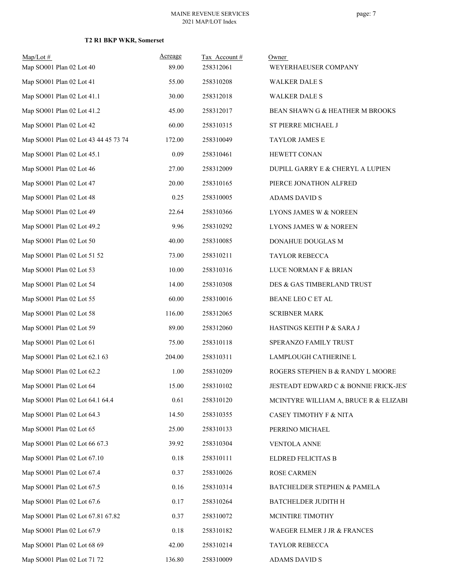| $Map/Lot$ #<br>Map SO001 Plan 02 Lot 40 | Acreage<br>89.00 | Tax Account#<br>258312061 | Owner<br>WEYERHAEUSER COMPANY         |
|-----------------------------------------|------------------|---------------------------|---------------------------------------|
|                                         | 55.00            |                           |                                       |
| Map SO001 Plan 02 Lot 41                |                  | 258310208                 | <b>WALKER DALE S</b>                  |
| Map SO001 Plan 02 Lot 41.1              | 30.00            | 258312018                 | <b>WALKER DALE S</b>                  |
| Map SO001 Plan 02 Lot 41.2              | 45.00            | 258312017                 | BEAN SHAWN G & HEATHER M BROOKS       |
| Map SO001 Plan 02 Lot 42                | 60.00            | 258310315                 | ST PIERRE MICHAEL J                   |
| Map SO001 Plan 02 Lot 43 44 45 73 74    | 172.00           | 258310049                 | TAYLOR JAMES E                        |
| Map SO001 Plan 02 Lot 45.1              | 0.09             | 258310461                 | HEWETT CONAN                          |
| Map SO001 Plan 02 Lot 46                | 27.00            | 258312009                 | DUPILL GARRY E & CHERYL A LUPIEN      |
| Map SO001 Plan 02 Lot 47                | 20.00            | 258310165                 | PIERCE JONATHON ALFRED                |
| Map SO001 Plan 02 Lot 48                | 0.25             | 258310005                 | <b>ADAMS DAVID S</b>                  |
| Map SO001 Plan 02 Lot 49                | 22.64            | 258310366                 | LYONS JAMES W & NOREEN                |
| Map SO001 Plan 02 Lot 49.2              | 9.96             | 258310292                 | LYONS JAMES W & NOREEN                |
| Map SO001 Plan 02 Lot 50                | 40.00            | 258310085                 | DONAHUE DOUGLAS M                     |
| Map SO001 Plan 02 Lot 51 52             | 73.00            | 258310211                 | TAYLOR REBECCA                        |
| Map SO001 Plan 02 Lot 53                | 10.00            | 258310316                 | LUCE NORMAN F & BRIAN                 |
| Map SO001 Plan 02 Lot 54                | 14.00            | 258310308                 | DES & GAS TIMBERLAND TRUST            |
| Map SO001 Plan 02 Lot 55                | 60.00            | 258310016                 | BEANE LEO C ET AL                     |
| Map SO001 Plan 02 Lot 58                | 116.00           | 258312065                 | <b>SCRIBNER MARK</b>                  |
| Map SO001 Plan 02 Lot 59                | 89.00            | 258312060                 | HASTINGS KEITH P & SARA J             |
| Map SO001 Plan 02 Lot 61                | 75.00            | 258310118                 | SPERANZO FAMILY TRUST                 |
| Map SO001 Plan 02 Lot 62.1 63           | 204.00           | 258310311                 | LAMPLOUGH CATHERINE L                 |
| Map SO001 Plan 02 Lot 62.2              | 1.00             | 258310209                 | ROGERS STEPHEN B & RANDY L MOORE      |
| Map SO001 Plan 02 Lot 64                | 15.00            | 258310102                 | JESTEADT EDWARD C & BONNIE FRICK-JEST |
| Map SO001 Plan 02 Lot 64.1 64.4         | 0.61             | 258310120                 | MCINTYRE WILLIAM A, BRUCE R & ELIZABI |
| Map SO001 Plan 02 Lot 64.3              | 14.50            | 258310355                 | CASEY TIMOTHY F & NITA                |
| Map SO001 Plan 02 Lot 65                | 25.00            | 258310133                 | PERRINO MICHAEL                       |
| Map SO001 Plan 02 Lot 66 67.3           | 39.92            | 258310304                 | <b>VENTOLA ANNE</b>                   |
| Map SO001 Plan 02 Lot 67.10             | 0.18             | 258310111                 | <b>ELDRED FELICITAS B</b>             |
| Map SO001 Plan 02 Lot 67.4              | 0.37             | 258310026                 | ROSE CARMEN                           |
| Map SO001 Plan 02 Lot 67.5              | 0.16             | 258310314                 | BATCHELDER STEPHEN & PAMELA           |
| Map SO001 Plan 02 Lot 67.6              | 0.17             | 258310264                 | BATCHELDER JUDITH H                   |
| Map SO001 Plan 02 Lot 67.81 67.82       | 0.37             | 258310072                 | MCINTIRE TIMOTHY                      |
| Map SO001 Plan 02 Lot 67.9              | 0.18             | 258310182                 | WAEGER ELMER J JR & FRANCES           |
| Map SO001 Plan 02 Lot 68 69             | 42.00            | 258310214                 | TAYLOR REBECCA                        |
| Map SO001 Plan 02 Lot 71 72             | 136.80           | 258310009                 | ADAMS DAVID S                         |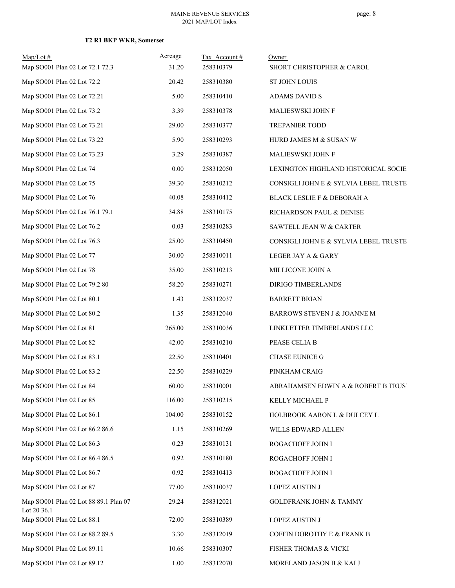| $Map/Lot$ #<br>Map SO001 Plan 02 Lot 72.1 72.3       | Acreage<br>31.20 | Tax Account#<br>258310379 | Owner<br>SHORT CHRISTOPHER & CAROL    |
|------------------------------------------------------|------------------|---------------------------|---------------------------------------|
| Map SO001 Plan 02 Lot 72.2                           | 20.42            | 258310380                 | ST JOHN LOUIS                         |
| Map SO001 Plan 02 Lot 72.21                          | 5.00             | 258310410                 | ADAMS DAVID S                         |
| Map SO001 Plan 02 Lot 73.2                           | 3.39             | 258310378                 | MALIESWSKI JOHN F                     |
| Map SO001 Plan 02 Lot 73.21                          | 29.00            | 258310377                 | <b>TREPANIER TODD</b>                 |
| Map SO001 Plan 02 Lot 73.22                          | 5.90             | 258310293                 | HURD JAMES M & SUSAN W                |
| Map SO001 Plan 02 Lot 73.23                          | 3.29             | 258310387                 | MALIESWSKI JOHN F                     |
| Map SO001 Plan 02 Lot 74                             | 0.00             | 258312050                 | LEXINGTON HIGHLAND HISTORICAL SOCIE'  |
| Map SO001 Plan 02 Lot 75                             | 39.30            | 258310212                 | CONSIGLI JOHN E & SYLVIA LEBEL TRUSTE |
| Map SO001 Plan 02 Lot 76                             | 40.08            | 258310412                 | BLACK LESLIE F & DEBORAH A            |
| Map SO001 Plan 02 Lot 76.1 79.1                      | 34.88            | 258310175                 | RICHARDSON PAUL & DENISE              |
| Map SO001 Plan 02 Lot 76.2                           | 0.03             | 258310283                 | SAWTELL JEAN W & CARTER               |
| Map SO001 Plan 02 Lot 76.3                           | 25.00            | 258310450                 | CONSIGLI JOHN E & SYLVIA LEBEL TRUSTE |
| Map SO001 Plan 02 Lot 77                             | 30.00            | 258310011                 | LEGER JAY A & GARY                    |
| Map SO001 Plan 02 Lot 78                             | 35.00            | 258310213                 | MILLICONE JOHN A                      |
| Map SO001 Plan 02 Lot 79.2 80                        | 58.20            | 258310271                 | DIRIGO TIMBERLANDS                    |
| Map SO001 Plan 02 Lot 80.1                           | 1.43             | 258312037                 | <b>BARRETT BRIAN</b>                  |
| Map SO001 Plan 02 Lot 80.2                           | 1.35             | 258312040                 | BARROWS STEVEN J & JOANNE M           |
| Map SO001 Plan 02 Lot 81                             | 265.00           | 258310036                 | LINKLETTER TIMBERLANDS LLC            |
| Map SO001 Plan 02 Lot 82                             | 42.00            | 258310210                 | PEASE CELIA B                         |
| Map SO001 Plan 02 Lot 83.1                           | 22.50            | 258310401                 | <b>CHASE EUNICE G</b>                 |
| Map SO001 Plan 02 Lot 83.2                           | 22.50            | 258310229                 | PINKHAM CRAIG                         |
| Map SO001 Plan 02 Lot 84                             | 60.00            | 258310001                 | ABRAHAMSEN EDWIN A & ROBERT B TRUST   |
| Map SO001 Plan 02 Lot 85                             | 116.00           | 258310215                 | KELLY MICHAEL P                       |
| Map SO001 Plan 02 Lot 86.1                           | 104.00           | 258310152                 | HOLBROOK AARON L & DULCEY L           |
| Map SO001 Plan 02 Lot 86.2 86.6                      | 1.15             | 258310269                 | WILLS EDWARD ALLEN                    |
| Map SO001 Plan 02 Lot 86.3                           | 0.23             | 258310131                 | ROGACHOFF JOHN I                      |
| Map SO001 Plan 02 Lot 86.4 86.5                      | 0.92             | 258310180                 | ROGACHOFF JOHN I                      |
| Map SO001 Plan 02 Lot 86.7                           | 0.92             | 258310413                 | ROGACHOFF JOHN I                      |
| Map SO001 Plan 02 Lot 87                             | 77.00            | 258310037                 | <b>LOPEZ AUSTIN J</b>                 |
| Map SO001 Plan 02 Lot 88 89.1 Plan 07<br>Lot 20 36.1 | 29.24            | 258312021                 | <b>GOLDFRANK JOHN &amp; TAMMY</b>     |
| Map SO001 Plan 02 Lot 88.1                           | 72.00            | 258310389                 | <b>LOPEZ AUSTIN J</b>                 |
| Map SO001 Plan 02 Lot 88.2 89.5                      | 3.30             | 258312019                 | COFFIN DOROTHY E & FRANK B            |
| Map SO001 Plan 02 Lot 89.11                          | 10.66            | 258310307                 | FISHER THOMAS & VICKI                 |
| Map SO001 Plan 02 Lot 89.12                          | 1.00             | 258312070                 | MORELAND JASON B & KAI J              |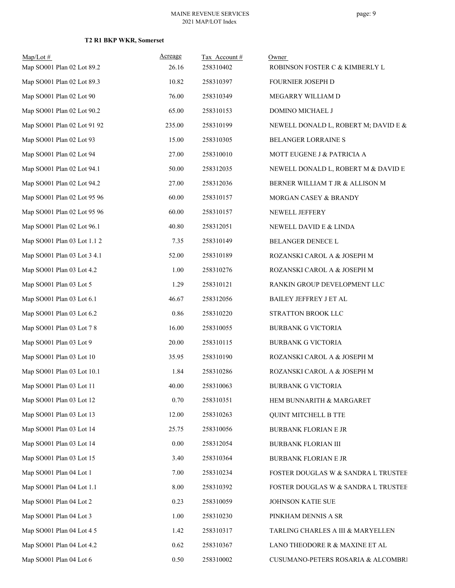| $Map/Lot$ #                 | Acreage  | Tax Account# | Owner                                |
|-----------------------------|----------|--------------|--------------------------------------|
| Map SO001 Plan 02 Lot 89.2  | 26.16    | 258310402    | ROBINSON FOSTER C & KIMBERLY L       |
| Map SO001 Plan 02 Lot 89.3  | 10.82    | 258310397    | FOURNIER JOSEPH D                    |
| Map SO001 Plan 02 Lot 90    | 76.00    | 258310349    | MEGARRY WILLIAM D                    |
| Map SO001 Plan 02 Lot 90.2  | 65.00    | 258310153    | DOMINO MICHAEL J                     |
| Map SO001 Plan 02 Lot 91 92 | 235.00   | 258310199    | NEWELL DONALD L, ROBERT M; DAVID E & |
| Map SO001 Plan 02 Lot 93    | 15.00    | 258310305    | BELANGER LORRAINE S                  |
| Map SO001 Plan 02 Lot 94    | 27.00    | 258310010    | MOTT EUGENE J & PATRICIA A           |
| Map SO001 Plan 02 Lot 94.1  | 50.00    | 258312035    | NEWELL DONALD L, ROBERT M & DAVID E  |
| Map SO001 Plan 02 Lot 94.2  | 27.00    | 258312036    | BERNER WILLIAM T JR & ALLISON M      |
| Map SO001 Plan 02 Lot 95 96 | 60.00    | 258310157    | MORGAN CASEY & BRANDY                |
| Map SO001 Plan 02 Lot 95 96 | 60.00    | 258310157    | NEWELL JEFFERY                       |
| Map SO001 Plan 02 Lot 96.1  | 40.80    | 258312051    | NEWELL DAVID E & LINDA               |
| Map SO001 Plan 03 Lot 1.1 2 | 7.35     | 258310149    | BELANGER DENECE L                    |
| Map SO001 Plan 03 Lot 3 4.1 | 52.00    | 258310189    | ROZANSKI CAROL A & JOSEPH M          |
| Map SO001 Plan 03 Lot 4.2   | 1.00     | 258310276    | ROZANSKI CAROL A & JOSEPH M          |
| Map SO001 Plan 03 Lot 5     | 1.29     | 258310121    | RANKIN GROUP DEVELOPMENT LLC         |
| Map SO001 Plan 03 Lot 6.1   | 46.67    | 258312056    | <b>BAILEY JEFFREY J ET AL</b>        |
| Map SO001 Plan 03 Lot 6.2   | 0.86     | 258310220    | STRATTON BROOK LLC                   |
| Map SO001 Plan 03 Lot 7 8   | 16.00    | 258310055    | <b>BURBANK G VICTORIA</b>            |
| Map SO001 Plan 03 Lot 9     | 20.00    | 258310115    | <b>BURBANK G VICTORIA</b>            |
| Map SO001 Plan 03 Lot 10    | 35.95    | 258310190    | ROZANSKI CAROL A & JOSEPH M          |
| Map SO001 Plan 03 Lot 10.1  | 1.84     | 258310286    | ROZANSKI CAROL A & JOSEPH M          |
| Map SO001 Plan 03 Lot 11    | 40.00    | 258310063    | <b>BURBANK G VICTORIA</b>            |
| Map SO001 Plan 03 Lot 12    | 0.70     | 258310351    | HEM BUNNARITH & MARGARET             |
| Map SO001 Plan 03 Lot 13    | 12.00    | 258310263    | <b>QUINT MITCHELL B TTE</b>          |
| Map SO001 Plan 03 Lot 14    | 25.75    | 258310056    | <b>BURBANK FLORIAN E JR</b>          |
| Map SO001 Plan 03 Lot 14    | $0.00\,$ | 258312054    | <b>BURBANK FLORIAN III</b>           |
| Map SO001 Plan 03 Lot 15    | 3.40     | 258310364    | BURBANK FLORIAN E JR                 |
| Map SO001 Plan 04 Lot 1     | 7.00     | 258310234    | FOSTER DOUGLAS W & SANDRA L TRUSTEE  |
| Map SO001 Plan 04 Lot 1.1   | 8.00     | 258310392    | FOSTER DOUGLAS W & SANDRA L TRUSTEE  |
| Map SO001 Plan 04 Lot 2     | 0.23     | 258310059    | <b>JOHNSON KATIE SUE</b>             |
| Map SO001 Plan 04 Lot 3     | 1.00     | 258310230    | PINKHAM DENNIS A SR                  |
| Map SO001 Plan 04 Lot 4 5   | 1.42     | 258310317    | TARLING CHARLES A III & MARYELLEN    |
| Map SO001 Plan 04 Lot 4.2   | 0.62     | 258310367    | LANO THEODORE R & MAXINE ET AL       |
| Map SO001 Plan 04 Lot 6     | 0.50     | 258310002    | CUSUMANO-PETERS ROSARIA & ALCOMBRI   |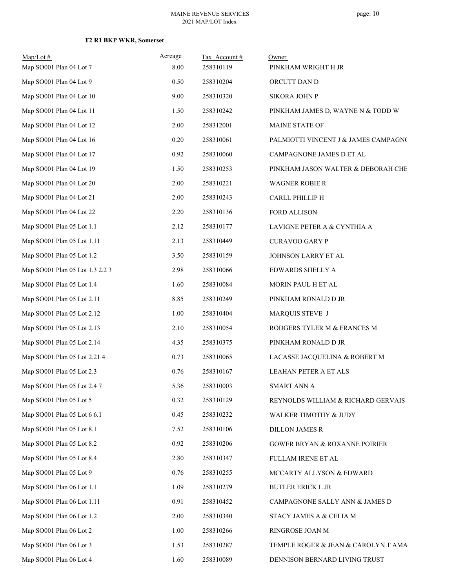| $Map/Lot \#$<br>Map SO001 Plan 04 Lot 7 | Acreage<br>8.00 | Tax Account#<br>258310119 | Owner<br>PINKHAM WRIGHT H JR             |
|-----------------------------------------|-----------------|---------------------------|------------------------------------------|
| Map SO001 Plan 04 Lot 9                 | 0.50            | 258310204                 | ORCUTT DAN D                             |
| Map SO001 Plan 04 Lot 10                | 9.00            | 258310320                 | SIKORA JOHN P                            |
| Map SO001 Plan 04 Lot 11                | 1.50            | 258310242                 | PINKHAM JAMES D, WAYNE N & TODD W        |
| Map SO001 Plan 04 Lot 12                | 2.00            | 258312001                 | MAINE STATE OF                           |
| Map SO001 Plan 04 Lot 16                | 0.20            | 258310061                 | PALMIOTTI VINCENT J & JAMES CAMPAGNO     |
| Map SO001 Plan 04 Lot 17                | 0.92            | 258310060                 | CAMPAGNONE JAMES D ET AL                 |
| Map SO001 Plan 04 Lot 19                | 1.50            | 258310253                 | PINKHAM JASON WALTER & DEBORAH CHE       |
| Map SO001 Plan 04 Lot 20                | 2.00            | 258310221                 | <b>WAGNER ROBIE R</b>                    |
| Map SO001 Plan 04 Lot 21                | 2.00            | 258310243                 | CARLL PHILLIP H                          |
| Map SO001 Plan 04 Lot 22                | 2.20            | 258310136                 | FORD ALLISON                             |
| Map SO001 Plan 05 Lot 1.1               | 2.12            | 258310177                 | LAVIGNE PETER A & CYNTHIA A              |
| Map SO001 Plan 05 Lot 1.11              | 2.13            | 258310449                 | <b>CURAVOO GARY P</b>                    |
| Map SO001 Plan 05 Lot 1.2               | 3.50            | 258310159                 | JOHNSON LARRY ET AL                      |
| Map SO001 Plan 05 Lot 1.3 2.2 3         | 2.98            | 258310066                 | EDWARDS SHELLY A                         |
| Map SO001 Plan 05 Lot 1.4               | 1.60            | 258310084                 | MORIN PAUL H ET AL                       |
| Map SO001 Plan 05 Lot 2.11              | 8.85            | 258310249                 | PINKHAM RONALD D JR                      |
| Map SO001 Plan 05 Lot 2.12              | 1.00            | 258310404                 | MARQUIS STEVE J                          |
| Map SO001 Plan 05 Lot 2.13              | 2.10            | 258310054                 | RODGERS TYLER M & FRANCES M              |
| Map SO001 Plan 05 Lot 2.14              | 4.35            | 258310375                 | PINKHAM RONALD D JR                      |
| Map SO001 Plan 05 Lot 2.21 4            | 0.73            | 258310065                 | LACASSE JACQUELINA & ROBERT M            |
| Map SO001 Plan 05 Lot 2.3               | 0.76            | 258310167                 | LEAHAN PETER A ET ALS                    |
| Map SO001 Plan 05 Lot 2.4 7             | 5.36            | 258310003                 | <b>SMART ANN A</b>                       |
| Map SO001 Plan 05 Lot 5                 | 0.32            | 258310129                 | REYNOLDS WILLIAM & RICHARD GERVAIS.      |
| Map SO001 Plan 05 Lot 6 6.1             | 0.45            | 258310232                 | WALKER TIMOTHY & JUDY                    |
| Map SO001 Plan 05 Lot 8.1               | 7.52            | 258310106                 | <b>DILLON JAMES R</b>                    |
| Map SO001 Plan 05 Lot 8.2               | 0.92            | 258310206                 | <b>GOWER BRYAN &amp; ROXANNE POIRIER</b> |
| Map SO001 Plan 05 Lot 8.4               | 2.80            | 258310347                 | FULLAM IRENE ET AL                       |
| Map SO001 Plan 05 Lot 9                 | 0.76            | 258310255                 | MCCARTY ALLYSON & EDWARD                 |
| Map SO001 Plan 06 Lot 1.1               | 1.09            | 258310279                 | <b>BUTLER ERICK L JR</b>                 |
| Map SO001 Plan 06 Lot 1.11              | 0.91            | 258310452                 | CAMPAGNONE SALLY ANN & JAMES D           |
| Map SO001 Plan 06 Lot 1.2               | 2.00            | 258310340                 | STACY JAMES A & CELIA M                  |
| Map SO001 Plan 06 Lot 2                 | 1.00            | 258310266                 | RINGROSE JOAN M                          |
| Map SO001 Plan 06 Lot 3                 | 1.53            | 258310287                 | TEMPLE ROGER & JEAN & CAROLYN T AMA      |
| Map SO001 Plan 06 Lot 4                 | 1.60            | 258310089                 | DENNISON BERNARD LIVING TRUST            |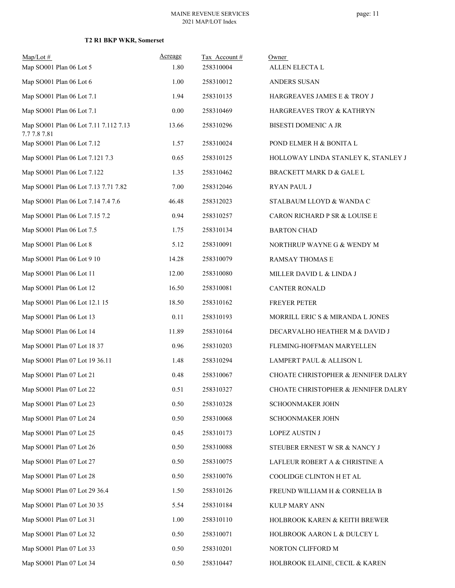| $Map/Lot \#$<br>Map SO001 Plan 06 Lot 5               | Acreage<br>1.80 | Tax Account#<br>258310004 | Owner<br>ALLEN ELECTA L             |
|-------------------------------------------------------|-----------------|---------------------------|-------------------------------------|
| Map SO001 Plan 06 Lot 6                               | 1.00            | 258310012                 | ANDERS SUSAN                        |
| Map SO001 Plan 06 Lot 7.1                             | 1.94            | 258310135                 | HARGREAVES JAMES E & TROY J         |
| Map SO001 Plan 06 Lot 7.1                             | 0.00            | 258310469                 | HARGREAVES TROY & KATHRYN           |
| Map SO001 Plan 06 Lot 7.11 7.112 7.13<br>7.7 7.8 7.81 | 13.66           | 258310296                 | BISESTI DOMENIC A JR                |
| Map SO001 Plan 06 Lot 7.12                            | 1.57            | 258310024                 | POND ELMER H & BONITA L             |
| Map SO001 Plan 06 Lot 7.121 7.3                       | 0.65            | 258310125                 | HOLLOWAY LINDA STANLEY K, STANLEY J |
| Map SO001 Plan 06 Lot 7.122                           | 1.35            | 258310462                 | BRACKETT MARK D & GALE L            |
| Map SO001 Plan 06 Lot 7.13 7.71 7.82                  | 7.00            | 258312046                 | <b>RYAN PAUL J</b>                  |
| Map SO001 Plan 06 Lot 7.14 7.4 7.6                    | 46.48           | 258312023                 | STALBAUM LLOYD & WANDA C            |
| Map SO001 Plan 06 Lot 7.15 7.2                        | 0.94            | 258310257                 | CARON RICHARD P SR & LOUISE E       |
| Map SO001 Plan 06 Lot 7.5                             | 1.75            | 258310134                 | <b>BARTON CHAD</b>                  |
| Map SO001 Plan 06 Lot 8                               | 5.12            | 258310091                 | NORTHRUP WAYNE G & WENDY M          |
| Map SO001 Plan 06 Lot 9 10                            | 14.28           | 258310079                 | RAMSAY THOMAS E                     |
| Map SO001 Plan 06 Lot 11                              | 12.00           | 258310080                 | MILLER DAVID L & LINDA J            |
| Map SO001 Plan 06 Lot 12                              | 16.50           | 258310081                 | <b>CANTER RONALD</b>                |
| Map SO001 Plan 06 Lot 12.1 15                         | 18.50           | 258310162                 | FREYER PETER                        |
| Map SO001 Plan 06 Lot 13                              | 0.11            | 258310193                 | MORRILL ERIC S & MIRANDA L JONES    |
| Map SO001 Plan 06 Lot 14                              | 11.89           | 258310164                 | DECARVALHO HEATHER M & DAVID J      |
| Map SO001 Plan 07 Lot 18 37                           | 0.96            | 258310203                 | FLEMING-HOFFMAN MARYELLEN           |
| Map SO001 Plan 07 Lot 19 36.11                        | 1.48            | 258310294                 | LAMPERT PAUL & ALLISON L            |
| Map SO001 Plan 07 Lot 21                              | 0.48            | 258310067                 | CHOATE CHRISTOPHER & JENNIFER DALRY |
| Map SO001 Plan 07 Lot 22                              | 0.51            | 258310327                 | CHOATE CHRISTOPHER & JENNIFER DALRY |
| Map SO001 Plan 07 Lot 23                              | 0.50            | 258310328                 | SCHOONMAKER JOHN                    |
| Map SO001 Plan 07 Lot 24                              | 0.50            | 258310068                 | <b>SCHOONMAKER JOHN</b>             |
| Map SO001 Plan 07 Lot 25                              | 0.45            | 258310173                 | <b>LOPEZ AUSTIN J</b>               |
| Map SO001 Plan 07 Lot 26                              | 0.50            | 258310088                 | STEUBER ERNEST W SR & NANCY J       |
| Map SO001 Plan 07 Lot 27                              | 0.50            | 258310075                 | LAFLEUR ROBERT A $\&$ CHRISTINE A   |
| Map SO001 Plan 07 Lot 28                              | 0.50            | 258310076                 | COOLIDGE CLINTON H ET AL            |
| Map SO001 Plan 07 Lot 29 36.4                         | 1.50            | 258310126                 | FREUND WILLIAM H & CORNELIA B       |
| Map SO001 Plan 07 Lot 30 35                           | 5.54            | 258310184                 | KULP MARY ANN                       |
| Map SO001 Plan 07 Lot 31                              | 1.00            | 258310110                 | HOLBROOK KAREN & KEITH BREWER       |
| Map SO001 Plan 07 Lot 32                              | 0.50            | 258310071                 | HOLBROOK AARON L & DULCEY L         |
| Map SO001 Plan 07 Lot 33                              | 0.50            | 258310201                 | NORTON CLIFFORD M                   |
| Map SO001 Plan 07 Lot 34                              | 0.50            | 258310447                 | HOLBROOK ELAINE, CECIL & KAREN      |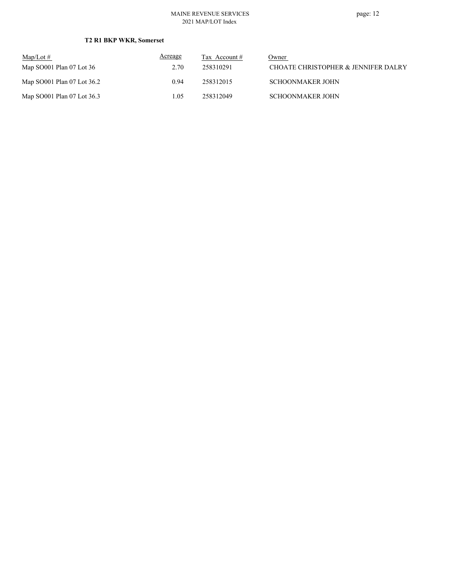| $\text{Map/Lot} \#$        | Acreage | Tax Account # | Owner                               |
|----------------------------|---------|---------------|-------------------------------------|
| Map $SO001$ Plan 07 Lot 36 | 2.70    | 258310291     | CHOATE CHRISTOPHER & JENNIFER DALRY |
| Map SO001 Plan 07 Lot 36.2 | 0.94    | 258312015     | <b>SCHOONMAKER JOHN</b>             |
| Map SO001 Plan 07 Lot 36.3 | 1.05    | 258312049     | <b>SCHOONMAKER JOHN</b>             |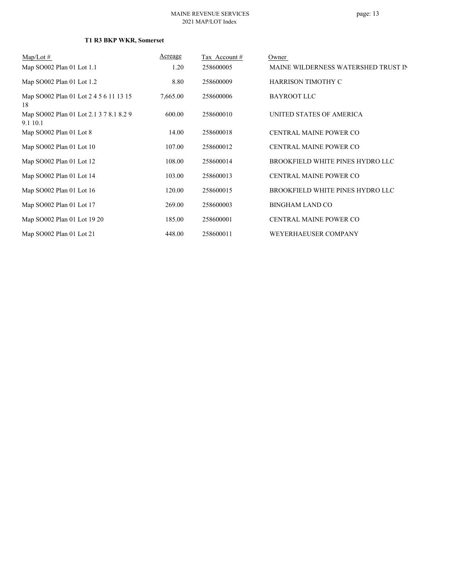| $\text{Map/Lot} \#$                                 | Acreage  | Tax Account# | Owner                               |
|-----------------------------------------------------|----------|--------------|-------------------------------------|
| Map SO002 Plan 01 Lot 1.1                           | 1.20     | 258600005    | MAINE WILDERNESS WATERSHED TRUST IN |
| Map SO002 Plan 01 Lot 1.2                           | 8.80     | 258600009    | <b>HARRISON TIMOTHY C</b>           |
| Map SO002 Plan 01 Lot 2 4 5 6 11 13 15<br>18        | 7,665.00 | 258600006    | <b>BAYROOT LLC</b>                  |
| Map SO002 Plan 01 Lot 2.1 3 7 8.1 8.2 9<br>9.1 10.1 | 600.00   | 258600010    | UNITED STATES OF AMERICA            |
| Map SO002 Plan 01 Lot 8                             | 14.00    | 258600018    | <b>CENTRAL MAINE POWER CO</b>       |
| Map SO002 Plan 01 Lot 10                            | 107.00   | 258600012    | <b>CENTRAL MAINE POWER CO</b>       |
| Map SO002 Plan 01 Lot 12                            | 108.00   | 258600014    | BROOKFIELD WHITE PINES HYDRO LLC    |
| Map SO002 Plan 01 Lot 14                            | 103.00   | 258600013    | <b>CENTRAL MAINE POWER CO</b>       |
| Map SO002 Plan 01 Lot 16                            | 120.00   | 258600015    | BROOKFIELD WHITE PINES HYDRO LLC    |
| Map SO002 Plan 01 Lot 17                            | 269.00   | 258600003    | <b>BINGHAM LAND CO</b>              |
| Map SO002 Plan 01 Lot 19 20                         | 185.00   | 258600001    | <b>CENTRAL MAINE POWER CO</b>       |
| Map SO002 Plan 01 Lot 21                            | 448.00   | 258600011    | WEYERHAEUSER COMPANY                |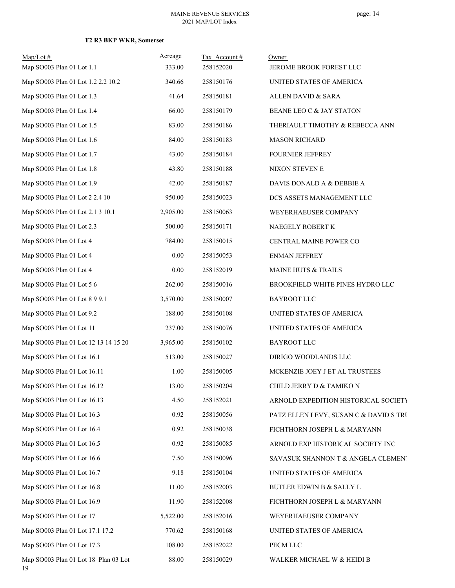| $Map/Lot$ #                                | Acreage  | Tax Account# | Owner                                  |
|--------------------------------------------|----------|--------------|----------------------------------------|
| Map SO003 Plan 01 Lot 1.1                  | 333.00   | 258152020    | JEROME BROOK FOREST LLC                |
| Map SO003 Plan 01 Lot 1.2 2.2 10.2         | 340.66   | 258150176    | UNITED STATES OF AMERICA               |
| Map SO003 Plan 01 Lot 1.3                  | 41.64    | 258150181    | ALLEN DAVID & SARA                     |
| Map SO003 Plan 01 Lot 1.4                  | 66.00    | 258150179    | BEANE LEO C & JAY STATON               |
| Map SO003 Plan 01 Lot 1.5                  | 83.00    | 258150186    | THERIAULT TIMOTHY & REBECCA ANN        |
| Map SO003 Plan 01 Lot 1.6                  | 84.00    | 258150183    | <b>MASON RICHARD</b>                   |
| Map SO003 Plan 01 Lot 1.7                  | 43.00    | 258150184    | <b>FOURNIER JEFFREY</b>                |
| Map SO003 Plan 01 Lot 1.8                  | 43.80    | 258150188    | NIXON STEVEN E                         |
| Map SO003 Plan 01 Lot 1.9                  | 42.00    | 258150187    | DAVIS DONALD A & DEBBIE A              |
| Map SO003 Plan 01 Lot 2 2.4 10             | 950.00   | 258150023    | DCS ASSETS MANAGEMENT LLC              |
| Map SO003 Plan 01 Lot 2.1 3 10.1           | 2,905.00 | 258150063    | WEYERHAEUSER COMPANY                   |
| Map SO003 Plan 01 Lot 2.3                  | 500.00   | 258150171    | NAEGELY ROBERT K                       |
| Map SO003 Plan 01 Lot 4                    | 784.00   | 258150015    | CENTRAL MAINE POWER CO                 |
| Map SO003 Plan 01 Lot 4                    | 0.00     | 258150053    | <b>ENMAN JEFFREY</b>                   |
| Map SO003 Plan 01 Lot 4                    | 0.00     | 258152019    | MAINE HUTS & TRAILS                    |
| Map SO003 Plan 01 Lot 5 6                  | 262.00   | 258150016    | BROOKFIELD WHITE PINES HYDRO LLC       |
| Map SO003 Plan 01 Lot 8 9 9.1              | 3,570.00 | 258150007    | <b>BAYROOT LLC</b>                     |
| Map SO003 Plan 01 Lot 9.2                  | 188.00   | 258150108    | UNITED STATES OF AMERICA               |
| Map SO003 Plan 01 Lot 11                   | 237.00   | 258150076    | UNITED STATES OF AMERICA               |
| Map SO003 Plan 01 Lot 12 13 14 15 20       | 3,965.00 | 258150102    | BAYROOT LLC                            |
| Map SO003 Plan 01 Lot 16.1                 | 513.00   | 258150027    | DIRIGO WOODLANDS LLC                   |
| Map SO003 Plan 01 Lot 16.11                | 1.00     | 258150005    | MCKENZIE JOEY J ET AL TRUSTEES         |
| Map SO003 Plan 01 Lot 16.12                | 13.00    | 258150204    | CHILD JERRY D & TAMIKO N               |
| Map SO003 Plan 01 Lot 16.13                | 4.50     | 258152021    | ARNOLD EXPEDITION HISTORICAL SOCIETY   |
| Map SO003 Plan 01 Lot 16.3                 | 0.92     | 258150056    | PATZ ELLEN LEVY, SUSAN C & DAVID S TRU |
| Map SO003 Plan 01 Lot 16.4                 | 0.92     | 258150038    | FICHTHORN JOSEPH L & MARYANN           |
| Map SO003 Plan 01 Lot 16.5                 | 0.92     | 258150085    | ARNOLD EXP HISTORICAL SOCIETY INC      |
| Map SO003 Plan 01 Lot 16.6                 | 7.50     | 258150096    | SAVASUK SHANNON T & ANGELA CLEMENT     |
| Map SO003 Plan 01 Lot 16.7                 | 9.18     | 258150104    | UNITED STATES OF AMERICA               |
| Map SO003 Plan 01 Lot 16.8                 | 11.00    | 258152003    | <b>BUTLER EDWIN B &amp; SALLY L</b>    |
| Map SO003 Plan 01 Lot 16.9                 | 11.90    | 258152008    | FICHTHORN JOSEPH L & MARYANN           |
| Map SO003 Plan 01 Lot 17                   | 5,522.00 | 258152016    | WEYERHAEUSER COMPANY                   |
| Map SO003 Plan 01 Lot 17.1 17.2            | 770.62   | 258150168    | UNITED STATES OF AMERICA               |
| Map SO003 Plan 01 Lot 17.3                 | 108.00   | 258152022    | PECM LLC                               |
| Map SO003 Plan 01 Lot 18 Plan 03 Lot<br>19 | 88.00    | 258150029    | WALKER MICHAEL W & HEIDI B             |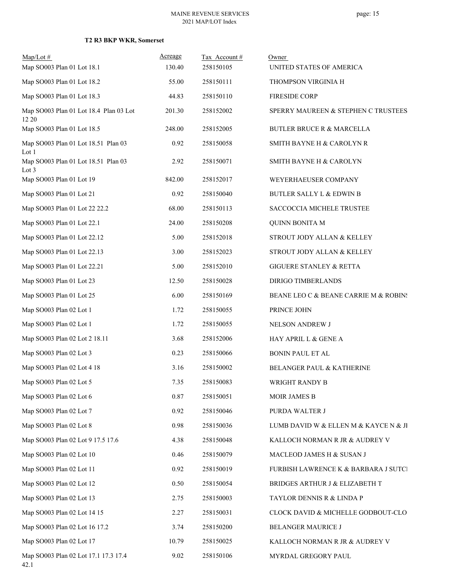| $Map/Lot$ #<br>Map SO003 Plan 01 Lot 18.1       | Acreage<br>130.40 | Tax Account#<br>258150105 | Owner<br>UNITED STATES OF AMERICA     |
|-------------------------------------------------|-------------------|---------------------------|---------------------------------------|
| Map SO003 Plan 01 Lot 18.2                      | 55.00             | 258150111                 | THOMPSON VIRGINIA H                   |
| Map SO003 Plan 01 Lot 18.3                      | 44.83             | 258150110                 | <b>FIRESIDE CORP</b>                  |
| Map SO003 Plan 01 Lot 18.4 Plan 03 Lot<br>12 20 | 201.30            | 258152002                 | SPERRY MAUREEN & STEPHEN C TRUSTEES   |
| Map SO003 Plan 01 Lot 18.5                      | 248.00            | 258152005                 | <b>BUTLER BRUCE R &amp; MARCELLA</b>  |
| Map SO003 Plan 01 Lot 18.51 Plan 03<br>Lot 1    | 0.92              | 258150058                 | SMITH BAYNE H & CAROLYN R             |
| Map SO003 Plan 01 Lot 18.51 Plan 03<br>Lot 3    | 2.92              | 258150071                 | SMITH BAYNE H & CAROLYN               |
| Map SO003 Plan 01 Lot 19                        | 842.00            | 258152017                 | WEYERHAEUSER COMPANY                  |
| Map SO003 Plan 01 Lot 21                        | 0.92              | 258150040                 | BUTLER SALLY L & EDWIN B              |
| Map SO003 Plan 01 Lot 22 22.2                   | 68.00             | 258150113                 | SACCOCCIA MICHELE TRUSTEE             |
| Map SO003 Plan 01 Lot 22.1                      | 24.00             | 258150208                 | <b>QUINN BONITA M</b>                 |
| Map SO003 Plan 01 Lot 22.12                     | 5.00              | 258152018                 | STROUT JODY ALLAN & KELLEY            |
| Map SO003 Plan 01 Lot 22.13                     | 3.00              | 258152023                 | STROUT JODY ALLAN & KELLEY            |
| Map SO003 Plan 01 Lot 22.21                     | 5.00              | 258152010                 | GIGUERE STANLEY & RETTA               |
| Map SO003 Plan 01 Lot 23                        | 12.50             | 258150028                 | DIRIGO TIMBERLANDS                    |
| Map SO003 Plan 01 Lot 25                        | 6.00              | 258150169                 | BEANE LEO C & BEANE CARRIE M & ROBINS |
| Map SO003 Plan 02 Lot 1                         | 1.72              | 258150055                 | PRINCE JOHN                           |
| Map SO003 Plan 02 Lot 1                         | 1.72              | 258150055                 | NELSON ANDREW J                       |
| Map SO003 Plan 02 Lot 2 18.11                   | 3.68              | 258152006                 | HAY APRIL L & GENE A                  |
| Map SO003 Plan 02 Lot 3                         | 0.23              | 258150066                 | <b>BONIN PAUL ET AL</b>               |
| Map SO003 Plan 02 Lot 4 18                      | 3.16              | 258150002                 | BELANGER PAUL & KATHERINE             |
| Map SO003 Plan 02 Lot 5                         | 7.35              | 258150083                 | WRIGHT RANDY B                        |
| Map SO003 Plan 02 Lot 6                         | 0.87              | 258150051                 | <b>MOIR JAMES B</b>                   |
| Map SO003 Plan 02 Lot 7                         | 0.92              | 258150046                 | PURDA WALTER J                        |
| Map SO003 Plan 02 Lot 8                         | 0.98              | 258150036                 | LUMB DAVID W & ELLEN M & KAYCE N & JI |
| Map SO003 Plan 02 Lot 9 17.5 17.6               | 4.38              | 258150048                 | KALLOCH NORMAN R JR & AUDREY V        |
| Map SO003 Plan 02 Lot 10                        | 0.46              | 258150079                 | MACLEOD JAMES H & SUSAN J             |
| Map SO003 Plan 02 Lot 11                        | 0.92              | 258150019                 | FURBISH LAWRENCE K & BARBARA J SUTCI  |
| Map SO003 Plan 02 Lot 12                        | 0.50              | 258150054                 | BRIDGES ARTHUR J & ELIZABETH T        |
| Map SO003 Plan 02 Lot 13                        | 2.75              | 258150003                 | TAYLOR DENNIS R & LINDA P             |
| Map SO003 Plan 02 Lot 14 15                     | 2.27              | 258150031                 | CLOCK DAVID & MICHELLE GODBOUT-CLO    |
| Map SO003 Plan 02 Lot 16 17.2                   | 3.74              | 258150200                 | BELANGER MAURICE J                    |
| Map SO003 Plan 02 Lot 17                        | 10.79             | 258150025                 | KALLOCH NORMAN R JR & AUDREY V        |
| Map SO003 Plan 02 Lot 17.1 17.3 17.4<br>42.1    | 9.02              | 258150106                 | MYRDAL GREGORY PAUL                   |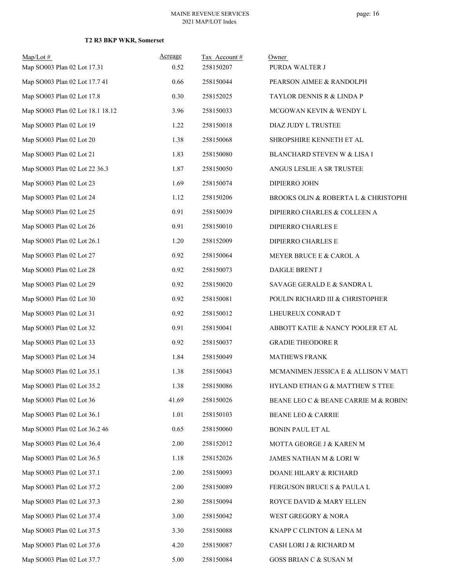| $Map/Lot \#$<br>Map SO003 Plan 02 Lot 17.31 | Acreage<br>0.52 | Tax Account#<br>258150207 | Owner<br>PURDA WALTER J               |
|---------------------------------------------|-----------------|---------------------------|---------------------------------------|
| Map SO003 Plan 02 Lot 17.7 41               | 0.66            | 258150044                 | PEARSON AIMEE & RANDOLPH              |
| Map SO003 Plan 02 Lot 17.8                  | 0.30            | 258152025                 | TAYLOR DENNIS R & LINDA P             |
| Map SO003 Plan 02 Lot 18.1 18.12            | 3.96            | 258150033                 | MCGOWAN KEVIN & WENDY L               |
| Map SO003 Plan 02 Lot 19                    | 1.22            | 258150018                 | DIAZ JUDY L TRUSTEE                   |
| Map SO003 Plan 02 Lot 20                    | 1.38            | 258150068                 | SHROPSHIRE KENNETH ET AL              |
| Map SO003 Plan 02 Lot 21                    | 1.83            | 258150080                 | BLANCHARD STEVEN W & LISA I           |
| Map SO003 Plan 02 Lot 22 36.3               | 1.87            | 258150050                 | ANGUS LESLIE A SR TRUSTEE             |
| Map SO003 Plan 02 Lot 23                    | 1.69            | 258150074                 | DIPIERRO JOHN                         |
| Map SO003 Plan 02 Lot 24                    | 1.12            | 258150206                 | BROOKS OLIN & ROBERTA L & CHRISTOPHE  |
| Map SO003 Plan 02 Lot 25                    | 0.91            | 258150039                 | DIPIERRO CHARLES & COLLEEN A          |
| Map SO003 Plan 02 Lot 26                    | 0.91            | 258150010                 | DIPIERRO CHARLES E                    |
| Map SO003 Plan 02 Lot 26.1                  | 1.20            | 258152009                 | DIPIERRO CHARLES E                    |
| Map SO003 Plan 02 Lot 27                    | 0.92            | 258150064                 | MEYER BRUCE E & CAROL A               |
| Map SO003 Plan 02 Lot 28                    | 0.92            | 258150073                 | DAIGLE BRENT J                        |
| Map SO003 Plan 02 Lot 29                    | 0.92            | 258150020                 | SAVAGE GERALD E & SANDRA L            |
| Map SO003 Plan 02 Lot 30                    | 0.92            | 258150081                 | POULIN RICHARD III & CHRISTOPHER      |
| Map SO003 Plan 02 Lot 31                    | 0.92            | 258150012                 | LHEUREUX CONRAD T                     |
| Map SO003 Plan 02 Lot 32                    | 0.91            | 258150041                 | ABBOTT KATIE & NANCY POOLER ET AL     |
| Map SO003 Plan 02 Lot 33                    | 0.92            | 258150037                 | <b>GRADIE THEODORE R</b>              |
| Map SO003 Plan 02 Lot 34                    | 1.84            | 258150049                 | <b>MATHEWS FRANK</b>                  |
| Map SO003 Plan 02 Lot 35.1                  | 1.38            | 258150043                 | MCMANIMEN JESSICA E & ALLISON V MATI  |
| Map SO003 Plan 02 Lot 35.2                  | 1.38            | 258150086                 | HYLAND ETHAN G & MATTHEW S TTEE       |
| Map SO003 Plan 02 Lot 36                    | 41.69           | 258150026                 | BEANE LEO C & BEANE CARRIE M & ROBINS |
| Map SO003 Plan 02 Lot 36.1                  | 1.01            | 258150103                 | BEANE LEO & CARRIE                    |
| Map SO003 Plan 02 Lot 36.2 46               | 0.65            | 258150060                 | <b>BONIN PAUL ET AL</b>               |
| Map SO003 Plan 02 Lot 36.4                  | 2.00            | 258152012                 | MOTTA GEORGE J & KAREN M              |
| Map SO003 Plan 02 Lot 36.5                  | 1.18            | 258152026                 | JAMES NATHAN M & LORI W               |
| Map SO003 Plan 02 Lot 37.1                  | 2.00            | 258150093                 | DOANE HILARY & RICHARD                |
| Map SO003 Plan 02 Lot 37.2                  | 2.00            | 258150089                 | FERGUSON BRUCE S & PAULA L            |
| Map SO003 Plan 02 Lot 37.3                  | 2.80            | 258150094                 | ROYCE DAVID & MARY ELLEN              |
| Map SO003 Plan 02 Lot 37.4                  | 3.00            | 258150042                 | WEST GREGORY & NORA                   |
| Map SO003 Plan 02 Lot 37.5                  | 3.30            | 258150088                 | KNAPP C CLINTON & LENA M              |
| Map SO003 Plan 02 Lot 37.6                  | 4.20            | 258150087                 | CASH LORI J & RICHARD M               |
| Map SO003 Plan 02 Lot 37.7                  | 5.00            | 258150084                 | GOSS BRIAN C & SUSAN M                |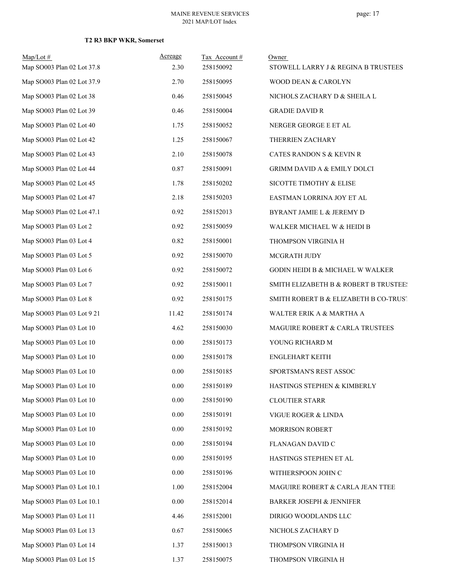| $Map/Lot \#$<br>Map SO003 Plan 02 Lot 37.8 | Acreage<br>2.30 | Tax Account#<br>258150092 | Owner<br>STOWELL LARRY J & REGINA B TRUSTEES |
|--------------------------------------------|-----------------|---------------------------|----------------------------------------------|
| Map SO003 Plan 02 Lot 37.9                 | 2.70            | 258150095                 | WOOD DEAN & CAROLYN                          |
| Map SO003 Plan 02 Lot 38                   | 0.46            | 258150045                 | NICHOLS ZACHARY D & SHEILA L                 |
| Map SO003 Plan 02 Lot 39                   | 0.46            | 258150004                 | <b>GRADIE DAVID R</b>                        |
| Map SO003 Plan 02 Lot 40                   | 1.75            | 258150052                 | NERGER GEORGE E ET AL                        |
| Map SO003 Plan 02 Lot 42                   | 1.25            | 258150067                 | THERRIEN ZACHARY                             |
| Map SO003 Plan 02 Lot 43                   | 2.10            | 258150078                 | CATES RANDON S & KEVIN R                     |
| Map SO003 Plan 02 Lot 44                   | 0.87            | 258150091                 | GRIMM DAVID A & EMILY DOLCI                  |
| Map SO003 Plan 02 Lot 45                   | 1.78            | 258150202                 | SICOTTE TIMOTHY & ELISE                      |
| Map SO003 Plan 02 Lot 47                   | 2.18            | 258150203                 | EASTMAN LORRINA JOY ET AL                    |
| Map SO003 Plan 02 Lot 47.1                 | 0.92            | 258152013                 | BYRANT JAMIE L & JEREMY D                    |
| Map SO003 Plan 03 Lot 2                    | 0.92            | 258150059                 | WALKER MICHAEL W & HEIDI B                   |
| Map SO003 Plan 03 Lot 4                    | 0.82            | 258150001                 | THOMPSON VIRGINIA H                          |
| Map SO003 Plan 03 Lot 5                    | 0.92            | 258150070                 | MCGRATH JUDY                                 |
| Map SO003 Plan 03 Lot 6                    | 0.92            | 258150072                 | GODIN HEIDI B & MICHAEL W WALKER             |
| Map SO003 Plan 03 Lot 7                    | 0.92            | 258150011                 | SMITH ELIZABETH B & ROBERT B TRUSTEE!        |
| Map SO003 Plan 03 Lot 8                    | 0.92            | 258150175                 | SMITH ROBERT B & ELIZABETH B CO-TRUST        |
| Map SO003 Plan 03 Lot 9 21                 | 11.42           | 258150174                 | WALTER ERIK A & MARTHA A                     |
| Map SO003 Plan 03 Lot 10                   | 4.62            | 258150030                 | MAGUIRE ROBERT & CARLA TRUSTEES              |
| Map SO003 Plan 03 Lot 10                   | 0.00            | 258150173                 | YOUNG RICHARD M                              |
| Map SO003 Plan 03 Lot 10                   | 0.00            | 258150178                 | <b>ENGLEHART KEITH</b>                       |
| Map SO003 Plan 03 Lot 10                   | 0.00            | 258150185                 | SPORTSMAN'S REST ASSOC                       |
| Map SO003 Plan 03 Lot 10                   | 0.00            | 258150189                 | HASTINGS STEPHEN & KIMBERLY                  |
| Map SO003 Plan 03 Lot 10                   | 0.00            | 258150190                 | <b>CLOUTIER STARR</b>                        |
| Map SO003 Plan 03 Lot 10                   | 0.00            | 258150191                 | VIGUE ROGER & LINDA                          |
| Map SO003 Plan 03 Lot 10                   | $0.00\,$        | 258150192                 | MORRISON ROBERT                              |
| Map SO003 Plan 03 Lot 10                   | 0.00            | 258150194                 | FLANAGAN DAVID C                             |
| Map SO003 Plan 03 Lot 10                   | 0.00            | 258150195                 | HASTINGS STEPHEN ET AL                       |
| Map SO003 Plan 03 Lot 10                   | 0.00            | 258150196                 | WITHERSPOON JOHN C                           |
| Map SO003 Plan 03 Lot 10.1                 | 1.00            | 258152004                 | MAGUIRE ROBERT & CARLA JEAN TTEE             |
| Map SO003 Plan 03 Lot 10.1                 | 0.00            | 258152014                 | <b>BARKER JOSEPH &amp; JENNIFER</b>          |
| Map SO003 Plan 03 Lot 11                   | 4.46            | 258152001                 | DIRIGO WOODLANDS LLC                         |
| Map SO003 Plan 03 Lot 13                   | 0.67            | 258150065                 | NICHOLS ZACHARY D                            |
| Map SO003 Plan 03 Lot 14                   | 1.37            | 258150013                 | THOMPSON VIRGINIA H                          |
| Map SO003 Plan 03 Lot 15                   | 1.37            | 258150075                 | THOMPSON VIRGINIA H                          |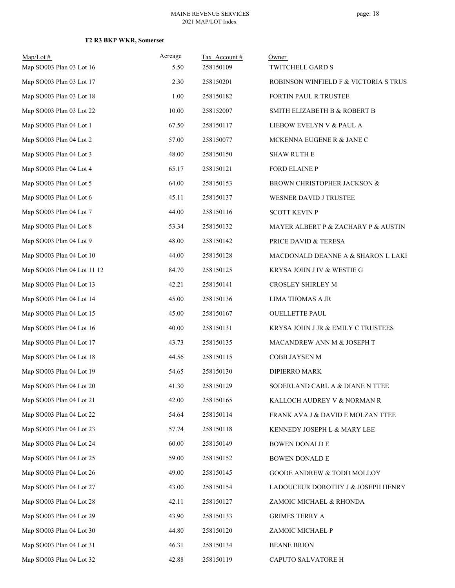| $Map/Lot \#$<br>Map SO003 Plan 03 Lot 16 | Acreage<br>5.50 | Tax Account #<br>258150109 | Owner<br>TWITCHELL GARD S             |
|------------------------------------------|-----------------|----------------------------|---------------------------------------|
| Map SO003 Plan 03 Lot 17                 | 2.30            | 258150201                  | ROBINSON WINFIELD F & VICTORIA S TRUS |
| Map SO003 Plan 03 Lot 18                 | 1.00            | 258150182                  | FORTIN PAUL R TRUSTEE                 |
| Map SO003 Plan 03 Lot 22                 | 10.00           | 258152007                  | SMITH ELIZABETH B & ROBERT B          |
| Map SO003 Plan 04 Lot 1                  | 67.50           | 258150117                  | LIEBOW EVELYN V & PAUL A              |
| Map SO003 Plan 04 Lot 2                  | 57.00           | 258150077                  | MCKENNA EUGENE R & JANE C             |
| Map SO003 Plan 04 Lot 3                  | 48.00           | 258150150                  | <b>SHAW RUTH E</b>                    |
| Map SO003 Plan 04 Lot 4                  | 65.17           | 258150121                  | FORD ELAINE P                         |
| Map SO003 Plan 04 Lot 5                  | 64.00           | 258150153                  | BROWN CHRISTOPHER JACKSON &           |
| Map SO003 Plan 04 Lot 6                  | 45.11           | 258150137                  | WESNER DAVID J TRUSTEE                |
| Map SO003 Plan 04 Lot 7                  | 44.00           | 258150116                  | <b>SCOTT KEVIN P</b>                  |
| Map SO003 Plan 04 Lot 8                  | 53.34           | 258150132                  | MAYER ALBERT P & ZACHARY P & AUSTIN   |
| Map SO003 Plan 04 Lot 9                  | 48.00           | 258150142                  | PRICE DAVID & TERESA                  |
| Map SO003 Plan 04 Lot 10                 | 44.00           | 258150128                  | MACDONALD DEANNE A & SHARON L LAKI    |
| Map SO003 Plan 04 Lot 11 12              | 84.70           | 258150125                  | KRYSA JOHN J IV & WESTIE G            |
| Map SO003 Plan 04 Lot 13                 | 42.21           | 258150141                  | CROSLEY SHIRLEY M                     |
| Map SO003 Plan 04 Lot 14                 | 45.00           | 258150136                  | LIMA THOMAS A JR                      |
| Map SO003 Plan 04 Lot 15                 | 45.00           | 258150167                  | <b>OUELLETTE PAUL</b>                 |
| Map SO003 Plan 04 Lot 16                 | 40.00           | 258150131                  | KRYSA JOHN J JR & EMILY C TRUSTEES    |
| Map SO003 Plan 04 Lot 17                 | 43.73           | 258150135                  | MACANDREW ANN M & JOSEPH T            |
| Map SO003 Plan 04 Lot 18                 | 44.56           | 258150115                  | COBB JAYSEN M                         |
| Map SO003 Plan 04 Lot 19                 | 54.65           | 258150130                  | DIPIERRO MARK                         |
| Map SO003 Plan 04 Lot 20                 | 41.30           | 258150129                  | SODERLAND CARL A & DIANE N TTEE       |
| Map SO003 Plan 04 Lot 21                 | 42.00           | 258150165                  | KALLOCH AUDREY V & NORMAN R           |
| Map SO003 Plan 04 Lot 22                 | 54.64           | 258150114                  | FRANK AVA J & DAVID E MOLZAN TTEE     |
| Map SO003 Plan 04 Lot 23                 | 57.74           | 258150118                  | KENNEDY JOSEPH L & MARY LEE           |
| Map SO003 Plan 04 Lot 24                 | 60.00           | 258150149                  | BOWEN DONALD E                        |
| Map SO003 Plan 04 Lot 25                 | 59.00           | 258150152                  | BOWEN DONALD E                        |
| Map SO003 Plan 04 Lot 26                 | 49.00           | 258150145                  | GOODE ANDREW & TODD MOLLOY            |
| Map SO003 Plan 04 Lot 27                 | 43.00           | 258150154                  | LADOUCEUR DOROTHY J & JOSEPH HENRY    |
| Map SO003 Plan 04 Lot 28                 | 42.11           | 258150127                  | ZAMOIC MICHAEL & RHONDA               |
| Map SO003 Plan 04 Lot 29                 | 43.90           | 258150133                  | <b>GRIMES TERRY A</b>                 |
| Map SO003 Plan 04 Lot 30                 | 44.80           | 258150120                  | ZAMOIC MICHAEL P                      |
| Map SO003 Plan 04 Lot 31                 | 46.31           | 258150134                  | <b>BEANE BRION</b>                    |
| Map SO003 Plan 04 Lot 32                 | 42.88           | 258150119                  | CAPUTO SALVATORE H                    |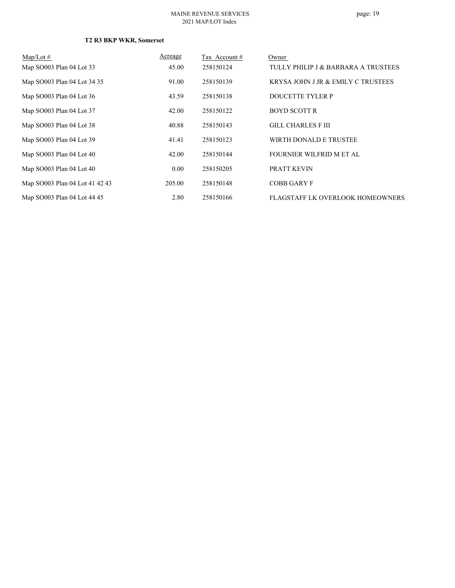| $\text{Map/Lot} \#$            | <b>Acreage</b> | Tax Account# | Owner                               |
|--------------------------------|----------------|--------------|-------------------------------------|
| Map SO003 Plan 04 Lot 33       | 45.00          | 258150124    | TULLY PHILIP J & BARBARA A TRUSTEES |
| Map SO003 Plan 04 Lot 34 35    | 91.00          | 258150139    | KRYSA JOHN J JR & EMILY C TRUSTEES  |
| Map SO003 Plan 04 Lot 36       | 43.59          | 258150138    | DOUCETTE TYLER P                    |
| Map SO003 Plan 04 Lot 37       | 42.00          | 258150122    | <b>BOYD SCOTT R</b>                 |
| Map SO003 Plan 04 Lot 38       | 40.88          | 258150143    | <b>GILL CHARLES F III</b>           |
| Map SO003 Plan 04 Lot 39       | 41.41          | 258150123    | WIRTH DONALD E TRUSTEE              |
| Map SO003 Plan 04 Lot 40       | 42.00          | 258150144    | FOURNIER WILFRID M ET AL            |
| Map SO003 Plan 04 Lot 40       | 0.00           | 258150205    | PRATT KEVIN                         |
| Map SO003 Plan 04 Lot 41 42 43 | 205.00         | 258150148    | <b>COBB GARY F</b>                  |
| Map SO003 Plan 04 Lot 44 45    | 2.80           | 258150166    | FLAGSTAFF LK OVERLOOK HOMEOWNERS    |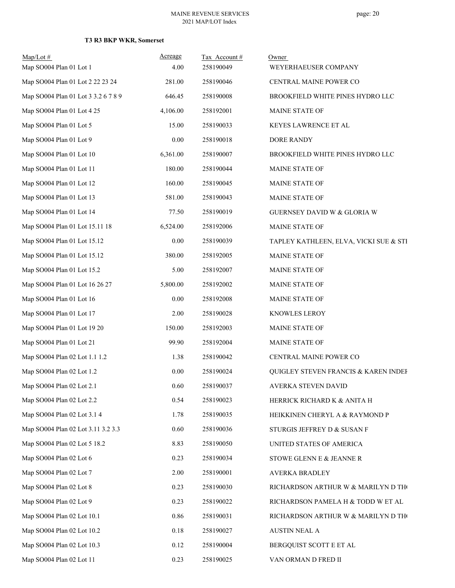| $Map/Lot \#$<br>Map SO004 Plan 01 Lot 1 | <b>Acreage</b><br>4.00 | Tax Account#<br>258190049 | Owner<br>WEYERHAEUSER COMPANY          |
|-----------------------------------------|------------------------|---------------------------|----------------------------------------|
| Map SO004 Plan 01 Lot 2 22 23 24        | 281.00                 | 258190046                 | CENTRAL MAINE POWER CO                 |
| Map SO004 Plan 01 Lot 3 3.2 6 7 8 9     | 646.45                 | 258190008                 | BROOKFIELD WHITE PINES HYDRO LLC       |
| Map SO004 Plan 01 Lot 4 25              | 4,106.00               | 258192001                 | MAINE STATE OF                         |
| Map SO004 Plan 01 Lot 5                 | 15.00                  | 258190033                 | KEYES LAWRENCE ET AL                   |
| Map SO004 Plan 01 Lot 9                 | $0.00\,$               | 258190018                 | DORE RANDY                             |
| Map SO004 Plan 01 Lot 10                | 6,361.00               | 258190007                 | BROOKFIELD WHITE PINES HYDRO LLC       |
| Map SO004 Plan 01 Lot 11                | 180.00                 | 258190044                 | MAINE STATE OF                         |
| Map SO004 Plan 01 Lot 12                | 160.00                 | 258190045                 | MAINE STATE OF                         |
| Map SO004 Plan 01 Lot 13                | 581.00                 | 258190043                 | MAINE STATE OF                         |
| Map SO004 Plan 01 Lot 14                | 77.50                  | 258190019                 | GUERNSEY DAVID W & GLORIA W            |
| Map SO004 Plan 01 Lot 15.11 18          | 6,524.00               | 258192006                 | MAINE STATE OF                         |
| Map SO004 Plan 01 Lot 15.12             | 0.00                   | 258190039                 | TAPLEY KATHLEEN, ELVA, VICKI SUE & STI |
| Map SO004 Plan 01 Lot 15.12             | 380.00                 | 258192005                 | MAINE STATE OF                         |
| Map SO004 Plan 01 Lot 15.2              | 5.00                   | 258192007                 | MAINE STATE OF                         |
| Map SO004 Plan 01 Lot 16 26 27          | 5,800.00               | 258192002                 | MAINE STATE OF                         |
| Map SO004 Plan 01 Lot 16                | $0.00\,$               | 258192008                 | MAINE STATE OF                         |
| Map SO004 Plan 01 Lot 17                | 2.00                   | 258190028                 | KNOWLES LEROY                          |
| Map SO004 Plan 01 Lot 19 20             | 150.00                 | 258192003                 | MAINE STATE OF                         |
| Map SO004 Plan 01 Lot 21                | 99.90                  | 258192004                 | MAINE STATE OF                         |
| Map SO004 Plan 02 Lot 1.1 1.2           | 1.38                   | 258190042                 | CENTRAL MAINE POWER CO                 |
| Map SO004 Plan 02 Lot 1.2               | 0.00                   | 258190024                 | QUIGLEY STEVEN FRANCIS & KAREN INDEF   |
| Map SO004 Plan 02 Lot 2.1               | 0.60                   | 258190037                 | AVERKA STEVEN DAVID                    |
| Map SO004 Plan 02 Lot 2.2               | 0.54                   | 258190023                 | HERRICK RICHARD K & ANITA H            |
| Map SO004 Plan 02 Lot 3.1 4             | 1.78                   | 258190035                 | HEIKKINEN CHERYL A & RAYMOND P         |
| Map SO004 Plan 02 Lot 3.11 3.2 3.3      | 0.60                   | 258190036                 | STURGIS JEFFREY D & SUSAN F            |
| Map SO004 Plan 02 Lot 5 18.2            | 8.83                   | 258190050                 | UNITED STATES OF AMERICA               |
| Map SO004 Plan 02 Lot 6                 | 0.23                   | 258190034                 | STOWE GLENN E & JEANNE R               |
| Map SO004 Plan 02 Lot 7                 | 2.00                   | 258190001                 | AVERKA BRADLEY                         |
| Map SO004 Plan 02 Lot 8                 | 0.23                   | 258190030                 | RICHARDSON ARTHUR W & MARILYN D THO    |
| Map SO004 Plan 02 Lot 9                 | 0.23                   | 258190022                 | RICHARDSON PAMELA H & TODD W ET AL     |
| Map SO004 Plan 02 Lot 10.1              | 0.86                   | 258190031                 | RICHARDSON ARTHUR W & MARILYN D THO    |
| Map SO004 Plan 02 Lot 10.2              | 0.18                   | 258190027                 | <b>AUSTIN NEAL A</b>                   |
| Map SO004 Plan 02 Lot 10.3              | 0.12                   | 258190004                 | BERGQUIST SCOTT E ET AL                |
| Map SO004 Plan 02 Lot 11                | 0.23                   | 258190025                 | VAN ORMAN D FRED II                    |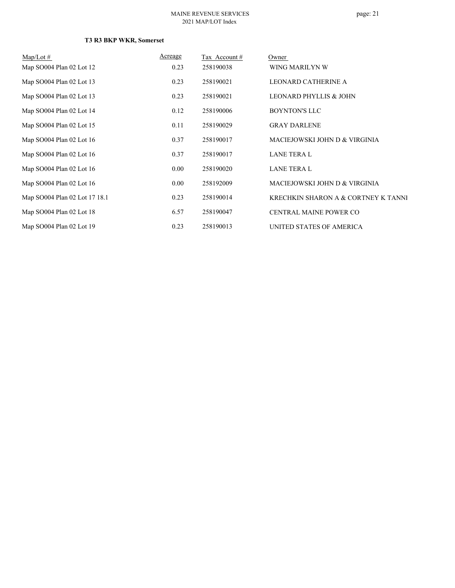| $Map/Lot \#$                  | Acreage | Tax Account # | Owner                               |
|-------------------------------|---------|---------------|-------------------------------------|
| Map SO004 Plan 02 Lot 12      | 0.23    | 258190038     | WING MARILYN W                      |
| Map SO004 Plan 02 Lot 13      | 0.23    | 258190021     | LEONARD CATHERINE A                 |
| Map SO004 Plan 02 Lot 13      | 0.23    | 258190021     | LEONARD PHYLLIS & JOHN              |
| Map SO004 Plan 02 Lot 14      | 0.12    | 258190006     | <b>BOYNTON'S LLC</b>                |
| Map SO004 Plan 02 Lot 15      | 0.11    | 258190029     | <b>GRAY DARLENE</b>                 |
| Map SO004 Plan 02 Lot 16      | 0.37    | 258190017     | MACIEJOWSKI JOHN D & VIRGINIA       |
| Map SO004 Plan 02 Lot 16      | 0.37    | 258190017     | <b>LANE TERA L</b>                  |
| Map SO004 Plan 02 Lot 16      | 0.00    | 258190020     | <b>LANE TERA L</b>                  |
| Map SO004 Plan 02 Lot 16      | 0.00    | 258192009     | MACIEJOWSKI JOHN D & VIRGINIA       |
| Map SO004 Plan 02 Lot 17 18.1 | 0.23    | 258190014     | KRECHKIN SHARON A & CORTNEY K TANNI |
| Map SO004 Plan 02 Lot 18      | 6.57    | 258190047     | <b>CENTRAL MAINE POWER CO</b>       |
| Map SO004 Plan 02 Lot 19      | 0.23    | 258190013     | UNITED STATES OF AMERICA            |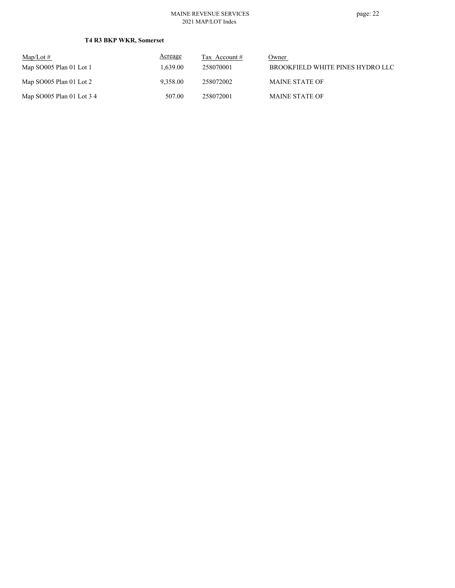| $Map/Lot \#$              | Acreage  | Tax Account $#$ | Owner                            |
|---------------------------|----------|-----------------|----------------------------------|
| Map SO005 Plan 01 Lot 1   | 1.639.00 | 258070001       | BROOKFIELD WHITE PINES HYDRO LLC |
| Map $SO005$ Plan 01 Lot 2 | 9.358.00 | 258072002       | <b>MAINE STATE OF</b>            |
| Map SO005 Plan 01 Lot 3 4 | 507.00   | 258072001       | <b>MAINE STATE OF</b>            |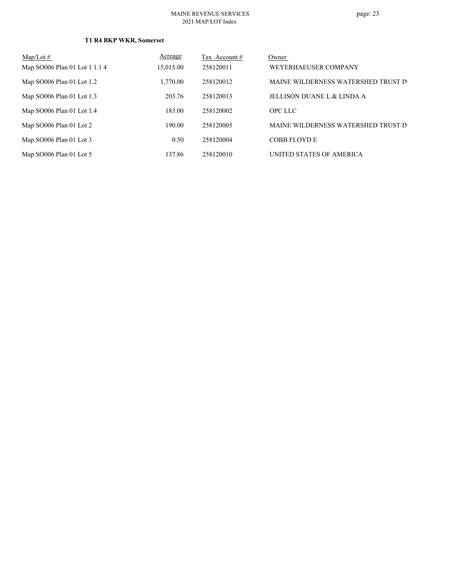| $Map/Lot \#$                  | Acreage   | Tax Account# | Owner                               |
|-------------------------------|-----------|--------------|-------------------------------------|
| Map SO006 Plan 01 Lot 1 1.1 4 | 15,015.00 | 258120011    | WEYERHAEUSER COMPANY                |
| Map SO006 Plan 01 Lot 1.2     | 1,770.00  | 258120012    | MAINE WILDERNESS WATERSHED TRUST IN |
| Map SO006 Plan 01 Lot 1.3     | 203.76    | 258120013    | JELLISON DUANE L & LINDA A          |
| Map SO006 Plan 01 Lot 1.4     | 183.00    | 258120002    | <b>OPC LLC</b>                      |
| Map SO006 Plan 01 Lot 2       | 190.00    | 258120005    | MAINE WILDERNESS WATERSHED TRUST IN |
| Map SO006 Plan 01 Lot 3       | 0.50      | 258120004    | <b>COBB FLOYD E</b>                 |
| Map SO006 Plan 01 Lot 5       | 137.86    | 258120010    | UNITED STATES OF AMERICA            |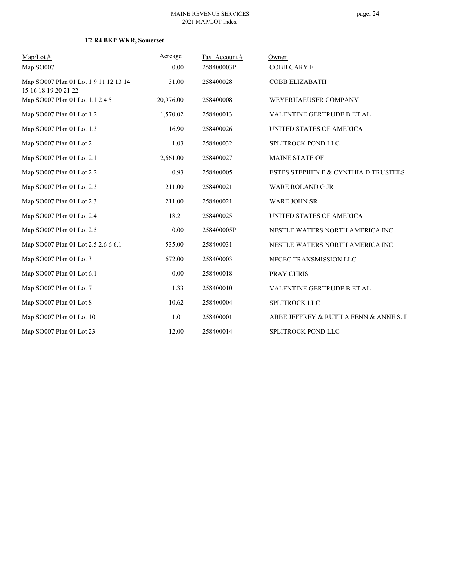| $Map/Lot \#$                                                  | Acreage   | Tax Account # | Owner                                  |
|---------------------------------------------------------------|-----------|---------------|----------------------------------------|
| Map SO007                                                     | 0.00      | 258400003P    | <b>COBB GARY F</b>                     |
| Map SO007 Plan 01 Lot 1 9 11 12 13 14<br>15 16 18 19 20 21 22 | 31.00     | 258400028     | <b>COBB ELIZABATH</b>                  |
| Map SO007 Plan 01 Lot 1.1 2 4 5                               | 20,976.00 | 258400008     | WEYERHAEUSER COMPANY                   |
| Map SO007 Plan 01 Lot 1.2                                     | 1,570.02  | 258400013     | VALENTINE GERTRUDE B ET AL             |
| Map SO007 Plan 01 Lot 1.3                                     | 16.90     | 258400026     | UNITED STATES OF AMERICA               |
| Map SO007 Plan 01 Lot 2                                       | 1.03      | 258400032     | SPLITROCK POND LLC                     |
| Map SO007 Plan 01 Lot 2.1                                     | 2,661.00  | 258400027     | <b>MAINE STATE OF</b>                  |
| Map SO007 Plan 01 Lot 2.2                                     | 0.93      | 258400005     | ESTES STEPHEN F & CYNTHIA D TRUSTEES   |
| Map SO007 Plan 01 Lot 2.3                                     | 211.00    | 258400021     | <b>WARE ROLAND G JR</b>                |
| Map SO007 Plan 01 Lot 2.3                                     | 211.00    | 258400021     | <b>WARE JOHN SR</b>                    |
| Map SO007 Plan 01 Lot 2.4                                     | 18.21     | 258400025     | UNITED STATES OF AMERICA               |
| Map SO007 Plan 01 Lot 2.5                                     | 0.00      | 258400005P    | NESTLE WATERS NORTH AMERICA INC        |
| Map SO007 Plan 01 Lot 2.5 2.6 6 6.1                           | 535.00    | 258400031     | NESTLE WATERS NORTH AMERICA INC        |
| Map SO007 Plan 01 Lot 3                                       | 672.00    | 258400003     | NECEC TRANSMISSION LLC                 |
| Map SO007 Plan 01 Lot 6.1                                     | 0.00      | 258400018     | PRAY CHRIS                             |
| Map SO007 Plan 01 Lot 7                                       | 1.33      | 258400010     | VALENTINE GERTRUDE B ET AL             |
| Map SO007 Plan 01 Lot 8                                       | 10.62     | 258400004     | SPLITROCK LLC                          |
| Map SO007 Plan 01 Lot 10                                      | 1.01      | 258400001     | ABBE JEFFREY & RUTH A FENN & ANNE S. L |
| Map SO007 Plan 01 Lot 23                                      | 12.00     | 258400014     | SPLITROCK POND LLC                     |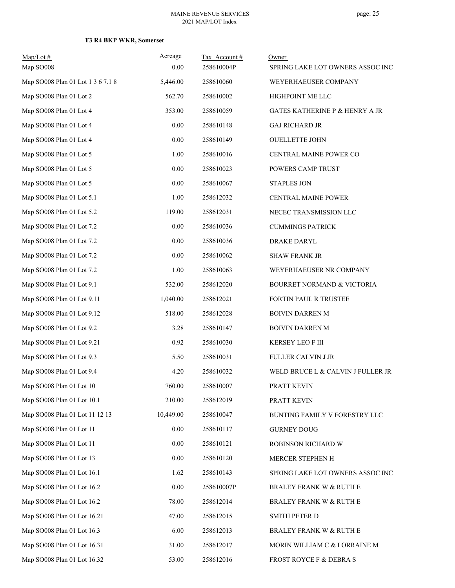| $Map/Lot \#$                      | Acreage   | Tax Account# | Owner                                     |
|-----------------------------------|-----------|--------------|-------------------------------------------|
| Map SO008                         | 0.00      | 258610004P   | SPRING LAKE LOT OWNERS ASSOC INC          |
| Map SO008 Plan 01 Lot 1 3 6 7.1 8 | 5,446.00  | 258610060    | WEYERHAEUSER COMPANY                      |
| Map SO008 Plan 01 Lot 2           | 562.70    | 258610002    | HIGHPOINT ME LLC                          |
| Map SO008 Plan 01 Lot 4           | 353.00    | 258610059    | <b>GATES KATHERINE P &amp; HENRY A JR</b> |
| Map SO008 Plan 01 Lot 4           | 0.00      | 258610148    | <b>GAJ RICHARD JR</b>                     |
| Map SO008 Plan 01 Lot 4           | 0.00      | 258610149    | <b>OUELLETTE JOHN</b>                     |
| Map SO008 Plan 01 Lot 5           | 1.00      | 258610016    | CENTRAL MAINE POWER CO                    |
| Map SO008 Plan 01 Lot 5           | 0.00      | 258610023    | POWERS CAMP TRUST                         |
| Map SO008 Plan 01 Lot 5           | 0.00      | 258610067    | <b>STAPLES JON</b>                        |
| Map SO008 Plan 01 Lot 5.1         | 1.00      | 258612032    | CENTRAL MAINE POWER                       |
| Map SO008 Plan 01 Lot 5.2         | 119.00    | 258612031    | NECEC TRANSMISSION LLC                    |
| Map SO008 Plan 01 Lot 7.2         | 0.00      | 258610036    | <b>CUMMINGS PATRICK</b>                   |
| Map SO008 Plan 01 Lot 7.2         | $0.00\,$  | 258610036    | DRAKE DARYL                               |
| Map SO008 Plan 01 Lot 7.2         | 0.00      | 258610062    | <b>SHAW FRANK JR</b>                      |
| Map SO008 Plan 01 Lot 7.2         | 1.00      | 258610063    | WEYERHAEUSER NR COMPANY                   |
| Map SO008 Plan 01 Lot 9.1         | 532.00    | 258612020    | BOURRET NORMAND & VICTORIA                |
| Map SO008 Plan 01 Lot 9.11        | 1,040.00  | 258612021    | FORTIN PAUL R TRUSTEE                     |
| Map SO008 Plan 01 Lot 9.12        | 518.00    | 258612028    | <b>BOIVIN DARREN M</b>                    |
| Map SO008 Plan 01 Lot 9.2         | 3.28      | 258610147    | <b>BOIVIN DARREN M</b>                    |
| Map SO008 Plan 01 Lot 9.21        | 0.92      | 258610030    | KERSEY LEO F III                          |
| Map SO008 Plan 01 Lot 9.3         | 5.50      | 258610031    | FULLER CALVIN J JR                        |
| Map SO008 Plan 01 Lot 9.4         | 4.20      | 258610032    | WELD BRUCE L & CALVIN J FULLER JR         |
| Map SO008 Plan 01 Lot 10          | 760.00    | 258610007    | PRATT KEVIN                               |
| Map SO008 Plan 01 Lot 10.1        | 210.00    | 258612019    | PRATT KEVIN                               |
| Map SO008 Plan 01 Lot 11 12 13    | 10,449.00 | 258610047    | BUNTING FAMILY V FORESTRY LLC             |
| Map SO008 Plan 01 Lot 11          | 0.00      | 258610117    | <b>GURNEY DOUG</b>                        |
| Map SO008 Plan 01 Lot 11          | 0.00      | 258610121    | ROBINSON RICHARD W                        |
| Map SO008 Plan 01 Lot 13          | 0.00      | 258610120    | MERCER STEPHEN H                          |
| Map SO008 Plan 01 Lot 16.1        | 1.62      | 258610143    | SPRING LAKE LOT OWNERS ASSOC INC          |
| Map SO008 Plan 01 Lot 16.2        | 0.00      | 258610007P   | <b>BRALEY FRANK W &amp; RUTH E</b>        |
| Map SO008 Plan 01 Lot 16.2        | 78.00     | 258612014    | BRALEY FRANK W & RUTH E                   |
| Map SO008 Plan 01 Lot 16.21       | 47.00     | 258612015    | SMITH PETER D                             |
| Map SO008 Plan 01 Lot 16.3        | 6.00      | 258612013    | <b>BRALEY FRANK W &amp; RUTH E</b>        |
| Map SO008 Plan 01 Lot 16.31       | 31.00     | 258612017    | MORIN WILLIAM C & LORRAINE M              |
| Map SO008 Plan 01 Lot 16.32       | 53.00     | 258612016    | FROST ROYCE F & DEBRA S                   |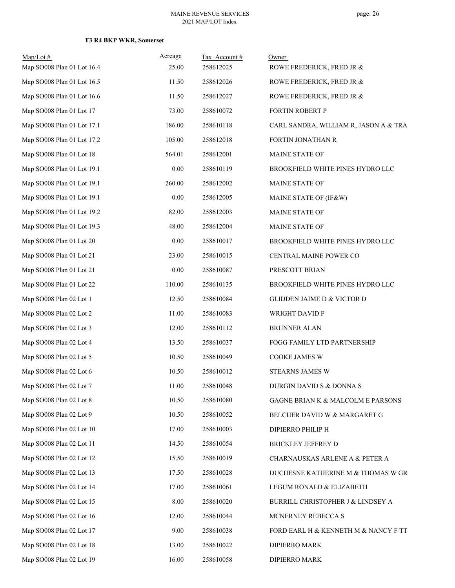| $Map/Lot$ #                | Acreage | Tax Account# | Owner                                 |
|----------------------------|---------|--------------|---------------------------------------|
| Map SO008 Plan 01 Lot 16.4 | 25.00   | 258612025    | ROWE FREDERICK, FRED JR &             |
| Map SO008 Plan 01 Lot 16.5 | 11.50   | 258612026    | ROWE FREDERICK, FRED JR &             |
| Map SO008 Plan 01 Lot 16.6 | 11.50   | 258612027    | ROWE FREDERICK, FRED JR &             |
| Map SO008 Plan 01 Lot 17   | 73.00   | 258610072    | FORTIN ROBERT P                       |
| Map SO008 Plan 01 Lot 17.1 | 186.00  | 258610118    | CARL SANDRA, WILLIAM R, JASON A & TRA |
| Map SO008 Plan 01 Lot 17.2 | 105.00  | 258612018    | FORTIN JONATHAN R                     |
| Map SO008 Plan 01 Lot 18   | 564.01  | 258612001    | MAINE STATE OF                        |
| Map SO008 Plan 01 Lot 19.1 | 0.00    | 258610119    | BROOKFIELD WHITE PINES HYDRO LLC      |
| Map SO008 Plan 01 Lot 19.1 | 260.00  | 258612002    | MAINE STATE OF                        |
| Map SO008 Plan 01 Lot 19.1 | 0.00    | 258612005    | MAINE STATE OF (IF&W)                 |
| Map SO008 Plan 01 Lot 19.2 | 82.00   | 258612003    | MAINE STATE OF                        |
| Map SO008 Plan 01 Lot 19.3 | 48.00   | 258612004    | MAINE STATE OF                        |
| Map SO008 Plan 01 Lot 20   | 0.00    | 258610017    | BROOKFIELD WHITE PINES HYDRO LLC      |
| Map SO008 Plan 01 Lot 21   | 23.00   | 258610015    | CENTRAL MAINE POWER CO                |
| Map SO008 Plan 01 Lot 21   | 0.00    | 258610087    | PRESCOTT BRIAN                        |
| Map SO008 Plan 01 Lot 22   | 110.00  | 258610135    | BROOKFIELD WHITE PINES HYDRO LLC      |
| Map SO008 Plan 02 Lot 1    | 12.50   | 258610084    | <b>GLIDDEN JAIME D &amp; VICTOR D</b> |
| Map SO008 Plan 02 Lot 2    | 11.00   | 258610083    | WRIGHT DAVID F                        |
| Map SO008 Plan 02 Lot 3    | 12.00   | 258610112    | <b>BRUNNER ALAN</b>                   |
| Map SO008 Plan 02 Lot 4    | 13.50   | 258610037    | FOGG FAMILY LTD PARTNERSHIP           |
| Map SO008 Plan 02 Lot 5    | 10.50   | 258610049    | COOKE JAMES W                         |
| Map SO008 Plan 02 Lot 6    | 10.50   | 258610012    | <b>STEARNS JAMES W</b>                |
| Map SO008 Plan 02 Lot 7    | 11.00   | 258610048    | DURGIN DAVID S & DONNA S              |
| Map SO008 Plan 02 Lot 8    | 10.50   | 258610080    | GAGNE BRIAN K & MALCOLM E PARSONS     |
| Map SO008 Plan 02 Lot 9    | 10.50   | 258610052    | BELCHER DAVID W & MARGARET G          |
| Map SO008 Plan 02 Lot 10   | 17.00   | 258610003    | DIPIERRO PHILIP H                     |
| Map SO008 Plan 02 Lot 11   | 14.50   | 258610054    | <b>BRICKLEY JEFFREY D</b>             |
| Map SO008 Plan 02 Lot 12   | 15.50   | 258610019    | CHARNAUSKAS ARLENE A & PETER A        |
| Map SO008 Plan 02 Lot 13   | 17.50   | 258610028    | DUCHESNE KATHERINE M & THOMAS W GR    |
| Map SO008 Plan 02 Lot 14   | 17.00   | 258610061    | LEGUM RONALD & ELIZABETH              |
| Map SO008 Plan 02 Lot 15   | 8.00    | 258610020    | BURRILL CHRISTOPHER J & LINDSEY A     |
| Map SO008 Plan 02 Lot 16   | 12.00   | 258610044    | MCNERNEY REBECCA S                    |
| Map SO008 Plan 02 Lot 17   | 9.00    | 258610038    | FORD EARL H & KENNETH M & NANCY F TT  |
| Map SO008 Plan 02 Lot 18   | 13.00   | 258610022    | DIPIERRO MARK                         |
| Map SO008 Plan 02 Lot 19   | 16.00   | 258610058    | DIPIERRO MARK                         |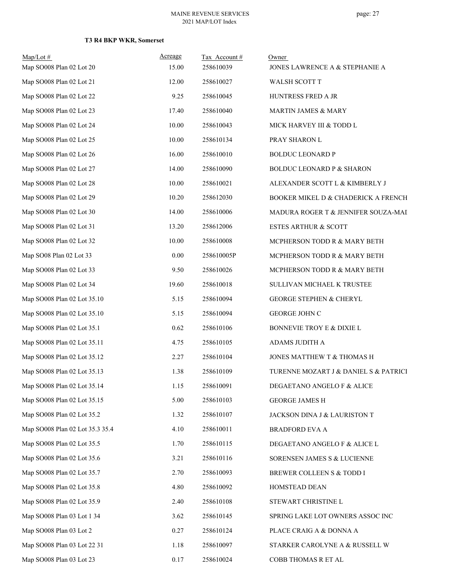| $Map/Lot \#$<br>Map SO008 Plan 02 Lot 20 | Acreage<br>15.00 | Tax Account#<br>258610039 | Owner<br>JONES LAWRENCE A & STEPHANIE A |
|------------------------------------------|------------------|---------------------------|-----------------------------------------|
| Map SO008 Plan 02 Lot 21                 | 12.00            | 258610027                 | WALSH SCOTT T                           |
| Map SO008 Plan 02 Lot 22                 | 9.25             | 258610045                 | HUNTRESS FRED A JR                      |
| Map SO008 Plan 02 Lot 23                 | 17.40            | 258610040                 | MARTIN JAMES & MARY                     |
| Map SO008 Plan 02 Lot 24                 | 10.00            | 258610043                 | MICK HARVEY III & TODD L                |
| Map SO008 Plan 02 Lot 25                 | 10.00            | 258610134                 | PRAY SHARON L                           |
| Map SO008 Plan 02 Lot 26                 | 16.00            | 258610010                 | <b>BOLDUC LEONARD P</b>                 |
| Map SO008 Plan 02 Lot 27                 | 14.00            | 258610090                 | <b>BOLDUC LEONARD P &amp; SHARON</b>    |
| Map SO008 Plan 02 Lot 28                 | 10.00            | 258610021                 | ALEXANDER SCOTT L & KIMBERLY J          |
| Map SO008 Plan 02 Lot 29                 | 10.20            | 258612030                 | BOOKER MIKEL D & CHADERICK A FRENCH     |
| Map SO008 Plan 02 Lot 30                 | 14.00            | 258610006                 | MADURA ROGER T & JENNIFER SOUZA-MAI     |
| Map SO008 Plan 02 Lot 31                 | 13.20            | 258612006                 | <b>ESTES ARTHUR &amp; SCOTT</b>         |
| Map SO008 Plan 02 Lot 32                 | 10.00            | 258610008                 | MCPHERSON TODD R & MARY BETH            |
| Map SO08 Plan 02 Lot 33                  | $0.00\,$         | 258610005P                | MCPHERSON TODD R & MARY BETH            |
| Map SO008 Plan 02 Lot 33                 | 9.50             | 258610026                 | MCPHERSON TODD R & MARY BETH            |
| Map SO008 Plan 02 Lot 34                 | 19.60            | 258610018                 | SULLIVAN MICHAEL K TRUSTEE              |
| Map SO008 Plan 02 Lot 35.10              | 5.15             | 258610094                 | <b>GEORGE STEPHEN &amp; CHERYL</b>      |
| Map SO008 Plan 02 Lot 35.10              | 5.15             | 258610094                 | GEORGE JOHN C                           |
| Map SO008 Plan 02 Lot 35.1               | 0.62             | 258610106                 | BONNEVIE TROY E & DIXIE L               |
| Map SO008 Plan 02 Lot 35.11              | 4.75             | 258610105                 | ADAMS JUDITH A                          |
| Map SO008 Plan 02 Lot 35.12              | 2.27             | 258610104                 | JONES MATTHEW T & THOMAS H              |
| Map SO008 Plan 02 Lot 35.13              | 1.38             | 258610109                 | TURENNE MOZART J & DANIEL S & PATRICI   |
| Map SO008 Plan 02 Lot 35.14              | 1.15             | 258610091                 | DEGAETANO ANGELO F & ALICE              |
| Map SO008 Plan 02 Lot 35.15              | 5.00             | 258610103                 | <b>GEORGE JAMES H</b>                   |
| Map SO008 Plan 02 Lot 35.2               | 1.32             | 258610107                 | JACKSON DINA J & LAURISTON T            |
| Map SO008 Plan 02 Lot 35.3 35.4          | 4.10             | 258610011                 | <b>BRADFORD EVA A</b>                   |
| Map SO008 Plan 02 Lot 35.5               | 1.70             | 258610115                 | DEGAETANO ANGELO F & ALICE L            |
| Map SO008 Plan 02 Lot 35.6               | 3.21             | 258610116                 | SORENSEN JAMES S & LUCIENNE             |
| Map SO008 Plan 02 Lot 35.7               | 2.70             | 258610093                 | BREWER COLLEEN S & TODD I               |
| Map SO008 Plan 02 Lot 35.8               | 4.80             | 258610092                 | HOMSTEAD DEAN                           |
| Map SO008 Plan 02 Lot 35.9               | 2.40             | 258610108                 | STEWART CHRISTINE L                     |
| Map SO008 Plan 03 Lot 1 34               | 3.62             | 258610145                 | SPRING LAKE LOT OWNERS ASSOC INC        |
| Map SO008 Plan 03 Lot 2                  | 0.27             | 258610124                 | PLACE CRAIG A & DONNA A                 |
| Map SO008 Plan 03 Lot 22 31              | 1.18             | 258610097                 | STARKER CAROLYNE A & RUSSELL W          |
| Map SO008 Plan 03 Lot 23                 | $0.17\,$         | 258610024                 | COBB THOMAS R ET AL                     |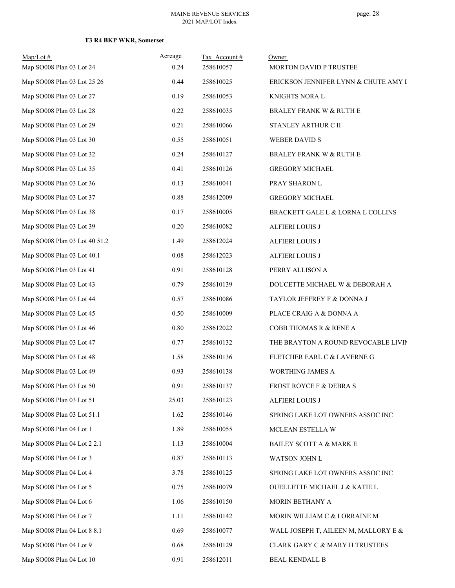| $Map/Lot$ #<br>Map SO008 Plan 03 Lot 24 | Acreage<br>0.24 | Tax Account#<br>258610057 | Owner<br>MORTON DAVID P TRUSTEE      |
|-----------------------------------------|-----------------|---------------------------|--------------------------------------|
| Map SO008 Plan 03 Lot 25 26             | 0.44            | 258610025                 | ERICKSON JENNIFER LYNN & CHUTE AMY I |
| Map SO008 Plan 03 Lot 27                | 0.19            | 258610053                 | KNIGHTS NORA L                       |
| Map SO008 Plan 03 Lot 28                | 0.22            | 258610035                 | <b>BRALEY FRANK W &amp; RUTH E</b>   |
| Map SO008 Plan 03 Lot 29                | 0.21            | 258610066                 | STANLEY ARTHUR C II                  |
| Map SO008 Plan 03 Lot 30                | 0.55            | 258610051                 | <b>WEBER DAVID S</b>                 |
| Map SO008 Plan 03 Lot 32                | 0.24            | 258610127                 | <b>BRALEY FRANK W &amp; RUTH E</b>   |
| Map SO008 Plan 03 Lot 35                | 0.41            | 258610126                 | <b>GREGORY MICHAEL</b>               |
| Map SO008 Plan 03 Lot 36                | 0.13            | 258610041                 | PRAY SHARON L                        |
| Map SO008 Plan 03 Lot 37                | 0.88            | 258612009                 | <b>GREGORY MICHAEL</b>               |
| Map SO008 Plan 03 Lot 38                | 0.17            | 258610005                 | BRACKETT GALE L & LORNA L COLLINS    |
| Map SO008 Plan 03 Lot 39                | 0.20            | 258610082                 | <b>ALFIERI LOUIS J</b>               |
| Map SO008 Plan 03 Lot 40 51.2           | 1.49            | 258612024                 | <b>ALFIERI LOUIS J</b>               |
| Map SO008 Plan 03 Lot 40.1              | $0.08\,$        | 258612023                 | <b>ALFIERI LOUIS J</b>               |
| Map SO008 Plan 03 Lot 41                | 0.91            | 258610128                 | PERRY ALLISON A                      |
| Map SO008 Plan 03 Lot 43                | 0.79            | 258610139                 | DOUCETTE MICHAEL W & DEBORAH A       |
| Map SO008 Plan 03 Lot 44                | 0.57            | 258610086                 | TAYLOR JEFFREY F & DONNA J           |
| Map SO008 Plan 03 Lot 45                | 0.50            | 258610009                 | PLACE CRAIG A & DONNA A              |
| Map SO008 Plan 03 Lot 46                | $0.80\,$        | 258612022                 | COBB THOMAS R & RENE A               |
| Map SO008 Plan 03 Lot 47                | 0.77            | 258610132                 | THE BRAYTON A ROUND REVOCABLE LIVIN  |
| Map SO008 Plan 03 Lot 48                | 1.58            | 258610136                 | FLETCHER EARL C & LAVERNE G          |
| Map SO008 Plan 03 Lot 49                | 0.93            | 258610138                 | WORTHING JAMES A                     |
| Map SO008 Plan 03 Lot 50                | 0.91            | 258610137                 | FROST ROYCE F & DEBRA S              |
| Map SO008 Plan 03 Lot 51                | 25.03           | 258610123                 | <b>ALFIERI LOUIS J</b>               |
| Map SO008 Plan 03 Lot 51.1              | 1.62            | 258610146                 | SPRING LAKE LOT OWNERS ASSOC INC     |
| Map SO008 Plan 04 Lot 1                 | 1.89            | 258610055                 | MCLEAN ESTELLA W                     |
| Map SO008 Plan 04 Lot 2 2.1             | 1.13            | 258610004                 | BAILEY SCOTT A & MARK E              |
| Map SO008 Plan 04 Lot 3                 | 0.87            | 258610113                 | WATSON JOHN L                        |
| Map SO008 Plan 04 Lot 4                 | 3.78            | 258610125                 | SPRING LAKE LOT OWNERS ASSOC INC     |
| Map SO008 Plan 04 Lot 5                 | 0.75            | 258610079                 | OUELLETTE MICHAEL J & KATIE L        |
| Map SO008 Plan 04 Lot 6                 | 1.06            | 258610150                 | MORIN BETHANY A                      |
| Map SO008 Plan 04 Lot 7                 | 1.11            | 258610142                 | MORIN WILLIAM C & LORRAINE M         |
| Map SO008 Plan 04 Lot 8 8.1             | 0.69            | 258610077                 | WALL JOSEPH T, AILEEN M, MALLORY E & |
| Map SO008 Plan 04 Lot 9                 | 0.68            | 258610129                 | CLARK GARY C & MARY H TRUSTEES       |
| Map SO008 Plan 04 Lot 10                | 0.91            | 258612011                 | <b>BEAL KENDALL B</b>                |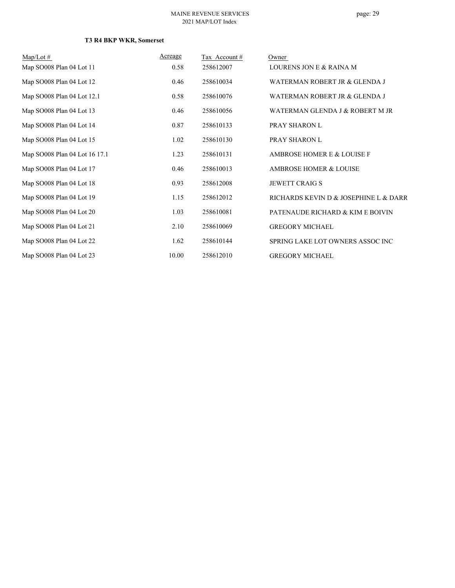# page: 29

| $Map/Lot \#$                  | Acreage | Tax Account # | Owner                                 |
|-------------------------------|---------|---------------|---------------------------------------|
| Map SO008 Plan 04 Lot 11      | 0.58    | 258612007     | LOURENS JON E & RAINA M               |
| Map SO008 Plan 04 Lot 12      | 0.46    | 258610034     | WATERMAN ROBERT JR & GLENDA J         |
| Map SO008 Plan 04 Lot 12.1    | 0.58    | 258610076     | WATERMAN ROBERT JR & GLENDA J         |
| Map SO008 Plan 04 Lot 13      | 0.46    | 258610056     | WATERMAN GLENDA J & ROBERT M JR       |
| Map SO008 Plan 04 Lot 14      | 0.87    | 258610133     | PRAY SHARON L                         |
| Map SO008 Plan 04 Lot 15      | 1.02    | 258610130     | PRAY SHARON L                         |
| Map SO008 Plan 04 Lot 16 17.1 | 1.23    | 258610131     | AMBROSE HOMER E & LOUISE F            |
| Map SO008 Plan 04 Lot 17      | 0.46    | 258610013     | AMBROSE HOMER & LOUISE                |
| Map SO008 Plan 04 Lot 18      | 0.93    | 258612008     | <b>JEWETT CRAIG S</b>                 |
| Map SO008 Plan 04 Lot 19      | 1.15    | 258612012     | RICHARDS KEVIN D & JOSEPHINE L & DARR |
| Map SO008 Plan 04 Lot 20      | 1.03    | 258610081     | PATENAUDE RICHARD & KIM E BOIVIN      |
| Map SO008 Plan 04 Lot 21      | 2.10    | 258610069     | <b>GREGORY MICHAEL</b>                |
| Map SO008 Plan 04 Lot 22      | 1.62    | 258610144     | SPRING LAKE LOT OWNERS ASSOC INC      |
| Map SO008 Plan 04 Lot 23      | 10.00   | 258612010     | <b>GREGORY MICHAEL</b>                |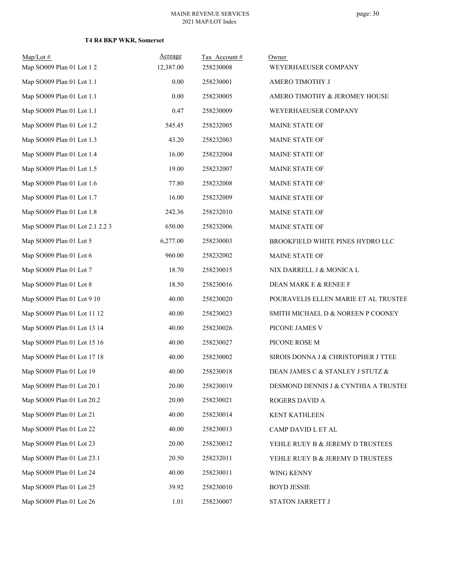| $Map/Lot$ #                     | Acreage   | Tax Account# | Owner                                |
|---------------------------------|-----------|--------------|--------------------------------------|
| Map SO009 Plan 01 Lot 1 2       | 12,387.00 | 258230008    | WEYERHAEUSER COMPANY                 |
| Map SO009 Plan 01 Lot 1.1       | 0.00      | 258230001    | AMERO TIMOTHY J                      |
| Map SO009 Plan 01 Lot 1.1       | 0.00      | 258230005    | AMERO TIMOTHY & JEROMEY HOUSE        |
| Map SO009 Plan 01 Lot 1.1       | 0.47      | 258230009    | WEYERHAEUSER COMPANY                 |
| Map SO009 Plan 01 Lot 1.2       | 545.45    | 258232005    | MAINE STATE OF                       |
| Map SO009 Plan 01 Lot 1.3       | 43.20     | 258232003    | MAINE STATE OF                       |
| Map SO009 Plan 01 Lot 1.4       | 16.00     | 258232004    | MAINE STATE OF                       |
| Map SO009 Plan 01 Lot 1.5       | 19.00     | 258232007    | MAINE STATE OF                       |
| Map SO009 Plan 01 Lot 1.6       | 77.80     | 258232008    | MAINE STATE OF                       |
| Map SO009 Plan 01 Lot 1.7       | 16.00     | 258232009    | MAINE STATE OF                       |
| Map SO009 Plan 01 Lot 1.8       | 242.36    | 258232010    | <b>MAINE STATE OF</b>                |
| Map SO009 Plan 01 Lot 2.1 2.2 3 | 650.00    | 258232006    | MAINE STATE OF                       |
| Map SO009 Plan 01 Lot 5         | 6,277.00  | 258230003    | BROOKFIELD WHITE PINES HYDRO LLC     |
| Map SO009 Plan 01 Lot 6         | 960.00    | 258232002    | MAINE STATE OF                       |
| Map SO009 Plan 01 Lot 7         | 18.70     | 258230015    | NIX DARRELL J & MONICA L             |
| Map SO009 Plan 01 Lot 8         | 18.50     | 258230016    | DEAN MARK E & RENEE F                |
| Map SO009 Plan 01 Lot 9 10      | 40.00     | 258230020    | POURAVELIS ELLEN MARIE ET AL TRUSTEE |
| Map SO009 Plan 01 Lot 11 12     | 40.00     | 258230023    | SMITH MICHAEL D & NOREEN P COONEY    |
| Map SO009 Plan 01 Lot 13 14     | 40.00     | 258230026    | PICONE JAMES V                       |
| Map SO009 Plan 01 Lot 15 16     | 40.00     | 258230027    | PICONE ROSE M                        |
| Map SO009 Plan 01 Lot 17 18     | 40.00     | 258230002    | SIROIS DONNA J & CHRISTOPHER J TTEE  |
| Map SO009 Plan 01 Lot 19        | 40.00     | 258230018    | DEAN JAMES C & STANLEY J STUTZ &     |
| Map SO009 Plan 01 Lot 20.1      | 20.00     | 258230019    | DESMOND DENNIS J & CYNTHIA A TRUSTEE |
| Map SO009 Plan 01 Lot 20.2      | 20.00     | 258230021    | ROGERS DAVID A                       |
| Map SO009 Plan 01 Lot 21        | 40.00     | 258230014    | KENT KATHLEEN                        |
| Map SO009 Plan 01 Lot 22        | 40.00     | 258230013    | CAMP DAVID L ET AL                   |
| Map SO009 Plan 01 Lot 23        | 20.00     | 258230012    | YEHLE RUEY B & JEREMY D TRUSTEES     |
| Map SO009 Plan 01 Lot 23.1      | 20.50     | 258232011    | YEHLE RUEY B & JEREMY D TRUSTEES     |
| Map SO009 Plan 01 Lot 24        | 40.00     | 258230011    | WING KENNY                           |
| Map SO009 Plan 01 Lot 25        | 39.92     | 258230010    | <b>BOYD JESSIE</b>                   |
| Map SO009 Plan 01 Lot 26        | 1.01      | 258230007    | STATON JARRETT J                     |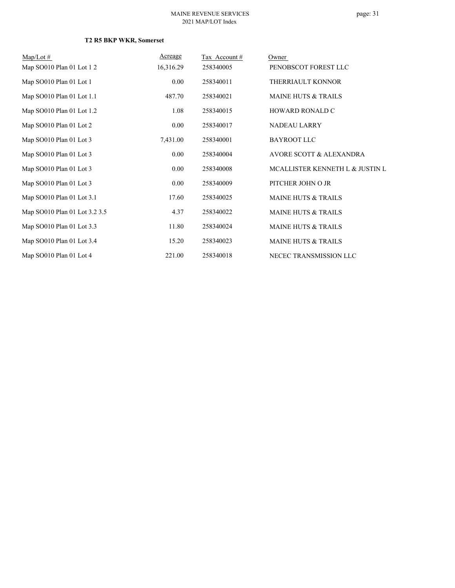| $Map/Lot \#$                  | Acreage   | Tax Account # | Owner                           |
|-------------------------------|-----------|---------------|---------------------------------|
| Map SO010 Plan 01 Lot 12      | 16,316.29 | 258340005     | PENOBSCOT FOREST LLC            |
| Map SO010 Plan 01 Lot 1       | 0.00      | 258340011     | THERRIAULT KONNOR               |
| Map SO010 Plan 01 Lot 1.1     | 487.70    | 258340021     | <b>MAINE HUTS &amp; TRAILS</b>  |
| Map SO010 Plan 01 Lot 1.2     | 1.08      | 258340015     | HOWARD RONALD C                 |
| Map SO010 Plan 01 Lot 2       | 0.00      | 258340017     | <b>NADEAU LARRY</b>             |
| Map SO010 Plan 01 Lot 3       | 7,431.00  | 258340001     | <b>BAYROOT LLC</b>              |
| Map SO010 Plan 01 Lot 3       | 0.00      | 258340004     | AVORE SCOTT & ALEXANDRA         |
| Map SO010 Plan 01 Lot 3       | 0.00      | 258340008     | MCALLISTER KENNETH L & JUSTIN L |
| Map SO010 Plan 01 Lot 3       | 0.00      | 258340009     | PITCHER JOHN O JR               |
| Map SO010 Plan 01 Lot 3.1     | 17.60     | 258340025     | <b>MAINE HUTS &amp; TRAILS</b>  |
| Map SO010 Plan 01 Lot 3.2 3.5 | 4.37      | 258340022     | <b>MAINE HUTS &amp; TRAILS</b>  |
| Map SO010 Plan 01 Lot 3.3     | 11.80     | 258340024     | <b>MAINE HUTS &amp; TRAILS</b>  |
| Map SO010 Plan 01 Lot 3.4     | 15.20     | 258340023     | <b>MAINE HUTS &amp; TRAILS</b>  |
| Map SO010 Plan 01 Lot 4       | 221.00    | 258340018     | NECEC TRANSMISSION LLC          |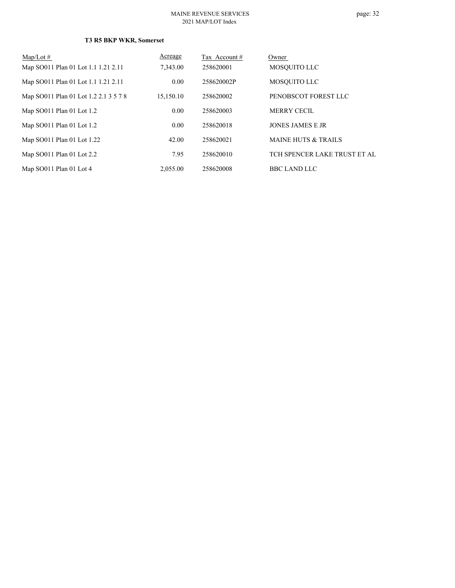# page: 32

| $Map/Lot \#$                          | Acreage   | Tax Account # | Owner                          |
|---------------------------------------|-----------|---------------|--------------------------------|
| Map SO011 Plan 01 Lot 1.1 1.21 2.11   | 7,343.00  | 258620001     | MOSOUITO LLC                   |
| Map SO011 Plan 01 Lot 1.1 1.21 2.11   | 0.00      | 258620002P    | MOSQUITO LLC                   |
| Map SO011 Plan 01 Lot 1.2 2.1 3 5 7 8 | 15.150.10 | 258620002     | PENOBSCOT FOREST LLC           |
| Map SO011 Plan 01 Lot 1.2             | 0.00      | 258620003     | MERRY CECIL                    |
| Map SO011 Plan 01 Lot 1.2             | 0.00      | 258620018     | <b>JONES JAMES E JR</b>        |
| Map SO011 Plan 01 Lot 1.22            | 42.00     | 258620021     | <b>MAINE HUTS &amp; TRAILS</b> |
| Map $SO011$ Plan 01 Lot 2.2           | 7.95      | 258620010     | TCH SPENCER LAKE TRUST ET AL   |
| Map SO011 Plan 01 Lot 4               | 2,055.00  | 258620008     | <b>BBC LAND LLC</b>            |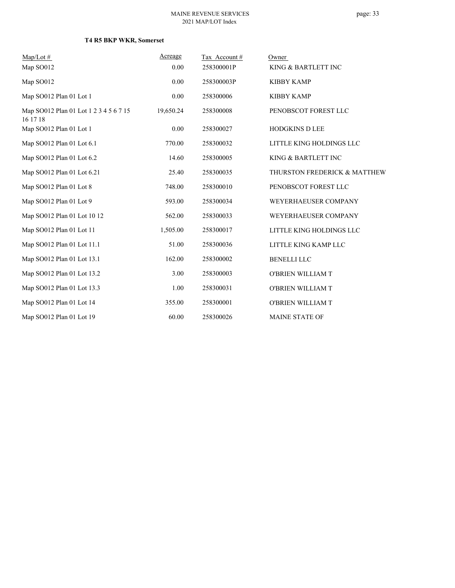| $Map/Lot \#$                                       | Acreage   | Tax Account# | Owner                        |
|----------------------------------------------------|-----------|--------------|------------------------------|
| Map SO012                                          | 0.00      | 258300001P   | KING & BARTLETT INC          |
| Map SO012                                          | 0.00      | 258300003P   | <b>KIBBY KAMP</b>            |
| Map SO012 Plan 01 Lot 1                            | 0.00      | 258300006    | <b>KIBBY KAMP</b>            |
| Map SO012 Plan 01 Lot 1 2 3 4 5 6 7 15<br>16 17 18 | 19,650.24 | 258300008    | PENOBSCOT FOREST LLC         |
| Map SO012 Plan 01 Lot 1                            | 0.00      | 258300027    | <b>HODGKINS D LEE</b>        |
| Map SO012 Plan 01 Lot 6.1                          | 770.00    | 258300032    | LITTLE KING HOLDINGS LLC     |
| Map SO012 Plan 01 Lot 6.2                          | 14.60     | 258300005    | KING & BARTLETT INC          |
| Map SO012 Plan 01 Lot 6.21                         | 25.40     | 258300035    | THURSTON FREDERICK & MATTHEW |
| Map SO012 Plan 01 Lot 8                            | 748.00    | 258300010    | PENOBSCOT FOREST LLC         |
| Map SO012 Plan 01 Lot 9                            | 593.00    | 258300034    | WEYERHAEUSER COMPANY         |
| Map SO012 Plan 01 Lot 10 12                        | 562.00    | 258300033    | WEYERHAEUSER COMPANY         |
| Map SO012 Plan 01 Lot 11                           | 1,505.00  | 258300017    | LITTLE KING HOLDINGS LLC     |
| Map SO012 Plan 01 Lot 11.1                         | 51.00     | 258300036    | LITTLE KING KAMP LLC         |
| Map SO012 Plan 01 Lot 13.1                         | 162.00    | 258300002    | <b>BENELLI LLC</b>           |
| Map SO012 Plan 01 Lot 13.2                         | 3.00      | 258300003    | O'BRIEN WILLIAM T            |
| Map SO012 Plan 01 Lot 13.3                         | 1.00      | 258300031    | O'BRIEN WILLIAM T            |
| Map SO012 Plan 01 Lot 14                           | 355.00    | 258300001    | O'BRIEN WILLIAM T            |
| Map SO012 Plan 01 Lot 19                           | 60.00     | 258300026    | <b>MAINE STATE OF</b>        |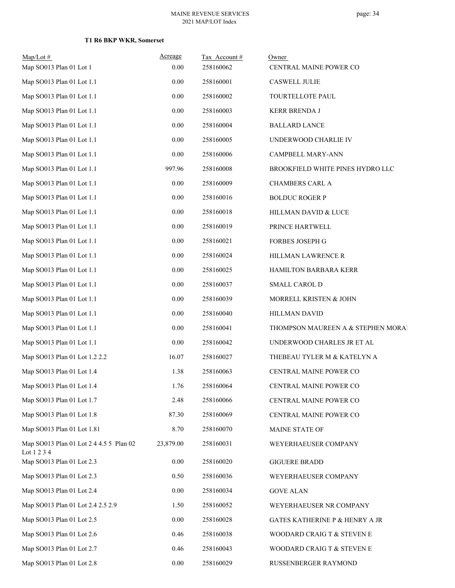| $Map/Lot$ #<br>Map SO013 Plan 01 Lot 1   | Acreage<br>0.00 | Tax Account#<br>258160062 | Owner<br>CENTRAL MAINE POWER CO           |
|------------------------------------------|-----------------|---------------------------|-------------------------------------------|
| Map SO013 Plan 01 Lot 1.1                | 0.00            | 258160001                 | <b>CASWELL JULIE</b>                      |
| Map SO013 Plan 01 Lot 1.1                | $0.00\,$        | 258160002                 | TOURTELLOTE PAUL                          |
| Map SO013 Plan 01 Lot 1.1                | 0.00            | 258160003                 | <b>KERR BRENDA J</b>                      |
| Map SO013 Plan 01 Lot 1.1                | 0.00            | 258160004                 | <b>BALLARD LANCE</b>                      |
| Map SO013 Plan 01 Lot 1.1                | $0.00\,$        | 258160005                 | UNDERWOOD CHARLIE IV                      |
| Map SO013 Plan 01 Lot 1.1                | 0.00            | 258160006                 | <b>CAMPBELL MARY-ANN</b>                  |
| Map SO013 Plan 01 Lot 1.1                | 997.96          | 258160008                 | BROOKFIELD WHITE PINES HYDRO LLC          |
| Map SO013 Plan 01 Lot 1.1                | $0.00\,$        | 258160009                 | CHAMBERS CARL A                           |
| Map SO013 Plan 01 Lot 1.1                | 0.00            | 258160016                 | <b>BOLDUC ROGER P</b>                     |
| Map SO013 Plan 01 Lot 1.1                | $0.00\,$        | 258160018                 | HILLMAN DAVID & LUCE                      |
| Map SO013 Plan 01 Lot 1.1                | 0.00            | 258160019                 | PRINCE HARTWELL                           |
| Map SO013 Plan 01 Lot 1.1                | 0.00            | 258160021                 | FORBES JOSEPH G                           |
| Map SO013 Plan 01 Lot 1.1                | $0.00\,$        | 258160024                 | HILLMAN LAWRENCE R                        |
| Map SO013 Plan 01 Lot 1.1                | 0.00            | 258160025                 | HAMILTON BARBARA KERR                     |
| Map SO013 Plan 01 Lot 1.1                | 0.00            | 258160037                 | SMALL CAROL D                             |
| Map SO013 Plan 01 Lot 1.1                | $0.00\,$        | 258160039                 | MORRELL KRISTEN & JOHN                    |
| Map SO013 Plan 01 Lot 1.1                | 0.00            | 258160040                 | HILLMAN DAVID                             |
| Map SO013 Plan 01 Lot 1.1                | $0.00\,$        | 258160041                 | THOMPSON MAUREEN A & STEPHEN MORAI        |
| Map SO013 Plan 01 Lot 1.1                | $0.00\,$        | 258160042                 | UNDERWOOD CHARLES JR ET AL                |
| Map SO013 Plan 01 Lot 1.2 2.2            | 16.07           | 258160027                 | THEBEAU TYLER M & KATELYN A               |
| Map SO013 Plan 01 Lot 1.4                | 1.38            | 258160063                 | CENTRAL MAINE POWER CO                    |
| Map SO013 Plan 01 Lot 1.4                | 1.76            | 258160064                 | CENTRAL MAINE POWER CO                    |
| Map SO013 Plan 01 Lot 1.7                | 2.48            | 258160066                 | CENTRAL MAINE POWER CO                    |
| Map SO013 Plan 01 Lot 1.8                | 87.30           | 258160069                 | CENTRAL MAINE POWER CO                    |
| Map SO013 Plan 01 Lot 1.81               | 8.70            | 258160070                 | MAINE STATE OF                            |
| Map SO013 Plan 01 Lot 2 4 4.5 5 Plan 02  | 23,879.00       | 258160031                 | WEYERHAEUSER COMPANY                      |
| Lot 1 2 3 4<br>Map SO013 Plan 01 Lot 2.3 | 0.00            | 258160020                 | <b>GIGUERE BRADD</b>                      |
| Map SO013 Plan 01 Lot 2.3                | 0.50            | 258160036                 | WEYERHAEUSER COMPANY                      |
| Map SO013 Plan 01 Lot 2.4                | 0.00            | 258160034                 | <b>GOVE ALAN</b>                          |
| Map SO013 Plan 01 Lot 2.4 2.5 2.9        | 1.50            | 258160052                 | WEYERHAEUSER NR COMPANY                   |
| Map SO013 Plan 01 Lot 2.5                | 0.00            | 258160028                 | <b>GATES KATHERINE P &amp; HENRY A JR</b> |
| Map SO013 Plan 01 Lot 2.6                | 0.46            | 258160038                 | WOODARD CRAIG T & STEVEN E                |
| Map SO013 Plan 01 Lot 2.7                | 0.46            | 258160043                 | WOODARD CRAIG T & STEVEN E                |
| Map SO013 Plan 01 Lot 2.8                | $0.00\,$        | 258160029                 | RUSSENBERGER RAYMOND                      |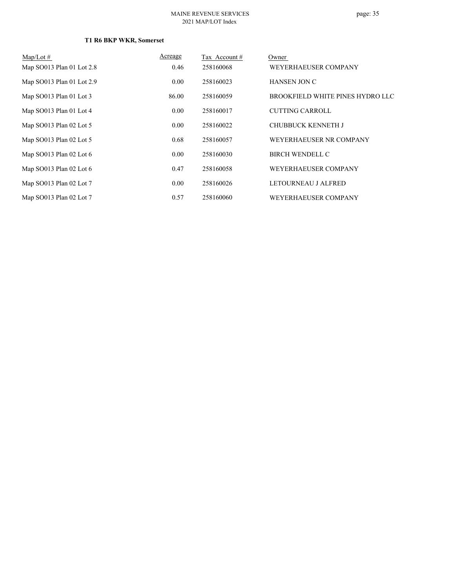| Map/Lot $#$               | Acreage | Tax Account# | Owner                            |
|---------------------------|---------|--------------|----------------------------------|
| Map SO013 Plan 01 Lot 2.8 | 0.46    | 258160068    | WEYERHAEUSER COMPANY             |
| Map SO013 Plan 01 Lot 2.9 | 0.00    | 258160023    | <b>HANSEN JON C</b>              |
| Map SO013 Plan 01 Lot 3   | 86.00   | 258160059    | BROOKFIELD WHITE PINES HYDRO LLC |
| Map SO013 Plan 01 Lot 4   | 0.00    | 258160017    | <b>CUTTING CARROLL</b>           |
| Map SO013 Plan 02 Lot 5   | 0.00    | 258160022    | <b>CHUBBUCK KENNETH J</b>        |
| Map SO013 Plan 02 Lot 5   | 0.68    | 258160057    | WEYERHAEUSER NR COMPANY          |
| Map SO013 Plan 02 Lot 6   | 0.00    | 258160030    | <b>BIRCH WENDELL C</b>           |
| Map SO013 Plan 02 Lot 6   | 0.47    | 258160058    | WEYERHAEUSER COMPANY             |
| Map SO013 Plan 02 Lot 7   | 0.00    | 258160026    | LETOURNEAU J ALFRED              |
| Map SO013 Plan 02 Lot 7   | 0.57    | 258160060    | WEYERHAEUSER COMPANY             |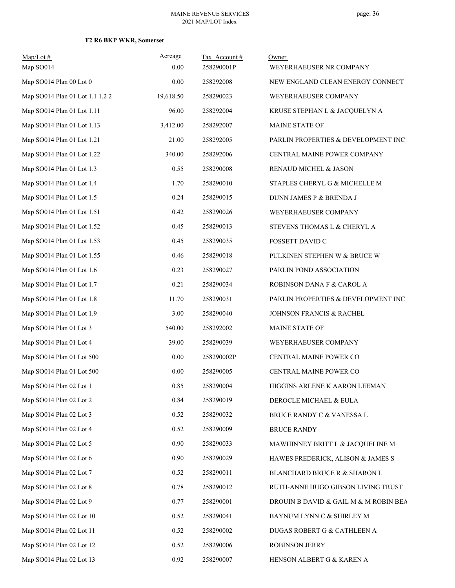| $Map/Lot$ #<br>Map SO014        | Acreage<br>0.00 | Tax Account#<br>258290001P | Owner<br>WEYERHAEUSER NR COMPANY      |
|---------------------------------|-----------------|----------------------------|---------------------------------------|
| Map SO014 Plan 00 Lot 0         | 0.00            | 258292008                  | NEW ENGLAND CLEAN ENERGY CONNECT      |
| Map SO014 Plan 01 Lot 1.1 1.2 2 | 19,618.50       | 258290023                  | WEYERHAEUSER COMPANY                  |
| Map SO014 Plan 01 Lot 1.11      | 96.00           | 258292004                  | KRUSE STEPHAN L & JACQUELYN A         |
| Map SO014 Plan 01 Lot 1.13      | 3,412.00        | 258292007                  | MAINE STATE OF                        |
| Map SO014 Plan 01 Lot 1.21      | 21.00           | 258292005                  | PARLIN PROPERTIES & DEVELOPMENT INC   |
| Map SO014 Plan 01 Lot 1.22      | 340.00          | 258292006                  | CENTRAL MAINE POWER COMPANY           |
| Map SO014 Plan 01 Lot 1.3       | 0.55            | 258290008                  | RENAUD MICHEL & JASON                 |
| Map SO014 Plan 01 Lot 1.4       | 1.70            | 258290010                  | STAPLES CHERYL G & MICHELLE M         |
| Map SO014 Plan 01 Lot 1.5       | 0.24            | 258290015                  | DUNN JAMES P & BRENDA J               |
| Map SO014 Plan 01 Lot 1.51      | 0.42            | 258290026                  | WEYERHAEUSER COMPANY                  |
| Map SO014 Plan 01 Lot 1.52      | 0.45            | 258290013                  | STEVENS THOMAS L & CHERYL A           |
| Map SO014 Plan 01 Lot 1.53      | 0.45            | 258290035                  | FOSSETT DAVID C                       |
| Map SO014 Plan 01 Lot 1.55      | 0.46            | 258290018                  | PULKINEN STEPHEN W & BRUCE W          |
| Map SO014 Plan 01 Lot 1.6       | 0.23            | 258290027                  | PARLIN POND ASSOCIATION               |
| Map SO014 Plan 01 Lot 1.7       | 0.21            | 258290034                  | ROBINSON DANA F & CAROL A             |
| Map SO014 Plan 01 Lot 1.8       | 11.70           | 258290031                  | PARLIN PROPERTIES & DEVELOPMENT INC   |
| Map SO014 Plan 01 Lot 1.9       | 3.00            | 258290040                  | JOHNSON FRANCIS & RACHEL              |
| Map SO014 Plan 01 Lot 3         | 540.00          | 258292002                  | MAINE STATE OF                        |
| Map SO014 Plan 01 Lot 4         | 39.00           | 258290039                  | WEYERHAEUSER COMPANY                  |
| Map SO014 Plan 01 Lot 500       | 0.00            | 258290002P                 | CENTRAL MAINE POWER CO                |
| Map SO014 Plan 01 Lot 500       | 0.00            | 258290005                  | CENTRAL MAINE POWER CO                |
| Map SO014 Plan 02 Lot 1         | 0.85            | 258290004                  | HIGGINS ARLENE K AARON LEEMAN         |
| Map SO014 Plan 02 Lot 2         | 0.84            | 258290019                  | DEROCLE MICHAEL & EULA                |
| Map SO014 Plan 02 Lot 3         | 0.52            | 258290032                  | BRUCE RANDY C & VANESSA L             |
| Map SO014 Plan 02 Lot 4         | 0.52            | 258290009                  | <b>BRUCE RANDY</b>                    |
| Map SO014 Plan 02 Lot 5         | 0.90            | 258290033                  | MAWHINNEY BRITT L & JACQUELINE M      |
| Map SO014 Plan 02 Lot 6         | 0.90            | 258290029                  | HAWES FREDERICK, ALISON & JAMES S     |
| Map SO014 Plan 02 Lot 7         | 0.52            | 258290011                  | BLANCHARD BRUCE R & SHARON L          |
| Map SO014 Plan 02 Lot 8         | 0.78            | 258290012                  | RUTH-ANNE HUGO GIBSON LIVING TRUST    |
| Map SO014 Plan 02 Lot 9         | 0.77            | 258290001                  | DROUIN B DAVID & GAIL M & M ROBIN BEA |
| Map SO014 Plan 02 Lot 10        | 0.52            | 258290041                  | BAYNUM LYNN C & SHIRLEY M             |
| Map SO014 Plan 02 Lot 11        | 0.52            | 258290002                  | DUGAS ROBERT G & CATHLEEN A           |
| Map SO014 Plan 02 Lot 12        | 0.52            | 258290006                  | ROBINSON JERRY                        |
| Map SO014 Plan 02 Lot 13        | 0.92            | 258290007                  | HENSON ALBERT G & KAREN A             |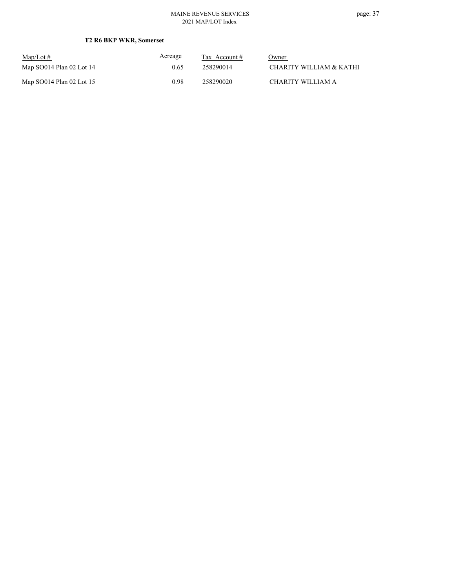| $\text{Map/Lot} \#$        | Acreage | Tax Account $#$ | Owner                   |
|----------------------------|---------|-----------------|-------------------------|
| Map SO014 Plan 02 Lot 14   | 0.65    | 258290014       | CHARITY WILLIAM & KATHI |
| Map $SO014$ Plan 02 Lot 15 | 0.98    | 258290020       | CHARITY WILLIAM A       |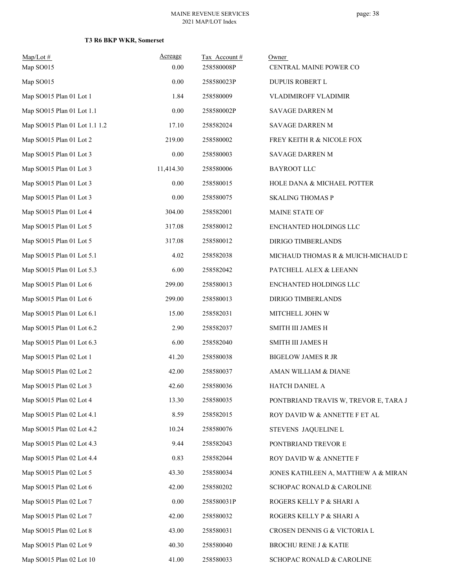| $Map/Lot$ #<br>Map SO015      | Acreage<br>0.00 | Tax Account#<br>258580008P | Owner<br>CENTRAL MAINE POWER CO       |  |
|-------------------------------|-----------------|----------------------------|---------------------------------------|--|
| Map SO015                     | 0.00            | 258580023P                 | DUPUIS ROBERT L                       |  |
| Map SO015 Plan 01 Lot 1       | 1.84            | 258580009                  | VLADIMIROFF VLADIMIR                  |  |
| Map SO015 Plan 01 Lot 1.1     | 0.00            | 258580002P                 | SAVAGE DARREN M                       |  |
| Map SO015 Plan 01 Lot 1.1 1.2 | 17.10           | 258582024                  | SAVAGE DARREN M                       |  |
| Map SO015 Plan 01 Lot 2       | 219.00          | 258580002                  | FREY KEITH R & NICOLE FOX             |  |
| Map SO015 Plan 01 Lot 3       | 0.00            | 258580003                  | SAVAGE DARREN M                       |  |
| Map SO015 Plan 01 Lot 3       | 11,414.30       | 258580006                  | <b>BAYROOT LLC</b>                    |  |
| Map SO015 Plan 01 Lot 3       | 0.00            | 258580015                  | HOLE DANA & MICHAEL POTTER            |  |
| Map SO015 Plan 01 Lot 3       | 0.00            | 258580075                  | <b>SKALING THOMAS P</b>               |  |
| Map SO015 Plan 01 Lot 4       | 304.00          | 258582001                  | MAINE STATE OF                        |  |
| Map SO015 Plan 01 Lot 5       | 317.08          | 258580012                  | ENCHANTED HOLDINGS LLC                |  |
| Map SO015 Plan 01 Lot 5       | 317.08          | 258580012                  | DIRIGO TIMBERLANDS                    |  |
| Map SO015 Plan 01 Lot 5.1     | 4.02            | 258582038                  | MICHAUD THOMAS R & MUICH-MICHAUD D    |  |
| Map SO015 Plan 01 Lot 5.3     | 6.00            | 258582042                  | PATCHELL ALEX & LEEANN                |  |
| Map SO015 Plan 01 Lot 6       | 299.00          | 258580013                  | ENCHANTED HOLDINGS LLC                |  |
| Map SO015 Plan 01 Lot 6       | 299.00          | 258580013                  | DIRIGO TIMBERLANDS                    |  |
| Map SO015 Plan 01 Lot 6.1     | 15.00           | 258582031                  | MITCHELL JOHN W                       |  |
| Map SO015 Plan 01 Lot 6.2     | 2.90            | 258582037                  | SMITH III JAMES H                     |  |
| Map SO015 Plan 01 Lot 6.3     | 6.00            | 258582040                  | SMITH III JAMES H                     |  |
| Map SO015 Plan 02 Lot 1       | 41.20           | 258580038                  | <b>BIGELOW JAMES R JR</b>             |  |
| Map SO015 Plan 02 Lot 2       | 42.00           | 258580037                  | AMAN WILLIAM & DIANE                  |  |
| Map SO015 Plan 02 Lot 3       | 42.60           | 258580036                  | HATCH DANIEL A                        |  |
| Map SO015 Plan 02 Lot 4       | 13.30           | 258580035                  | PONTBRIAND TRAVIS W, TREVOR E, TARA J |  |
| Map SO015 Plan 02 Lot 4.1     | 8.59            | 258582015                  | ROY DAVID W & ANNETTE F ET AL         |  |
| Map SO015 Plan 02 Lot 4.2     | 10.24           | 258580076                  | STEVENS JAQUELINE L                   |  |
| Map SO015 Plan 02 Lot 4.3     | 9.44            | 258582043                  | PONTBRIAND TREVOR E                   |  |
| Map SO015 Plan 02 Lot 4.4     | 0.83            | 258582044                  | ROY DAVID W & ANNETTE F               |  |
| Map SO015 Plan 02 Lot 5       | 43.30           | 258580034                  | JONES KATHLEEN A, MATTHEW A & MIRAN   |  |
| Map SO015 Plan 02 Lot 6       | 42.00           | 258580202                  | SCHOPAC RONALD & CAROLINE             |  |
| Map SO015 Plan 02 Lot 7       | $0.00\,$        | 258580031P                 | ROGERS KELLY P & SHARI A              |  |
| Map SO015 Plan 02 Lot 7       | 42.00           | 258580032                  | ROGERS KELLY P & SHARI A              |  |
| Map SO015 Plan 02 Lot 8       | 43.00           | 258580031                  | CROSEN DENNIS G & VICTORIA L          |  |
| Map SO015 Plan 02 Lot 9       | 40.30           | 258580040                  | BROCHU RENE J & KATIE                 |  |
| Map SO015 Plan 02 Lot 10      | 41.00           | 258580033                  | SCHOPAC RONALD & CAROLINE             |  |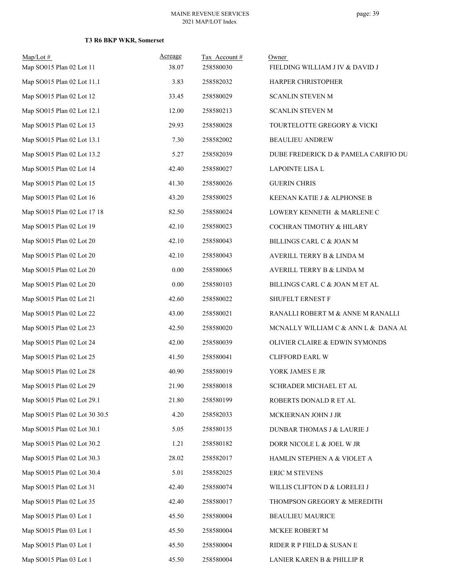| $Map/Lot \#$<br>Map SO015 Plan 02 Lot 11 | Acreage<br>38.07 | Tax Account#<br>258580030 | Owner<br>FIELDING WILLIAM J IV & DAVID J |
|------------------------------------------|------------------|---------------------------|------------------------------------------|
| Map SO015 Plan 02 Lot 11.1               | 3.83             | 258582032                 | HARPER CHRISTOPHER                       |
| Map SO015 Plan 02 Lot 12                 | 33.45            | 258580029                 | SCANLIN STEVEN M                         |
| Map SO015 Plan 02 Lot 12.1               | 12.00            | 258580213                 | <b>SCANLIN STEVEN M</b>                  |
| Map SO015 Plan 02 Lot 13                 | 29.93            | 258580028                 | TOURTELOTTE GREGORY & VICKI              |
| Map SO015 Plan 02 Lot 13.1               | 7.30             | 258582002                 | <b>BEAULIEU ANDREW</b>                   |
| Map SO015 Plan 02 Lot 13.2               | 5.27             | 258582039                 | DUBE FREDERICK D & PAMELA CARIFIO DU     |
| Map SO015 Plan 02 Lot 14                 | 42.40            | 258580027                 | LAPOINTE LISA L                          |
| Map SO015 Plan 02 Lot 15                 | 41.30            | 258580026                 | <b>GUERIN CHRIS</b>                      |
| Map SO015 Plan 02 Lot 16                 | 43.20            | 258580025                 | KEENAN KATIE J & ALPHONSE B              |
| Map SO015 Plan 02 Lot 17 18              | 82.50            | 258580024                 | LOWERY KENNETH & MARLENE C               |
| Map SO015 Plan 02 Lot 19                 | 42.10            | 258580023                 | COCHRAN TIMOTHY & HILARY                 |
| Map SO015 Plan 02 Lot 20                 | 42.10            | 258580043                 | BILLINGS CARL C & JOAN M                 |
| Map SO015 Plan 02 Lot 20                 | 42.10            | 258580043                 | AVERILL TERRY B & LINDA M                |
| Map SO015 Plan 02 Lot 20                 | 0.00             | 258580065                 | AVERILL TERRY B & LINDA M                |
| Map SO015 Plan 02 Lot 20                 | $0.00\,$         | 258580103                 | BILLINGS CARL C & JOAN M ET AL           |
| Map SO015 Plan 02 Lot 21                 | 42.60            | 258580022                 | SHUFELT ERNEST F                         |
| Map SO015 Plan 02 Lot 22                 | 43.00            | 258580021                 | RANALLI ROBERT M & ANNE M RANALLI        |
| Map SO015 Plan 02 Lot 23                 | 42.50            | 258580020                 | MCNALLY WILLIAM C & ANN L & DANA AL      |
| Map SO015 Plan 02 Lot 24                 | 42.00            | 258580039                 | OLIVIER CLAIRE & EDWIN SYMONDS           |
| Map SO015 Plan 02 Lot 25                 | 41.50            | 258580041                 | <b>CLIFFORD EARL W</b>                   |
| Map SO015 Plan 02 Lot 28                 | 40.90            | 258580019                 | YORK JAMES E JR                          |
| Map SO015 Plan 02 Lot 29                 | 21.90            | 258580018                 | SCHRADER MICHAEL ET AL                   |
| Map SO015 Plan 02 Lot 29.1               | 21.80            | 258580199                 | ROBERTS DONALD R ET AL                   |
| Map SO015 Plan 02 Lot 30 30.5            | 4.20             | 258582033                 | MCKIERNAN JOHN J JR                      |
| Map SO015 Plan 02 Lot 30.1               | 5.05             | 258580135                 | DUNBAR THOMAS J & LAURIE J               |
| Map SO015 Plan 02 Lot 30.2               | 1.21             | 258580182                 | DORR NICOLE L & JOEL W JR                |
| Map SO015 Plan 02 Lot 30.3               | 28.02            | 258582017                 | HAMLIN STEPHEN A & VIOLET A              |
| Map SO015 Plan 02 Lot 30.4               | 5.01             | 258582025                 | ERIC M STEVENS                           |
| Map SO015 Plan 02 Lot 31                 | 42.40            | 258580074                 | WILLIS CLIFTON D & LORELEI J             |
| Map SO015 Plan 02 Lot 35                 | 42.40            | 258580017                 | THOMPSON GREGORY & MEREDITH              |
| Map SO015 Plan 03 Lot 1                  | 45.50            | 258580004                 | BEAULIEU MAURICE                         |
| Map SO015 Plan 03 Lot 1                  | 45.50            | 258580004                 | MCKEE ROBERT M                           |
| Map SO015 Plan 03 Lot 1                  | 45.50            | 258580004                 | RIDER R P FIELD & SUSAN E                |
| Map SO015 Plan 03 Lot 1                  | 45.50            | 258580004                 | LANIER KAREN B & PHILLIP R               |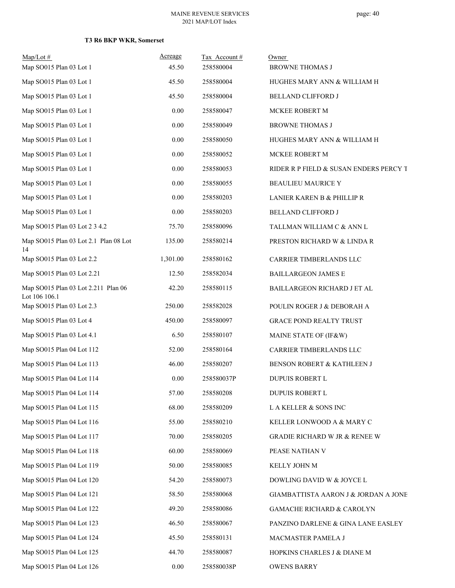| $Map/Lot \#$                                         | Acreage  | Tax Account# | Owner                                  |
|------------------------------------------------------|----------|--------------|----------------------------------------|
| Map SO015 Plan 03 Lot 1                              | 45.50    | 258580004    | <b>BROWNE THOMAS J</b>                 |
| Map SO015 Plan 03 Lot 1                              | 45.50    | 258580004    | HUGHES MARY ANN & WILLIAM H            |
| Map SO015 Plan 03 Lot 1                              | 45.50    | 258580004    | BELLAND CLIFFORD J                     |
| Map SO015 Plan 03 Lot 1                              | $0.00\,$ | 258580047    | MCKEE ROBERT M                         |
| Map SO015 Plan 03 Lot 1                              | $0.00\,$ | 258580049    | <b>BROWNE THOMAS J</b>                 |
| Map SO015 Plan 03 Lot 1                              | $0.00\,$ | 258580050    | HUGHES MARY ANN & WILLIAM H            |
| Map SO015 Plan 03 Lot 1                              | 0.00     | 258580052    | MCKEE ROBERT M                         |
| Map SO015 Plan 03 Lot 1                              | $0.00\,$ | 258580053    | RIDER R P FIELD & SUSAN ENDERS PERCY T |
| Map SO015 Plan 03 Lot 1                              | $0.00\,$ | 258580055    | <b>BEAULIEU MAURICE Y</b>              |
| Map SO015 Plan 03 Lot 1                              | 0.00     | 258580203    | LANIER KAREN B & PHILLIP R             |
| Map SO015 Plan 03 Lot 1                              | $0.00\,$ | 258580203    | <b>BELLAND CLIFFORD J</b>              |
| Map SO015 Plan 03 Lot 2 3 4.2                        | 75.70    | 258580096    | TALLMAN WILLIAM C & ANN L              |
| Map SO015 Plan 03 Lot 2.1 Plan 08 Lot<br>14          | 135.00   | 258580214    | PRESTON RICHARD W & LINDA R            |
| Map SO015 Plan 03 Lot 2.2                            | 1,301.00 | 258580162    | CARRIER TIMBERLANDS LLC                |
| Map SO015 Plan 03 Lot 2.21                           | 12.50    | 258582034    | <b>BAILLARGEON JAMES E</b>             |
| Map SO015 Plan 03 Lot 2.211 Plan 06<br>Lot 106 106.1 | 42.20    | 258580115    | BAILLARGEON RICHARD J ET AL            |
| Map SO015 Plan 03 Lot 2.3                            | 250.00   | 258582028    | POULIN ROGER J & DEBORAH A             |
| Map SO015 Plan 03 Lot 4                              | 450.00   | 258580097    | <b>GRACE POND REALTY TRUST</b>         |
| Map SO015 Plan 03 Lot 4.1                            | 6.50     | 258580107    | MAINE STATE OF (IF&W)                  |
| Map SO015 Plan 04 Lot 112                            | 52.00    | 258580164    | CARRIER TIMBERLANDS LLC                |
| Map SO015 Plan 04 Lot 113                            | 46.00    | 258580207    | BENSON ROBERT & KATHLEEN J             |
| Map SO015 Plan 04 Lot 114                            | 0.00     | 258580037P   | DUPUIS ROBERT L                        |
| Map SO015 Plan 04 Lot 114                            | 57.00    | 258580208    | DUPUIS ROBERT L                        |
| Map SO015 Plan 04 Lot 115                            | 68.00    | 258580209    | L A KELLER & SONS INC                  |
| Map SO015 Plan 04 Lot 116                            | 55.00    | 258580210    | KELLER LONWOOD A & MARY C              |
| Map SO015 Plan 04 Lot 117                            | 70.00    | 258580205    | GRADIE RICHARD W JR & RENEE W          |
| Map SO015 Plan 04 Lot 118                            | 60.00    | 258580069    | PEASE NATHAN V                         |
| Map SO015 Plan 04 Lot 119                            | 50.00    | 258580085    | KELLY JOHN M                           |
| Map SO015 Plan 04 Lot 120                            | 54.20    | 258580073    | DOWLING DAVID W & JOYCE L              |
| Map SO015 Plan 04 Lot 121                            | 58.50    | 258580068    | GIAMBATTISTA AARON J & JORDAN A JONE   |
| Map SO015 Plan 04 Lot 122                            | 49.20    | 258580086    | <b>GAMACHE RICHARD &amp; CAROLYN</b>   |
| Map SO015 Plan 04 Lot 123                            | 46.50    | 258580067    | PANZINO DARLENE & GINA LANE EASLEY     |
| Map SO015 Plan 04 Lot 124                            | 45.50    | 258580131    | MACMASTER PAMELA J                     |
| Map SO015 Plan 04 Lot 125                            | 44.70    | 258580087    | HOPKINS CHARLES J & DIANE M            |
| Map SO015 Plan 04 Lot 126                            | $0.00\,$ | 258580038P   | <b>OWENS BARRY</b>                     |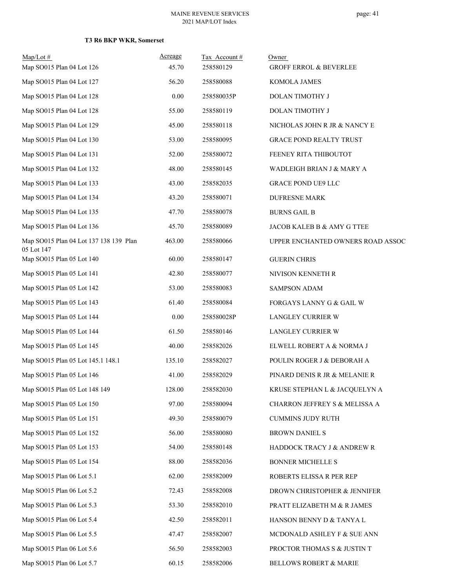| $Map/Lot \#$<br>Map SO015 Plan 04 Lot 126            | Acreage<br>45.70 | Tax Account#<br>258580129 | Owner<br><b>GROFF ERROL &amp; BEVERLEE</b> |
|------------------------------------------------------|------------------|---------------------------|--------------------------------------------|
| Map SO015 Plan 04 Lot 127                            | 56.20            | 258580088                 | KOMOLA JAMES                               |
| Map SO015 Plan 04 Lot 128                            | 0.00             | 258580035P                | DOLAN TIMOTHY J                            |
| Map SO015 Plan 04 Lot 128                            | 55.00            | 258580119                 | DOLAN TIMOTHY J                            |
| Map SO015 Plan 04 Lot 129                            | 45.00            | 258580118                 | NICHOLAS JOHN R JR & NANCY E               |
| Map SO015 Plan 04 Lot 130                            | 53.00            | 258580095                 | <b>GRACE POND REALTY TRUST</b>             |
| Map SO015 Plan 04 Lot 131                            | 52.00            | 258580072                 | FEENEY RITA THIBOUTOT                      |
| Map SO015 Plan 04 Lot 132                            | 48.00            | 258580145                 | WADLEIGH BRIAN J & MARY A                  |
| Map SO015 Plan 04 Lot 133                            | 43.00            | 258582035                 | <b>GRACE POND UE9 LLC</b>                  |
| Map SO015 Plan 04 Lot 134                            | 43.20            | 258580071                 | <b>DUFRESNE MARK</b>                       |
| Map SO015 Plan 04 Lot 135                            | 47.70            | 258580078                 | <b>BURNS GAIL B</b>                        |
| Map SO015 Plan 04 Lot 136                            | 45.70            | 258580089                 | JACOB KALEB B & AMY G TTEE                 |
| Map SO015 Plan 04 Lot 137 138 139 Plan<br>05 Lot 147 | 463.00           | 258580066                 | UPPER ENCHANTED OWNERS ROAD ASSOC          |
| Map SO015 Plan 05 Lot 140                            | 60.00            | 258580147                 | <b>GUERIN CHRIS</b>                        |
| Map SO015 Plan 05 Lot 141                            | 42.80            | 258580077                 | NIVISON KENNETH R                          |
| Map SO015 Plan 05 Lot 142                            | 53.00            | 258580083                 | <b>SAMPSON ADAM</b>                        |
| Map SO015 Plan 05 Lot 143                            | 61.40            | 258580084                 | FORGAYS LANNY G & GAIL W                   |
| Map SO015 Plan 05 Lot 144                            | 0.00             | 258580028P                | LANGLEY CURRIER W                          |
| Map SO015 Plan 05 Lot 144                            | 61.50            | 258580146                 | LANGLEY CURRIER W                          |
| Map SO015 Plan 05 Lot 145                            | 40.00            | 258582026                 | ELWELL ROBERT A & NORMA J                  |
| Map SO015 Plan 05 Lot 145.1 148.1                    | 135.10           | 258582027                 | POULIN ROGER J & DEBORAH A                 |
| Map SO015 Plan 05 Lot 146                            | 41.00            | 258582029                 | PINARD DENIS R JR & MELANIE R              |
| Map SO015 Plan 05 Lot 148 149                        | 128.00           | 258582030                 | KRUSE STEPHAN L & JACQUELYN A              |
| Map SO015 Plan 05 Lot 150                            | 97.00            | 258580094                 | CHARRON JEFFREY S & MELISSA A              |
| Map SO015 Plan 05 Lot 151                            | 49.30            | 258580079                 | <b>CUMMINS JUDY RUTH</b>                   |
| Map SO015 Plan 05 Lot 152                            | 56.00            | 258580080                 | <b>BROWN DANIEL S</b>                      |
| Map SO015 Plan 05 Lot 153                            | 54.00            | 258580148                 | HADDOCK TRACY J & ANDREW R                 |
| Map SO015 Plan 05 Lot 154                            | 88.00            | 258582036                 | <b>BONNER MICHELLE S</b>                   |
| Map SO015 Plan 06 Lot 5.1                            | 62.00            | 258582009                 | ROBERTS ELISSA R PER REP                   |
| Map SO015 Plan 06 Lot 5.2                            | 72.43            | 258582008                 | DROWN CHRISTOPHER & JENNIFER               |
| Map SO015 Plan 06 Lot 5.3                            | 53.30            | 258582010                 | PRATT ELIZABETH M & R JAMES                |
| Map SO015 Plan 06 Lot 5.4                            | 42.50            | 258582011                 | HANSON BENNY D & TANYA L                   |
| Map SO015 Plan 06 Lot 5.5                            | 47.47            | 258582007                 | MCDONALD ASHLEY F & SUE ANN                |
| Map SO015 Plan 06 Lot 5.6                            | 56.50            | 258582003                 | PROCTOR THOMAS S & JUSTIN T                |
| Map SO015 Plan 06 Lot 5.7                            | 60.15            | 258582006                 | BELLOWS ROBERT & MARIE                     |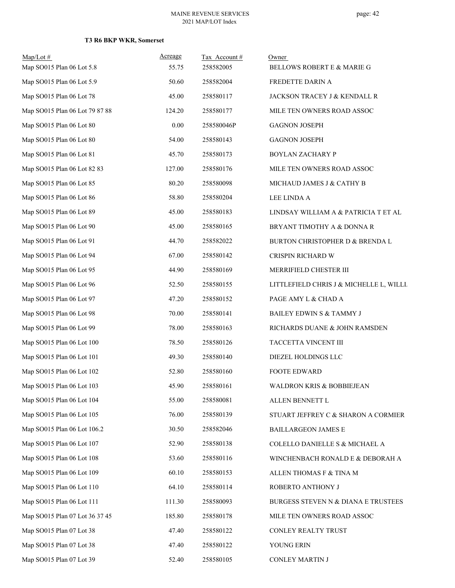| $Map/Lot$ #                    | Acreage  | Tax Account# | Owner                                   |
|--------------------------------|----------|--------------|-----------------------------------------|
| Map SO015 Plan 06 Lot 5.8      | 55.75    | 258582005    | BELLOWS ROBERT E & MARIE G              |
| Map SO015 Plan 06 Lot 5.9      | 50.60    | 258582004    | FREDETTE DARIN A                        |
| Map SO015 Plan 06 Lot 78       | 45.00    | 258580117    | JACKSON TRACEY J & KENDALL R            |
| Map SO015 Plan 06 Lot 79 87 88 | 124.20   | 258580177    | MILE TEN OWNERS ROAD ASSOC              |
| Map SO015 Plan 06 Lot 80       | $0.00\,$ | 258580046P   | <b>GAGNON JOSEPH</b>                    |
| Map SO015 Plan 06 Lot 80       | 54.00    | 258580143    | <b>GAGNON JOSEPH</b>                    |
| Map SO015 Plan 06 Lot 81       | 45.70    | 258580173    | BOYLAN ZACHARY P                        |
| Map SO015 Plan 06 Lot 82 83    | 127.00   | 258580176    | MILE TEN OWNERS ROAD ASSOC              |
| Map SO015 Plan 06 Lot 85       | 80.20    | 258580098    | MICHAUD JAMES J & CATHY B               |
| Map SO015 Plan 06 Lot 86       | 58.80    | 258580204    | LEE LINDA A                             |
| Map SO015 Plan 06 Lot 89       | 45.00    | 258580183    | LINDSAY WILLIAM A & PATRICIA T ET AL    |
| Map SO015 Plan 06 Lot 90       | 45.00    | 258580165    | BRYANT TIMOTHY A & DONNA R              |
| Map SO015 Plan 06 Lot 91       | 44.70    | 258582022    | BURTON CHRISTOPHER D & BRENDA L         |
| Map SO015 Plan 06 Lot 94       | 67.00    | 258580142    | CRISPIN RICHARD W                       |
| Map SO015 Plan 06 Lot 95       | 44.90    | 258580169    | MERRIFIELD CHESTER III                  |
| Map SO015 Plan 06 Lot 96       | 52.50    | 258580155    | LITTLEFIELD CHRIS J & MICHELLE L, WILLL |
| Map SO015 Plan 06 Lot 97       | 47.20    | 258580152    | PAGE AMY L & CHAD A                     |
| Map SO015 Plan 06 Lot 98       | 70.00    | 258580141    | BAILEY EDWIN S & TAMMY J                |
| Map SO015 Plan 06 Lot 99       | 78.00    | 258580163    | RICHARDS DUANE & JOHN RAMSDEN           |
| Map SO015 Plan 06 Lot 100      | 78.50    | 258580126    | TACCETTA VINCENT III                    |
| Map SO015 Plan 06 Lot 101      | 49.30    | 258580140    | DIEZEL HOLDINGS LLC                     |
| Map SO015 Plan 06 Lot 102      | 52.80    | 258580160    | <b>FOOTE EDWARD</b>                     |
| Map SO015 Plan 06 Lot 103      | 45.90    | 258580161    | WALDRON KRIS & BOBBIEJEAN               |
| Map SO015 Plan 06 Lot 104      | 55.00    | 258580081    | ALLEN BENNETT L                         |
| Map SO015 Plan 06 Lot 105      | 76.00    | 258580139    | STUART JEFFREY C & SHARON A CORMIER     |
| Map SO015 Plan 06 Lot 106.2    | 30.50    | 258582046    | <b>BAILLARGEON JAMES E</b>              |
| Map SO015 Plan 06 Lot 107      | 52.90    | 258580138    | COLELLO DANIELLE S & MICHAEL A          |
| Map SO015 Plan 06 Lot 108      | 53.60    | 258580116    | WINCHENBACH RONALD E & DEBORAH A        |
| Map SO015 Plan 06 Lot 109      | 60.10    | 258580153    | ALLEN THOMAS F & TINA M                 |
| Map SO015 Plan 06 Lot 110      | 64.10    | 258580114    | ROBERTO ANTHONY J                       |
| Map SO015 Plan 06 Lot 111      | 111.30   | 258580093    | BURGESS STEVEN N & DIANA E TRUSTEES     |
| Map SO015 Plan 07 Lot 36 37 45 | 185.80   | 258580178    | MILE TEN OWNERS ROAD ASSOC              |
| Map SO015 Plan 07 Lot 38       | 47.40    | 258580122    | CONLEY REALTY TRUST                     |
| Map SO015 Plan 07 Lot 38       | 47.40    | 258580122    | YOUNG ERIN                              |
| Map SO015 Plan 07 Lot 39       | 52.40    | 258580105    | CONLEY MARTIN J                         |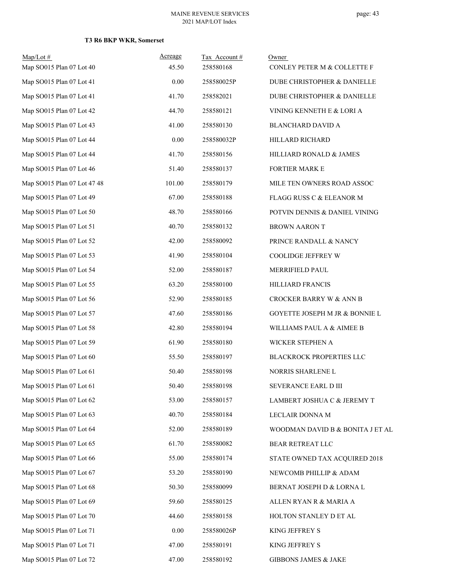| $Map/Lot \#$<br>Map SO015 Plan 07 Lot 40 | Acreage<br>45.50 | Tax Account#<br>258580168 | Owner<br>CONLEY PETER M & COLLETTE F |
|------------------------------------------|------------------|---------------------------|--------------------------------------|
| Map SO015 Plan 07 Lot 41                 | 0.00             | 258580025P                | DUBE CHRISTOPHER & DANIELLE          |
| Map SO015 Plan 07 Lot 41                 | 41.70            | 258582021                 | DUBE CHRISTOPHER & DANIELLE          |
| Map SO015 Plan 07 Lot 42                 | 44.70            | 258580121                 | VINING KENNETH E & LORI A            |
| Map SO015 Plan 07 Lot 43                 | 41.00            | 258580130                 | <b>BLANCHARD DAVID A</b>             |
| Map SO015 Plan 07 Lot 44                 | 0.00             | 258580032P                | HILLARD RICHARD                      |
| Map SO015 Plan 07 Lot 44                 | 41.70            | 258580156                 | HILLIARD RONALD & JAMES              |
| Map SO015 Plan 07 Lot 46                 | 51.40            | 258580137                 | <b>FORTIER MARK E</b>                |
| Map SO015 Plan 07 Lot 47 48              | 101.00           | 258580179                 | MILE TEN OWNERS ROAD ASSOC           |
| Map SO015 Plan 07 Lot 49                 | 67.00            | 258580188                 | FLAGG RUSS C & ELEANOR M             |
| Map SO015 Plan 07 Lot 50                 | 48.70            | 258580166                 | POTVIN DENNIS & DANIEL VINING        |
| Map SO015 Plan 07 Lot 51                 | 40.70            | 258580132                 | <b>BROWN AARON T</b>                 |
| Map SO015 Plan 07 Lot 52                 | 42.00            | 258580092                 | PRINCE RANDALL & NANCY               |
| Map SO015 Plan 07 Lot 53                 | 41.90            | 258580104                 | COOLIDGE JEFFREY W                   |
| Map SO015 Plan 07 Lot 54                 | 52.00            | 258580187                 | MERRIFIELD PAUL                      |
| Map SO015 Plan 07 Lot 55                 | 63.20            | 258580100                 | HILLIARD FRANCIS                     |
| Map SO015 Plan 07 Lot 56                 | 52.90            | 258580185                 | CROCKER BARRY W & ANN B              |
| Map SO015 Plan 07 Lot 57                 | 47.60            | 258580186                 | GOYETTE JOSEPH M JR & BONNIE L       |
| Map SO015 Plan 07 Lot 58                 | 42.80            | 258580194                 | WILLIAMS PAUL A & AIMEE B            |
| Map SO015 Plan 07 Lot 59                 | 61.90            | 258580180                 | WICKER STEPHEN A                     |
| Map SO015 Plan 07 Lot 60                 | 55.50            | 258580197                 | BLACKROCK PROPERTIES LLC             |
| Map SO015 Plan 07 Lot 61                 | 50.40            | 258580198                 | NORRIS SHARLENE L                    |
| Map SO015 Plan 07 Lot 61                 | 50.40            | 258580198                 | SEVERANCE EARL D III                 |
| Map SO015 Plan 07 Lot 62                 | 53.00            | 258580157                 | LAMBERT JOSHUA C & JEREMY T          |
| Map SO015 Plan 07 Lot 63                 | 40.70            | 258580184                 | LECLAIR DONNA M                      |
| Map SO015 Plan 07 Lot 64                 | 52.00            | 258580189                 | WOODMAN DAVID B & BONITA J ET AL     |
| Map SO015 Plan 07 Lot 65                 | 61.70            | 258580082                 | BEAR RETREAT LLC                     |
| Map SO015 Plan 07 Lot 66                 | 55.00            | 258580174                 | STATE OWNED TAX ACQUIRED 2018        |
| Map SO015 Plan 07 Lot 67                 | 53.20            | 258580190                 | NEWCOMB PHILLIP & ADAM               |
| Map SO015 Plan 07 Lot 68                 | 50.30            | 258580099                 | BERNAT JOSEPH D & LORNA L            |
| Map SO015 Plan 07 Lot 69                 | 59.60            | 258580125                 | ALLEN RYAN R & MARIA A               |
| Map SO015 Plan 07 Lot 70                 | 44.60            | 258580158                 | HOLTON STANLEY D ET AL               |
| Map SO015 Plan 07 Lot 71                 | 0.00             | 258580026P                | KING JEFFREY S                       |
| Map SO015 Plan 07 Lot 71                 | 47.00            | 258580191                 | KING JEFFREY S                       |
| Map SO015 Plan 07 Lot 72                 | 47.00            | 258580192                 | GIBBONS JAMES & JAKE                 |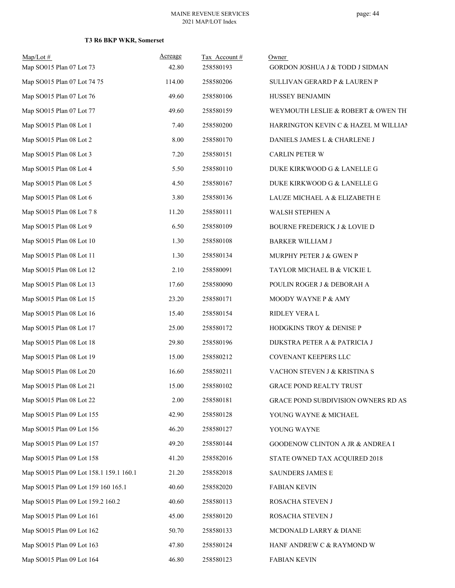| $Map/Lot \#$<br>Map SO015 Plan 07 Lot 73 | Acreage<br>42.80 | Tax Account#<br>258580193 | Owner<br>GORDON JOSHUA J & TODD J SIDMAN    |
|------------------------------------------|------------------|---------------------------|---------------------------------------------|
| Map SO015 Plan 07 Lot 74 75              | 114.00           | 258580206                 |                                             |
|                                          |                  |                           | SULLIVAN GERARD P & LAUREN P                |
| Map SO015 Plan 07 Lot 76                 | 49.60            | 258580106                 | HUSSEY BENJAMIN                             |
| Map SO015 Plan 07 Lot 77                 | 49.60            | 258580159                 | WEYMOUTH LESLIE & ROBERT & OWEN TH          |
| Map SO015 Plan 08 Lot 1                  | 7.40             | 258580200                 | HARRINGTON KEVIN C & HAZEL M WILLIAN        |
| Map SO015 Plan 08 Lot 2                  | 8.00             | 258580170                 | DANIELS JAMES L & CHARLENE J                |
| Map SO015 Plan 08 Lot 3                  | 7.20             | 258580151                 | <b>CARLIN PETER W</b>                       |
| Map SO015 Plan 08 Lot 4                  | 5.50             | 258580110                 | DUKE KIRKWOOD G & LANELLE G                 |
| Map SO015 Plan 08 Lot 5                  | 4.50             | 258580167                 | DUKE KIRKWOOD G & LANELLE G                 |
| Map SO015 Plan 08 Lot 6                  | 3.80             | 258580136                 | LAUZE MICHAEL A & ELIZABETH E               |
| Map SO015 Plan 08 Lot 7 8                | 11.20            | 258580111                 | WALSH STEPHEN A                             |
| Map SO015 Plan 08 Lot 9                  | 6.50             | 258580109                 | <b>BOURNE FREDERICK J &amp; LOVIE D</b>     |
| Map SO015 Plan 08 Lot 10                 | 1.30             | 258580108                 | <b>BARKER WILLIAM J</b>                     |
| Map SO015 Plan 08 Lot 11                 | 1.30             | 258580134                 | MURPHY PETER J & GWEN P                     |
| Map SO015 Plan 08 Lot 12                 | 2.10             | 258580091                 | TAYLOR MICHAEL B & VICKIE L                 |
| Map SO015 Plan 08 Lot 13                 | 17.60            | 258580090                 | POULIN ROGER J & DEBORAH A                  |
| Map SO015 Plan 08 Lot 15                 | 23.20            | 258580171                 | MOODY WAYNE P & AMY                         |
| Map SO015 Plan 08 Lot 16                 | 15.40            | 258580154                 | RIDLEY VERA L                               |
| Map SO015 Plan 08 Lot 17                 | 25.00            | 258580172                 | HODGKINS TROY & DENISE P                    |
| Map SO015 Plan 08 Lot 18                 | 29.80            | 258580196                 | DIJKSTRA PETER A & PATRICIA J               |
| Map SO015 Plan 08 Lot 19                 | 15.00            | 258580212                 | COVENANT KEEPERS LLC                        |
| Map SO015 Plan 08 Lot 20                 | 16.60            | 258580211                 | VACHON STEVEN J & KRISTINA S                |
| Map SO015 Plan 08 Lot 21                 | 15.00            | 258580102                 | <b>GRACE POND REALTY TRUST</b>              |
| Map SO015 Plan 08 Lot 22                 | 2.00             | 258580181                 | <b>GRACE POND SUBDIVISION OWNERS RD AS:</b> |
| Map SO015 Plan 09 Lot 155                | 42.90            | 258580128                 | YOUNG WAYNE & MICHAEL                       |
| Map SO015 Plan 09 Lot 156                | 46.20            | 258580127                 | YOUNG WAYNE                                 |
| Map SO015 Plan 09 Lot 157                | 49.20            | 258580144                 | <b>GOODENOW CLINTON A JR &amp; ANDREA I</b> |
| Map SO015 Plan 09 Lot 158                | 41.20            | 258582016                 | STATE OWNED TAX ACQUIRED 2018               |
| Map SO015 Plan 09 Lot 158.1 159.1 160.1  | 21.20            | 258582018                 | SAUNDERS JAMES E                            |
| Map SO015 Plan 09 Lot 159 160 165.1      | 40.60            | 258582020                 | <b>FABIAN KEVIN</b>                         |
| Map SO015 Plan 09 Lot 159.2 160.2        | 40.60            | 258580113                 | ROSACHA STEVEN J                            |
| Map SO015 Plan 09 Lot 161                | 45.00            | 258580120                 | ROSACHA STEVEN J                            |
| Map SO015 Plan 09 Lot 162                | 50.70            | 258580133                 | MCDONALD LARRY & DIANE                      |
| Map SO015 Plan 09 Lot 163                | 47.80            | 258580124                 | HANF ANDREW C & RAYMOND W                   |
| Map SO015 Plan 09 Lot 164                | 46.80            | 258580123                 | <b>FABIAN KEVIN</b>                         |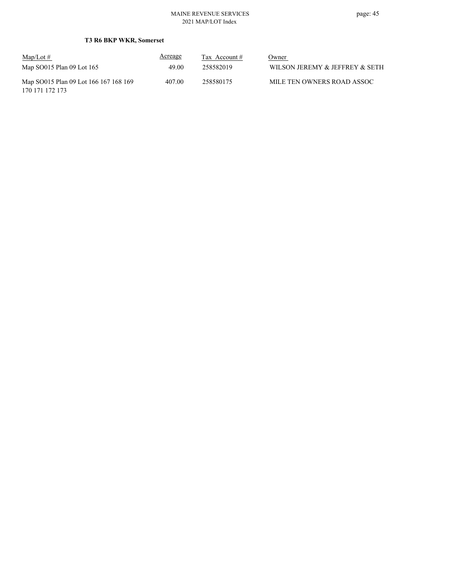| $\text{Map/Lot} \#$                                      | Acreage | Tax Account # | Owner                          |
|----------------------------------------------------------|---------|---------------|--------------------------------|
| Map SO015 Plan 09 Lot 165                                | 49.00   | 258582019     | WILSON JEREMY & JEFFREY & SETH |
| Map SO015 Plan 09 Lot 166 167 168 169<br>170 171 172 173 | 407.00  | 258580175     | MILE TEN OWNERS ROAD ASSOC     |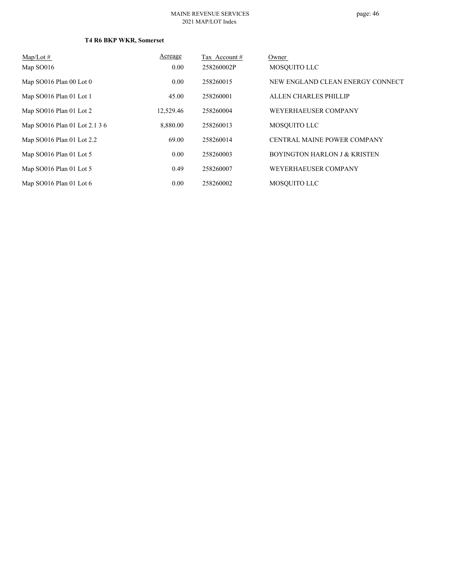#### MAINE REVENUE SERVICES 2021 MAP/LOT Index

| $Map/Lot \#$                  | Acreage   | Tax Account # | Owner                                   |
|-------------------------------|-----------|---------------|-----------------------------------------|
| Map SO016                     | 0.00      | 258260002P    | MOSOUITO LLC                            |
| Map SO016 Plan 00 Lot 0       | 0.00      | 258260015     | NEW ENGLAND CLEAN ENERGY CONNECT        |
| Map SO016 Plan 01 Lot 1       | 45.00     | 258260001     | ALLEN CHARLES PHILLIP                   |
| Map SO016 Plan 01 Lot 2       | 12,529.46 | 258260004     | WEYERHAEUSER COMPANY                    |
| Map SO016 Plan 01 Lot 2.1 3 6 | 8,880.00  | 258260013     | MOSOUITO LLC                            |
| Map SO016 Plan 01 Lot 2.2     | 69.00     | 258260014     | CENTRAL MAINE POWER COMPANY             |
| Map SO016 Plan 01 Lot 5       | 0.00      | 258260003     | <b>BOYINGTON HARLON J &amp; KRISTEN</b> |
| Map SO016 Plan 01 Lot 5       | 0.49      | 258260007     | WEYERHAEUSER COMPANY                    |
| Map SO016 Plan 01 Lot 6       | 0.00      | 258260002     | MOSOUITO LLC                            |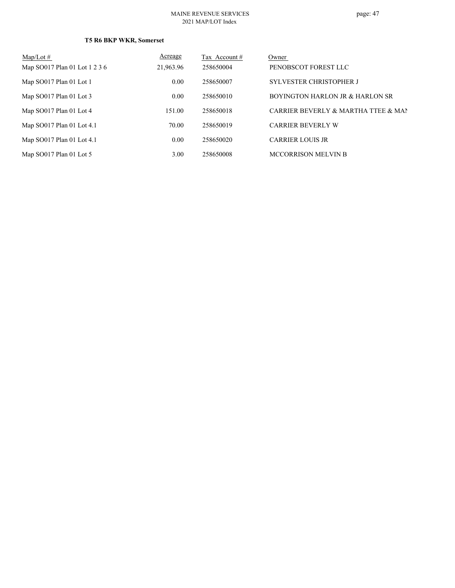| $Map/Lot \#$                  | <b>Acreage</b> | Tax Account # | Owner                               |
|-------------------------------|----------------|---------------|-------------------------------------|
| Map SO017 Plan 01 Lot 1 2 3 6 | 21,963.96      | 258650004     | PENOBSCOT FOREST LLC                |
| Map SO017 Plan 01 Lot 1       | 0.00           | 258650007     | <b>SYLVESTER CHRISTOPHER J</b>      |
| Map $SO017$ Plan 01 Lot 3     | 0.00           | 258650010     | BOYINGTON HARLON JR & HARLON SR     |
| Map SO017 Plan 01 Lot 4       | 151.00         | 258650018     | CARRIER BEVERLY & MARTHA TTEE & MAN |
| Map SO017 Plan 01 Lot 4.1     | 70.00          | 258650019     | <b>CARRIER BEVERLY W</b>            |
| Map SO017 Plan 01 Lot 4.1     | 0.00           | 258650020     | <b>CARRIER LOUIS JR</b>             |
| Map $SO017$ Plan 01 Lot 5     | 3.00           | 258650008     | <b>MCCORRISON MELVIN B</b>          |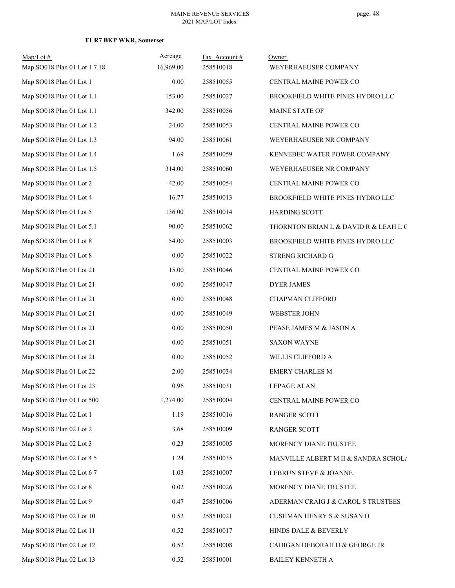| $Map/Lot$ #                  | Acreage   | Tax Account# | Owner                                 |
|------------------------------|-----------|--------------|---------------------------------------|
| Map SO018 Plan 01 Lot 1 7 18 | 16,969.00 | 258510018    | WEYERHAEUSER COMPANY                  |
| Map SO018 Plan 01 Lot 1      | 0.00      | 258510055    | CENTRAL MAINE POWER CO                |
| Map SO018 Plan 01 Lot 1.1    | 153.00    | 258510027    | BROOKFIELD WHITE PINES HYDRO LLC      |
| Map SO018 Plan 01 Lot 1.1    | 342.00    | 258510056    | MAINE STATE OF                        |
| Map SO018 Plan 01 Lot 1.2    | 24.00     | 258510053    | CENTRAL MAINE POWER CO                |
| Map SO018 Plan 01 Lot 1.3    | 94.00     | 258510061    | WEYERHAEUSER NR COMPANY               |
| Map SO018 Plan 01 Lot 1.4    | 1.69      | 258510059    | KENNEBEC WATER POWER COMPANY          |
| Map SO018 Plan 01 Lot 1.5    | 314.00    | 258510060    | WEYERHAEUSER NR COMPANY               |
| Map SO018 Plan 01 Lot 2      | 42.00     | 258510054    | CENTRAL MAINE POWER CO                |
| Map SO018 Plan 01 Lot 4      | 16.77     | 258510013    | BROOKFIELD WHITE PINES HYDRO LLC      |
| Map SO018 Plan 01 Lot 5      | 136.00    | 258510014    | <b>HARDING SCOTT</b>                  |
| Map SO018 Plan 01 Lot 5.1    | 90.00     | 258510062    | THORNTON BRIAN L & DAVID R & LEAH L G |
| Map SO018 Plan 01 Lot 8      | 54.00     | 258510003    | BROOKFIELD WHITE PINES HYDRO LLC      |
| Map SO018 Plan 01 Lot 8      | 0.00      | 258510022    | STRENG RICHARD G                      |
| Map SO018 Plan 01 Lot 21     | 15.00     | 258510046    | CENTRAL MAINE POWER CO                |
| Map SO018 Plan 01 Lot 21     | 0.00      | 258510047    | <b>DYER JAMES</b>                     |
| Map SO018 Plan 01 Lot 21     | 0.00      | 258510048    | CHAPMAN CLIFFORD                      |
| Map SO018 Plan 01 Lot 21     | 0.00      | 258510049    | WEBSTER JOHN                          |
| Map SO018 Plan 01 Lot 21     | 0.00      | 258510050    | PEASE JAMES M & JASON A               |
| Map SO018 Plan 01 Lot 21     | 0.00      | 258510051    | <b>SAXON WAYNE</b>                    |
| Map SO018 Plan 01 Lot 21     | 0.00      | 258510052    | WILLIS CLIFFORD A                     |
| Map SO018 Plan 01 Lot 22     | 2.00      | 258510034    | <b>EMERY CHARLES M</b>                |
| Map SO018 Plan 01 Lot 23     | 0.96      | 258510031    | LEPAGE ALAN                           |
| Map SO018 Plan 01 Lot 500    | 1,274.00  | 258510004    | CENTRAL MAINE POWER CO                |
| Map SO018 Plan 02 Lot 1      | 1.19      | 258510016    | RANGER SCOTT                          |
| Map SO018 Plan 02 Lot 2      | 3.68      | 258510009    | <b>RANGER SCOTT</b>                   |
| Map SO018 Plan 02 Lot 3      | 0.23      | 258510005    | MORENCY DIANE TRUSTEE                 |
| Map SO018 Plan 02 Lot 4 5    | 1.24      | 258510035    | MANVILLE ALBERT M II & SANDRA SCHOLA  |
| Map SO018 Plan 02 Lot 6 7    | 1.03      | 258510007    | LEBRUN STEVE & JOANNE                 |
| Map SO018 Plan 02 Lot 8      | 0.02      | 258510026    | MORENCY DIANE TRUSTEE                 |
| Map SO018 Plan 02 Lot 9      | 0.47      | 258510006    | ADERMAN CRAIG J & CAROL S TRUSTEES    |
| Map SO018 Plan 02 Lot 10     | 0.52      | 258510021    | CUSHMAN HENRY S & SUSAN O             |
| Map SO018 Plan 02 Lot 11     | 0.52      | 258510017    | HINDS DALE & BEVERLY                  |
| Map SO018 Plan 02 Lot 12     | 0.52      | 258510008    | CADIGAN DEBORAH H & GEORGE JR         |
| Map SO018 Plan 02 Lot 13     | 0.52      | 258510001    | <b>BAILEY KENNETH A</b>               |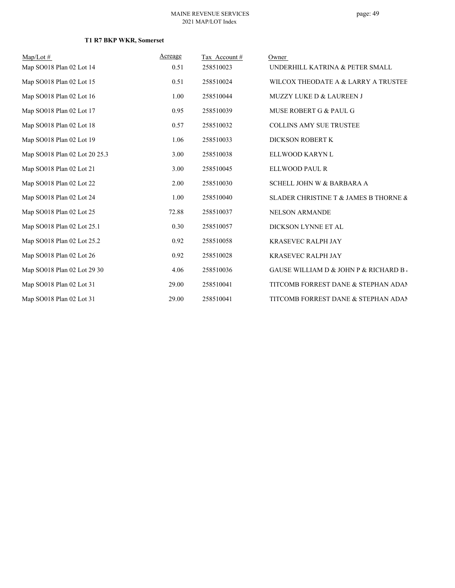| $Map/Lot \#$                  | Acreage | Tax Account# | Owner                                                |
|-------------------------------|---------|--------------|------------------------------------------------------|
| Map SO018 Plan 02 Lot 14      | 0.51    | 258510023    | UNDERHILL KATRINA & PETER SMALL                      |
| Map SO018 Plan 02 Lot 15      | 0.51    | 258510024    | WILCOX THEODATE A & LARRY A TRUSTEE                  |
| Map SO018 Plan 02 Lot 16      | 1.00    | 258510044    | MUZZY LUKE D & LAUREEN J                             |
| Map SO018 Plan 02 Lot 17      | 0.95    | 258510039    | MUSE ROBERT G & PAUL G                               |
| Map SO018 Plan 02 Lot 18      | 0.57    | 258510032    | <b>COLLINS AMY SUE TRUSTEE</b>                       |
| Map SO018 Plan 02 Lot 19      | 1.06    | 258510033    | DICKSON ROBERT K                                     |
| Map SO018 Plan 02 Lot 20 25.3 | 3.00    | 258510038    | ELLWOOD KARYN L                                      |
| Map SO018 Plan 02 Lot 21      | 3.00    | 258510045    | ELLWOOD PAUL R                                       |
| Map SO018 Plan 02 Lot 22      | 2.00    | 258510030    | SCHELL JOHN W & BARBARA A                            |
| Map SO018 Plan 02 Lot 24      | 1.00    | 258510040    | SLADER CHRISTINE T & JAMES B THORNE &                |
| Map SO018 Plan 02 Lot 25      | 72.88   | 258510037    | <b>NELSON ARMANDE</b>                                |
| Map SO018 Plan 02 Lot 25.1    | 0.30    | 258510057    | DICKSON LYNNE ET AL                                  |
| Map SO018 Plan 02 Lot 25.2    | 0.92    | 258510058    | <b>KRASEVEC RALPH JAY</b>                            |
| Map SO018 Plan 02 Lot 26      | 0.92    | 258510028    | <b>KRASEVEC RALPH JAY</b>                            |
| Map SO018 Plan 02 Lot 29 30   | 4.06    | 258510036    | <b>GAUSE WILLIAM D &amp; JOHN P &amp; RICHARD B.</b> |
| Map SO018 Plan 02 Lot 31      | 29.00   | 258510041    | TITCOMB FORREST DANE & STEPHAN ADAM                  |
| Map SO018 Plan 02 Lot 31      | 29.00   | 258510041    | TITCOMB FORREST DANE & STEPHAN ADAM                  |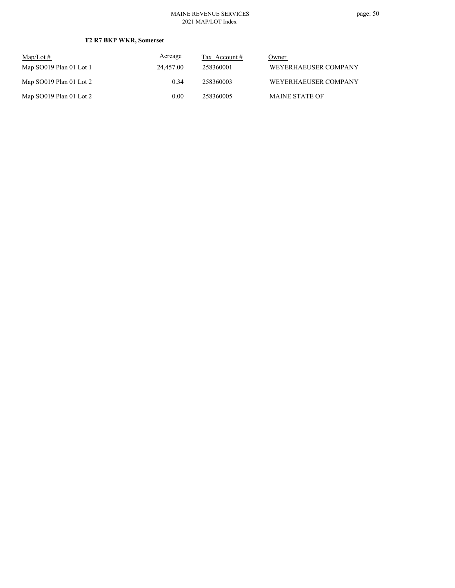#### MAINE REVENUE SERVICES 2021 MAP/LOT Index

| $Map/Lot \#$            | Acreage   | Tax Account $#$ | Owner                 |
|-------------------------|-----------|-----------------|-----------------------|
| Map SO019 Plan 01 Lot 1 | 24,457.00 | 258360001       | WEYERHAEUSER COMPANY  |
| Map SO019 Plan 01 Lot 2 | 0.34      | 258360003       | WEYERHAEUSER COMPANY  |
| Map SO019 Plan 01 Lot 2 | 0.00      | 258360005       | <b>MAINE STATE OF</b> |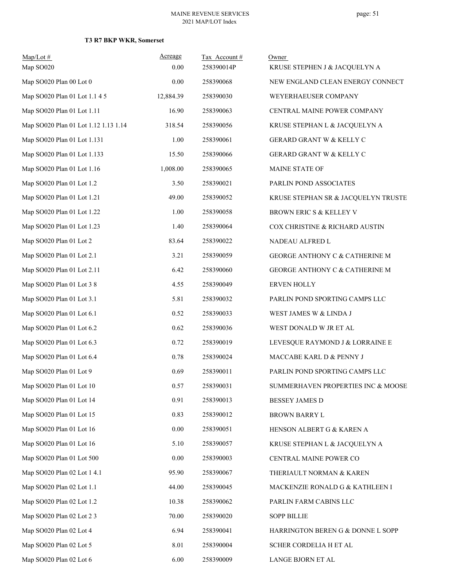| $Map/Lot \#$<br>Map SO020            | Acreage<br>0.00 | Tax Account#<br>258390014P | Owner<br>KRUSE STEPHEN J & JACQUELYN A |
|--------------------------------------|-----------------|----------------------------|----------------------------------------|
| Map SO020 Plan 00 Lot 0              | 0.00            | 258390068                  | NEW ENGLAND CLEAN ENERGY CONNECT       |
| Map SO020 Plan 01 Lot 1.1 4 5        | 12,884.39       | 258390030                  | WEYERHAEUSER COMPANY                   |
| Map SO020 Plan 01 Lot 1.11           | 16.90           | 258390063                  | CENTRAL MAINE POWER COMPANY            |
| Map SO020 Plan 01 Lot 1.12 1.13 1.14 | 318.54          | 258390056                  | KRUSE STEPHAN L & JACQUELYN A          |
| Map SO020 Plan 01 Lot 1.131          | 1.00            | 258390061                  | GERARD GRANT W & KELLY C               |
| Map SO020 Plan 01 Lot 1.133          | 15.50           | 258390066                  | GERARD GRANT W & KELLY C               |
| Map SO020 Plan 01 Lot 1.16           | 1,008.00        | 258390065                  | MAINE STATE OF                         |
| Map SO020 Plan 01 Lot 1.2            | 3.50            | 258390021                  | PARLIN POND ASSOCIATES                 |
| Map SO020 Plan 01 Lot 1.21           | 49.00           | 258390052                  | KRUSE STEPHAN SR & JACQUELYN TRUSTE    |
| Map SO020 Plan 01 Lot 1.22           | 1.00            | 258390058                  | BROWN ERIC S & KELLEY V                |
| Map SO020 Plan 01 Lot 1.23           | 1.40            | 258390064                  | COX CHRISTINE & RICHARD AUSTIN         |
| Map SO020 Plan 01 Lot 2              | 83.64           | 258390022                  | NADEAU ALFRED L                        |
| Map SO020 Plan 01 Lot 2.1            | 3.21            | 258390059                  | GEORGE ANTHONY C & CATHERINE M         |
| Map SO020 Plan 01 Lot 2.11           | 6.42            | 258390060                  | GEORGE ANTHONY C & CATHERINE M         |
| Map SO020 Plan 01 Lot 3 8            | 4.55            | 258390049                  | <b>ERVEN HOLLY</b>                     |
| Map SO020 Plan 01 Lot 3.1            | 5.81            | 258390032                  | PARLIN POND SPORTING CAMPS LLC         |
| Map SO020 Plan 01 Lot 6.1            | 0.52            | 258390033                  | WEST JAMES W & LINDA J                 |
| Map SO020 Plan 01 Lot 6.2            | 0.62            | 258390036                  | WEST DONALD W JR ET AL                 |
| Map SO020 Plan 01 Lot 6.3            | 0.72            | 258390019                  | LEVESQUE RAYMOND J & LORRAINE E        |
| Map SO020 Plan 01 Lot 6.4            | 0.78            | 258390024                  | MACCABE KARL D & PENNY J               |
| Map SO020 Plan 01 Lot 9              | 0.69            | 258390011                  | PARLIN POND SPORTING CAMPS LLC         |
| Map SO020 Plan 01 Lot 10             | 0.57            | 258390031                  | SUMMERHAVEN PROPERTIES INC & MOOSE     |
| Map SO020 Plan 01 Lot 14             | 0.91            | 258390013                  | <b>BESSEY JAMES D</b>                  |
| Map SO020 Plan 01 Lot 15             | 0.83            | 258390012                  | <b>BROWN BARRY L</b>                   |
| Map SO020 Plan 01 Lot 16             | 0.00            | 258390051                  | HENSON ALBERT G & KAREN A              |
| Map SO020 Plan 01 Lot 16             | 5.10            | 258390057                  | KRUSE STEPHAN L & JACQUELYN A          |
| Map SO020 Plan 01 Lot 500            | 0.00            | 258390003                  | CENTRAL MAINE POWER CO                 |
| Map SO020 Plan 02 Lot 1 4.1          | 95.90           | 258390067                  | THERIAULT NORMAN & KAREN               |
| Map SO020 Plan 02 Lot 1.1            | 44.00           | 258390045                  | MACKENZIE RONALD G & KATHLEEN I        |
| Map SO020 Plan 02 Lot 1.2            | 10.38           | 258390062                  | PARLIN FARM CABINS LLC                 |
| Map SO020 Plan 02 Lot 2 3            | 70.00           | 258390020                  | <b>SOPP BILLIE</b>                     |
| Map SO020 Plan 02 Lot 4              | 6.94            | 258390041                  | HARRINGTON BEREN G & DONNE L SOPP      |
| Map SO020 Plan 02 Lot 5              | 8.01            | 258390004                  | SCHER CORDELIA H ET AL                 |
| Map SO020 Plan 02 Lot 6              | 6.00            | 258390009                  | LANGE BJORN ET AL                      |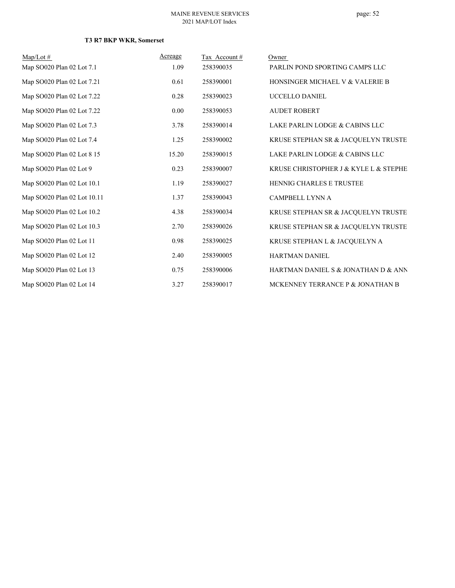| $Map/Lot \#$                | Acreage | Tax Account # | Owner                                 |
|-----------------------------|---------|---------------|---------------------------------------|
| Map SO020 Plan 02 Lot 7.1   | 1.09    | 258390035     | PARLIN POND SPORTING CAMPS LLC        |
| Map SO020 Plan 02 Lot 7.21  | 0.61    | 258390001     | HONSINGER MICHAEL V & VALERIE B       |
| Map SO020 Plan 02 Lot 7.22  | 0.28    | 258390023     | UCCELLO DANIEL                        |
| Map SO020 Plan 02 Lot 7.22  | 0.00    | 258390053     | <b>AUDET ROBERT</b>                   |
| Map SO020 Plan 02 Lot 7.3   | 3.78    | 258390014     | LAKE PARLIN LODGE & CABINS LLC        |
| Map SO020 Plan 02 Lot 7.4   | 1.25    | 258390002     | KRUSE STEPHAN SR & JACQUELYN TRUSTE   |
| Map SO020 Plan 02 Lot 8 15  | 15.20   | 258390015     | LAKE PARLIN LODGE & CABINS LLC        |
| Map SO020 Plan 02 Lot 9     | 0.23    | 258390007     | KRUSE CHRISTOPHER J & KYLE L & STEPHE |
| Map SO020 Plan 02 Lot 10.1  | 1.19    | 258390027     | <b>HENNIG CHARLES E TRUSTEE</b>       |
| Map SO020 Plan 02 Lot 10.11 | 1.37    | 258390043     | <b>CAMPBELL LYNN A</b>                |
| Map SO020 Plan 02 Lot 10.2  | 4.38    | 258390034     | KRUSE STEPHAN SR & JACQUELYN TRUSTE   |
| Map SO020 Plan 02 Lot 10.3  | 2.70    | 258390026     | KRUSE STEPHAN SR & JACQUELYN TRUSTE   |
| Map SO020 Plan 02 Lot 11    | 0.98    | 258390025     | KRUSE STEPHAN L & JACQUELYN A         |
| Map SO020 Plan 02 Lot 12    | 2.40    | 258390005     | <b>HARTMAN DANIEL</b>                 |
| Map SO020 Plan 02 Lot 13    | 0.75    | 258390006     | HARTMAN DANIEL S & JONATHAN D & ANN   |
| Map SO020 Plan 02 Lot 14    | 3.27    | 258390017     | MCKENNEY TERRANCE P & JONATHAN B      |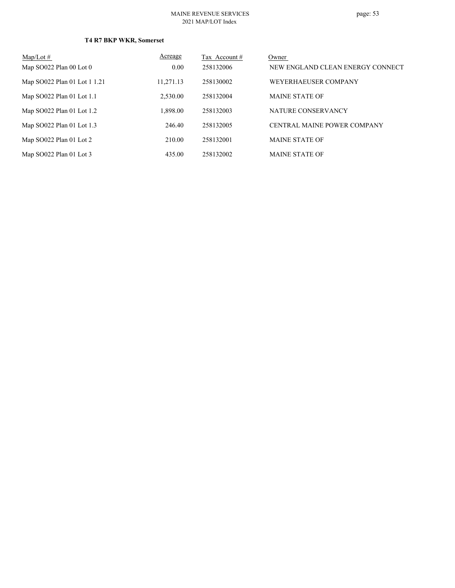#### MAINE REVENUE SERVICES 2021 MAP/LOT Index

| $Map/Lot \#$                 | Acreage   | Tax Account # | Owner                            |
|------------------------------|-----------|---------------|----------------------------------|
| Map $SO022$ Plan 00 Lot 0    | 0.00      | 258132006     | NEW ENGLAND CLEAN ENERGY CONNECT |
| Map SO022 Plan 01 Lot 1 1.21 | 11,271.13 | 258130002     | WEYERHAEUSER COMPANY             |
| Map SO022 Plan 01 Lot 1.1    | 2.530.00  | 258132004     | <b>MAINE STATE OF</b>            |
| Map SO022 Plan 01 Lot 1.2    | 1,898.00  | 258132003     | NATURE CONSERVANCY               |
| Map SO022 Plan 01 Lot 1.3    | 246.40    | 258132005     | CENTRAL MAINE POWER COMPANY      |
| Map SO022 Plan 01 Lot 2      | 210.00    | 258132001     | <b>MAINE STATE OF</b>            |
| Map SO022 Plan 01 Lot 3      | 435.00    | 258132002     | <b>MAINE STATE OF</b>            |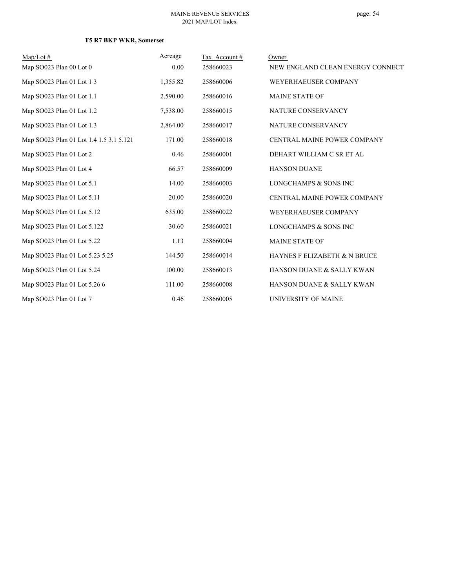# page: 54

| $Map/Lot \#$                            | Acreage  | Tax Account# | Owner                            |
|-----------------------------------------|----------|--------------|----------------------------------|
| Map SO023 Plan 00 Lot 0                 | 0.00     | 258660023    | NEW ENGLAND CLEAN ENERGY CONNECT |
| Map SO023 Plan 01 Lot 1 3               | 1,355.82 | 258660006    | WEYERHAEUSER COMPANY             |
| Map SO023 Plan 01 Lot 1.1               | 2,590.00 | 258660016    | <b>MAINE STATE OF</b>            |
| Map SO023 Plan 01 Lot 1.2               | 7,538.00 | 258660015    | NATURE CONSERVANCY               |
| Map SO023 Plan 01 Lot 1.3               | 2,864.00 | 258660017    | NATURE CONSERVANCY               |
| Map SO023 Plan 01 Lot 1.4 1.5 3.1 5.121 | 171.00   | 258660018    | CENTRAL MAINE POWER COMPANY      |
| Map SO023 Plan 01 Lot 2                 | 0.46     | 258660001    | DEHART WILLIAM C SR ET AL        |
| Map SO023 Plan 01 Lot 4                 | 66.57    | 258660009    | <b>HANSON DUANE</b>              |
| Map SO023 Plan 01 Lot 5.1               | 14.00    | 258660003    | LONGCHAMPS & SONS INC            |
| Map SO023 Plan 01 Lot 5.11              | 20.00    | 258660020    | CENTRAL MAINE POWER COMPANY      |
| Map SO023 Plan 01 Lot 5.12              | 635.00   | 258660022    | WEYERHAEUSER COMPANY             |
| Map SO023 Plan 01 Lot 5.122             | 30.60    | 258660021    | <b>LONGCHAMPS &amp; SONS INC</b> |
| Map SO023 Plan 01 Lot 5.22              | 1.13     | 258660004    | <b>MAINE STATE OF</b>            |
| Map SO023 Plan 01 Lot 5.23 5.25         | 144.50   | 258660014    | HAYNES F ELIZABETH & N BRUCE     |
| Map SO023 Plan 01 Lot 5.24              | 100.00   | 258660013    | HANSON DUANE & SALLY KWAN        |
| Map SO023 Plan 01 Lot 5.26 6            | 111.00   | 258660008    | HANSON DUANE & SALLY KWAN        |
| Map SO023 Plan 01 Lot 7                 | 0.46     | 258660005    | UNIVERSITY OF MAINE              |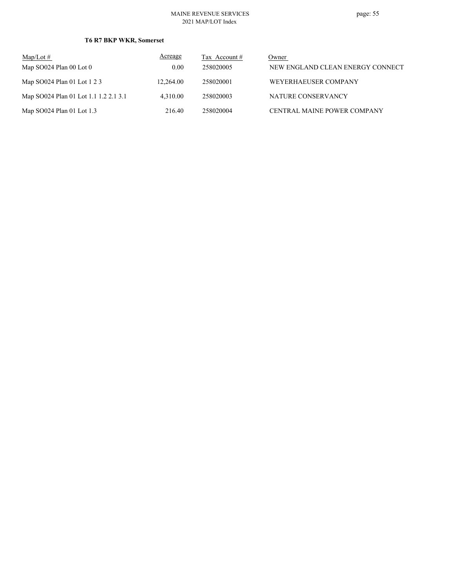#### MAINE REVENUE SERVICES 2021 MAP/LOT Index

| $Map/Lot \#$                          | Acreage   | Tax Account # | Owner                            |
|---------------------------------------|-----------|---------------|----------------------------------|
| Map $SO024$ Plan 00 Lot 0             | 0.00      | 258020005     | NEW ENGLAND CLEAN ENERGY CONNECT |
| Map SO024 Plan 01 Lot 1 2 3           | 12.264.00 | 258020001     | WEYERHAEUSER COMPANY             |
| Map SO024 Plan 01 Lot 1.1 1.2 2.1 3.1 | 4.310.00  | 258020003     | NATURE CONSERVANCY               |
| Map SO024 Plan 01 Lot 1.3             | 216.40    | 258020004     | CENTRAL MAINE POWER COMPANY      |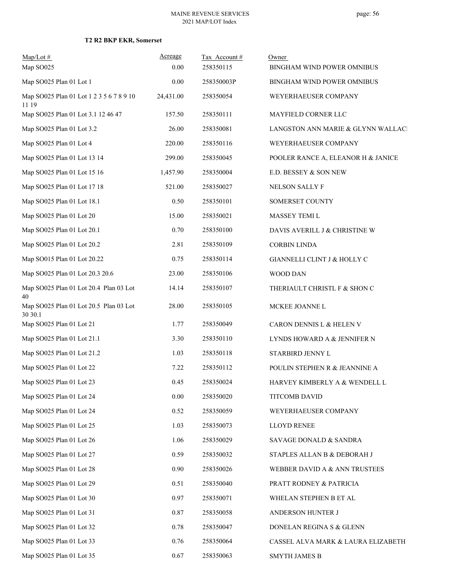| $Map/Lot \#$<br>Map SO025                         | Acreage<br>0.00 | Tax Account#<br>258350115 | Owner<br>BINGHAM WIND POWER OMNIBUS |
|---------------------------------------------------|-----------------|---------------------------|-------------------------------------|
| Map SO025 Plan 01 Lot 1                           | 0.00            | 258350003P                | BINGHAM WIND POWER OMNIBUS          |
| Map SO025 Plan 01 Lot 1 2 3 5 6 7 8 9 10<br>11 19 | 24,431.00       | 258350054                 | WEYERHAEUSER COMPANY                |
| Map SO025 Plan 01 Lot 3.1 12 46 47                | 157.50          | 258350111                 | MAYFIELD CORNER LLC                 |
| Map SO025 Plan 01 Lot 3.2                         | 26.00           | 258350081                 | LANGSTON ANN MARIE & GLYNN WALLACI  |
| Map SO025 Plan 01 Lot 4                           | 220.00          | 258350116                 | WEYERHAEUSER COMPANY                |
| Map SO025 Plan 01 Lot 13 14                       | 299.00          | 258350045                 | POOLER RANCE A, ELEANOR H & JANICE  |
| Map SO025 Plan 01 Lot 15 16                       | 1,457.90        | 258350004                 | E.D. BESSEY & SON NEW               |
| Map SO025 Plan 01 Lot 17 18                       | 521.00          | 258350027                 | NELSON SALLY F                      |
| Map SO025 Plan 01 Lot 18.1                        | 0.50            | 258350101                 | SOMERSET COUNTY                     |
| Map SO025 Plan 01 Lot 20                          | 15.00           | 258350021                 | MASSEY TEMI L                       |
| Map SO025 Plan 01 Lot 20.1                        | 0.70            | 258350100                 | DAVIS AVERILL J & CHRISTINE W       |
| Map SO025 Plan 01 Lot 20.2                        | 2.81            | 258350109                 | <b>CORBIN LINDA</b>                 |
| Map SO015 Plan 01 Lot 20.22                       | 0.75            | 258350114                 | GIANNELLI CLINT J & HOLLY C         |
| Map SO025 Plan 01 Lot 20.3 20.6                   | 23.00           | 258350106                 | WOOD DAN                            |
| Map SO025 Plan 01 Lot 20.4 Plan 03 Lot<br>40      | 14.14           | 258350107                 | THERIAULT CHRISTL F & SHON C        |
| Map SO025 Plan 01 Lot 20.5 Plan 03 Lot<br>30 30.1 | 28.00           | 258350105                 | MCKEE JOANNE L                      |
| Map SO025 Plan 01 Lot 21                          | 1.77            | 258350049                 | CARON DENNIS L & HELEN V            |
| Map SO025 Plan 01 Lot 21.1                        | 3.30            | 258350110                 | LYNDS HOWARD A & JENNIFER N         |
| Map SO025 Plan 01 Lot 21.2                        | 1.03            | 258350118                 | STARBIRD JENNY L                    |
| Map SO025 Plan 01 Lot 22                          | 7.22            | 258350112                 | POULIN STEPHEN R & JEANNINE A       |
| Map SO025 Plan 01 Lot 23                          | 0.45            | 258350024                 | HARVEY KIMBERLY A & WENDELL L       |
| Map SO025 Plan 01 Lot 24                          | 0.00            | 258350020                 | TITCOMB DAVID                       |
| Map SO025 Plan 01 Lot 24                          | 0.52            | 258350059                 | WEYERHAEUSER COMPANY                |
| Map SO025 Plan 01 Lot 25                          | 1.03            | 258350073                 | <b>LLOYD RENEE</b>                  |
| Map SO025 Plan 01 Lot 26                          | 1.06            | 258350029                 | SAVAGE DONALD & SANDRA              |
| Map SO025 Plan 01 Lot 27                          | 0.59            | 258350032                 | STAPLES ALLAN B & DEBORAH J         |
| Map SO025 Plan 01 Lot 28                          | 0.90            | 258350026                 | WEBBER DAVID A & ANN TRUSTEES       |
| Map SO025 Plan 01 Lot 29                          | 0.51            | 258350040                 | PRATT RODNEY & PATRICIA             |
| Map SO025 Plan 01 Lot 30                          | 0.97            | 258350071                 | WHELAN STEPHEN B ET AL              |
| Map SO025 Plan 01 Lot 31                          | 0.87            | 258350058                 | ANDERSON HUNTER J                   |
| Map SO025 Plan 01 Lot 32                          | 0.78            | 258350047                 | DONELAN REGINA S & GLENN            |
| Map SO025 Plan 01 Lot 33                          | 0.76            | 258350064                 | CASSEL ALVA MARK & LAURA ELIZABETH  |
| Map SO025 Plan 01 Lot 35                          | 0.67            | 258350063                 | <b>SMYTH JAMES B</b>                |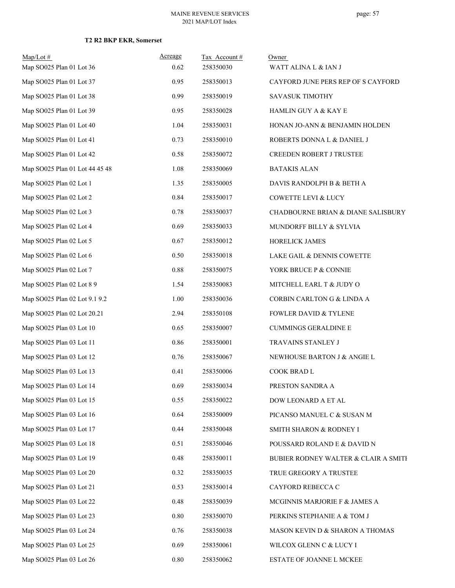| $Map/Lot \#$<br>Map SO025 Plan 01 Lot 36 | Acreage<br>0.62 | Tax Account#<br>258350030 | Owner<br>WATT ALINA L & IAN J                 |
|------------------------------------------|-----------------|---------------------------|-----------------------------------------------|
| Map SO025 Plan 01 Lot 37                 | 0.95            | 258350013                 | CAYFORD JUNE PERS REP OF S CAYFORD            |
| Map SO025 Plan 01 Lot 38                 | 0.99            | 258350019                 | SAVASUK TIMOTHY                               |
| Map SO025 Plan 01 Lot 39                 | 0.95            | 258350028                 | <b>HAMLIN GUY A &amp; KAY E</b>               |
| Map SO025 Plan 01 Lot 40                 | 1.04            | 258350031                 | HONAN JO-ANN & BENJAMIN HOLDEN                |
| Map SO025 Plan 01 Lot 41                 | 0.73            | 258350010                 | ROBERTS DONNA L & DANIEL J                    |
| Map SO025 Plan 01 Lot 42                 | 0.58            | 258350072                 | CREEDEN ROBERT J TRUSTEE                      |
| Map SO025 Plan 01 Lot 44 45 48           | 1.08            | 258350069                 | <b>BATAKIS ALAN</b>                           |
| Map SO025 Plan 02 Lot 1                  | 1.35            | 258350005                 | DAVIS RANDOLPH B & BETH A                     |
| Map SO025 Plan 02 Lot 2                  | 0.84            | 258350017                 | <b>COWETTE LEVI &amp; LUCY</b>                |
| Map SO025 Plan 02 Lot 3                  | 0.78            | 258350037                 | <b>CHADBOURNE BRIAN &amp; DIANE SALISBURY</b> |
| Map SO025 Plan 02 Lot 4                  | 0.69            | 258350033                 | MUNDORFF BILLY & SYLVIA                       |
| Map SO025 Plan 02 Lot 5                  | 0.67            | 258350012                 | HORELICK JAMES                                |
| Map SO025 Plan 02 Lot 6                  | 0.50            | 258350018                 | LAKE GAIL & DENNIS COWETTE                    |
| Map SO025 Plan 02 Lot 7                  | 0.88            | 258350075                 | YORK BRUCE P & CONNIE                         |
| Map SO025 Plan 02 Lot 8 9                | 1.54            | 258350083                 | MITCHELL EARL T & JUDY O                      |
| Map SO025 Plan 02 Lot 9.1 9.2            | 1.00            | 258350036                 | CORBIN CARLTON G & LINDA A                    |
| Map SO025 Plan 02 Lot 20.21              | 2.94            | 258350108                 | <b>FOWLER DAVID &amp; TYLENE</b>              |
| Map SO025 Plan 03 Lot 10                 | 0.65            | 258350007                 | <b>CUMMINGS GERALDINE E</b>                   |
| Map SO025 Plan 03 Lot 11                 | 0.86            | 258350001                 | TRAVAINS STANLEY J                            |
| Map SO025 Plan 03 Lot 12                 | 0.76            | 258350067                 | NEWHOUSE BARTON J & ANGIE L                   |
| Map SO025 Plan 03 Lot 13                 | 0.41            | 258350006                 | COOK BRAD L                                   |
| Map SO025 Plan 03 Lot 14                 | 0.69            | 258350034                 | PRESTON SANDRA A                              |
| Map SO025 Plan 03 Lot 15                 | 0.55            | 258350022                 | DOW LEONARD A ET AL                           |
| Map SO025 Plan 03 Lot 16                 | 0.64            | 258350009                 | PICANSO MANUEL C & SUSAN M                    |
| Map SO025 Plan 03 Lot 17                 | 0.44            | 258350048                 | SMITH SHARON & RODNEY I                       |
| Map SO025 Plan 03 Lot 18                 | 0.51            | 258350046                 | POUSSARD ROLAND E & DAVID N                   |
| Map SO025 Plan 03 Lot 19                 | 0.48            | 258350011                 | BUBIER RODNEY WALTER & CLAIR A SMITH          |
| Map SO025 Plan 03 Lot 20                 | 0.32            | 258350035                 | TRUE GREGORY A TRUSTEE                        |
| Map SO025 Plan 03 Lot 21                 | 0.53            | 258350014                 | CAYFORD REBECCA C                             |
| Map SO025 Plan 03 Lot 22                 | 0.48            | 258350039                 | MCGINNIS MARJORIE F & JAMES A                 |
| Map SO025 Plan 03 Lot 23                 | $0.80\,$        | 258350070                 | PERKINS STEPHANIE A & TOM J                   |
| Map SO025 Plan 03 Lot 24                 | 0.76            | 258350038                 | MASON KEVIN D & SHARON A THOMAS               |
| Map SO025 Plan 03 Lot 25                 | 0.69            | 258350061                 | WILCOX GLENN C & LUCY I                       |
| Map SO025 Plan 03 Lot 26                 | $0.80\,$        | 258350062                 | ESTATE OF JOANNE L MCKEE                      |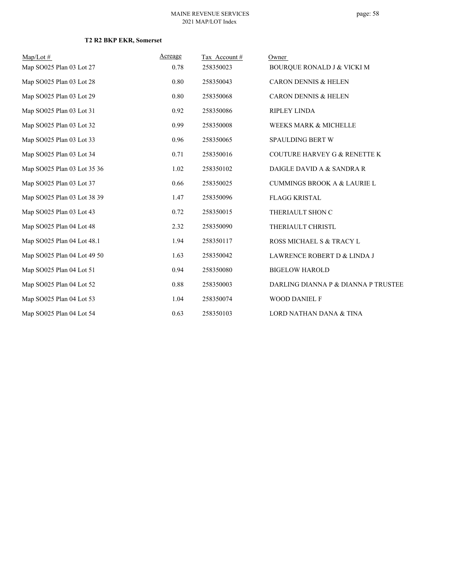| $Map/Lot \#$                | Acreage | Tax Account# | Owner                                   |
|-----------------------------|---------|--------------|-----------------------------------------|
| Map SO025 Plan 03 Lot 27    | 0.78    | 258350023    | BOURQUE RONALD J & VICKI M              |
| Map SO025 Plan 03 Lot 28    | 0.80    | 258350043    | <b>CARON DENNIS &amp; HELEN</b>         |
| Map SO025 Plan 03 Lot 29    | 0.80    | 258350068    | <b>CARON DENNIS &amp; HELEN</b>         |
| Map SO025 Plan 03 Lot 31    | 0.92    | 258350086    | <b>RIPLEY LINDA</b>                     |
| Map SO025 Plan 03 Lot 32    | 0.99    | 258350008    | WEEKS MARK & MICHELLE                   |
| Map SO025 Plan 03 Lot 33    | 0.96    | 258350065    | SPAULDING BERT W                        |
| Map SO025 Plan 03 Lot 34    | 0.71    | 258350016    | <b>COUTURE HARVEY G &amp; RENETTE K</b> |
| Map SO025 Plan 03 Lot 35 36 | 1.02    | 258350102    | DAIGLE DAVID A & SANDRA R               |
| Map SO025 Plan 03 Lot 37    | 0.66    | 258350025    | <b>CUMMINGS BROOK A &amp; LAURIE L</b>  |
| Map SO025 Plan 03 Lot 38 39 | 1.47    | 258350096    | <b>FLAGG KRISTAL</b>                    |
| Map SO025 Plan 03 Lot 43    | 0.72    | 258350015    | THERIAULT SHON C                        |
| Map SO025 Plan 04 Lot 48    | 2.32    | 258350090    | THERIAULT CHRISTL                       |
| Map SO025 Plan 04 Lot 48.1  | 1.94    | 258350117    | ROSS MICHAEL S & TRACY L                |
| Map SO025 Plan 04 Lot 49 50 | 1.63    | 258350042    | LAWRENCE ROBERT D & LINDA J             |
| Map SO025 Plan 04 Lot 51    | 0.94    | 258350080    | <b>BIGELOW HAROLD</b>                   |
| Map SO025 Plan 04 Lot 52    | 0.88    | 258350003    | DARLING DIANNA P & DIANNA P TRUSTEE     |
| Map SO025 Plan 04 Lot 53    | 1.04    | 258350074    | <b>WOOD DANIEL F</b>                    |
| Map SO025 Plan 04 Lot 54    | 0.63    | 258350103    | LORD NATHAN DANA & TINA                 |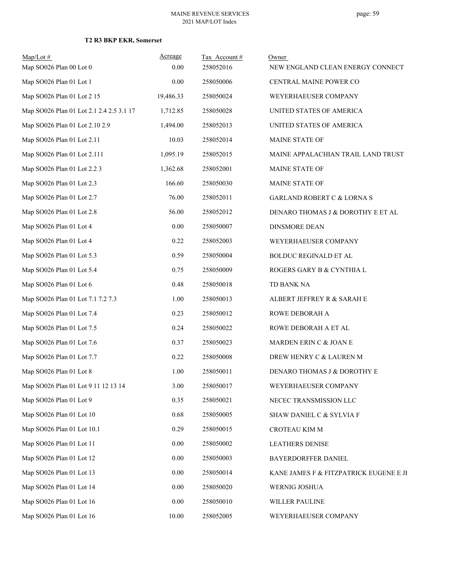| $Map/Lot \#$                             | Acreage   | Tax Account# | Owner                                  |
|------------------------------------------|-----------|--------------|----------------------------------------|
| Map SO026 Plan 00 Lot 0                  | 0.00      | 258052016    | NEW ENGLAND CLEAN ENERGY CONNECT       |
| Map SO026 Plan 01 Lot 1                  | 0.00      | 258050006    | CENTRAL MAINE POWER CO                 |
| Map SO026 Plan 01 Lot 2 15               | 19,486.33 | 258050024    | WEYERHAEUSER COMPANY                   |
| Map SO026 Plan 01 Lot 2.1 2.4 2.5 3.1 17 | 1,712.85  | 258050028    | UNITED STATES OF AMERICA               |
| Map SO026 Plan 01 Lot 2.10 2.9           | 1,494.00  | 258052013    | UNITED STATES OF AMERICA               |
| Map SO026 Plan 01 Lot 2.11               | 10.03     | 258052014    | MAINE STATE OF                         |
| Map SO026 Plan 01 Lot 2.111              | 1,095.19  | 258052015    | MAINE APPALACHIAN TRAIL LAND TRUST     |
| Map SO026 Plan 01 Lot 2.2 3              | 1,362.68  | 258052001    | MAINE STATE OF                         |
| Map SO026 Plan 01 Lot 2.3                | 166.60    | 258050030    | MAINE STATE OF                         |
| Map SO026 Plan 01 Lot 2.7                | 76.00     | 258052011    | <b>GARLAND ROBERT C &amp; LORNA S</b>  |
| Map SO026 Plan 01 Lot 2.8                | 56.00     | 258052012    | DENARO THOMAS J & DOROTHY E ET AL      |
| Map SO026 Plan 01 Lot 4                  | 0.00      | 258050007    | <b>DINSMORE DEAN</b>                   |
| Map SO026 Plan 01 Lot 4                  | 0.22      | 258052003    | WEYERHAEUSER COMPANY                   |
| Map SO026 Plan 01 Lot 5.3                | 0.59      | 258050004    | BOLDUC REGINALD ET AL                  |
| Map SO026 Plan 01 Lot 5.4                | 0.75      | 258050009    | ROGERS GARY B & CYNTHIA L              |
| Map SO026 Plan 01 Lot 6                  | 0.48      | 258050018    | TD BANK NA                             |
| Map SO026 Plan 01 Lot 7.1 7.2 7.3        | 1.00      | 258050013    | ALBERT JEFFREY R & SARAH E             |
| Map SO026 Plan 01 Lot 7.4                | 0.23      | 258050012    | ROWE DEBORAH A                         |
| Map SO026 Plan 01 Lot 7.5                | 0.24      | 258050022    | ROWE DEBORAH A ET AL                   |
| Map SO026 Plan 01 Lot 7.6                | 0.37      | 258050023    | MARDEN ERIN C & JOAN E                 |
| Map SO026 Plan 01 Lot 7.7                | 0.22      | 258050008    | DREW HENRY C & LAUREN M                |
| Map SO026 Plan 01 Lot 8                  | 1.00      | 258050011    | DENARO THOMAS J & DOROTHY E            |
| Map SO026 Plan 01 Lot 9 11 12 13 14      | 3.00      | 258050017    | WEYERHAEUSER COMPANY                   |
| Map SO026 Plan 01 Lot 9                  | 0.35      | 258050021    | NECEC TRANSMISSION LLC                 |
| Map SO026 Plan 01 Lot 10                 | 0.68      | 258050005    | SHAW DANIEL C & SYLVIA F               |
| Map SO026 Plan 01 Lot 10.1               | 0.29      | 258050015    | CROTEAU KIM M                          |
| Map SO026 Plan 01 Lot 11                 | 0.00      | 258050002    | <b>LEATHERS DENISE</b>                 |
| Map SO026 Plan 01 Lot 12                 | 0.00      | 258050003    | BAYERDORFFER DANIEL                    |
| Map SO026 Plan 01 Lot 13                 | $0.00\,$  | 258050014    | KANE JAMES F & FITZPATRICK EUGENE E JI |
| Map SO026 Plan 01 Lot 14                 | 0.00      | 258050020    | WERNIG JOSHUA                          |
| Map SO026 Plan 01 Lot 16                 | $0.00\,$  | 258050010    | WILLER PAULINE                         |
| Map SO026 Plan 01 Lot 16                 | 10.00     | 258052005    | WEYERHAEUSER COMPANY                   |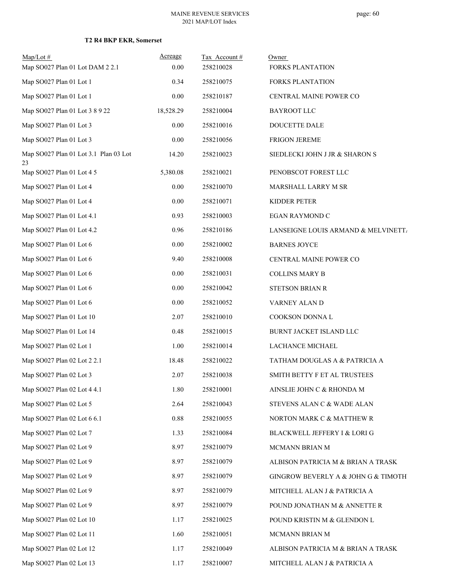| $Map/Lot \#$<br>Map SO027 Plan 01 Lot DAM 2 2.1 | Acreage<br>0.00 | Tax Account#<br>258210028 | Owner<br><b>FORKS PLANTATION</b>    |
|-------------------------------------------------|-----------------|---------------------------|-------------------------------------|
| Map SO027 Plan 01 Lot 1                         | 0.34            | 258210075                 | <b>FORKS PLANTATION</b>             |
| Map SO027 Plan 01 Lot 1                         | $0.00\,$        | 258210187                 | CENTRAL MAINE POWER CO              |
| Map SO027 Plan 01 Lot 3 8 9 22                  | 18,528.29       | 258210004                 | <b>BAYROOT LLC</b>                  |
| Map SO027 Plan 01 Lot 3                         | 0.00            | 258210016                 | DOUCETTE DALE                       |
| Map SO027 Plan 01 Lot 3                         | $0.00\,$        | 258210056                 | FRIGON JEREME                       |
| Map SO027 Plan 01 Lot 3.1 Plan 03 Lot<br>23     | 14.20           | 258210023                 | SIEDLECKI JOHN J JR & SHARON S      |
| Map SO027 Plan 01 Lot 4 5                       | 5,380.08        | 258210021                 | PENOBSCOT FOREST LLC                |
| Map SO027 Plan 01 Lot 4                         | $0.00\,$        | 258210070                 | MARSHALL LARRY M SR                 |
| Map SO027 Plan 01 Lot 4                         | 0.00            | 258210071                 | KIDDER PETER                        |
| Map SO027 Plan 01 Lot 4.1                       | 0.93            | 258210003                 | EGAN RAYMOND C                      |
| Map SO027 Plan 01 Lot 4.2                       | 0.96            | 258210186                 | LANSEIGNE LOUIS ARMAND & MELVINETT  |
| Map SO027 Plan 01 Lot 6                         | $0.00\,$        | 258210002                 | <b>BARNES JOYCE</b>                 |
| Map SO027 Plan 01 Lot 6                         | 9.40            | 258210008                 | CENTRAL MAINE POWER CO              |
| Map SO027 Plan 01 Lot 6                         | $0.00\,$        | 258210031                 | <b>COLLINS MARY B</b>               |
| Map SO027 Plan 01 Lot 6                         | 0.00            | 258210042                 | <b>STETSON BRIAN R</b>              |
| Map SO027 Plan 01 Lot 6                         | $0.00\,$        | 258210052                 | VARNEY ALAN D                       |
| Map SO027 Plan 01 Lot 10                        | 2.07            | 258210010                 | COOKSON DONNA L                     |
| Map SO027 Plan 01 Lot 14                        | 0.48            | 258210015                 | BURNT JACKET ISLAND LLC             |
| Map SO027 Plan 02 Lot 1                         | 1.00            | 258210014                 | LACHANCE MICHAEL                    |
| Map SO027 Plan 02 Lot 2 2.1                     | 18.48           | 258210022                 | TATHAM DOUGLAS A & PATRICIA A       |
| Map SO027 Plan 02 Lot 3                         | 2.07            | 258210038                 | SMITH BETTY F ET AL TRUSTEES        |
| Map SO027 Plan 02 Lot 4 4.1                     | 1.80            | 258210001                 | AINSLIE JOHN C & RHONDA M           |
| Map SO027 Plan 02 Lot 5                         | 2.64            | 258210043                 | STEVENS ALAN C & WADE ALAN          |
| Map SO027 Plan 02 Lot 6 6.1                     | 0.88            | 258210055                 | NORTON MARK C & MATTHEW R           |
| Map SO027 Plan 02 Lot 7                         | 1.33            | 258210084                 | BLACKWELL JEFFERY I & LORI G        |
| Map SO027 Plan 02 Lot 9                         | 8.97            | 258210079                 | MCMANN BRIAN M                      |
| Map SO027 Plan 02 Lot 9                         | 8.97            | 258210079                 | ALBISON PATRICIA M & BRIAN A TRASK  |
| Map SO027 Plan 02 Lot 9                         | 8.97            | 258210079                 | GINGROW BEVERLY A & JOHN G & TIMOTH |
| Map SO027 Plan 02 Lot 9                         | 8.97            | 258210079                 | MITCHELL ALAN J & PATRICIA A        |
| Map SO027 Plan 02 Lot 9                         | 8.97            | 258210079                 | POUND JONATHAN M & ANNETTE R        |
| Map SO027 Plan 02 Lot 10                        | 1.17            | 258210025                 | POUND KRISTIN M & GLENDON L         |
| Map SO027 Plan 02 Lot 11                        | 1.60            | 258210051                 | MCMANN BRIAN M                      |
| Map SO027 Plan 02 Lot 12                        | 1.17            | 258210049                 | ALBISON PATRICIA M & BRIAN A TRASK  |
| Map SO027 Plan 02 Lot 13                        | 1.17            | 258210007                 | MITCHELL ALAN J & PATRICIA A        |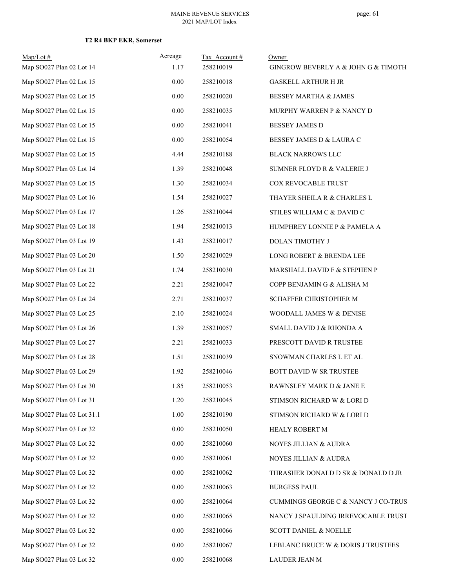| $Map/Lot \#$<br>Map SO027 Plan 02 Lot 14 | Acreage<br>1.17 | Tax Account#<br>258210019 | Owner<br>GINGROW BEVERLY A & JOHN G & TIMOTH |
|------------------------------------------|-----------------|---------------------------|----------------------------------------------|
| Map SO027 Plan 02 Lot 15                 | 0.00            | 258210018                 | <b>GASKELL ARTHUR H JR</b>                   |
| Map SO027 Plan 02 Lot 15                 | 0.00            | 258210020                 | <b>BESSEY MARTHA &amp; JAMES</b>             |
| Map SO027 Plan 02 Lot 15                 | 0.00            | 258210035                 | MURPHY WARREN P & NANCY D                    |
| Map SO027 Plan 02 Lot 15                 | 0.00            | 258210041                 | <b>BESSEY JAMES D</b>                        |
| Map SO027 Plan 02 Lot 15                 | 0.00            | 258210054                 | BESSEY JAMES D & LAURA C                     |
| Map SO027 Plan 02 Lot 15                 | 4.44            | 258210188                 | <b>BLACK NARROWS LLC</b>                     |
| Map SO027 Plan 03 Lot 14                 | 1.39            | 258210048                 | SUMNER FLOYD R & VALERIE J                   |
| Map SO027 Plan 03 Lot 15                 | 1.30            | 258210034                 | COX REVOCABLE TRUST                          |
| Map SO027 Plan 03 Lot 16                 | 1.54            | 258210027                 | THAYER SHEILA R & CHARLES L                  |
| Map SO027 Plan 03 Lot 17                 | 1.26            | 258210044                 | STILES WILLIAM C & DAVID C                   |
| Map SO027 Plan 03 Lot 18                 | 1.94            | 258210013                 | HUMPHREY LONNIE P & PAMELA A                 |
| Map SO027 Plan 03 Lot 19                 | 1.43            | 258210017                 | DOLAN TIMOTHY J                              |
| Map SO027 Plan 03 Lot 20                 | 1.50            | 258210029                 | LONG ROBERT & BRENDA LEE                     |
| Map SO027 Plan 03 Lot 21                 | 1.74            | 258210030                 | MARSHALL DAVID F & STEPHEN P                 |
| Map SO027 Plan 03 Lot 22                 | 2.21            | 258210047                 | COPP BENJAMIN G & ALISHA M                   |
| Map SO027 Plan 03 Lot 24                 | 2.71            | 258210037                 | SCHAFFER CHRISTOPHER M                       |
| Map SO027 Plan 03 Lot 25                 | 2.10            | 258210024                 | WOODALL JAMES W & DENISE                     |
| Map SO027 Plan 03 Lot 26                 | 1.39            | 258210057                 | SMALL DAVID J & RHONDA A                     |
| Map SO027 Plan 03 Lot 27                 | 2.21            | 258210033                 | PRESCOTT DAVID R TRUSTEE                     |
| Map SO027 Plan 03 Lot 28                 | 1.51            | 258210039                 | SNOWMAN CHARLES L ET AL                      |
| Map SO027 Plan 03 Lot 29                 | 1.92            | 258210046                 | <b>BOTT DAVID W SR TRUSTEE</b>               |
| Map SO027 Plan 03 Lot 30                 | 1.85            | 258210053                 | RAWNSLEY MARK D $\&$ JANE E                  |
| Map SO027 Plan 03 Lot 31                 | 1.20            | 258210045                 | STIMSON RICHARD W & LORI D                   |
| Map SO027 Plan 03 Lot 31.1               | 1.00            | 258210190                 | STIMSON RICHARD W & LORI D                   |
| Map SO027 Plan 03 Lot 32                 | 0.00            | 258210050                 | HEALY ROBERT M                               |
| Map SO027 Plan 03 Lot 32                 | 0.00            | 258210060                 | NOYES JILLIAN & AUDRA                        |
| Map SO027 Plan 03 Lot 32                 | 0.00            | 258210061                 | NOYES JILLIAN & AUDRA                        |
| Map SO027 Plan 03 Lot 32                 | 0.00            | 258210062                 | THRASHER DONALD D SR & DONALD D JR           |
| Map SO027 Plan 03 Lot 32                 | 0.00            | 258210063                 | <b>BURGESS PAUL</b>                          |
| Map SO027 Plan 03 Lot 32                 | 0.00            | 258210064                 | CUMMINGS GEORGE C & NANCY J CO-TRUS          |
| Map SO027 Plan 03 Lot 32                 | 0.00            | 258210065                 | NANCY J SPAULDING IRREVOCABLE TRUST          |
| Map SO027 Plan 03 Lot 32                 | 0.00            | 258210066                 | <b>SCOTT DANIEL &amp; NOELLE</b>             |
| Map SO027 Plan 03 Lot 32                 | 0.00            | 258210067                 | LEBLANC BRUCE W & DORIS J TRUSTEES           |
| Map SO027 Plan 03 Lot 32                 | $0.00\,$        | 258210068                 | LAUDER JEAN M                                |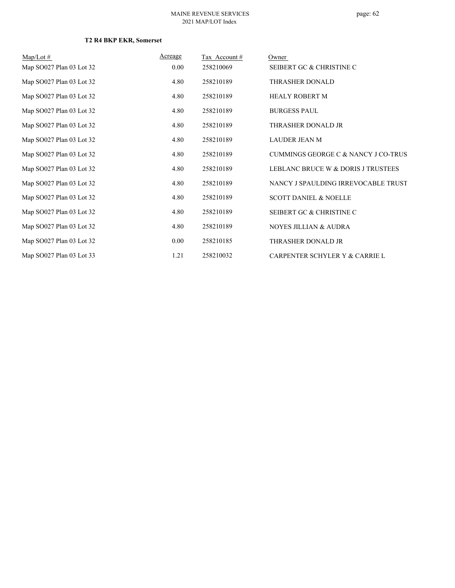| $Map/Lot \#$             | Acreage  | Tax Account # | Owner                               |
|--------------------------|----------|---------------|-------------------------------------|
| Map SO027 Plan 03 Lot 32 | $0.00\,$ | 258210069     | SEIBERT GC & CHRISTINE C            |
| Map SO027 Plan 03 Lot 32 | 4.80     | 258210189     | THRASHER DONALD                     |
| Map SO027 Plan 03 Lot 32 | 4.80     | 258210189     | <b>HEALY ROBERT M</b>               |
| Map SO027 Plan 03 Lot 32 | 4.80     | 258210189     | <b>BURGESS PAUL</b>                 |
| Map SO027 Plan 03 Lot 32 | 4.80     | 258210189     | THRASHER DONALD JR                  |
| Map SO027 Plan 03 Lot 32 | 4.80     | 258210189     | LAUDER JEAN M                       |
| Map SO027 Plan 03 Lot 32 | 4.80     | 258210189     | CUMMINGS GEORGE C & NANCY J CO-TRUS |
| Map SO027 Plan 03 Lot 32 | 4.80     | 258210189     | LEBLANC BRUCE W & DORIS J TRUSTEES  |
| Map SO027 Plan 03 Lot 32 | 4.80     | 258210189     | NANCY J SPAULDING IRREVOCABLE TRUST |
| Map SO027 Plan 03 Lot 32 | 4.80     | 258210189     | <b>SCOTT DANIEL &amp; NOELLE</b>    |
| Map SO027 Plan 03 Lot 32 | 4.80     | 258210189     | SEIBERT GC & CHRISTINE C            |
| Map SO027 Plan 03 Lot 32 | 4.80     | 258210189     | <b>NOYES JILLIAN &amp; AUDRA</b>    |
| Map SO027 Plan 03 Lot 32 | $0.00\,$ | 258210185     | THRASHER DONALD JR                  |
| Map SO027 Plan 03 Lot 33 | 1.21     | 258210032     | CARPENTER SCHYLER Y & CARRIE L      |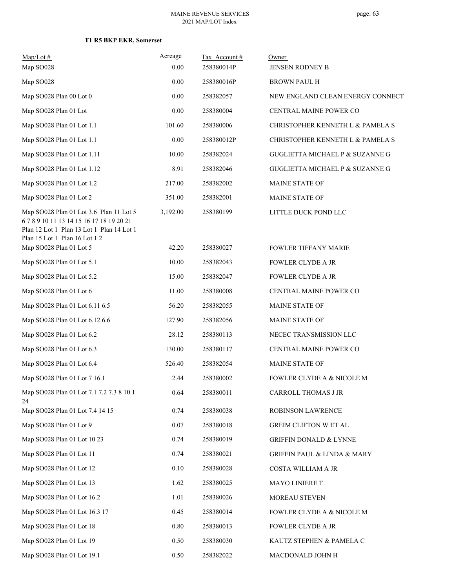#### MAINE REVENUE SERVICES 2021 MAP/LOT Index

| $Map/Lot \#$                                                                                                                                        | Acreage  | Tax Account# | Owner                                      |
|-----------------------------------------------------------------------------------------------------------------------------------------------------|----------|--------------|--------------------------------------------|
| Map SO028                                                                                                                                           | 0.00     | 258380014P   | <b>JENSEN RODNEY B</b>                     |
| Map SO028                                                                                                                                           | 0.00     | 258380016P   | <b>BROWN PAUL H</b>                        |
| Map SO028 Plan 00 Lot 0                                                                                                                             | 0.00     | 258382057    | NEW ENGLAND CLEAN ENERGY CONNECT           |
| Map SO028 Plan 01 Lot                                                                                                                               | 0.00     | 258380004    | CENTRAL MAINE POWER CO                     |
| Map SO028 Plan 01 Lot 1.1                                                                                                                           | 101.60   | 258380006    | CHRISTOPHER KENNETH L & PAMELA S           |
| Map SO028 Plan 01 Lot 1.1                                                                                                                           | 0.00     | 258380012P   | CHRISTOPHER KENNETH L & PAMELA S           |
| Map SO028 Plan 01 Lot 1.11                                                                                                                          | 10.00    | 258382024    | <b>GUGLIETTA MICHAEL P &amp; SUZANNE G</b> |
| Map SO028 Plan 01 Lot 1.12                                                                                                                          | 8.91     | 258382046    | <b>GUGLIETTA MICHAEL P &amp; SUZANNE G</b> |
| Map SO028 Plan 01 Lot 1.2                                                                                                                           | 217.00   | 258382002    | <b>MAINE STATE OF</b>                      |
| Map SO028 Plan 01 Lot 2                                                                                                                             | 351.00   | 258382001    | <b>MAINE STATE OF</b>                      |
| Map SO028 Plan 01 Lot 3.6 Plan 11 Lot 5<br>67891011131415161718192021<br>Plan 12 Lot 1 Plan 13 Lot 1 Plan 14 Lot 1<br>Plan 15 Lot 1 Plan 16 Lot 1 2 | 3,192.00 | 258380199    | LITTLE DUCK POND LLC                       |
| Map SO028 Plan 01 Lot 5                                                                                                                             | 42.20    | 258380027    | <b>FOWLER TIFFANY MARIE</b>                |
| Map SO028 Plan 01 Lot 5.1                                                                                                                           | 10.00    | 258382043    | <b>FOWLER CLYDE A JR</b>                   |
| Map SO028 Plan 01 Lot 5.2                                                                                                                           | 15.00    | 258382047    | <b>FOWLER CLYDE A JR</b>                   |
| Map SO028 Plan 01 Lot 6                                                                                                                             | 11.00    | 258380008    | CENTRAL MAINE POWER CO                     |
| Map SO028 Plan 01 Lot 6.11 6.5                                                                                                                      | 56.20    | 258382055    | MAINE STATE OF                             |
| Map SO028 Plan 01 Lot 6.12 6.6                                                                                                                      | 127.90   | 258382056    | <b>MAINE STATE OF</b>                      |
| Map SO028 Plan 01 Lot 6.2                                                                                                                           | 28.12    | 258380113    | NECEC TRANSMISSION LLC                     |
| Map SO028 Plan 01 Lot 6.3                                                                                                                           | 130.00   | 258380117    | CENTRAL MAINE POWER CO                     |
| Map SO028 Plan 01 Lot 6.4                                                                                                                           | 526.40   | 258382054    | MAINE STATE OF                             |
| Map SO028 Plan 01 Lot 7 16.1                                                                                                                        | 2.44     | 258380002    | <b>FOWLER CLYDE A &amp; NICOLE M</b>       |
| Map SO028 Plan 01 Lot 7.1 7.2 7.3 8 10.1<br>24                                                                                                      | 0.64     | 258380011    | <b>CARROLL THOMAS J JR</b>                 |
| Map SO028 Plan 01 Lot 7.4 14 15                                                                                                                     | 0.74     | 258380038    | ROBINSON LAWRENCE                          |
| Map SO028 Plan 01 Lot 9                                                                                                                             | 0.07     | 258380018    | GREIM CLIFTON W ET AL                      |
| Map SO028 Plan 01 Lot 10 23                                                                                                                         | 0.74     | 258380019    | <b>GRIFFIN DONALD &amp; LYNNE</b>          |
| Map SO028 Plan 01 Lot 11                                                                                                                            | 0.74     | 258380021    | GRIFFIN PAUL & LINDA & MARY                |
| Map SO028 Plan 01 Lot 12                                                                                                                            | 0.10     | 258380028    | COSTA WILLIAM A JR                         |
| Map SO028 Plan 01 Lot 13                                                                                                                            | 1.62     | 258380025    | MAYO LINIERE T                             |
| Map SO028 Plan 01 Lot 16.2                                                                                                                          | 1.01     | 258380026    | MOREAU STEVEN                              |
| Map SO028 Plan 01 Lot 16.3 17                                                                                                                       | 0.45     | 258380014    | FOWLER CLYDE A & NICOLE M                  |
| Map SO028 Plan 01 Lot 18                                                                                                                            | 0.80     | 258380013    | FOWLER CLYDE A JR                          |
| Map SO028 Plan 01 Lot 19                                                                                                                            | 0.50     | 258380030    | KAUTZ STEPHEN & PAMELA C                   |
| Map SO028 Plan 01 Lot 19.1                                                                                                                          | 0.50     | 258382022    | MACDONALD JOHN H                           |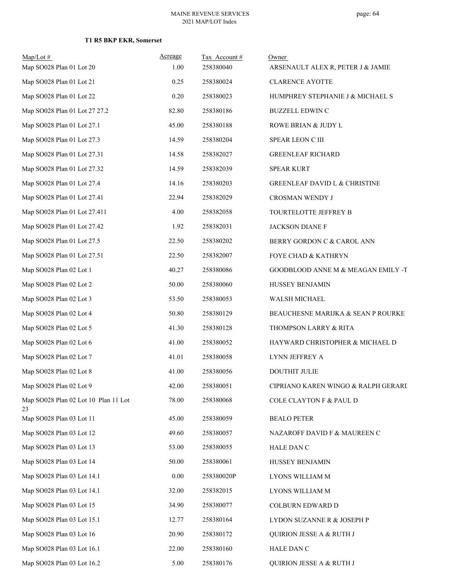| $Map/Lot \#$<br>Map SO028 Plan 01 Lot 20   | Acreage<br>1.00 | Tax Account#<br>258380040 | Owner<br>ARSENAULT ALEX R, PETER J & JAMIE |
|--------------------------------------------|-----------------|---------------------------|--------------------------------------------|
| Map SO028 Plan 01 Lot 21                   | 0.25            | 258380024                 | <b>CLARENCE AYOTTE</b>                     |
| Map SO028 Plan 01 Lot 22                   | 0.20            | 258380023                 | HUMPHREY STEPHANIE J & MICHAEL S           |
|                                            |                 |                           |                                            |
| Map SO028 Plan 01 Lot 27 27.2              | 82.80           | 258380186                 | <b>BUZZELL EDWIN C</b>                     |
| Map SO028 Plan 01 Lot 27.1                 | 45.00           | 258380188                 | ROWE BRIAN & JUDY L                        |
| Map SO028 Plan 01 Lot 27.3                 | 14.59           | 258380204                 | SPEAR LEON C III                           |
| Map SO028 Plan 01 Lot 27.31                | 14.58           | 258382027                 | <b>GREENLEAF RICHARD</b>                   |
| Map SO028 Plan 01 Lot 27.32                | 14.59           | 258382039                 | <b>SPEAR KURT</b>                          |
| Map SO028 Plan 01 Lot 27.4                 | 14.16           | 258380203                 | <b>GREENLEAF DAVID L &amp; CHRISTINE</b>   |
| Map SO028 Plan 01 Lot 27.41                | 22.94           | 258382029                 | CROSMAN WENDY J                            |
| Map SO028 Plan 01 Lot 27.411               | 4.00            | 258382058                 | TOURTELOTTE JEFFREY B                      |
| Map SO028 Plan 01 Lot 27.42                | 1.92            | 258382031                 | JACKSON DIANE F                            |
| Map SO028 Plan 01 Lot 27.5                 | 22.50           | 258380202                 | BERRY GORDON C & CAROL ANN                 |
| Map SO028 Plan 01 Lot 27.51                | 22.50           | 258382007                 | FOYE CHAD & KATHRYN                        |
| Map SO028 Plan 02 Lot 1                    | 40.27           | 258380086                 | GOODBLOOD ANNE M & MEAGAN EMILY -T         |
| Map SO028 Plan 02 Lot 2                    | 50.00           | 258380060                 | HUSSEY BENJAMIN                            |
| Map SO028 Plan 02 Lot 3                    | 53.50           | 258380053                 | WALSH MICHAEL                              |
| Map SO028 Plan 02 Lot 4                    | 50.80           | 258380129                 | BEAUCHESNE MARIJKA & SEAN P ROURKE         |
| Map SO028 Plan 02 Lot 5                    | 41.30           | 258380128                 | THOMPSON LARRY & RITA                      |
| Map SO028 Plan 02 Lot 6                    | 41.00           | 258380052                 | HAYWARD CHRISTOPHER & MICHAEL D            |
| Map SO028 Plan 02 Lot 7                    | 41.01           | 258380058                 | LYNN JEFFREY A                             |
| Map SO028 Plan 02 Lot 8                    | 41.00           | 258380056                 | DOUTHIT JULIE                              |
| Map SO028 Plan 02 Lot 9                    | 42.00           | 258380051                 | CIPRIANO KAREN WINGO & RALPH GERARI        |
| Map SO028 Plan 02 Lot 10 Plan 11 Lot<br>23 | 78.00           | 258380068                 | COLE CLAYTON F & PAUL D                    |
| Map SO028 Plan 03 Lot 11                   | 45.00           | 258380059                 | <b>BEALO PETER</b>                         |
| Map SO028 Plan 03 Lot 12                   | 49.60           | 258380057                 | NAZAROFF DAVID F & MAUREEN C               |
| Map SO028 Plan 03 Lot 13                   | 53.00           | 258380055                 | HALE DAN C                                 |
| Map SO028 Plan 03 Lot 14                   | 50.00           | 258380061                 | HUSSEY BENJAMIN                            |
| Map SO028 Plan 03 Lot 14.1                 | 0.00            | 258380020P                | LYONS WILLIAM M                            |
| Map SO028 Plan 03 Lot 14.1                 | 32.00           | 258382015                 | LYONS WILLIAM M                            |
| Map SO028 Plan 03 Lot 15                   | 34.90           | 258380077                 | COLBURN EDWARD D                           |
| Map SO028 Plan 03 Lot 15.1                 | 12.77           | 258380164                 | LYDON SUZANNE R & JOSEPH P                 |
| Map SO028 Plan 03 Lot 16                   | 20.90           | 258380172                 | <b>QUIRION JESSE A &amp; RUTH J</b>        |
| Map SO028 Plan 03 Lot 16.1                 | 22.00           | 258380160                 | HALE DAN C                                 |
| Map SO028 Plan 03 Lot 16.2                 | 5.00            | 258380176                 | QUIRION JESSE A & RUTH J                   |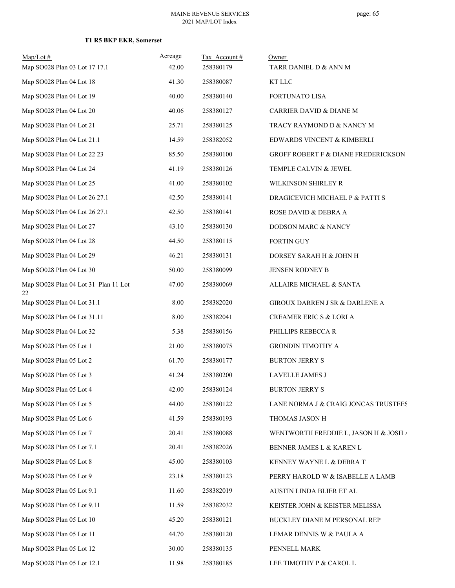| $Map/Lot \#$<br>Map SO028 Plan 03 Lot 17 17.1 | Acreage<br>42.00 | Tax Account#<br>258380179 | Owner<br>TARR DANIEL D & ANN M        |
|-----------------------------------------------|------------------|---------------------------|---------------------------------------|
| Map SO028 Plan 04 Lot 18                      | 41.30            | 258380087                 | KT LLC                                |
| Map SO028 Plan 04 Lot 19                      | 40.00            | 258380140                 | FORTUNATO LISA                        |
| Map SO028 Plan 04 Lot 20                      | 40.06            | 258380127                 | CARRIER DAVID & DIANE M               |
| Map SO028 Plan 04 Lot 21                      | 25.71            | 258380125                 | TRACY RAYMOND D & NANCY M             |
| Map SO028 Plan 04 Lot 21.1                    | 14.59            | 258382052                 | EDWARDS VINCENT & KIMBERLI            |
| Map SO028 Plan 04 Lot 22 23                   | 85.50            | 258380100                 | GROFF ROBERT F & DIANE FREDERICKSON   |
| Map SO028 Plan 04 Lot 24                      | 41.19            | 258380126                 | TEMPLE CALVIN & JEWEL                 |
| Map SO028 Plan 04 Lot 25                      | 41.00            | 258380102                 | WILKINSON SHIRLEY R                   |
| Map SO028 Plan 04 Lot 26 27.1                 | 42.50            | 258380141                 | DRAGICEVICH MICHAEL P & PATTI S       |
| Map SO028 Plan 04 Lot 26 27.1                 | 42.50            | 258380141                 | ROSE DAVID & DEBRA A                  |
| Map SO028 Plan 04 Lot 27                      | 43.10            | 258380130                 | DODSON MARC & NANCY                   |
| Map SO028 Plan 04 Lot 28                      | 44.50            | 258380115                 | <b>FORTIN GUY</b>                     |
| Map SO028 Plan 04 Lot 29                      | 46.21            | 258380131                 | DORSEY SARAH H & JOHN H               |
| Map SO028 Plan 04 Lot 30                      | 50.00            | 258380099                 | JENSEN RODNEY B                       |
| Map SO028 Plan 04 Lot 31 Plan 11 Lot<br>22    | 47.00            | 258380069                 | ALLAIRE MICHAEL & SANTA               |
| Map SO028 Plan 04 Lot 31.1                    | 8.00             | 258382020                 | GIROUX DARREN J SR & DARLENE A        |
| Map SO028 Plan 04 Lot 31.11                   | 8.00             | 258382041                 | CREAMER ERIC S & LORI A               |
| Map SO028 Plan 04 Lot 32                      | 5.38             | 258380156                 | PHILLIPS REBECCA R                    |
| Map SO028 Plan 05 Lot 1                       | 21.00            | 258380075                 | <b>GRONDIN TIMOTHY A</b>              |
| Map SO028 Plan 05 Lot 2                       | 61.70            | 258380177                 | <b>BURTON JERRY S</b>                 |
| Map SO028 Plan 05 Lot 3                       | 41.24            | 258380200                 | LAVELLE JAMES J                       |
| Map SO028 Plan 05 Lot 4                       | 42.00            | 258380124                 | <b>BURTON JERRY S</b>                 |
| Map SO028 Plan 05 Lot 5                       | 44.00            | 258380122                 | LANE NORMA J & CRAIG JONCAS TRUSTEES  |
| Map SO028 Plan 05 Lot 6                       | 41.59            | 258380193                 | THOMAS JASON H                        |
| Map SO028 Plan 05 Lot 7                       | 20.41            | 258380088                 | WENTWORTH FREDDIE L, JASON H & JOSH / |
| Map SO028 Plan 05 Lot 7.1                     | 20.41            | 258382026                 | BENNER JAMES L & KAREN L              |
| Map SO028 Plan 05 Lot 8                       | 45.00            | 258380103                 | KENNEY WAYNE L & DEBRA T              |
| Map SO028 Plan 05 Lot 9                       | 23.18            | 258380123                 | PERRY HAROLD W & ISABELLE A LAMB      |
| Map SO028 Plan 05 Lot 9.1                     | 11.60            | 258382019                 | AUSTIN LINDA BLIER ET AL              |
| Map SO028 Plan 05 Lot 9.11                    | 11.59            | 258382032                 | KEISTER JOHN & KEISTER MELISSA        |
| Map SO028 Plan 05 Lot 10                      | 45.20            | 258380121                 | <b>BUCKLEY DIANE M PERSONAL REP</b>   |
| Map SO028 Plan 05 Lot 11                      | 44.70            | 258380120                 | LEMAR DENNIS W & PAULA A              |
| Map SO028 Plan 05 Lot 12                      | 30.00            | 258380135                 | PENNELL MARK                          |
| Map SO028 Plan 05 Lot 12.1                    | 11.98            | 258380185                 | LEE TIMOTHY P & CAROL L               |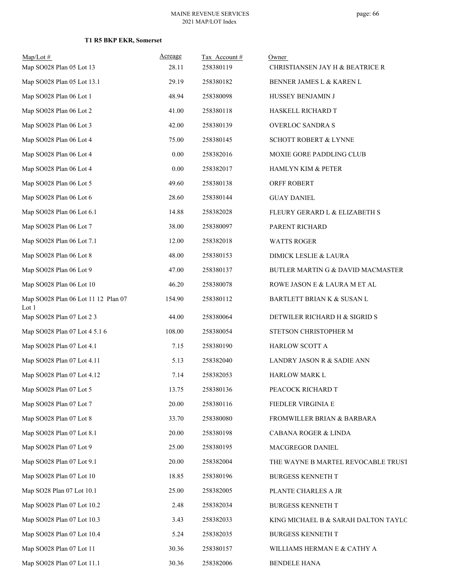| $Map/Lot \#$<br>Map SO028 Plan 05 Lot 13     | Acreage<br>28.11 | Tax Account#<br>258380119 | Owner<br>CHRISTIANSEN JAY H & BEATRICE R |
|----------------------------------------------|------------------|---------------------------|------------------------------------------|
| Map SO028 Plan 05 Lot 13.1                   | 29.19            | 258380182                 | BENNER JAMES L & KAREN L                 |
| Map SO028 Plan 06 Lot 1                      | 48.94            | 258380098                 | HUSSEY BENJAMIN J                        |
| Map SO028 Plan 06 Lot 2                      | 41.00            | 258380118                 | HASKELL RICHARD T                        |
| Map SO028 Plan 06 Lot 3                      | 42.00            | 258380139                 | <b>OVERLOC SANDRA S</b>                  |
| Map SO028 Plan 06 Lot 4                      | 75.00            | 258380145                 | <b>SCHOTT ROBERT &amp; LYNNE</b>         |
| Map SO028 Plan 06 Lot 4                      | 0.00             | 258382016                 | MOXIE GORE PADDLING CLUB                 |
| Map SO028 Plan 06 Lot 4                      | 0.00             | 258382017                 | HAMLYN KIM & PETER                       |
| Map SO028 Plan 06 Lot 5                      | 49.60            | 258380138                 | ORFF ROBERT                              |
| Map SO028 Plan 06 Lot 6                      | 28.60            | 258380144                 | <b>GUAY DANIEL</b>                       |
| Map SO028 Plan 06 Lot 6.1                    | 14.88            | 258382028                 | FLEURY GERARD L & ELIZABETH S            |
| Map SO028 Plan 06 Lot 7                      | 38.00            | 258380097                 | PARENT RICHARD                           |
| Map SO028 Plan 06 Lot 7.1                    | 12.00            | 258382018                 | <b>WATTS ROGER</b>                       |
| Map SO028 Plan 06 Lot 8                      | 48.00            | 258380153                 | DIMICK LESLIE & LAURA                    |
| Map SO028 Plan 06 Lot 9                      | 47.00            | 258380137                 | BUTLER MARTIN G & DAVID MACMASTER        |
| Map SO028 Plan 06 Lot 10                     | 46.20            | 258380078                 | ROWE JASON E & LAURA M ET AL             |
| Map SO028 Plan 06 Lot 11 12 Plan 07<br>Lot 1 | 154.90           | 258380112                 | BARTLETT BRIAN K & SUSAN L               |
| Map SO028 Plan 07 Lot 2 3                    | 44.00            | 258380064                 | DETWILER RICHARD H & SIGRID S            |
| Map SO028 Plan 07 Lot 4 5.1 6                | 108.00           | 258380054                 | STETSON CHRISTOPHER M                    |
| Map SO028 Plan 07 Lot 4.1                    | 7.15             | 258380190                 | HARLOW SCOTT A                           |
| Map SO028 Plan 07 Lot 4.11                   | 5.13             | 258382040                 | LANDRY JASON R & SADIE ANN               |
| Map SO028 Plan 07 Lot 4.12                   | 7.14             | 258382053                 | HARLOW MARK L                            |
| Map SO028 Plan 07 Lot 5                      | 13.75            | 258380136                 | PEACOCK RICHARD T                        |
| Map SO028 Plan 07 Lot 7                      | 20.00            | 258380116                 | FIEDLER VIRGINIA E                       |
| Map SO028 Plan 07 Lot 8                      | 33.70            | 258380080                 | FROMWILLER BRIAN & BARBARA               |
| Map SO028 Plan 07 Lot 8.1                    | 20.00            | 258380198                 | CABANA ROGER & LINDA                     |
| Map SO028 Plan 07 Lot 9                      | 25.00            | 258380195                 | MACGREGOR DANIEL                         |
| Map SO028 Plan 07 Lot 9.1                    | 20.00            | 258382004                 | THE WAYNE B MARTEL REVOCABLE TRUST       |
| Map SO028 Plan 07 Lot 10                     | 18.85            | 258380196                 | <b>BURGESS KENNETH T</b>                 |
| Map SO28 Plan 07 Lot 10.1                    | 25.00            | 258382005                 | PLANTE CHARLES A JR                      |
| Map SO028 Plan 07 Lot 10.2                   | 2.48             | 258382034                 | <b>BURGESS KENNETH T</b>                 |
| Map SO028 Plan 07 Lot 10.3                   | 3.43             | 258382033                 | KING MICHAEL B & SARAH DALTON TAYLO      |
| Map SO028 Plan 07 Lot 10.4                   | 5.24             | 258382035                 | <b>BURGESS KENNETH T</b>                 |
| Map SO028 Plan 07 Lot 11                     | 30.36            | 258380157                 | WILLIAMS HERMAN E & CATHY A              |
| Map SO028 Plan 07 Lot 11.1                   | 30.36            | 258382006                 | <b>BENDELE HANA</b>                      |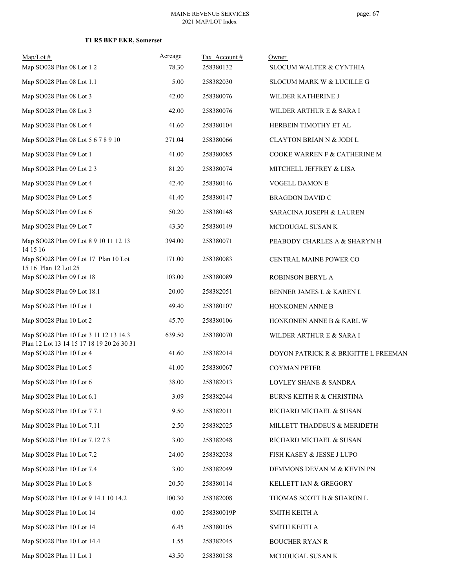| $Map/Lot \#$<br>Map SO028 Plan 08 Lot 1 2                                          | Acreage<br>78.30 | Tax Account#<br>258380132 | Owner<br>SLOCUM WALTER & CYNTHIA     |
|------------------------------------------------------------------------------------|------------------|---------------------------|--------------------------------------|
| Map SO028 Plan 08 Lot 1.1                                                          | 5.00             | 258382030                 | SLOCUM MARK W & LUCILLE G            |
| Map SO028 Plan 08 Lot 3                                                            | 42.00            | 258380076                 | WILDER KATHERINE J                   |
| Map SO028 Plan 08 Lot 3                                                            | 42.00            | 258380076                 |                                      |
| Map SO028 Plan 08 Lot 4                                                            | 41.60            | 258380104                 | WILDER ARTHUR E & SARA I             |
| Map SO028 Plan 08 Lot 5 6 7 8 9 10                                                 |                  |                           | HERBEIN TIMOTHY ET AL                |
|                                                                                    | 271.04           | 258380066                 | <b>CLAYTON BRIAN N &amp; JODI L</b>  |
| Map SO028 Plan 09 Lot 1                                                            | 41.00            | 258380085                 | COOKE WARREN F & CATHERINE M         |
| Map SO028 Plan 09 Lot 2 3                                                          | 81.20            | 258380074                 | MITCHELL JEFFREY & LISA              |
| Map SO028 Plan 09 Lot 4                                                            | 42.40            | 258380146                 | VOGELL DAMON E                       |
| Map SO028 Plan 09 Lot 5                                                            | 41.40            | 258380147                 | <b>BRAGDON DAVID C</b>               |
| Map SO028 Plan 09 Lot 6                                                            | 50.20            | 258380148                 | SARACINA JOSEPH & LAUREN             |
| Map SO028 Plan 09 Lot 7                                                            | 43.30            | 258380149                 | MCDOUGAL SUSAN K                     |
| Map SO028 Plan 09 Lot 8 9 10 11 12 13<br>14 15 16                                  | 394.00           | 258380071                 | PEABODY CHARLES A & SHARYN H         |
| Map SO028 Plan 09 Lot 17 Plan 10 Lot<br>15 16 Plan 12 Lot 25                       | 171.00           | 258380083                 | CENTRAL MAINE POWER CO               |
| Map SO028 Plan 09 Lot 18                                                           | 103.00           | 258380089                 | ROBINSON BERYL A                     |
| Map SO028 Plan 09 Lot 18.1                                                         | 20.00            | 258382051                 | BENNER JAMES L & KAREN L             |
| Map SO028 Plan 10 Lot 1                                                            | 49.40            | 258380107                 | HONKONEN ANNE B                      |
| Map SO028 Plan 10 Lot 2                                                            | 45.70            | 258380106                 | HONKONEN ANNE B & KARL W             |
| Map SO028 Plan 10 Lot 3 11 12 13 14.3<br>Plan 12 Lot 13 14 15 17 18 19 20 26 30 31 | 639.50           | 258380070                 | WILDER ARTHUR E & SARA I             |
| Map SO028 Plan 10 Lot 4                                                            | 41.60            | 258382014                 | DOYON PATRICK R & BRIGITTE L FREEMAN |
| Map SO028 Plan 10 Lot 5                                                            | 41.00            | 258380067                 | <b>COYMAN PETER</b>                  |
| Map SO028 Plan 10 Lot 6                                                            | 38.00            | 258382013                 | LOVLEY SHANE & SANDRA                |
| Map SO028 Plan 10 Lot 6.1                                                          | 3.09             | 258382044                 | BURNS KEITH R & CHRISTINA            |
| Map SO028 Plan 10 Lot 7 7.1                                                        | 9.50             | 258382011                 | RICHARD MICHAEL & SUSAN              |
| Map SO028 Plan 10 Lot 7.11                                                         | 2.50             | 258382025                 | MILLETT THADDEUS & MERIDETH          |
| Map SO028 Plan 10 Lot 7.12 7.3                                                     | 3.00             | 258382048                 | RICHARD MICHAEL & SUSAN              |
| Map SO028 Plan 10 Lot 7.2                                                          | 24.00            | 258382038                 | FISH KASEY & JESSE J LUPO            |
| Map SO028 Plan 10 Lot 7.4                                                          | 3.00             | 258382049                 | DEMMONS DEVAN M & KEVIN PN           |
| Map SO028 Plan 10 Lot 8                                                            | 20.50            | 258380114                 | KELLETT IAN & GREGORY                |
| Map SO028 Plan 10 Lot 9 14.1 10 14.2                                               | 100.30           | 258382008                 | THOMAS SCOTT B & SHARON L            |
| Map SO028 Plan 10 Lot 14                                                           | 0.00             | 258380019P                | SMITH KEITH A                        |
| Map SO028 Plan 10 Lot 14                                                           | 6.45             | 258380105                 | SMITH KEITH A                        |
| Map SO028 Plan 10 Lot 14.4                                                         | 1.55             | 258382045                 | <b>BOUCHER RYAN R</b>                |
| Map SO028 Plan 11 Lot 1                                                            | 43.50            | 258380158                 | MCDOUGAL SUSAN K                     |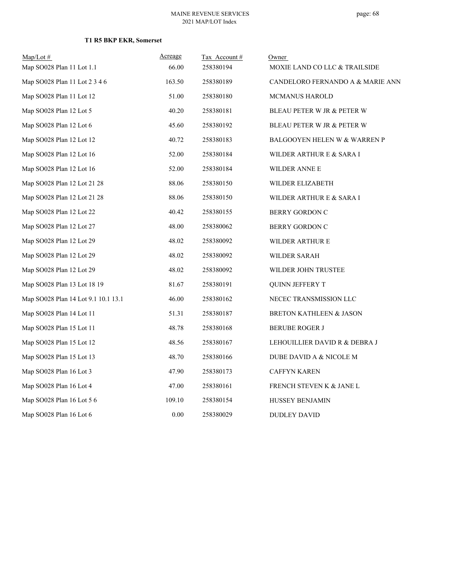| $Map/Lot$ #                         | Acreage | Tax Account# | Owner                                   |
|-------------------------------------|---------|--------------|-----------------------------------------|
| Map SO028 Plan 11 Lot 1.1           | 66.00   | 258380194    | MOXIE LAND CO LLC & TRAILSIDE           |
| Map SO028 Plan 11 Lot 2 3 4 6       | 163.50  | 258380189    | CANDELORO FERNANDO A & MARIE ANN        |
| Map SO028 Plan 11 Lot 12            | 51.00   | 258380180    | <b>MCMANUS HAROLD</b>                   |
| Map SO028 Plan 12 Lot 5             | 40.20   | 258380181    | BLEAU PETER W JR & PETER W              |
| Map SO028 Plan 12 Lot 6             | 45.60   | 258380192    | <b>BLEAU PETER W JR &amp; PETER W</b>   |
| Map SO028 Plan 12 Lot 12            | 40.72   | 258380183    | <b>BALGOOYEN HELEN W &amp; WARREN P</b> |
| Map SO028 Plan 12 Lot 16            | 52.00   | 258380184    | WILDER ARTHUR E & SARA I                |
| Map SO028 Plan 12 Lot 16            | 52.00   | 258380184    | WILDER ANNE E                           |
| Map SO028 Plan 12 Lot 21 28         | 88.06   | 258380150    | WILDER ELIZABETH                        |
| Map SO028 Plan 12 Lot 21 28         | 88.06   | 258380150    | WILDER ARTHUR E & SARA I                |
| Map SO028 Plan 12 Lot 22            | 40.42   | 258380155    | <b>BERRY GORDON C</b>                   |
| Map SO028 Plan 12 Lot 27            | 48.00   | 258380062    | <b>BERRY GORDON C</b>                   |
| Map SO028 Plan 12 Lot 29            | 48.02   | 258380092    | WILDER ARTHUR E                         |
| Map SO028 Plan 12 Lot 29            | 48.02   | 258380092    | WILDER SARAH                            |
| Map SO028 Plan 12 Lot 29            | 48.02   | 258380092    | WILDER JOHN TRUSTEE                     |
| Map SO028 Plan 13 Lot 18 19         | 81.67   | 258380191    | <b>QUINN JEFFERY T</b>                  |
| Map SO028 Plan 14 Lot 9.1 10.1 13.1 | 46.00   | 258380162    | NECEC TRANSMISSION LLC                  |
| Map SO028 Plan 14 Lot 11            | 51.31   | 258380187    | BRETON KATHLEEN & JASON                 |
| Map SO028 Plan 15 Lot 11            | 48.78   | 258380168    | <b>BERUBE ROGER J</b>                   |
| Map SO028 Plan 15 Lot 12            | 48.56   | 258380167    | LEHOUILLIER DAVID R & DEBRA J           |
| Map SO028 Plan 15 Lot 13            | 48.70   | 258380166    | DUBE DAVID A & NICOLE M                 |
| Map SO028 Plan 16 Lot 3             | 47.90   | 258380173    | <b>CAFFYN KAREN</b>                     |
| Map SO028 Plan 16 Lot 4             | 47.00   | 258380161    | FRENCH STEVEN K & JANE L                |
| Map SO028 Plan 16 Lot 5 6           | 109.10  | 258380154    | HUSSEY BENJAMIN                         |
| Map SO028 Plan 16 Lot 6             | 0.00    | 258380029    | DUDLEY DAVID                            |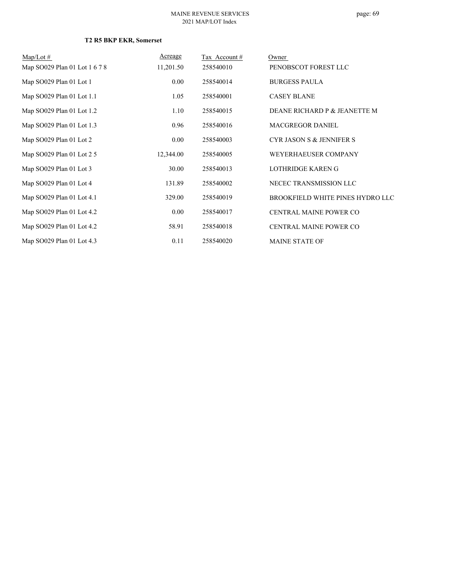# page: 69

| $Map/Lot \#$                  | Acreage   | Tax Account # | Owner                               |
|-------------------------------|-----------|---------------|-------------------------------------|
| Map SO029 Plan 01 Lot 1 6 7 8 | 11,201.50 | 258540010     | PENOBSCOT FOREST LLC                |
| Map SO029 Plan 01 Lot 1       | 0.00      | 258540014     | <b>BURGESS PAULA</b>                |
| Map SO029 Plan 01 Lot 1.1     | 1.05      | 258540001     | <b>CASEY BLANE</b>                  |
| Map SO029 Plan 01 Lot 1.2     | 1.10      | 258540015     | DEANE RICHARD P & JEANETTE M        |
| Map SO029 Plan 01 Lot 1.3     | 0.96      | 258540016     | <b>MACGREGOR DANIEL</b>             |
| Map SO029 Plan 01 Lot 2       | 0.00      | 258540003     | <b>CYR JASON S &amp; JENNIFER S</b> |
| Map SO029 Plan 01 Lot 2 5     | 12,344.00 | 258540005     | WEYERHAEUSER COMPANY                |
| Map SO029 Plan 01 Lot 3       | 30.00     | 258540013     | LOTHRIDGE KAREN G                   |
| Map SO029 Plan 01 Lot 4       | 131.89    | 258540002     | NECEC TRANSMISSION LLC              |
| Map SO029 Plan 01 Lot 4.1     | 329.00    | 258540019     | BROOKFIELD WHITE PINES HYDRO LLC    |
| Map SO029 Plan 01 Lot 4.2     | 0.00      | 258540017     | CENTRAL MAINE POWER CO              |
| Map SO029 Plan 01 Lot 4.2     | 58.91     | 258540018     | CENTRAL MAINE POWER CO              |
| Map SO029 Plan 01 Lot 4.3     | 0.11      | 258540020     | <b>MAINE STATE OF</b>               |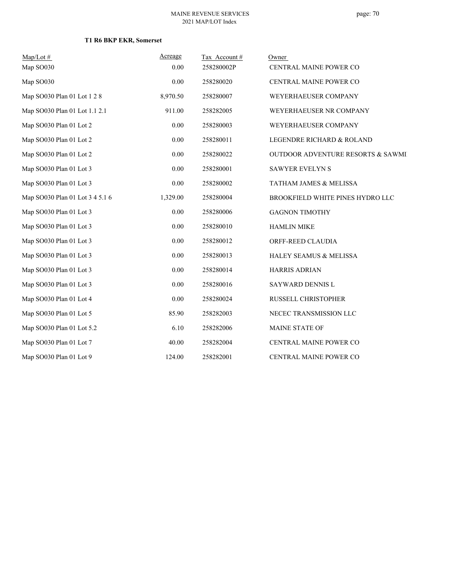| $Map/Lot \#$                    | Acreage  | Tax Account# | Owner                                        |
|---------------------------------|----------|--------------|----------------------------------------------|
| Map SO030                       | 0.00     | 258280002P   | CENTRAL MAINE POWER CO                       |
| Map SO030                       | 0.00     | 258280020    | CENTRAL MAINE POWER CO                       |
| Map SO030 Plan 01 Lot 1 2 8     | 8,970.50 | 258280007    | WEYERHAEUSER COMPANY                         |
| Map SO030 Plan 01 Lot 1.1 2.1   | 911.00   | 258282005    | WEYERHAEUSER NR COMPANY                      |
| Map SO030 Plan 01 Lot 2         | 0.00     | 258280003    | WEYERHAEUSER COMPANY                         |
| Map SO030 Plan 01 Lot 2         | $0.00\,$ | 258280011    | LEGENDRE RICHARD & ROLAND                    |
| Map SO030 Plan 01 Lot 2         | 0.00     | 258280022    | <b>OUTDOOR ADVENTURE RESORTS &amp; SAWMI</b> |
| Map SO030 Plan 01 Lot 3         | 0.00     | 258280001    | <b>SAWYER EVELYN S</b>                       |
| Map SO030 Plan 01 Lot 3         | 0.00     | 258280002    | TATHAM JAMES & MELISSA                       |
| Map SO030 Plan 01 Lot 3 4 5.1 6 | 1,329.00 | 258280004    | BROOKFIELD WHITE PINES HYDRO LLC             |
| Map SO030 Plan 01 Lot 3         | 0.00     | 258280006    | <b>GAGNON TIMOTHY</b>                        |
| Map SO030 Plan 01 Lot 3         | 0.00     | 258280010    | <b>HAMLIN MIKE</b>                           |
| Map SO030 Plan 01 Lot 3         | 0.00     | 258280012    | ORFF-REED CLAUDIA                            |
| Map SO030 Plan 01 Lot 3         | 0.00     | 258280013    | <b>HALEY SEAMUS &amp; MELISSA</b>            |
| Map SO030 Plan 01 Lot 3         | 0.00     | 258280014    | <b>HARRIS ADRIAN</b>                         |
| Map SO030 Plan 01 Lot 3         | 0.00     | 258280016    | SAYWARD DENNIS L                             |
| Map SO030 Plan 01 Lot 4         | 0.00     | 258280024    | RUSSELL CHRISTOPHER                          |
| Map SO030 Plan 01 Lot 5         | 85.90    | 258282003    | NECEC TRANSMISSION LLC                       |
| Map SO030 Plan 01 Lot 5.2       | 6.10     | 258282006    | <b>MAINE STATE OF</b>                        |
| Map SO030 Plan 01 Lot 7         | 40.00    | 258282004    | CENTRAL MAINE POWER CO                       |
| Map SO030 Plan 01 Lot 9         | 124.00   | 258282001    | <b>CENTRAL MAINE POWER CO</b>                |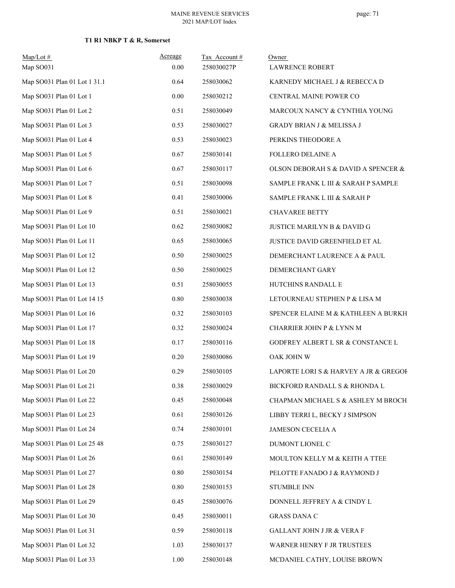# **T1 R1 NBKP T & R, Somerset**

| $Map/Lot$ #<br>Map SO031     | Acreage<br>0.00 | Tax Account#<br>258030027P | Owner<br><b>LAWRENCE ROBERT</b>       |
|------------------------------|-----------------|----------------------------|---------------------------------------|
| Map SO031 Plan 01 Lot 1 31.1 | 0.64            | 258030062                  | KARNEDY MICHAEL J & REBECCA D         |
| Map SO031 Plan 01 Lot 1      | 0.00            | 258030212                  | CENTRAL MAINE POWER CO                |
| Map SO031 Plan 01 Lot 2      | 0.51            | 258030049                  | MARCOUX NANCY & CYNTHIA YOUNG         |
| Map SO031 Plan 01 Lot 3      | 0.53            | 258030027                  | GRADY BRIAN J & MELISSA J             |
| Map SO031 Plan 01 Lot 4      | 0.53            | 258030023                  | PERKINS THEODORE A                    |
| Map SO031 Plan 01 Lot 5      | 0.67            | 258030141                  | <b>FOLLERO DELAINE A</b>              |
| Map SO031 Plan 01 Lot 6      | 0.67            | 258030117                  | OLSON DEBORAH S & DAVID A SPENCER &   |
| Map SO031 Plan 01 Lot 7      | 0.51            | 258030098                  | SAMPLE FRANK L III & SARAH P SAMPLE   |
| Map SO031 Plan 01 Lot 8      | 0.41            | 258030006                  | SAMPLE FRANK L III & SARAH P          |
| Map SO031 Plan 01 Lot 9      | 0.51            | 258030021                  | <b>CHAVAREE BETTY</b>                 |
| Map SO031 Plan 01 Lot 10     | 0.62            | 258030082                  | JUSTICE MARILYN B & DAVID G           |
| Map SO031 Plan 01 Lot 11     | 0.65            | 258030065                  | JUSTICE DAVID GREENFIELD ET AL        |
| Map SO031 Plan 01 Lot 12     | 0.50            | 258030025                  | DEMERCHANT LAURENCE A & PAUL          |
| Map SO031 Plan 01 Lot 12     | 0.50            | 258030025                  | DEMERCHANT GARY                       |
| Map SO031 Plan 01 Lot 13     | 0.51            | 258030055                  | HUTCHINS RANDALL E                    |
| Map SO031 Plan 01 Lot 14 15  | 0.80            | 258030038                  | LETOURNEAU STEPHEN P & LISA M         |
| Map SO031 Plan 01 Lot 16     | 0.32            | 258030103                  | SPENCER ELAINE M & KATHLEEN A BURKH   |
| Map SO031 Plan 01 Lot 17     | 0.32            | 258030024                  | CHARRIER JOHN P & LYNN M              |
| Map SO031 Plan 01 Lot 18     | 0.17            | 258030116                  | GODFREY ALBERT L SR & CONSTANCE L     |
| Map SO031 Plan 01 Lot 19     | 0.20            | 258030086                  | OAK JOHN W                            |
| Map SO031 Plan 01 Lot 20     | 0.29            | 258030105                  | LAPORTE LORI S & HARVEY A JR & GREGOF |
| Map SO031 Plan 01 Lot 21     | 0.38            | 258030029                  | BICKFORD RANDALL S & RHONDA L         |
| Map SO031 Plan 01 Lot 22     | 0.45            | 258030048                  | CHAPMAN MICHAEL S & ASHLEY M BROCH    |
| Map SO031 Plan 01 Lot 23     | 0.61            | 258030126                  | LIBBY TERRI L, BECKY J SIMPSON        |
| Map SO031 Plan 01 Lot 24     | 0.74            | 258030101                  | JAMESON CECELIA A                     |
| Map SO031 Plan 01 Lot 25 48  | 0.75            | 258030127                  | DUMONT LIONEL C                       |
| Map SO031 Plan 01 Lot 26     | 0.61            | 258030149                  | MOULTON KELLY M & KEITH A TTEE        |
| Map SO031 Plan 01 Lot 27     | 0.80            | 258030154                  | PELOTTE FANADO J & RAYMOND J          |
| Map SO031 Plan 01 Lot 28     | 0.80            | 258030153                  | <b>STUMBLE INN</b>                    |
| Map SO031 Plan 01 Lot 29     | 0.45            | 258030076                  | DONNELL JEFFREY A & CINDY L           |
| Map SO031 Plan 01 Lot 30     | 0.45            | 258030011                  | <b>GRASS DANA C</b>                   |
| Map SO031 Plan 01 Lot 31     | 0.59            | 258030118                  | GALLANT JOHN J JR & VERA F            |
| Map SO031 Plan 01 Lot 32     | 1.03            | 258030137                  | WARNER HENRY F JR TRUSTEES            |
| Map SO031 Plan 01 Lot 33     | 1.00            | 258030148                  | MCDANIEL CATHY, LOUISE BROWN          |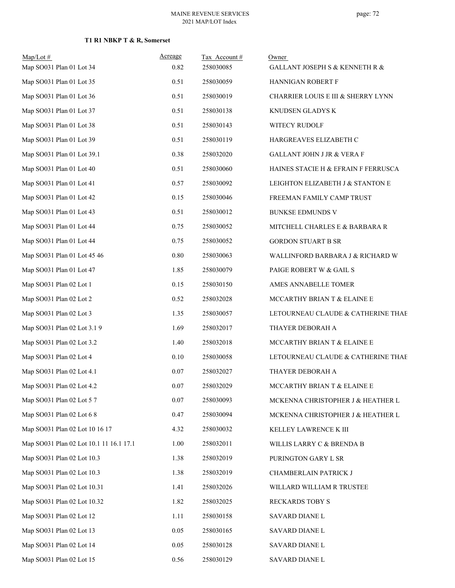# **T1 R1 NBKP T & R, Somerset**

| Map/Lot#<br>Map SO031 Plan 01 Lot 34    | Acreage<br>0.82 | Tax Account#<br>258030085 | Owner<br><b>GALLANT JOSEPH S &amp; KENNETH R &amp;</b> |
|-----------------------------------------|-----------------|---------------------------|--------------------------------------------------------|
| Map SO031 Plan 01 Lot 35                | 0.51            | 258030059                 | HANNIGAN ROBERT F                                      |
| Map SO031 Plan 01 Lot 36                | 0.51            | 258030019                 | CHARRIER LOUIS E III & SHERRY LYNN                     |
| Map SO031 Plan 01 Lot 37                | 0.51            | 258030138                 | KNUDSEN GLADYS K                                       |
| Map SO031 Plan 01 Lot 38                | 0.51            | 258030143                 | WITECY RUDOLF                                          |
| Map SO031 Plan 01 Lot 39                | 0.51            | 258030119                 | HARGREAVES ELIZABETH C                                 |
| Map SO031 Plan 01 Lot 39.1              | 0.38            | 258032020                 | GALLANT JOHN J JR & VERA F                             |
| Map SO031 Plan 01 Lot 40                | 0.51            | 258030060                 | HAINES STACIE H & EFRAIN F FERRUSCA                    |
| Map SO031 Plan 01 Lot 41                | 0.57            | 258030092                 | LEIGHTON ELIZABETH J & STANTON E                       |
| Map SO031 Plan 01 Lot 42                | 0.15            | 258030046                 | FREEMAN FAMILY CAMP TRUST                              |
| Map SO031 Plan 01 Lot 43                | 0.51            | 258030012                 | <b>BUNKSE EDMUNDS V</b>                                |
| Map SO031 Plan 01 Lot 44                | 0.75            | 258030052                 | MITCHELL CHARLES E & BARBARA R                         |
| Map SO031 Plan 01 Lot 44                | 0.75            | 258030052                 | <b>GORDON STUART B SR</b>                              |
| Map SO031 Plan 01 Lot 45 46             | 0.80            | 258030063                 | WALLINFORD BARBARA J & RICHARD W                       |
| Map SO031 Plan 01 Lot 47                | 1.85            | 258030079                 | PAIGE ROBERT W & GAIL S                                |
| Map SO031 Plan 02 Lot 1                 | 0.15            | 258030150                 | AMES ANNABELLE TOMER                                   |
| Map SO031 Plan 02 Lot 2                 | 0.52            | 258032028                 | MCCARTHY BRIAN T & ELAINE E                            |
| Map SO031 Plan 02 Lot 3                 | 1.35            | 258030057                 | LETOURNEAU CLAUDE & CATHERINE THAE                     |
| Map SO031 Plan 02 Lot 3.1 9             | 1.69            | 258032017                 | THAYER DEBORAH A                                       |
| Map SO031 Plan 02 Lot 3.2               | 1.40            | 258032018                 | MCCARTHY BRIAN T & ELAINE E                            |
| Map SO031 Plan 02 Lot 4                 | 0.10            | 258030058                 | LETOURNEAU CLAUDE & CATHERINE THAE                     |
| Map SO031 Plan 02 Lot 4.1               | 0.07            | 258032027                 | THAYER DEBORAH A                                       |
| Map SO031 Plan 02 Lot 4.2               | $0.07\,$        | 258032029                 | MCCARTHY BRIAN T & ELAINE E                            |
| Map SO031 Plan 02 Lot 57                | 0.07            | 258030093                 | MCKENNA CHRISTOPHER J & HEATHER L                      |
| Map SO031 Plan 02 Lot 6 8               | 0.47            | 258030094                 | MCKENNA CHRISTOPHER J & HEATHER L                      |
| Map SO031 Plan 02 Lot 10 16 17          | 4.32            | 258030032                 | KELLEY LAWRENCE K III                                  |
| Map SO031 Plan 02 Lot 10.1 11 16.1 17.1 | 1.00            | 258032011                 | WILLIS LARRY C & BRENDA B                              |
| Map SO031 Plan 02 Lot 10.3              | 1.38            | 258032019                 | PURINGTON GARY L SR                                    |
| Map SO031 Plan 02 Lot 10.3              | 1.38            | 258032019                 | CHAMBERLAIN PATRICK J                                  |
| Map SO031 Plan 02 Lot 10.31             | 1.41            | 258032026                 | WILLARD WILLIAM R TRUSTEE                              |
| Map SO031 Plan 02 Lot 10.32             | 1.82            | 258032025                 | RECKARDS TOBY S                                        |
| Map SO031 Plan 02 Lot 12                | 1.11            | 258030158                 | SAVARD DIANE L                                         |
| Map SO031 Plan 02 Lot 13                | 0.05            | 258030165                 | SAVARD DIANE L                                         |
| Map SO031 Plan 02 Lot 14                | 0.05            | 258030128                 | SAVARD DIANE L                                         |
| Map SO031 Plan 02 Lot 15                | 0.56            | 258030129                 | SAVARD DIANE L                                         |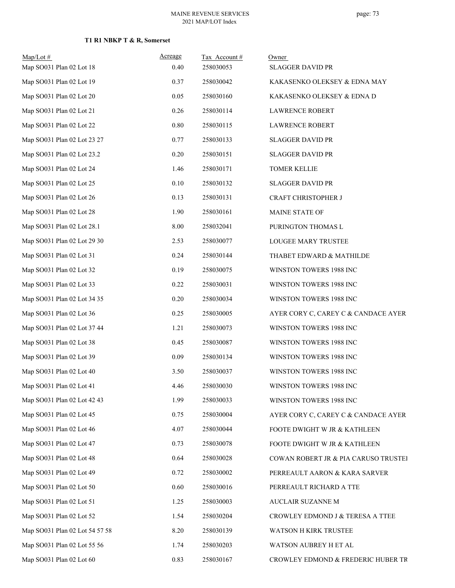### **T1 R1 NBKP T & R, Somerset**

| $Map/Lot$ #                    | Acreage | Tax Account# | Owner                                |
|--------------------------------|---------|--------------|--------------------------------------|
| Map SO031 Plan 02 Lot 18       | 0.40    | 258030053    | <b>SLAGGER DAVID PR</b>              |
| Map SO031 Plan 02 Lot 19       | 0.37    | 258030042    | KAKASENKO OLEKSEY & EDNA MAY         |
| Map SO031 Plan 02 Lot 20       | 0.05    | 258030160    | KAKASENKO OLEKSEY & EDNA D           |
| Map SO031 Plan 02 Lot 21       | 0.26    | 258030114    | <b>LAWRENCE ROBERT</b>               |
| Map SO031 Plan 02 Lot 22       | 0.80    | 258030115    | <b>LAWRENCE ROBERT</b>               |
| Map SO031 Plan 02 Lot 23 27    | 0.77    | 258030133    | <b>SLAGGER DAVID PR</b>              |
| Map SO031 Plan 02 Lot 23.2     | 0.20    | 258030151    | <b>SLAGGER DAVID PR</b>              |
| Map SO031 Plan 02 Lot 24       | 1.46    | 258030171    | <b>TOMER KELLIE</b>                  |
| Map SO031 Plan 02 Lot 25       | 0.10    | 258030132    | <b>SLAGGER DAVID PR</b>              |
| Map SO031 Plan 02 Lot 26       | 0.13    | 258030131    | CRAFT CHRISTOPHER J                  |
| Map SO031 Plan 02 Lot 28       | 1.90    | 258030161    | MAINE STATE OF                       |
| Map SO031 Plan 02 Lot 28.1     | 8.00    | 258032041    | PURINGTON THOMAS L                   |
| Map SO031 Plan 02 Lot 29 30    | 2.53    | 258030077    | LOUGEE MARY TRUSTEE                  |
| Map SO031 Plan 02 Lot 31       | 0.24    | 258030144    | THABET EDWARD & MATHILDE             |
| Map SO031 Plan 02 Lot 32       | 0.19    | 258030075    | WINSTON TOWERS 1988 INC              |
| Map SO031 Plan 02 Lot 33       | 0.22    | 258030031    | WINSTON TOWERS 1988 INC              |
| Map SO031 Plan 02 Lot 34 35    | 0.20    | 258030034    | WINSTON TOWERS 1988 INC              |
| Map SO031 Plan 02 Lot 36       | 0.25    | 258030005    | AYER CORY C, CAREY C & CANDACE AYER  |
| Map SO031 Plan 02 Lot 37 44    | 1.21    | 258030073    | WINSTON TOWERS 1988 INC              |
| Map SO031 Plan 02 Lot 38       | 0.45    | 258030087    | WINSTON TOWERS 1988 INC              |
| Map SO031 Plan 02 Lot 39       | 0.09    | 258030134    | WINSTON TOWERS 1988 INC              |
| Map SO031 Plan 02 Lot 40       | 3.50    | 258030037    | WINSTON TOWERS 1988 INC              |
| Map SO031 Plan 02 Lot 41       | 4.46    | 258030030    | WINSTON TOWERS 1988 INC              |
| Map SO031 Plan 02 Lot 42 43    | 1.99    | 258030033    | WINSTON TOWERS 1988 INC              |
| Map SO031 Plan 02 Lot 45       | 0.75    | 258030004    | AYER CORY C, CAREY C & CANDACE AYER  |
| Map SO031 Plan 02 Lot 46       | 4.07    | 258030044    | FOOTE DWIGHT W JR & KATHLEEN         |
| Map SO031 Plan 02 Lot 47       | 0.73    | 258030078    | FOOTE DWIGHT W JR & KATHLEEN         |
| Map SO031 Plan 02 Lot 48       | 0.64    | 258030028    | COWAN ROBERT JR & PIA CARUSO TRUSTEI |
| Map SO031 Plan 02 Lot 49       | 0.72    | 258030002    | PERREAULT AARON & KARA SARVER        |
| Map SO031 Plan 02 Lot 50       | 0.60    | 258030016    | PERREAULT RICHARD A TTE              |
| Map SO031 Plan 02 Lot 51       | 1.25    | 258030003    | AUCLAIR SUZANNE M                    |
| Map SO031 Plan 02 Lot 52       | 1.54    | 258030204    | CROWLEY EDMOND J & TERESA A TTEE     |
| Map SO031 Plan 02 Lot 54 57 58 | 8.20    | 258030139    | WATSON H KIRK TRUSTEE                |
| Map SO031 Plan 02 Lot 55 56    | 1.74    | 258030203    | WATSON AUBREY H ET AL                |
| Map SO031 Plan 02 Lot 60       | 0.83    | 258030167    | CROWLEY EDMOND & FREDERIC HUBER TR   |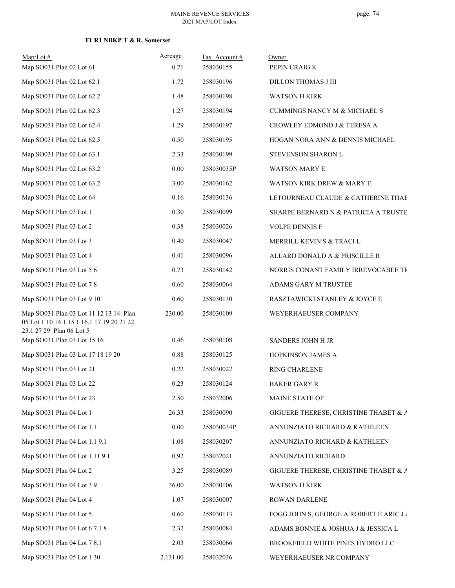#### MAINE REVENUE SERVICES 2021 MAP/LOT Index

| $Map/Lot$ #<br>Map SO031 Plan 02 Lot 61                                                                         | Acreage<br>0.71 | Tax Account#<br>258030155 | Owner<br>PEPIN CRAIG K                      |
|-----------------------------------------------------------------------------------------------------------------|-----------------|---------------------------|---------------------------------------------|
| Map SO031 Plan 02 Lot 62.1                                                                                      | 1.72            | 258030196                 | DILLON THOMAS J III                         |
| Map SO031 Plan 02 Lot 62.2                                                                                      | 1.48            | 258030198                 | <b>WATSON H KIRK</b>                        |
|                                                                                                                 |                 |                           |                                             |
| Map SO031 Plan 02 Lot 62.3                                                                                      | 1.27            | 258030194                 | CUMMINGS NANCY M & MICHAEL S                |
| Map SO031 Plan 02 Lot 62.4                                                                                      | 1.29            | 258030197                 | CROWLEY EDMOND J & TERESA A                 |
| Map SO031 Plan 02 Lot 62.5                                                                                      | 0.50            | 258030195                 | HOGAN NORA ANN & DENNIS MICHAEL             |
| Map SO031 Plan 02 Lot 63.1                                                                                      | 2.33            | 258030199                 | STEVENSON SHARON L                          |
| Map SO031 Plan 02 Lot 63.2                                                                                      | 0.00            | 258030035P                | <b>WATSON MARY E</b>                        |
| Map SO031 Plan 02 Lot 63.2                                                                                      | 3.00            | 258030162                 | WATSON KIRK DREW & MARY E                   |
| Map SO031 Plan 02 Lot 64                                                                                        | 0.16            | 258030136                 | LETOURNEAU CLAUDE & CATHERINE THAE          |
| Map SO031 Plan 03 Lot 1                                                                                         | 0.30            | 258030099                 | SHARPE BERNARD N & PATRICIA A TRUSTE        |
| Map SO031 Plan 03 Lot 2                                                                                         | 0.38            | 258030026                 | <b>VOLPE DENNIS F</b>                       |
| Map SO031 Plan 03 Lot 3                                                                                         | 0.40            | 258030047                 | MERRILL KEVIN S & TRACI L                   |
| Map SO031 Plan 03 Lot 4                                                                                         | 0.41            | 258030096                 | ALLARD DONALD A & PRISCILLE R               |
| Map SO031 Plan 03 Lot 5 6                                                                                       | 0.73            | 258030142                 | NORRIS CONANT FAMILY IRREVOCABLE TR         |
| Map SO031 Plan 03 Lot 7 8                                                                                       | 0.60            | 258030064                 | ADAMS GARY M TRUSTEE                        |
| Map SO031 Plan 03 Lot 9 10                                                                                      | 0.60            | 258030130                 | RASZTAWICKI STANLEY & JOYCE E               |
| Map SO031 Plan 03 Lot 11 12 13 14 Plan<br>05 Lot 1 10 14.1 15.1 16.1 17 19 20 21 22<br>23.1 27 29 Plan 06 Lot 5 | 230.00          | 258030109                 | WEYERHAEUSER COMPANY                        |
| Map SO031 Plan 03 Lot 15 16                                                                                     | 0.46            | 258030108                 | SANDERS JOHN H JR                           |
| Map SO031 Plan 03 Lot 17 18 19 20                                                                               | 0.88            | 258030125                 | HOPKINSON JAMES A                           |
| Map SO031 Plan 03 Lot 21                                                                                        | 0.22            | 258030022                 | RING CHARLENE                               |
| Map SO031 Plan 03 Lot 22                                                                                        | 0.23            | 258030124                 | <b>BAKER GARY R</b>                         |
| Map SO031 Plan 03 Lot 23                                                                                        | 2.50            | 258032006                 | MAINE STATE OF                              |
| Map SO031 Plan 04 Lot 1                                                                                         | 26.33           | 258030090                 | GIGUERE THERESE, CHRISTINE THABET & A       |
| Map SO031 Plan 04 Lot 1.1                                                                                       | 0.00            | 258030034P                | ANNUNZIATO RICHARD & KATHLEEN               |
| Map SO031 Plan 04 Lot 1.1 9.1                                                                                   | 1.08            | 258030207                 | ANNUNZIATO RICHARD & KATHLEEN               |
| Map SO031 Plan 04 Lot 1.11 9.1                                                                                  | 0.92            | 258032021                 | ANNUNZIATO RICHARD                          |
| Map SO031 Plan 04 Lot 2                                                                                         | 3.25            | 258030089                 | GIGUERE THERESE, CHRISTINE THABET & A       |
| Map SO031 Plan 04 Lot 3 9                                                                                       | 36.00           | 258030106                 | WATSON H KIRK                               |
| Map SO031 Plan 04 Lot 4                                                                                         | 1.07            | 258030007                 | ROWAN DARLENE                               |
| Map SO031 Plan 04 Lot 5                                                                                         | 0.60            | 258030113                 | FOGG JOHN S, GEORGE A ROBERT E ARIC J $\wr$ |
| Map SO031 Plan 04 Lot 6 7.1 8                                                                                   | 2.32            | 258030084                 | ADAMS BONNIE & JOSHUA J & JESSICA L         |
| Map SO031 Plan 04 Lot 7 8.1                                                                                     | 2.03            | 258030066                 | BROOKFIELD WHITE PINES HYDRO LLC            |
| Map SO031 Plan 05 Lot 1 30                                                                                      | 2,131.00        | 258032036                 | WEYERHAEUSER NR COMPANY                     |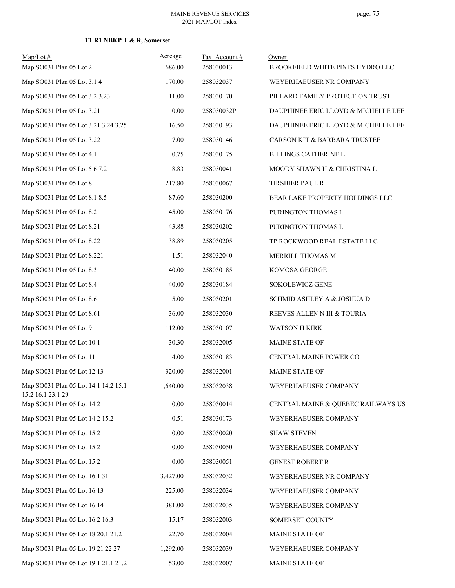# **T1 R1 NBKP T & R, Somerset**

| $Map/Lot \#$                                              | Acreage  | Tax Account# | Owner                               |
|-----------------------------------------------------------|----------|--------------|-------------------------------------|
| Map SO031 Plan 05 Lot 2                                   | 686.00   | 258030013    | BROOKFIELD WHITE PINES HYDRO LLC    |
| Map SO031 Plan 05 Lot 3.1 4                               | 170.00   | 258032037    | WEYERHAEUSER NR COMPANY             |
| Map SO031 Plan 05 Lot 3.2 3.23                            | 11.00    | 258030170    | PILLARD FAMILY PROTECTION TRUST     |
| Map SO031 Plan 05 Lot 3.21                                | 0.00     | 258030032P   | DAUPHINEE ERIC LLOYD & MICHELLE LEE |
| Map SO031 Plan 05 Lot 3.21 3.24 3.25                      | 16.50    | 258030193    | DAUPHINEE ERIC LLOYD & MICHELLE LEE |
| Map SO031 Plan 05 Lot 3.22                                | 7.00     | 258030146    | CARSON KIT & BARBARA TRUSTEE        |
| Map SO031 Plan 05 Lot 4.1                                 | 0.75     | 258030175    | <b>BILLINGS CATHERINE L</b>         |
| Map SO031 Plan 05 Lot 5 6 7.2                             | 8.83     | 258030041    | MOODY SHAWN H & CHRISTINA L         |
| Map SO031 Plan 05 Lot 8                                   | 217.80   | 258030067    | <b>TIRSBIER PAUL R</b>              |
| Map SO031 Plan 05 Lot 8.1 8.5                             | 87.60    | 258030200    | BEAR LAKE PROPERTY HOLDINGS LLC     |
| Map SO031 Plan 05 Lot 8.2                                 | 45.00    | 258030176    | PURINGTON THOMAS L                  |
| Map SO031 Plan 05 Lot 8.21                                | 43.88    | 258030202    | PURINGTON THOMAS L                  |
| Map SO031 Plan 05 Lot 8.22                                | 38.89    | 258030205    | TP ROCKWOOD REAL ESTATE LLC         |
| Map SO031 Plan 05 Lot 8.221                               | 1.51     | 258032040    | MERRILL THOMAS M                    |
| Map SO031 Plan 05 Lot 8.3                                 | 40.00    | 258030185    | KOMOSA GEORGE                       |
| Map SO031 Plan 05 Lot 8.4                                 | 40.00    | 258030184    | SOKOLEWICZ GENE                     |
| Map SO031 Plan 05 Lot 8.6                                 | 5.00     | 258030201    | SCHMID ASHLEY A & JOSHUA D          |
| Map SO031 Plan 05 Lot 8.61                                | 36.00    | 258032030    | REEVES ALLEN N III & TOURIA         |
| Map SO031 Plan 05 Lot 9                                   | 112.00   | 258030107    | <b>WATSON H KIRK</b>                |
| Map SO031 Plan 05 Lot 10.1                                | 30.30    | 258032005    | MAINE STATE OF                      |
| Map SO031 Plan 05 Lot 11                                  | 4.00     | 258030183    | CENTRAL MAINE POWER CO              |
| Map SO031 Plan 05 Lot 12 13                               | 320.00   | 258032001    | MAINE STATE OF                      |
| Map SO031 Plan 05 Lot 14.1 14.2 15.1<br>15.2 16.1 23.1 29 | 1,640.00 | 258032038    | WEYERHAEUSER COMPANY                |
| Map SO031 Plan 05 Lot 14.2                                | 0.00     | 258030014    | CENTRAL MAINE & QUEBEC RAILWAYS US  |
| Map SO031 Plan 05 Lot 14.2 15.2                           | 0.51     | 258030173    | WEYERHAEUSER COMPANY                |
| Map SO031 Plan 05 Lot 15.2                                | 0.00     | 258030020    | <b>SHAW STEVEN</b>                  |
| Map SO031 Plan 05 Lot 15.2                                | 0.00     | 258030050    | WEYERHAEUSER COMPANY                |
| Map SO031 Plan 05 Lot 15.2                                | 0.00     | 258030051    | <b>GENEST ROBERT R</b>              |
| Map SO031 Plan 05 Lot 16.1 31                             | 3,427.00 | 258032032    | WEYERHAEUSER NR COMPANY             |
| Map SO031 Plan 05 Lot 16.13                               | 225.00   | 258032034    | WEYERHAEUSER COMPANY                |
| Map SO031 Plan 05 Lot 16.14                               | 381.00   | 258032035    | WEYERHAEUSER COMPANY                |
| Map SO031 Plan 05 Lot 16.2 16.3                           | 15.17    | 258032003    | SOMERSET COUNTY                     |
| Map SO031 Plan 05 Lot 18 20.1 21.2                        | 22.70    | 258032004    | MAINE STATE OF                      |
| Map SO031 Plan 05 Lot 19 21 22 27                         | 1,292.00 | 258032039    | WEYERHAEUSER COMPANY                |
| Map SO031 Plan 05 Lot 19.1 21.1 21.2                      | 53.00    | 258032007    | MAINE STATE OF                      |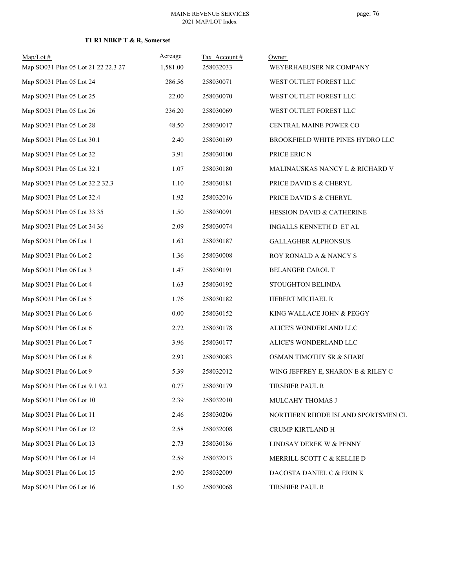## **T1 R1 NBKP T & R, Somerset**

| $Map/Lot \#$<br>Map SO031 Plan 05 Lot 21 22 22.3 27 | Acreage<br>1,581.00 | Tax Account#<br>258032033 | Owner<br>WEYERHAEUSER NR COMPANY   |
|-----------------------------------------------------|---------------------|---------------------------|------------------------------------|
| Map SO031 Plan 05 Lot 24                            | 286.56              | 258030071                 | WEST OUTLET FOREST LLC             |
| Map SO031 Plan 05 Lot 25                            | 22.00               | 258030070                 | WEST OUTLET FOREST LLC             |
| Map SO031 Plan 05 Lot 26                            | 236.20              | 258030069                 | WEST OUTLET FOREST LLC             |
| Map SO031 Plan 05 Lot 28                            | 48.50               | 258030017                 | CENTRAL MAINE POWER CO             |
| Map SO031 Plan 05 Lot 30.1                          | 2.40                | 258030169                 | BROOKFIELD WHITE PINES HYDRO LLC   |
| Map SO031 Plan 05 Lot 32                            | 3.91                | 258030100                 | PRICE ERIC N                       |
| Map SO031 Plan 05 Lot 32.1                          | 1.07                | 258030180                 | MALINAUSKAS NANCY L & RICHARD V    |
| Map SO031 Plan 05 Lot 32.2 32.3                     | 1.10                | 258030181                 | PRICE DAVID S & CHERYL             |
| Map SO031 Plan 05 Lot 32.4                          | 1.92                | 258032016                 | PRICE DAVID S & CHERYL             |
| Map SO031 Plan 05 Lot 33 35                         | 1.50                | 258030091                 | HESSION DAVID & CATHERINE          |
| Map SO031 Plan 05 Lot 34 36                         | 2.09                | 258030074                 | INGALLS KENNETH D ET AL            |
| Map SO031 Plan 06 Lot 1                             | 1.63                | 258030187                 | <b>GALLAGHER ALPHONSUS</b>         |
| Map SO031 Plan 06 Lot 2                             | 1.36                | 258030008                 | ROY RONALD A & NANCY S             |
| Map SO031 Plan 06 Lot 3                             | 1.47                | 258030191                 | BELANGER CAROL T                   |
| Map SO031 Plan 06 Lot 4                             | 1.63                | 258030192                 | STOUGHTON BELINDA                  |
| Map SO031 Plan 06 Lot 5                             | 1.76                | 258030182                 | HEBERT MICHAEL R                   |
| Map SO031 Plan 06 Lot 6                             | 0.00                | 258030152                 | KING WALLACE JOHN & PEGGY          |
| Map SO031 Plan 06 Lot 6                             | 2.72                | 258030178                 | ALICE'S WONDERLAND LLC             |
| Map SO031 Plan 06 Lot 7                             | 3.96                | 258030177                 | ALICE'S WONDERLAND LLC             |
| Map SO031 Plan 06 Lot 8                             | 2.93                | 258030083                 | OSMAN TIMOTHY SR & SHARI           |
| Map SO031 Plan 06 Lot 9                             | 5.39                | 258032012                 | WING JEFFREY E, SHARON E & RILEY C |
| Map SO031 Plan 06 Lot 9.1 9.2                       | 0.77                | 258030179                 | TIRSBIER PAUL R                    |
| Map SO031 Plan 06 Lot 10                            | 2.39                | 258032010                 | MULCAHY THOMAS J                   |
| Map SO031 Plan 06 Lot 11                            | 2.46                | 258030206                 | NORTHERN RHODE ISLAND SPORTSMEN CL |
| Map SO031 Plan 06 Lot 12                            | 2.58                | 258032008                 | CRUMP KIRTLAND H                   |
| Map SO031 Plan 06 Lot 13                            | 2.73                | 258030186                 | LINDSAY DEREK W & PENNY            |
| Map SO031 Plan 06 Lot 14                            | 2.59                | 258032013                 | MERRILL SCOTT C & KELLIE D         |
| Map SO031 Plan 06 Lot 15                            | 2.90                | 258032009                 | DACOSTA DANIEL C & ERIN K          |
| Map SO031 Plan 06 Lot 16                            | 1.50                | 258030068                 | TIRSBIER PAUL R                    |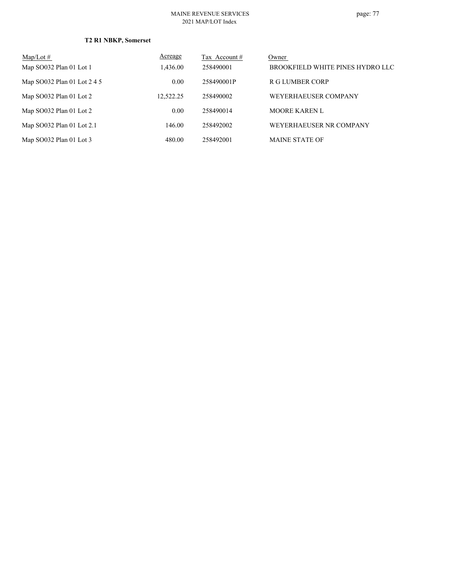| Map/Lot $#$                 | Acreage   | Tax Account # | Owner                            |
|-----------------------------|-----------|---------------|----------------------------------|
| Map SO032 Plan 01 Lot 1     | 1,436.00  | 258490001     | BROOKFIELD WHITE PINES HYDRO LLC |
| Map SO032 Plan 01 Lot 2 4 5 | 0.00      | 258490001P    | R G LUMBER CORP                  |
| Map SO032 Plan 01 Lot 2     | 12,522.25 | 258490002     | WEYERHAEUSER COMPANY             |
| Map SO032 Plan 01 Lot 2     | 0.00      | 258490014     | <b>MOORE KAREN L</b>             |
| Map SO032 Plan 01 Lot 2.1   | 146.00    | 258492002     | WEYERHAEUSER NR COMPANY          |
| Map SO032 Plan 01 Lot 3     | 480.00    | 258492001     | <b>MAINE STATE OF</b>            |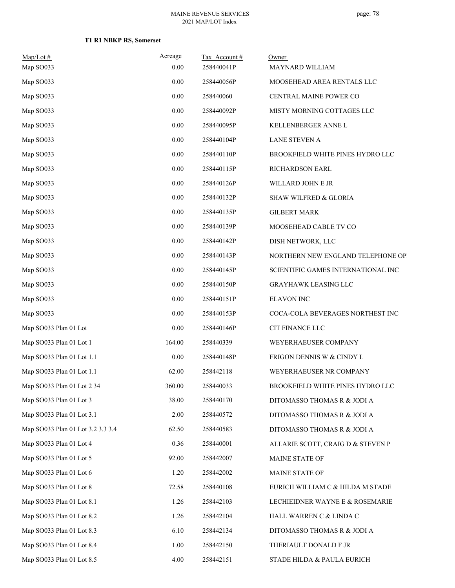| $Map/Lot$ #                       | Acreage  | Tax Account# | Owner                              |
|-----------------------------------|----------|--------------|------------------------------------|
| Map SO033                         | 0.00     | 258440041P   | MAYNARD WILLIAM                    |
| Map SO033                         | 0.00     | 258440056P   | MOOSEHEAD AREA RENTALS LLC         |
| Map SO033                         | $0.00\,$ | 258440060    | CENTRAL MAINE POWER CO             |
| Map SO033                         | 0.00     | 258440092P   | MISTY MORNING COTTAGES LLC         |
| Map SO033                         | 0.00     | 258440095P   | KELLENBERGER ANNE L                |
| Map SO033                         | 0.00     | 258440104P   | LANE STEVEN A                      |
| Map SO033                         | 0.00     | 258440110P   | BROOKFIELD WHITE PINES HYDRO LLC   |
| Map SO033                         | 0.00     | 258440115P   | RICHARDSON EARL                    |
| Map SO033                         | 0.00     | 258440126P   | WILLARD JOHN E JR                  |
| Map SO033                         | 0.00     | 258440132P   | <b>SHAW WILFRED &amp; GLORIA</b>   |
| Map SO033                         | 0.00     | 258440135P   | <b>GILBERT MARK</b>                |
| Map SO033                         | 0.00     | 258440139P   | MOOSEHEAD CABLE TV CO              |
| Map SO033                         | 0.00     | 258440142P   | DISH NETWORK, LLC                  |
| Map SO033                         | 0.00     | 258440143P   | NORTHERN NEW ENGLAND TELEPHONE OP! |
| Map SO033                         | 0.00     | 258440145P   | SCIENTIFIC GAMES INTERNATIONAL INC |
| Map SO033                         | 0.00     | 258440150P   | <b>GRAYHAWK LEASING LLC</b>        |
| Map SO033                         | 0.00     | 258440151P   | <b>ELAVON INC</b>                  |
| Map SO033                         | 0.00     | 258440153P   | COCA-COLA BEVERAGES NORTHEST INC   |
| Map SO033 Plan 01 Lot             | 0.00     | 258440146P   | CIT FINANCE LLC                    |
| Map SO033 Plan 01 Lot 1           | 164.00   | 258440339    | WEYERHAEUSER COMPANY               |
| Map SO033 Plan 01 Lot 1.1         | 0.00     | 258440148P   | FRIGON DENNIS W & CINDY L          |
| Map SO033 Plan 01 Lot 1.1         | 62.00    | 258442118    | WEYERHAEUSER NR COMPANY            |
| Map SO033 Plan 01 Lot 2 34        | 360.00   | 258440033    | BROOKFIELD WHITE PINES HYDRO LLC   |
| Map SO033 Plan 01 Lot 3           | 38.00    | 258440170    | DITOMASSO THOMAS R & JODI A        |
| Map SO033 Plan 01 Lot 3.1         | 2.00     | 258440572    | DITOMASSO THOMAS R & JODI A        |
| Map SO033 Plan 01 Lot 3.2 3.3 3.4 | 62.50    | 258440583    | DITOMASSO THOMAS R & JODI A        |
| Map SO033 Plan 01 Lot 4           | 0.36     | 258440001    | ALLARIE SCOTT, CRAIG D & STEVEN P  |
| Map SO033 Plan 01 Lot 5           | 92.00    | 258442007    | MAINE STATE OF                     |
| Map SO033 Plan 01 Lot 6           | 1.20     | 258442002    | MAINE STATE OF                     |
| Map SO033 Plan 01 Lot 8           | 72.58    | 258440108    | EURICH WILLIAM C & HILDA M STADE   |
| Map SO033 Plan 01 Lot 8.1         | 1.26     | 258442103    | LECHIEIDNER WAYNE E & ROSEMARIE    |
| Map SO033 Plan 01 Lot 8.2         | 1.26     | 258442104    | HALL WARREN C & LINDA C            |
| Map SO033 Plan 01 Lot 8.3         | 6.10     | 258442134    | DITOMASSO THOMAS R & JODI A        |
| Map SO033 Plan 01 Lot 8.4         | 1.00     | 258442150    | THERIAULT DONALD F JR              |
| Map SO033 Plan 01 Lot 8.5         | 4.00     | 258442151    | STADE HILDA & PAULA EURICH         |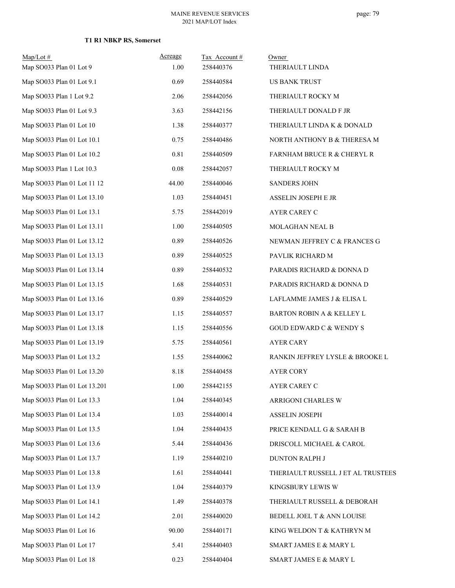| $Map/Lot \#$                 | Acreage  | Tax Account # | Owner                                |
|------------------------------|----------|---------------|--------------------------------------|
| Map SO033 Plan 01 Lot 9      | 1.00     | 258440376     | THERIAULT LINDA                      |
| Map SO033 Plan 01 Lot 9.1    | 0.69     | 258440584     | <b>US BANK TRUST</b>                 |
| Map SO033 Plan 1 Lot 9.2     | 2.06     | 258442056     | THERIAULT ROCKY M                    |
| Map SO033 Plan 01 Lot 9.3    | 3.63     | 258442156     | THERIAULT DONALD F JR                |
| Map SO033 Plan 01 Lot 10     | 1.38     | 258440377     | THERIAULT LINDA K & DONALD           |
| Map SO033 Plan 01 Lot 10.1   | 0.75     | 258440486     | NORTH ANTHONY B & THERESA M          |
| Map SO033 Plan 01 Lot 10.2   | 0.81     | 258440509     | FARNHAM BRUCE R & CHERYL R           |
| Map SO033 Plan 1 Lot 10.3    | $0.08\,$ | 258442057     | THERIAULT ROCKY M                    |
| Map SO033 Plan 01 Lot 11 12  | 44.00    | 258440046     | <b>SANDERS JOHN</b>                  |
| Map SO033 Plan 01 Lot 13.10  | 1.03     | 258440451     | ASSELIN JOSEPH E JR                  |
| Map SO033 Plan 01 Lot 13.1   | 5.75     | 258442019     | AYER CAREY C                         |
| Map SO033 Plan 01 Lot 13.11  | 1.00     | 258440505     | MOLAGHAN NEAL B                      |
| Map SO033 Plan 01 Lot 13.12  | 0.89     | 258440526     | NEWMAN JEFFREY C & FRANCES G         |
| Map SO033 Plan 01 Lot 13.13  | 0.89     | 258440525     | PAVLIK RICHARD M                     |
| Map SO033 Plan 01 Lot 13.14  | 0.89     | 258440532     | PARADIS RICHARD & DONNA D            |
| Map SO033 Plan 01 Lot 13.15  | 1.68     | 258440531     | PARADIS RICHARD & DONNA D            |
| Map SO033 Plan 01 Lot 13.16  | 0.89     | 258440529     | LAFLAMME JAMES J & ELISA L           |
| Map SO033 Plan 01 Lot 13.17  | 1.15     | 258440557     | <b>BARTON ROBIN A &amp; KELLEY L</b> |
| Map SO033 Plan 01 Lot 13.18  | 1.15     | 258440556     | <b>GOUD EDWARD C &amp; WENDY S</b>   |
| Map SO033 Plan 01 Lot 13.19  | 5.75     | 258440561     | <b>AYER CARY</b>                     |
| Map SO033 Plan 01 Lot 13.2   | 1.55     | 258440062     | RANKIN JEFFREY LYSLE & BROOKE L      |
| Map SO033 Plan 01 Lot 13.20  | 8.18     | 258440458     | <b>AYER CORY</b>                     |
| Map SO033 Plan 01 Lot 13.201 | 1.00     | 258442155     | AYER CAREY C                         |
| Map SO033 Plan 01 Lot 13.3   | 1.04     | 258440345     | ARRIGONI CHARLES W                   |
| Map SO033 Plan 01 Lot 13.4   | 1.03     | 258440014     | ASSELIN JOSEPH                       |
| Map SO033 Plan 01 Lot 13.5   | 1.04     | 258440435     | PRICE KENDALL G & SARAH B            |
| Map SO033 Plan 01 Lot 13.6   | 5.44     | 258440436     | DRISCOLL MICHAEL & CAROL             |
| Map SO033 Plan 01 Lot 13.7   | 1.19     | 258440210     | DUNTON RALPH J                       |
| Map SO033 Plan 01 Lot 13.8   | 1.61     | 258440441     | THERIAULT RUSSELL J ET AL TRUSTEES   |
| Map SO033 Plan 01 Lot 13.9   | 1.04     | 258440379     | KINGSBURY LEWIS W                    |
| Map SO033 Plan 01 Lot 14.1   | 1.49     | 258440378     | THERIAULT RUSSELL & DEBORAH          |
| Map SO033 Plan 01 Lot 14.2   | 2.01     | 258440020     | BEDELL JOEL T & ANN LOUISE           |
| Map SO033 Plan 01 Lot 16     | 90.00    | 258440171     | KING WELDON T & KATHRYN M            |
| Map SO033 Plan 01 Lot 17     | 5.41     | 258440403     | SMART JAMES E & MARY L               |
| Map SO033 Plan 01 Lot 18     | 0.23     | 258440404     | SMART JAMES E & MARY L               |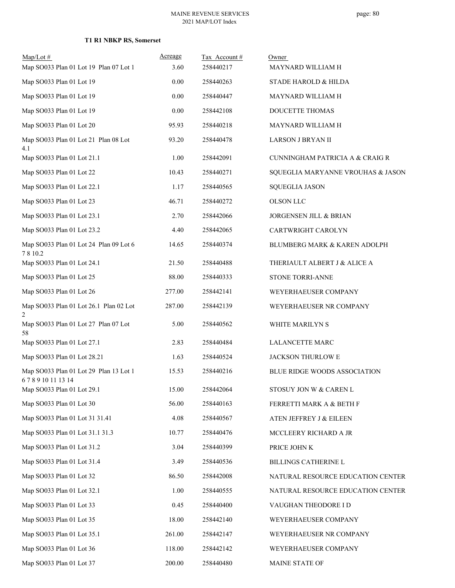| $Map/Lot \#$<br>Map SO033 Plan 01 Lot 19 Plan 07 Lot 1   | Acreage<br>3.60 | Tax Account#<br>258440217 | Owner<br>MAYNARD WILLIAM H          |
|----------------------------------------------------------|-----------------|---------------------------|-------------------------------------|
| Map SO033 Plan 01 Lot 19                                 | 0.00            | 258440263                 | STADE HAROLD & HILDA                |
| Map SO033 Plan 01 Lot 19                                 | 0.00            | 258440447                 | MAYNARD WILLIAM H                   |
| Map SO033 Plan 01 Lot 19                                 | 0.00            | 258442108                 | DOUCETTE THOMAS                     |
| Map SO033 Plan 01 Lot 20                                 | 95.93           | 258440218                 | MAYNARD WILLIAM H                   |
| Map SO033 Plan 01 Lot 21 Plan 08 Lot<br>4.1              | 93.20           | 258440478                 | LARSON J BRYAN II                   |
| Map SO033 Plan 01 Lot 21.1                               | 1.00            | 258442091                 | CUNNINGHAM PATRICIA A & CRAIG R     |
| Map SO033 Plan 01 Lot 22                                 | 10.43           | 258440271                 | SQUEGLIA MARYANNE VROUHAS & JASON   |
| Map SO033 Plan 01 Lot 22.1                               | 1.17            | 258440565                 | <b>SQUEGLIA JASON</b>               |
| Map SO033 Plan 01 Lot 23                                 | 46.71           | 258440272                 | <b>OLSON LLC</b>                    |
| Map SO033 Plan 01 Lot 23.1                               | 2.70            | 258442066                 | <b>JORGENSEN JILL &amp; BRIAN</b>   |
| Map SO033 Plan 01 Lot 23.2                               | 4.40            | 258442065                 | CARTWRIGHT CAROLYN                  |
| Map SO033 Plan 01 Lot 24 Plan 09 Lot 6<br>7810.2         | 14.65           | 258440374                 | BLUMBERG MARK & KAREN ADOLPH        |
| Map SO033 Plan 01 Lot 24.1                               | 21.50           | 258440488                 | THERIAULT ALBERT J & ALICE A        |
| Map SO033 Plan 01 Lot 25                                 | 88.00           | 258440333                 | STONE TORRI-ANNE                    |
| Map SO033 Plan 01 Lot 26                                 | 277.00          | 258442141                 | WEYERHAEUSER COMPANY                |
| Map SO033 Plan 01 Lot 26.1 Plan 02 Lot<br>$\overline{2}$ | 287.00          | 258442139                 | WEYERHAEUSER NR COMPANY             |
| Map SO033 Plan 01 Lot 27 Plan 07 Lot<br>58               | 5.00            | 258440562                 | WHITE MARILYN S                     |
| Map SO033 Plan 01 Lot 27.1                               | 2.83            | 258440484                 | <b>LALANCETTE MARC</b>              |
| Map SO033 Plan 01 Lot 28.21                              | 1.63            | 258440524                 | JACKSON THURLOW E                   |
| Map SO033 Plan 01 Lot 29 Plan 13 Lot 1<br>678910111314   | 15.53           | 258440216                 | <b>BLUE RIDGE WOODS ASSOCIATION</b> |
| Map SO033 Plan 01 Lot 29.1                               | 15.00           | 258442064                 | STOSUY JON W & CAREN L              |
| Map SO033 Plan 01 Lot 30                                 | 56.00           | 258440163                 | FERRETTI MARK A & BETH F            |
| Map SO033 Plan 01 Lot 31 31.41                           | 4.08            | 258440567                 | ATEN JEFFREY J & EILEEN             |
| Map SO033 Plan 01 Lot 31.1 31.3                          | 10.77           | 258440476                 | MCCLEERY RICHARD A JR               |
| Map SO033 Plan 01 Lot 31.2                               | 3.04            | 258440399                 | PRICE JOHN K                        |
| Map SO033 Plan 01 Lot 31.4                               | 3.49            | 258440536                 | BILLINGS CATHERINE L                |
| Map SO033 Plan 01 Lot 32                                 | 86.50           | 258442008                 | NATURAL RESOURCE EDUCATION CENTER   |
| Map SO033 Plan 01 Lot 32.1                               | 1.00            | 258440555                 | NATURAL RESOURCE EDUCATION CENTER   |
| Map SO033 Plan 01 Lot 33                                 | 0.45            | 258440400                 | VAUGHAN THEODORE I D                |
| Map SO033 Plan 01 Lot 35                                 | 18.00           | 258442140                 | WEYERHAEUSER COMPANY                |
| Map SO033 Plan 01 Lot 35.1                               | 261.00          | 258442147                 | WEYERHAEUSER NR COMPANY             |
| Map SO033 Plan 01 Lot 36                                 | 118.00          | 258442142                 | WEYERHAEUSER COMPANY                |
| Map SO033 Plan 01 Lot 37                                 | 200.00          | 258440480                 | MAINE STATE OF                      |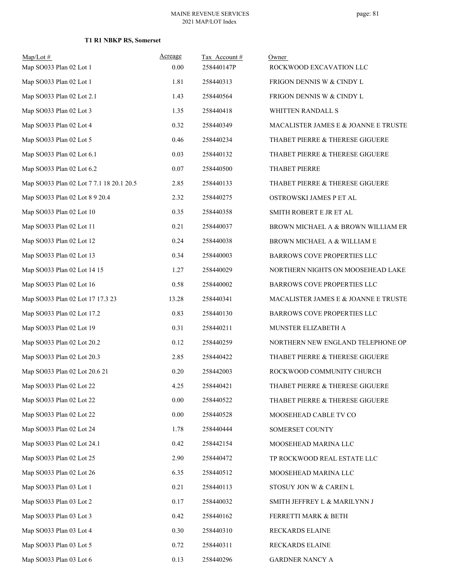| $Map/Lot \#$<br>Map SO033 Plan 02 Lot 1  | Acreage<br>0.00 | Tax Account#<br>258440147P | Owner<br>ROCKWOOD EXCAVATION LLC     |
|------------------------------------------|-----------------|----------------------------|--------------------------------------|
| Map SO033 Plan 02 Lot 1                  | 1.81            | 258440313                  | FRIGON DENNIS W & CINDY L            |
| Map SO033 Plan 02 Lot 2.1                | 1.43            | 258440564                  | FRIGON DENNIS W & CINDY L            |
| Map SO033 Plan 02 Lot 3                  | 1.35            | 258440418                  | WHITTEN RANDALL S                    |
| Map SO033 Plan 02 Lot 4                  | 0.32            | 258440349                  | MACALISTER JAMES E & JOANNE E TRUSTE |
| Map SO033 Plan 02 Lot 5                  | 0.46            | 258440234                  | THABET PIERRE & THERESE GIGUERE      |
| Map SO033 Plan 02 Lot 6.1                | 0.03            | 258440132                  | THABET PIERRE & THERESE GIGUERE      |
| Map SO033 Plan 02 Lot 6.2                | 0.07            | 258440500                  | THABET PIERRE                        |
| Map SO033 Plan 02 Lot 7 7.1 18 20.1 20.5 | 2.85            | 258440133                  | THABET PIERRE & THERESE GIGUERE      |
| Map SO033 Plan 02 Lot 8 9 20.4           | 2.32            | 258440275                  | OSTROWSKI JAMES P ET AL              |
| Map SO033 Plan 02 Lot 10                 | 0.35            | 258440358                  | SMITH ROBERT E JR ET AL              |
| Map SO033 Plan 02 Lot 11                 | 0.21            | 258440037                  | BROWN MICHAEL A & BROWN WILLIAM ER   |
| Map SO033 Plan 02 Lot 12                 | 0.24            | 258440038                  | BROWN MICHAEL A & WILLIAM E          |
| Map SO033 Plan 02 Lot 13                 | 0.34            | 258440003                  | BARROWS COVE PROPERTIES LLC          |
| Map SO033 Plan 02 Lot 14 15              | 1.27            | 258440029                  | NORTHERN NIGHTS ON MOOSEHEAD LAKE    |
| Map SO033 Plan 02 Lot 16                 | 0.58            | 258440002                  | BARROWS COVE PROPERTIES LLC          |
| Map SO033 Plan 02 Lot 17 17.3 23         | 13.28           | 258440341                  | MACALISTER JAMES E & JOANNE E TRUSTE |
| Map SO033 Plan 02 Lot 17.2               | 0.83            | 258440130                  | BARROWS COVE PROPERTIES LLC          |
| Map SO033 Plan 02 Lot 19                 | 0.31            | 258440211                  | MUNSTER ELIZABETH A                  |
| Map SO033 Plan 02 Lot 20.2               | 0.12            | 258440259                  | NORTHERN NEW ENGLAND TELEPHONE OP!   |
| Map SO033 Plan 02 Lot 20.3               | 2.85            | 258440422                  | THABET PIERRE & THERESE GIGUERE      |
| Map SO033 Plan 02 Lot 20.6 21            | 0.20            | 258442003                  | ROCKWOOD COMMUNITY CHURCH            |
| Map SO033 Plan 02 Lot 22                 | 4.25            | 258440421                  | THABET PIERRE & THERESE GIGUERE      |
| Map SO033 Plan 02 Lot 22                 | 0.00            | 258440522                  | THABET PIERRE & THERESE GIGUERE      |
| Map SO033 Plan 02 Lot 22                 | 0.00            | 258440528                  | MOOSEHEAD CABLE TV CO                |
| Map SO033 Plan 02 Lot 24                 | 1.78            | 258440444                  | SOMERSET COUNTY                      |
| Map SO033 Plan 02 Lot 24.1               | 0.42            | 258442154                  | MOOSEHEAD MARINA LLC                 |
| Map SO033 Plan 02 Lot 25                 | 2.90            | 258440472                  | TP ROCKWOOD REAL ESTATE LLC          |
| Map SO033 Plan 02 Lot 26                 | 6.35            | 258440512                  | MOOSEHEAD MARINA LLC                 |
| Map SO033 Plan 03 Lot 1                  | 0.21            | 258440113                  | STOSUY JON W & CAREN L               |
| Map SO033 Plan 03 Lot 2                  | 0.17            | 258440032                  | SMITH JEFFREY L & MARILYNN J         |
| Map SO033 Plan 03 Lot 3                  | 0.42            | 258440162                  | FERRETTI MARK & BETH                 |
| Map SO033 Plan 03 Lot 4                  | 0.30            | 258440310                  | RECKARDS ELAINE                      |
| Map SO033 Plan 03 Lot 5                  | 0.72            | 258440311                  | RECKARDS ELAINE                      |
| Map SO033 Plan 03 Lot 6                  | 0.13            | 258440296                  | GARDNER NANCY A                      |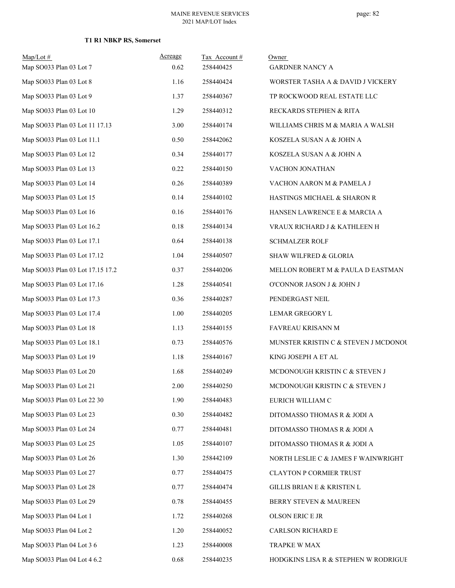| $Map/Lot \#$<br>Map SO033 Plan 03 Lot 7 | Acreage<br>0.62 | Tax Account#<br>258440425 | Owner<br><b>GARDNER NANCY A</b>      |
|-----------------------------------------|-----------------|---------------------------|--------------------------------------|
| Map SO033 Plan 03 Lot 8                 | 1.16            | 258440424                 | WORSTER TASHA A & DAVID J VICKERY    |
| Map SO033 Plan 03 Lot 9                 | 1.37            | 258440367                 | TP ROCKWOOD REAL ESTATE LLC          |
| Map SO033 Plan 03 Lot 10                | 1.29            | 258440312                 | RECKARDS STEPHEN & RITA              |
| Map SO033 Plan 03 Lot 11 17.13          | 3.00            | 258440174                 | WILLIAMS CHRIS M & MARIA A WALSH     |
| Map SO033 Plan 03 Lot 11.1              | 0.50            | 258442062                 | KOSZELA SUSAN A & JOHN A             |
| Map SO033 Plan 03 Lot 12                | 0.34            | 258440177                 | KOSZELA SUSAN A & JOHN A             |
| Map SO033 Plan 03 Lot 13                | 0.22            | 258440150                 | VACHON JONATHAN                      |
| Map SO033 Plan 03 Lot 14                | 0.26            | 258440389                 | VACHON AARON M & PAMELA J            |
| Map SO033 Plan 03 Lot 15                | 0.14            | 258440102                 | HASTINGS MICHAEL & SHARON R          |
| Map SO033 Plan 03 Lot 16                | 0.16            | 258440176                 | HANSEN LAWRENCE E & MARCIA A         |
| Map SO033 Plan 03 Lot 16.2              | 0.18            | 258440134                 | VRAUX RICHARD J & KATHLEEN H         |
| Map SO033 Plan 03 Lot 17.1              | 0.64            | 258440138                 | <b>SCHMALZER ROLF</b>                |
| Map SO033 Plan 03 Lot 17.12             | 1.04            | 258440507                 | SHAW WILFRED & GLORIA                |
| Map SO033 Plan 03 Lot 17.15 17.2        | 0.37            | 258440206                 | MELLON ROBERT M & PAULA D EASTMAN    |
| Map SO033 Plan 03 Lot 17.16             | 1.28            | 258440541                 | O'CONNOR JASON J & JOHN J            |
| Map SO033 Plan 03 Lot 17.3              | 0.36            | 258440287                 | PENDERGAST NEIL                      |
| Map SO033 Plan 03 Lot 17.4              | 1.00            | 258440205                 | LEMAR GREGORY L                      |
| Map SO033 Plan 03 Lot 18                | 1.13            | 258440155                 | FAVREAU KRISANN M                    |
| Map SO033 Plan 03 Lot 18.1              | 0.73            | 258440576                 | MUNSTER KRISTIN C & STEVEN J MCDONOU |
| Map SO033 Plan 03 Lot 19                | 1.18            | 258440167                 | KING JOSEPH A ET AL                  |
| Map SO033 Plan 03 Lot 20                | 1.68            | 258440249                 | MCDONOUGH KRISTIN C & STEVEN J       |
| Map SO033 Plan 03 Lot 21                | 2.00            | 258440250                 | MCDONOUGH KRISTIN C & STEVEN J       |
| Map SO033 Plan 03 Lot 22 30             | 1.90            | 258440483                 | EURICH WILLIAM C                     |
| Map SO033 Plan 03 Lot 23                | 0.30            | 258440482                 | DITOMASSO THOMAS R & JODI A          |
| Map SO033 Plan 03 Lot 24                | 0.77            | 258440481                 | DITOMASSO THOMAS R & JODI A          |
| Map SO033 Plan 03 Lot 25                | 1.05            | 258440107                 | DITOMASSO THOMAS R & JODI A          |
| Map SO033 Plan 03 Lot 26                | 1.30            | 258442109                 | NORTH LESLIE C & JAMES F WAINWRIGHT  |
| Map SO033 Plan 03 Lot 27                | 0.77            | 258440475                 | <b>CLAYTON P CORMIER TRUST</b>       |
| Map SO033 Plan 03 Lot 28                | 0.77            | 258440474                 | GILLIS BRIAN E & KRISTEN L           |
| Map SO033 Plan 03 Lot 29                | 0.78            | 258440455                 | BERRY STEVEN & MAUREEN               |
| Map SO033 Plan 04 Lot 1                 | 1.72            | 258440268                 | OLSON ERIC E JR                      |
| Map SO033 Plan 04 Lot 2                 | 1.20            | 258440052                 | CARLSON RICHARD E                    |
| Map SO033 Plan 04 Lot 3 6               | 1.23            | 258440008                 | TRAPKE W MAX                         |
| Map SO033 Plan 04 Lot 4 6.2             | 0.68            | 258440235                 | HODGKINS LISA R & STEPHEN W RODRIGUE |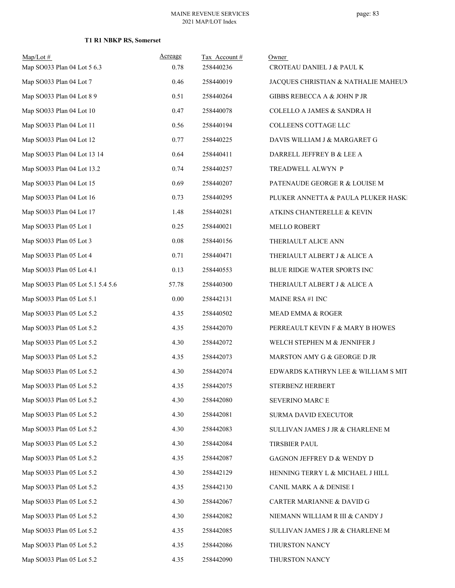| $Map/Lot$ #<br>Map SO033 Plan 04 Lot 5 6.3 | Acreage<br>0.78 | Tax Account#<br>258440236 | Owner<br>CROTEAU DANIEL J & PAUL K    |
|--------------------------------------------|-----------------|---------------------------|---------------------------------------|
| Map SO033 Plan 04 Lot 7                    | 0.46            | 258440019                 | JACQUES CHRISTIAN & NATHALIE MAHEUX   |
| Map SO033 Plan 04 Lot 8 9                  | 0.51            | 258440264                 | GIBBS REBECCA A & JOHN P JR           |
| Map SO033 Plan 04 Lot 10                   | 0.47            | 258440078                 | <b>COLELLO A JAMES &amp; SANDRA H</b> |
| Map SO033 Plan 04 Lot 11                   | 0.56            | 258440194                 | COLLEENS COTTAGE LLC                  |
| Map SO033 Plan 04 Lot 12                   | 0.77            | 258440225                 | DAVIS WILLIAM J & MARGARET G          |
| Map SO033 Plan 04 Lot 13 14                | 0.64            | 258440411                 | DARRELL JEFFREY B & LEE A             |
| Map SO033 Plan 04 Lot 13.2                 | 0.74            | 258440257                 | TREADWELL ALWYN P                     |
| Map SO033 Plan 04 Lot 15                   | 0.69            | 258440207                 | PATENAUDE GEORGE R & LOUISE M         |
| Map SO033 Plan 04 Lot 16                   | 0.73            | 258440295                 | PLUKER ANNETTA & PAULA PLUKER HASKI   |
| Map SO033 Plan 04 Lot 17                   | 1.48            | 258440281                 | ATKINS CHANTERELLE & KEVIN            |
| Map SO033 Plan 05 Lot 1                    | 0.25            | 258440021                 | <b>MELLO ROBERT</b>                   |
| Map SO033 Plan 05 Lot 3                    | $0.08\,$        | 258440156                 | THERIAULT ALICE ANN                   |
| Map SO033 Plan 05 Lot 4                    | 0.71            | 258440471                 | THERIAULT ALBERT J & ALICE A          |
| Map SO033 Plan 05 Lot 4.1                  | 0.13            | 258440553                 | BLUE RIDGE WATER SPORTS INC           |
| Map SO033 Plan 05 Lot 5.1 5.4 5.6          | 57.78           | 258440300                 | THERIAULT ALBERT J & ALICE A          |
| Map SO033 Plan 05 Lot 5.1                  | 0.00            | 258442131                 | <b>MAINE RSA #1 INC</b>               |
| Map SO033 Plan 05 Lot 5.2                  | 4.35            | 258440502                 | MEAD EMMA & ROGER                     |
| Map SO033 Plan 05 Lot 5.2                  | 4.35            | 258442070                 | PERREAULT KEVIN F & MARY B HOWES      |
| Map SO033 Plan 05 Lot 5.2                  | 4.30            | 258442072                 | WELCH STEPHEN M & JENNIFER J          |
| Map SO033 Plan 05 Lot 5.2                  | 4.35            | 258442073                 | MARSTON AMY G & GEORGE D JR           |
| Map SO033 Plan 05 Lot 5.2                  | 4.30            | 258442074                 | EDWARDS KATHRYN LEE & WILLIAM S MIT   |
| Map SO033 Plan 05 Lot 5.2                  | 4.35            | 258442075                 | STERBENZ HERBERT                      |
| Map SO033 Plan 05 Lot 5.2                  | 4.30            | 258442080                 | SEVERINO MARC E                       |
| Map SO033 Plan 05 Lot 5.2                  | 4.30            | 258442081                 | SURMA DAVID EXECUTOR                  |
| Map SO033 Plan 05 Lot 5.2                  | 4.30            | 258442083                 | SULLIVAN JAMES J JR & CHARLENE M      |
| Map SO033 Plan 05 Lot 5.2                  | 4.30            | 258442084                 | <b>TIRSBIER PAUL</b>                  |
| Map SO033 Plan 05 Lot 5.2                  | 4.35            | 258442087                 | GAGNON JEFFREY D & WENDY D            |
| Map SO033 Plan 05 Lot 5.2                  | 4.30            | 258442129                 | HENNING TERRY L & MICHAEL J HILL      |
| Map SO033 Plan 05 Lot 5.2                  | 4.35            | 258442130                 | CANIL MARK A & DENISE I               |
| Map SO033 Plan 05 Lot 5.2                  | 4.30            | 258442067                 | CARTER MARIANNE & DAVID G             |
| Map SO033 Plan 05 Lot 5.2                  | 4.30            | 258442082                 | NIEMANN WILLIAM R III & CANDY J       |
| Map SO033 Plan 05 Lot 5.2                  | 4.35            | 258442085                 | SULLIVAN JAMES J JR & CHARLENE M      |
| Map SO033 Plan 05 Lot 5.2                  | 4.35            | 258442086                 | THURSTON NANCY                        |
| Map SO033 Plan 05 Lot 5.2                  | 4.35            | 258442090                 | THURSTON NANCY                        |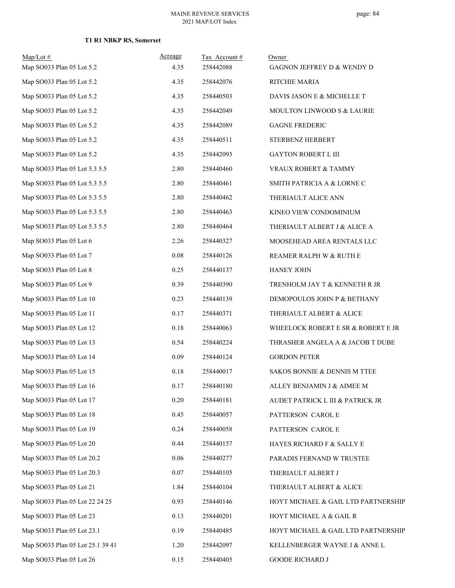| $Map/Lot \#$<br>Map SO033 Plan 05 Lot 5.2 | Acreage<br>4.35 | Tax Account#<br>258442088 | Owner<br>GAGNON JEFFREY D & WENDY D |
|-------------------------------------------|-----------------|---------------------------|-------------------------------------|
| Map SO033 Plan 05 Lot 5.2                 | 4.35            | 258442076                 | RITCHIE MARIA                       |
| Map SO033 Plan 05 Lot 5.2                 | 4.35            | 258440503                 | DAVIS JASON E & MICHELLE T          |
| Map SO033 Plan 05 Lot 5.2                 | 4.35            | 258442049                 | MOULTON LINWOOD S & LAURIE          |
| Map SO033 Plan 05 Lot 5.2                 | 4.35            | 258442089                 | <b>GAGNE FREDERIC</b>               |
| Map SO033 Plan 05 Lot 5.2                 | 4.35            | 258440511                 | STERBENZ HERBERT                    |
| Map SO033 Plan 05 Lot 5.2                 | 4.35            | 258442093                 | <b>GAYTON ROBERT L III</b>          |
| Map SO033 Plan 05 Lot 5.3 5.5             | 2.80            | 258440460                 | VRAUX ROBERT & TAMMY                |
| Map SO033 Plan 05 Lot 5.3 5.5             | 2.80            | 258440461                 | SMITH PATRICIA A & LORNE C          |
| Map SO033 Plan 05 Lot 5.3 5.5             | 2.80            | 258440462                 | THERIAULT ALICE ANN                 |
| Map SO033 Plan 05 Lot 5.3 5.5             | 2.80            | 258440463                 | KINEO VIEW CONDOMINIUM              |
| Map SO033 Plan 05 Lot 5.3 5.5             | 2.80            | 258440464                 | THERIAULT ALBERT J & ALICE A        |
| Map SO033 Plan 05 Lot 6                   | 2.26            | 258440327                 | MOOSEHEAD AREA RENTALS LLC          |
| Map SO033 Plan 05 Lot 7                   | 0.08            | 258440126                 | REAMER RALPH W & RUTH E             |
| Map SO033 Plan 05 Lot 8                   | 0.25            | 258440137                 | HANEY JOHN                          |
| Map SO033 Plan 05 Lot 9                   | 0.39            | 258440390                 | TRENHOLM JAY T & KENNETH R JR       |
| Map SO033 Plan 05 Lot 10                  | 0.23            | 258440139                 | DEMOPOULOS JOHN P & BETHANY         |
| Map SO033 Plan 05 Lot 11                  | 0.17            | 258440371                 | THERIAULT ALBERT & ALICE            |
| Map SO033 Plan 05 Lot 12                  | 0.18            | 258440063                 | WHEELOCK ROBERT E SR & ROBERT E JR  |
| Map SO033 Plan 05 Lot 13                  | 0.54            | 258440224                 | THRASHER ANGELA A & JACOB T DUBE    |
| Map SO033 Plan 05 Lot 14                  | 0.09            | 258440124                 | <b>GORDON PETER</b>                 |
| Map SO033 Plan 05 Lot 15                  | 0.18            | 258440017                 | SAKOS BONNIE & DENNIS M TTEE        |
| Map SO033 Plan 05 Lot 16                  | 0.17            | 258440180                 | ALLEY BENJAMIN J & AIMEE M          |
| Map SO033 Plan 05 Lot 17                  | 0.20            | 258440181                 | AUDET PATRICK L III & PATRICK JR    |
| Map SO033 Plan 05 Lot 18                  | 0.45            | 258440057                 | PATTERSON CAROL E                   |
| Map SO033 Plan 05 Lot 19                  | 0.24            | 258440058                 | PATTERSON CAROL E                   |
| Map SO033 Plan 05 Lot 20                  | 0.44            | 258440157                 | HAYES RICHARD F & SALLY E           |
| Map SO033 Plan 05 Lot 20.2                | 0.06            | 258440277                 | PARADIS FERNAND W TRUSTEE           |
| Map SO033 Plan 05 Lot 20.3                | 0.07            | 258440105                 | THERIAULT ALBERT J                  |
| Map SO033 Plan 05 Lot 21                  | 1.84            | 258440104                 | THERIAULT ALBERT & ALICE            |
| Map SO033 Plan 05 Lot 22 24 25            | 0.93            | 258440146                 | HOYT MICHAEL & GAIL LTD PARTNERSHIP |
| Map SO033 Plan 05 Lot 23                  | 0.13            | 258440201                 | HOYT MICHAEL A & GAIL R             |
| Map SO033 Plan 05 Lot 23.1                | 0.19            | 258440485                 | HOYT MICHAEL & GAIL LTD PARTNERSHIP |
| Map SO033 Plan 05 Lot 25.1 39 41          | 1.20            | 258442097                 | KELLENBERGER WAYNE J & ANNE L       |
| Map SO033 Plan 05 Lot 26                  | 0.15            | 258440405                 | <b>GOODE RICHARD J</b>              |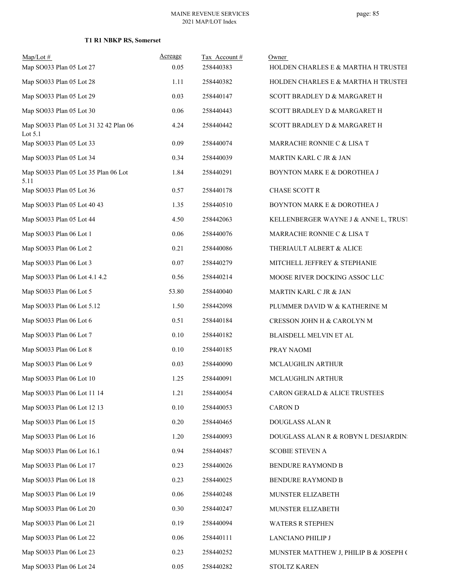| $Map/Lot$ #                                         | Acreage | Tax Account# | Owner                                  |
|-----------------------------------------------------|---------|--------------|----------------------------------------|
| Map SO033 Plan 05 Lot 27                            | 0.05    | 258440383    | HOLDEN CHARLES E & MARTHA H TRUSTEI    |
| Map SO033 Plan 05 Lot 28                            | 1.11    | 258440382    | HOLDEN CHARLES E & MARTHA H TRUSTEI    |
| Map SO033 Plan 05 Lot 29                            | 0.03    | 258440147    | SCOTT BRADLEY D & MARGARET H           |
| Map SO033 Plan 05 Lot 30                            | 0.06    | 258440443    | SCOTT BRADLEY D & MARGARET H           |
| Map SO033 Plan 05 Lot 31 32 42 Plan 06<br>Lot $5.1$ | 4.24    | 258440442    | SCOTT BRADLEY D & MARGARET H           |
| Map SO033 Plan 05 Lot 33                            | 0.09    | 258440074    | MARRACHE RONNIE C & LISA T             |
| Map SO033 Plan 05 Lot 34                            | 0.34    | 258440039    | MARTIN KARL C JR & JAN                 |
| Map SO033 Plan 05 Lot 35 Plan 06 Lot<br>5.11        | 1.84    | 258440291    | BOYNTON MARK E & DOROTHEA J            |
| Map SO033 Plan 05 Lot 36                            | 0.57    | 258440178    | <b>CHASE SCOTT R</b>                   |
| Map SO033 Plan 05 Lot 40 43                         | 1.35    | 258440510    | BOYNTON MARK E & DOROTHEA J            |
| Map SO033 Plan 05 Lot 44                            | 4.50    | 258442063    | KELLENBERGER WAYNE J & ANNE L, TRUST   |
| Map SO033 Plan 06 Lot 1                             | 0.06    | 258440076    | MARRACHE RONNIE C & LISA T             |
| Map SO033 Plan 06 Lot 2                             | 0.21    | 258440086    | THERIAULT ALBERT & ALICE               |
| Map SO033 Plan 06 Lot 3                             | 0.07    | 258440279    | MITCHELL JEFFREY & STEPHANIE           |
| Map SO033 Plan 06 Lot 4.1 4.2                       | 0.56    | 258440214    | MOOSE RIVER DOCKING ASSOC LLC          |
| Map SO033 Plan 06 Lot 5                             | 53.80   | 258440040    | MARTIN KARL C JR & JAN                 |
| Map SO033 Plan 06 Lot 5.12                          | 1.50    | 258442098    | PLUMMER DAVID W & KATHERINE M          |
| Map SO033 Plan 06 Lot 6                             | 0.51    | 258440184    | CRESSON JOHN H & CAROLYN M             |
| Map SO033 Plan 06 Lot 7                             | 0.10    | 258440182    | BLAISDELL MELVIN ET AL                 |
| Map SO033 Plan 06 Lot 8                             | 0.10    | 258440185    | PRAY NAOMI                             |
| Map SO033 Plan 06 Lot 9                             | 0.03    | 258440090    | MCLAUGHLIN ARTHUR                      |
| Map SO033 Plan 06 Lot 10                            | 1.25    | 258440091    | MCLAUGHLIN ARTHUR                      |
| Map SO033 Plan 06 Lot 11 14                         | 1.21    | 258440054    | CARON GERALD & ALICE TRUSTEES          |
| Map SO033 Plan 06 Lot 12 13                         | 0.10    | 258440053    | <b>CARON D</b>                         |
| Map SO033 Plan 06 Lot 15                            | 0.20    | 258440465    | DOUGLASS ALAN R                        |
| Map SO033 Plan 06 Lot 16                            | 1.20    | 258440093    | DOUGLASS ALAN R & ROBYN L DESJARDIN:   |
| Map SO033 Plan 06 Lot 16.1                          | 0.94    | 258440487    | <b>SCOBIE STEVEN A</b>                 |
| Map SO033 Plan 06 Lot 17                            | 0.23    | 258440026    | BENDURE RAYMOND B                      |
| Map SO033 Plan 06 Lot 18                            | 0.23    | 258440025    | BENDURE RAYMOND B                      |
| Map SO033 Plan 06 Lot 19                            | 0.06    | 258440248    | MUNSTER ELIZABETH                      |
| Map SO033 Plan 06 Lot 20                            | 0.30    | 258440247    | MUNSTER ELIZABETH                      |
| Map SO033 Plan 06 Lot 21                            | 0.19    | 258440094    | WATERS R STEPHEN                       |
| Map SO033 Plan 06 Lot 22                            | 0.06    | 258440111    | LANCIANO PHILIP J                      |
| Map SO033 Plan 06 Lot 23                            | 0.23    | 258440252    | MUNSTER MATTHEW J, PHILIP B & JOSEPH ( |
| Map SO033 Plan 06 Lot 24                            | 0.05    | 258440282    | <b>STOLTZ KAREN</b>                    |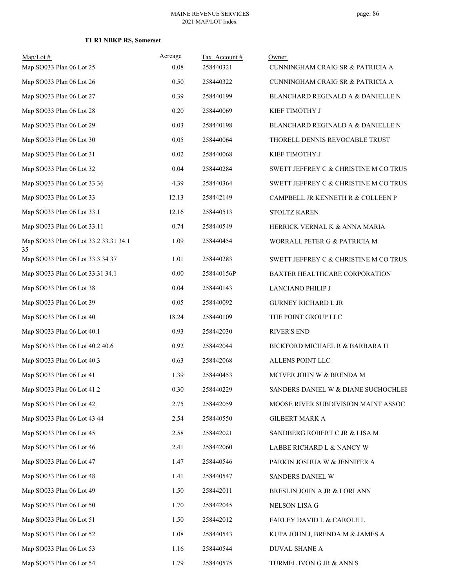| $Map/Lot$ #                                 | Acreage<br>0.08 | Tax Account#<br>258440321 | Owner                                 |
|---------------------------------------------|-----------------|---------------------------|---------------------------------------|
| Map SO033 Plan 06 Lot 25                    |                 |                           | CUNNINGHAM CRAIG SR & PATRICIA A      |
| Map SO033 Plan 06 Lot 26                    | 0.50            | 258440322                 | CUNNINGHAM CRAIG SR & PATRICIA A      |
| Map SO033 Plan 06 Lot 27                    | 0.39            | 258440199                 | BLANCHARD REGINALD A & DANIELLE N     |
| Map SO033 Plan 06 Lot 28                    | 0.20            | 258440069                 | KIEF TIMOTHY J                        |
| Map SO033 Plan 06 Lot 29                    | 0.03            | 258440198                 | BLANCHARD REGINALD A & DANIELLE N     |
| Map SO033 Plan 06 Lot 30                    | 0.05            | 258440064                 | THORELL DENNIS REVOCABLE TRUST        |
| Map SO033 Plan 06 Lot 31                    | 0.02            | 258440068                 | KIEF TIMOTHY J                        |
| Map SO033 Plan 06 Lot 32                    | 0.04            | 258440284                 | SWETT JEFFREY C & CHRISTINE M CO TRUS |
| Map SO033 Plan 06 Lot 33 36                 | 4.39            | 258440364                 | SWETT JEFFREY C & CHRISTINE M CO TRUS |
| Map SO033 Plan 06 Lot 33                    | 12.13           | 258442149                 | CAMPBELL JR KENNETH R & COLLEEN P     |
| Map SO033 Plan 06 Lot 33.1                  | 12.16           | 258440513                 | <b>STOLTZ KAREN</b>                   |
| Map SO033 Plan 06 Lot 33.11                 | 0.74            | 258440549                 | HERRICK VERNAL K & ANNA MARIA         |
| Map SO033 Plan 06 Lot 33.2 33.31 34.1<br>35 | 1.09            | 258440454                 | WORRALL PETER G & PATRICIA M          |
| Map SO033 Plan 06 Lot 33.3 34 37            | 1.01            | 258440283                 | SWETT JEFFREY C & CHRISTINE M CO TRUS |
| Map SO033 Plan 06 Lot 33.31 34.1            | 0.00            | 258440156P                | BAXTER HEALTHCARE CORPORATION         |
| Map SO033 Plan 06 Lot 38                    | 0.04            | 258440143                 | LANCIANO PHILIP J                     |
| Map SO033 Plan 06 Lot 39                    | 0.05            | 258440092                 | <b>GURNEY RICHARD L JR</b>            |
| Map SO033 Plan 06 Lot 40                    | 18.24           | 258440109                 | THE POINT GROUP LLC                   |
| Map SO033 Plan 06 Lot 40.1                  | 0.93            | 258442030                 | <b>RIVER'S END</b>                    |
| Map SO033 Plan 06 Lot 40.2 40.6             | 0.92            | 258442044                 | BICKFORD MICHAEL R & BARBARA H        |
| Map SO033 Plan 06 Lot 40.3                  | 0.63            | 258442068                 | ALLENS POINT LLC                      |
| Map SO033 Plan 06 Lot 41                    | 1.39            | 258440453                 | MCIVER JOHN W & BRENDA M              |
| Map SO033 Plan 06 Lot 41.2                  | 0.30            | 258440229                 | SANDERS DANIEL W & DIANE SUCHOCHLEE   |
| Map SO033 Plan 06 Lot 42                    | 2.75            | 258442059                 | MOOSE RIVER SUBDIVISION MAINT ASSOC   |
| Map SO033 Plan 06 Lot 43 44                 | 2.54            | 258440550                 | <b>GILBERT MARK A</b>                 |
| Map SO033 Plan 06 Lot 45                    | 2.58            | 258442021                 | SANDBERG ROBERT C JR & LISA M         |
| Map SO033 Plan 06 Lot 46                    | 2.41            | 258442060                 | LABBE RICHARD L & NANCY W             |
| Map SO033 Plan 06 Lot 47                    | 1.47            | 258440546                 | PARKIN JOSHUA W & JENNIFER A          |
| Map SO033 Plan 06 Lot 48                    | 1.41            | 258440547                 | SANDERS DANIEL W                      |
| Map SO033 Plan 06 Lot 49                    | 1.50            | 258442011                 | BRESLIN JOHN A JR & LORI ANN          |
| Map SO033 Plan 06 Lot 50                    | 1.70            | 258442045                 | NELSON LISA G                         |
| Map SO033 Plan 06 Lot 51                    | 1.50            | 258442012                 | <b>FARLEY DAVID L &amp; CAROLE L</b>  |
| Map SO033 Plan 06 Lot 52                    | 1.08            | 258440543                 | KUPA JOHN J, BRENDA M & JAMES A       |
| Map SO033 Plan 06 Lot 53                    | 1.16            | 258440544                 | DUVAL SHANE A                         |
| Map SO033 Plan 06 Lot 54                    | 1.79            | 258440575                 | TURMEL IVON G JR & ANN S              |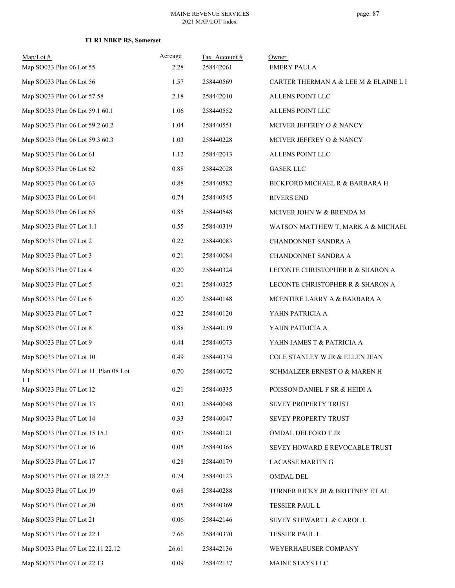#### MAINE REVENUE SERVICES 2021 MAP/LOT Index

| $Map/Lot$ #<br>Map SO033 Plan 06 Lot 55     | Acreage<br>2.28 | Tax Account#<br>258442061 | Owner<br><b>EMERY PAULA</b>           |
|---------------------------------------------|-----------------|---------------------------|---------------------------------------|
| Map SO033 Plan 06 Lot 56                    | 1.57            | 258440569                 | CARTER THERMAN A & LEE M & ELAINE L I |
| Map SO033 Plan 06 Lot 57 58                 | 2.18            | 258442010                 | ALLENS POINT LLC                      |
| Map SO033 Plan 06 Lot 59.1 60.1             | 1.06            | 258440552                 | ALLENS POINT LLC                      |
| Map SO033 Plan 06 Lot 59.2 60.2             | 1.04            | 258440551                 | MCIVER JEFFREY O & NANCY              |
| Map SO033 Plan 06 Lot 59.3 60.3             | 1.03            | 258440228                 | MCIVER JEFFREY O & NANCY              |
| Map SO033 Plan 06 Lot 61                    | 1.12            | 258442013                 | ALLENS POINT LLC                      |
| Map SO033 Plan 06 Lot 62                    | 0.88            | 258442028                 | <b>GASEK LLC</b>                      |
| Map SO033 Plan 06 Lot 63                    | 0.88            | 258440582                 | BICKFORD MICHAEL R & BARBARA H        |
| Map SO033 Plan 06 Lot 64                    | 0.74            | 258440545                 | <b>RIVERS END</b>                     |
| Map SO033 Plan 06 Lot 65                    | 0.85            | 258440548                 | MCIVER JOHN W & BRENDA M              |
| Map SO033 Plan 07 Lot 1.1                   | 0.55            | 258440319                 | WATSON MATTHEW T, MARK A & MICHAEL    |
| Map SO033 Plan 07 Lot 2                     | 0.22            | 258440083                 | CHANDONNET SANDRA A                   |
| Map SO033 Plan 07 Lot 3                     | 0.21            | 258440084                 | CHANDONNET SANDRA A                   |
| Map SO033 Plan 07 Lot 4                     | 0.20            | 258440324                 | LECONTE CHRISTOPHER R & SHARON A      |
| Map SO033 Plan 07 Lot 5                     | 0.21            | 258440325                 | LECONTE CHRISTOPHER R & SHARON A      |
| Map SO033 Plan 07 Lot 6                     | 0.20            | 258440148                 | MCENTIRE LARRY A & BARBARA A          |
| Map SO033 Plan 07 Lot 7                     | 0.22            | 258440120                 | YAHN PATRICIA A                       |
| Map SO033 Plan 07 Lot 8                     | 0.88            | 258440119                 | YAHN PATRICIA A                       |
| Map SO033 Plan 07 Lot 9                     | 0.44            | 258440073                 | YAHN JAMES T & PATRICIA A             |
| Map SO033 Plan 07 Lot 10                    | 0.49            | 258440334                 | COLE STANLEY W JR & ELLEN JEAN        |
| Map SO033 Plan 07 Lot 11 Plan 08 Lot<br>1.1 | 0.70            | 258440072                 | SCHMALZER ERNEST O & MAREN H          |
| Map SO033 Plan 07 Lot 12                    | 0.21            | 258440335                 | POISSON DANIEL F SR & HEIDI A         |
| Map SO033 Plan 07 Lot 13                    | 0.03            | 258440048                 | SEVEY PROPERTY TRUST                  |
| Map SO033 Plan 07 Lot 14                    | 0.33            | 258440047                 | SEVEY PROPERTY TRUST                  |
| Map SO033 Plan 07 Lot 15 15.1               | 0.07            | 258440121                 | OMDAL DELFORD T JR                    |
| Map SO033 Plan 07 Lot 16                    | 0.05            | 258440365                 | SEVEY HOWARD E REVOCABLE TRUST        |
| Map SO033 Plan 07 Lot 17                    | 0.28            | 258440179                 | LACASSE MARTIN G                      |
| Map SO033 Plan 07 Lot 18 22.2               | 0.74            | 258440123                 | <b>OMDAL DEL</b>                      |
| Map SO033 Plan 07 Lot 19                    | 0.68            | 258440288                 | TURNER RICKY JR & BRITTNEY ET AL      |
| Map SO033 Plan 07 Lot 20                    | 0.05            | 258440369                 | TESSIER PAUL L                        |
| Map SO033 Plan 07 Lot 21                    | 0.06            | 258442146                 | SEVEY STEWART L & CAROL L             |
| Map SO033 Plan 07 Lot 22.1                  | 7.66            | 258440370                 | TESSIER PAUL L                        |
| Map SO033 Plan 07 Lot 22.11 22.12           | 26.61           | 258442136                 | WEYERHAEUSER COMPANY                  |
| Map SO033 Plan 07 Lot 22.13                 | 0.09            | 258442137                 | MAINE STAYS LLC                       |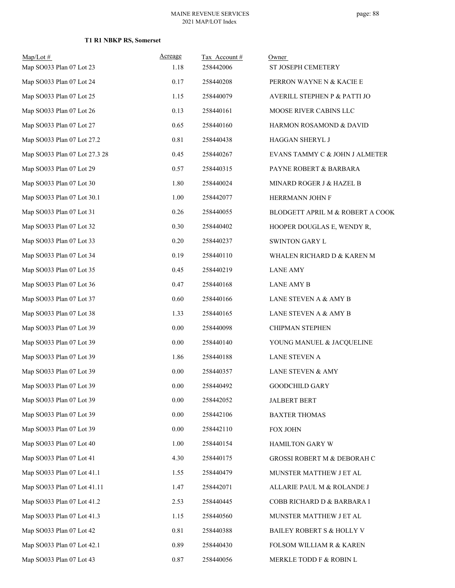| $Map/Lot \#$                  | Acreage  | Tax Account# | Owner                            |
|-------------------------------|----------|--------------|----------------------------------|
| Map SO033 Plan 07 Lot 23      | 1.18     | 258442006    | ST JOSEPH CEMETERY               |
| Map SO033 Plan 07 Lot 24      | 0.17     | 258440208    | PERRON WAYNE N & KACIE E         |
| Map SO033 Plan 07 Lot 25      | 1.15     | 258440079    | AVERILL STEPHEN P & PATTI JO     |
| Map SO033 Plan 07 Lot 26      | 0.13     | 258440161    | MOOSE RIVER CABINS LLC           |
| Map SO033 Plan 07 Lot 27      | 0.65     | 258440160    | HARMON ROSAMOND & DAVID          |
| Map SO033 Plan 07 Lot 27.2    | 0.81     | 258440438    | HAGGAN SHERYL J                  |
| Map SO033 Plan 07 Lot 27.3 28 | 0.45     | 258440267    | EVANS TAMMY C & JOHN J ALMETER   |
| Map SO033 Plan 07 Lot 29      | 0.57     | 258440315    | PAYNE ROBERT & BARBARA           |
| Map SO033 Plan 07 Lot 30      | 1.80     | 258440024    | MINARD ROGER J & HAZEL B         |
| Map SO033 Plan 07 Lot 30.1    | 1.00     | 258442077    | HERRMANN JOHN F                  |
| Map SO033 Plan 07 Lot 31      | 0.26     | 258440055    | BLODGETT APRIL M & ROBERT A COOK |
| Map SO033 Plan 07 Lot 32      | 0.30     | 258440402    | HOOPER DOUGLAS E, WENDY R,       |
| Map SO033 Plan 07 Lot 33      | 0.20     | 258440237    | <b>SWINTON GARY L</b>            |
| Map SO033 Plan 07 Lot 34      | 0.19     | 258440110    | WHALEN RICHARD D & KAREN M       |
| Map SO033 Plan 07 Lot 35      | 0.45     | 258440219    | <b>LANE AMY</b>                  |
| Map SO033 Plan 07 Lot 36      | 0.47     | 258440168    | <b>LANE AMY B</b>                |
| Map SO033 Plan 07 Lot 37      | 0.60     | 258440166    | LANE STEVEN A & AMY B            |
| Map SO033 Plan 07 Lot 38      | 1.33     | 258440165    | LANE STEVEN A & AMY B            |
| Map SO033 Plan 07 Lot 39      | $0.00\,$ | 258440098    | <b>CHIPMAN STEPHEN</b>           |
| Map SO033 Plan 07 Lot 39      | 0.00     | 258440140    | YOUNG MANUEL & JACQUELINE        |
| Map SO033 Plan 07 Lot 39      | 1.86     | 258440188    | <b>LANE STEVEN A</b>             |
| Map SO033 Plan 07 Lot 39      | 0.00     | 258440357    | LANE STEVEN & AMY                |
| Map SO033 Plan 07 Lot 39      | $0.00\,$ | 258440492    | <b>GOODCHILD GARY</b>            |
| Map SO033 Plan 07 Lot 39      | 0.00     | 258442052    | <b>JALBERT BERT</b>              |
| Map SO033 Plan 07 Lot 39      | $0.00\,$ | 258442106    | <b>BAXTER THOMAS</b>             |
| Map SO033 Plan 07 Lot 39      | 0.00     | 258442110    | FOX JOHN                         |
| Map SO033 Plan 07 Lot 40      | 1.00     | 258440154    | <b>HAMILTON GARY W</b>           |
| Map SO033 Plan 07 Lot 41      | 4.30     | 258440175    | GROSSI ROBERT M & DEBORAH C      |
| Map SO033 Plan 07 Lot 41.1    | 1.55     | 258440479    | MUNSTER MATTHEW J ET AL          |
| Map SO033 Plan 07 Lot 41.11   | 1.47     | 258442071    | ALLARIE PAUL M & ROLANDE J       |
| Map SO033 Plan 07 Lot 41.2    | 2.53     | 258440445    | COBB RICHARD D & BARBARA I       |
| Map SO033 Plan 07 Lot 41.3    | 1.15     | 258440560    | MUNSTER MATTHEW J ET AL          |
| Map SO033 Plan 07 Lot 42      | 0.81     | 258440388    | BAILEY ROBERT S & HOLLY V        |
| Map SO033 Plan 07 Lot 42.1    | 0.89     | 258440430    | FOLSOM WILLIAM R & KAREN         |
| Map SO033 Plan 07 Lot 43      | $0.87\,$ | 258440056    | MERKLE TODD F & ROBIN L          |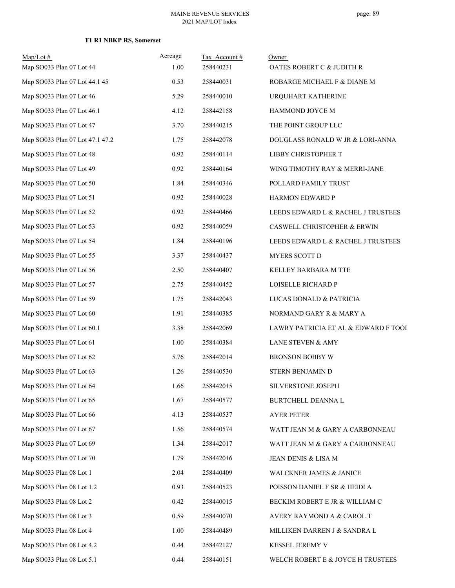| Map/Lot#<br>Map SO033 Plan 07 Lot 44 | Acreage<br>1.00 | Tax Account#<br>258440231 | Owner<br>OATES ROBERT C & JUDITH R   |
|--------------------------------------|-----------------|---------------------------|--------------------------------------|
| Map SO033 Plan 07 Lot 44.1 45        | 0.53            | 258440031                 | ROBARGE MICHAEL F & DIANE M          |
| Map SO033 Plan 07 Lot 46             | 5.29            | 258440010                 | URQUHART KATHERINE                   |
| Map SO033 Plan 07 Lot 46.1           | 4.12            | 258442158                 | HAMMOND JOYCE M                      |
| Map SO033 Plan 07 Lot 47             | 3.70            | 258440215                 | THE POINT GROUP LLC                  |
| Map SO033 Plan 07 Lot 47.1 47.2      | 1.75            | 258442078                 | DOUGLASS RONALD W JR & LORI-ANNA     |
| Map SO033 Plan 07 Lot 48             | 0.92            | 258440114                 | LIBBY CHRISTOPHER T                  |
| Map SO033 Plan 07 Lot 49             | 0.92            | 258440164                 | WING TIMOTHY RAY & MERRI-JANE        |
| Map SO033 Plan 07 Lot 50             | 1.84            | 258440346                 | POLLARD FAMILY TRUST                 |
| Map SO033 Plan 07 Lot 51             | 0.92            | 258440028                 | HARMON EDWARD P                      |
| Map SO033 Plan 07 Lot 52             | 0.92            | 258440466                 | LEEDS EDWARD L & RACHEL J TRUSTEES   |
| Map SO033 Plan 07 Lot 53             | 0.92            | 258440059                 | CASWELL CHRISTOPHER & ERWIN          |
| Map SO033 Plan 07 Lot 54             | 1.84            | 258440196                 | LEEDS EDWARD L & RACHEL J TRUSTEES   |
| Map SO033 Plan 07 Lot 55             | 3.37            | 258440437                 | MYERS SCOTT D                        |
| Map SO033 Plan 07 Lot 56             | 2.50            | 258440407                 | KELLEY BARBARA M TTE                 |
| Map SO033 Plan 07 Lot 57             | 2.75            | 258440452                 | LOISELLE RICHARD P                   |
| Map SO033 Plan 07 Lot 59             | 1.75            | 258442043                 | LUCAS DONALD & PATRICIA              |
| Map SO033 Plan 07 Lot 60             | 1.91            | 258440385                 | NORMAND GARY R & MARY A              |
| Map SO033 Plan 07 Lot 60.1           | 3.38            | 258442069                 | LAWRY PATRICIA ET AL & EDWARD F TOOI |
| Map SO033 Plan 07 Lot 61             | 1.00            | 258440384                 | LANE STEVEN & AMY                    |
| Map SO033 Plan 07 Lot 62             | 5.76            | 258442014                 | BRONSON BOBBY W                      |
| Map SO033 Plan 07 Lot 63             | 1.26            | 258440530                 | STERN BENJAMIN D                     |
| Map SO033 Plan 07 Lot 64             | 1.66            | 258442015                 | SILVERSTONE JOSEPH                   |
| Map SO033 Plan 07 Lot 65             | 1.67            | 258440577                 | BURTCHELL DEANNA L                   |
| Map SO033 Plan 07 Lot 66             | 4.13            | 258440537                 | <b>AYER PETER</b>                    |
| Map SO033 Plan 07 Lot 67             | 1.56            | 258440574                 | WATT JEAN M & GARY A CARBONNEAU      |
| Map SO033 Plan 07 Lot 69             | 1.34            | 258442017                 | WATT JEAN M & GARY A CARBONNEAU      |
| Map SO033 Plan 07 Lot 70             | 1.79            | 258442016                 | JEAN DENIS & LISA M                  |
| Map SO033 Plan 08 Lot 1              | 2.04            | 258440409                 | WALCKNER JAMES & JANICE              |
| Map SO033 Plan 08 Lot 1.2            | 0.93            | 258440523                 | POISSON DANIEL F SR & HEIDI A        |
| Map SO033 Plan 08 Lot 2              | 0.42            | 258440015                 | BECKIM ROBERT E JR & WILLIAM C       |
| Map SO033 Plan 08 Lot 3              | 0.59            | 258440070                 | AVERY RAYMOND A & CAROL T            |
| Map SO033 Plan 08 Lot 4              | 1.00            | 258440489                 | MILLIKEN DARREN J & SANDRA L         |
| Map SO033 Plan 08 Lot 4.2            | 0.44            | 258442127                 | KESSEL JEREMY V                      |
| Map SO033 Plan 08 Lot 5.1            | 0.44            | 258440151                 | WELCH ROBERT E & JOYCE H TRUSTEES    |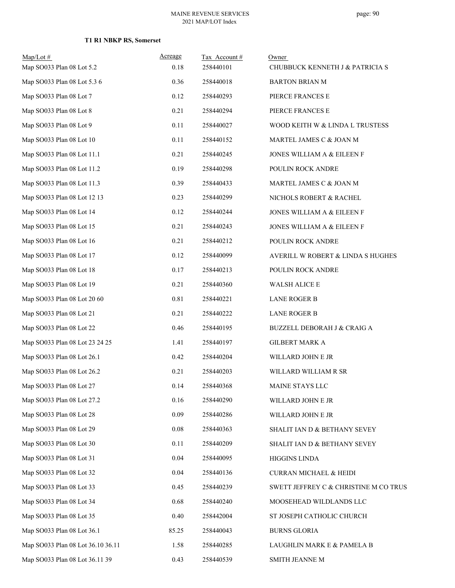| $Map/Lot \#$                      | Acreage | Tax Account# | Owner                                 |
|-----------------------------------|---------|--------------|---------------------------------------|
| Map SO033 Plan 08 Lot 5.2         | 0.18    | 258440101    | CHUBBUCK KENNETH J & PATRICIA S       |
| Map SO033 Plan 08 Lot 5.3 6       | 0.36    | 258440018    | <b>BARTON BRIAN M</b>                 |
| Map SO033 Plan 08 Lot 7           | 0.12    | 258440293    | PIERCE FRANCES E                      |
| Map SO033 Plan 08 Lot 8           | 0.21    | 258440294    | PIERCE FRANCES E                      |
| Map SO033 Plan 08 Lot 9           | 0.11    | 258440027    | WOOD KEITH W & LINDA L TRUSTESS       |
| Map SO033 Plan 08 Lot 10          | 0.11    | 258440152    | MARTEL JAMES C & JOAN M               |
| Map SO033 Plan 08 Lot 11.1        | 0.21    | 258440245    | JONES WILLIAM A & EILEEN F            |
| Map SO033 Plan 08 Lot 11.2        | 0.19    | 258440298    | POULIN ROCK ANDRE                     |
| Map SO033 Plan 08 Lot 11.3        | 0.39    | 258440433    | MARTEL JAMES C & JOAN M               |
| Map SO033 Plan 08 Lot 12 13       | 0.23    | 258440299    | NICHOLS ROBERT & RACHEL               |
| Map SO033 Plan 08 Lot 14          | 0.12    | 258440244    | JONES WILLIAM A & EILEEN F            |
| Map SO033 Plan 08 Lot 15          | 0.21    | 258440243    | JONES WILLIAM A & EILEEN F            |
| Map SO033 Plan 08 Lot 16          | 0.21    | 258440212    | POULIN ROCK ANDRE                     |
| Map SO033 Plan 08 Lot 17          | 0.12    | 258440099    | AVERILL W ROBERT & LINDA S HUGHES     |
| Map SO033 Plan 08 Lot 18          | 0.17    | 258440213    | POULIN ROCK ANDRE                     |
| Map SO033 Plan 08 Lot 19          | 0.21    | 258440360    | <b>WALSH ALICE E</b>                  |
| Map SO033 Plan 08 Lot 20 60       | 0.81    | 258440221    | <b>LANE ROGER B</b>                   |
| Map SO033 Plan 08 Lot 21          | 0.21    | 258440222    | <b>LANE ROGER B</b>                   |
| Map SO033 Plan 08 Lot 22          | 0.46    | 258440195    | BUZZELL DEBORAH J & CRAIG A           |
| Map SO033 Plan 08 Lot 23 24 25    | 1.41    | 258440197    | <b>GILBERT MARK A</b>                 |
| Map SO033 Plan 08 Lot 26.1        | 0.42    | 258440204    | WILLARD JOHN E JR                     |
| Map SO033 Plan 08 Lot 26.2        | 0.21    | 258440203    | WILLARD WILLIAM R SR                  |
| Map SO033 Plan 08 Lot 27          | 0.14    | 258440368    | MAINE STAYS LLC                       |
| Map SO033 Plan 08 Lot 27.2        | 0.16    | 258440290    | WILLARD JOHN E JR                     |
| Map SO033 Plan 08 Lot 28          | 0.09    | 258440286    | WILLARD JOHN E JR                     |
| Map SO033 Plan 08 Lot 29          | 0.08    | 258440363    | SHALIT IAN D & BETHANY SEVEY          |
| Map SO033 Plan 08 Lot 30          | 0.11    | 258440209    | SHALIT IAN D & BETHANY SEVEY          |
| Map SO033 Plan 08 Lot 31          | 0.04    | 258440095    | <b>HIGGINS LINDA</b>                  |
| Map SO033 Plan 08 Lot 32          | 0.04    | 258440136    | <b>CURRAN MICHAEL &amp; HEIDI</b>     |
| Map SO033 Plan 08 Lot 33          | 0.45    | 258440239    | SWETT JEFFREY C & CHRISTINE M CO TRUS |
| Map SO033 Plan 08 Lot 34          | 0.68    | 258440240    | MOOSEHEAD WILDLANDS LLC               |
| Map SO033 Plan 08 Lot 35          | 0.40    | 258442004    | ST JOSEPH CATHOLIC CHURCH             |
| Map SO033 Plan 08 Lot 36.1        | 85.25   | 258440043    | <b>BURNS GLORIA</b>                   |
| Map SO033 Plan 08 Lot 36.10 36.11 | 1.58    | 258440285    | LAUGHLIN MARK E & PAMELA B            |
| Map SO033 Plan 08 Lot 36.11 39    | 0.43    | 258440539    | SMITH JEANNE M                        |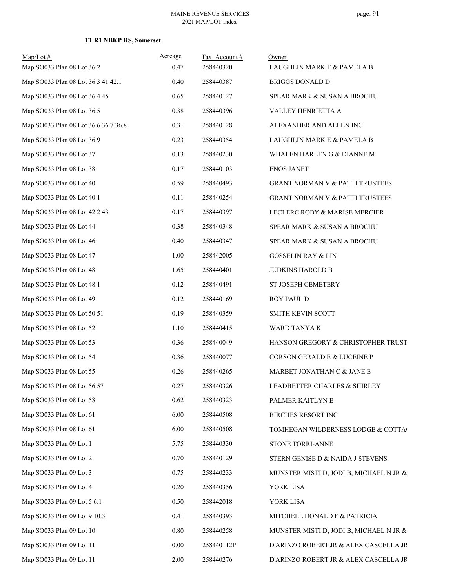| $Map/Lot \#$<br>Map SO033 Plan 08 Lot 36.2 | Acreage<br>0.47 | Tax Account#<br>258440320 | Owner<br>LAUGHLIN MARK E & PAMELA B        |
|--------------------------------------------|-----------------|---------------------------|--------------------------------------------|
| Map SO033 Plan 08 Lot 36.3 41 42.1         | 0.40            | 258440387                 | <b>BRIGGS DONALD D</b>                     |
| Map SO033 Plan 08 Lot 36.4 45              | 0.65            | 258440127                 | SPEAR MARK & SUSAN A BROCHU                |
| Map SO033 Plan 08 Lot 36.5                 | 0.38            | 258440396                 | VALLEY HENRIETTA A                         |
| Map SO033 Plan 08 Lot 36.6 36.7 36.8       | 0.31            | 258440128                 | ALEXANDER AND ALLEN INC                    |
| Map SO033 Plan 08 Lot 36.9                 | 0.23            | 258440354                 | LAUGHLIN MARK E & PAMELA B                 |
| Map SO033 Plan 08 Lot 37                   | 0.13            | 258440230                 | WHALEN HARLEN G & DIANNE M                 |
| Map SO033 Plan 08 Lot 38                   | 0.17            | 258440103                 | <b>ENOS JANET</b>                          |
| Map SO033 Plan 08 Lot 40                   | 0.59            | 258440493                 | GRANT NORMAN V & PATTI TRUSTEES            |
| Map SO033 Plan 08 Lot 40.1                 | 0.11            | 258440254                 | <b>GRANT NORMAN V &amp; PATTI TRUSTEES</b> |
| Map SO033 Plan 08 Lot 42.2 43              | 0.17            | 258440397                 | LECLERC ROBY & MARISE MERCIER              |
| Map SO033 Plan 08 Lot 44                   | 0.38            | 258440348                 | SPEAR MARK & SUSAN A BROCHU                |
| Map SO033 Plan 08 Lot 46                   | 0.40            | 258440347                 | SPEAR MARK & SUSAN A BROCHU                |
| Map SO033 Plan 08 Lot 47                   | 1.00            | 258442005                 | <b>GOSSELIN RAY &amp; LIN</b>              |
| Map SO033 Plan 08 Lot 48                   | 1.65            | 258440401                 | <b>JUDKINS HAROLD B</b>                    |
| Map SO033 Plan 08 Lot 48.1                 | 0.12            | 258440491                 | ST JOSEPH CEMETERY                         |
| Map SO033 Plan 08 Lot 49                   | 0.12            | 258440169                 | ROY PAUL D                                 |
| Map SO033 Plan 08 Lot 50 51                | 0.19            | 258440359                 | SMITH KEVIN SCOTT                          |
| Map SO033 Plan 08 Lot 52                   | 1.10            | 258440415                 | WARD TANYA K                               |
| Map SO033 Plan 08 Lot 53                   | 0.36            | 258440049                 | HANSON GREGORY & CHRISTOPHER TRUST         |
| Map SO033 Plan 08 Lot 54                   | 0.36            | 258440077                 | CORSON GERALD E & LUCEINE P                |
| Map SO033 Plan 08 Lot 55                   | 0.26            | 258440265                 | MARBET JONATHAN C & JANE E                 |
| Map SO033 Plan 08 Lot 56 57                | 0.27            | 258440326                 | LEADBETTER CHARLES & SHIRLEY               |
| Map SO033 Plan 08 Lot 58                   | 0.62            | 258440323                 | PALMER KAITLYN E                           |
| Map SO033 Plan 08 Lot 61                   | 6.00            | 258440508                 | BIRCHES RESORT INC                         |
| Map SO033 Plan 08 Lot 61                   | 6.00            | 258440508                 | TOMHEGAN WILDERNESS LODGE & COTTAC         |
| Map SO033 Plan 09 Lot 1                    | 5.75            | 258440330                 | STONE TORRI-ANNE                           |
| Map SO033 Plan 09 Lot 2                    | 0.70            | 258440129                 | STERN GENISE D & NAIDA J STEVENS           |
| Map SO033 Plan 09 Lot 3                    | 0.75            | 258440233                 | MUNSTER MISTI D, JODI B, MICHAEL N JR &    |
| Map SO033 Plan 09 Lot 4                    | 0.20            | 258440356                 | YORK LISA                                  |
| Map SO033 Plan 09 Lot 5 6.1                | 0.50            | 258442018                 | YORK LISA                                  |
| Map SO033 Plan 09 Lot 9 10.3               | 0.41            | 258440393                 | MITCHELL DONALD F & PATRICIA               |
| Map SO033 Plan 09 Lot 10                   | 0.80            | 258440258                 | MUNSTER MISTI D, JODI B, MICHAEL N JR &    |
| Map SO033 Plan 09 Lot 11                   | 0.00            | 258440112P                | D'ARINZO ROBERT JR & ALEX CASCELLA JR      |
| Map SO033 Plan 09 Lot 11                   | 2.00            | 258440276                 | D'ARINZO ROBERT JR & ALEX CASCELLA JR      |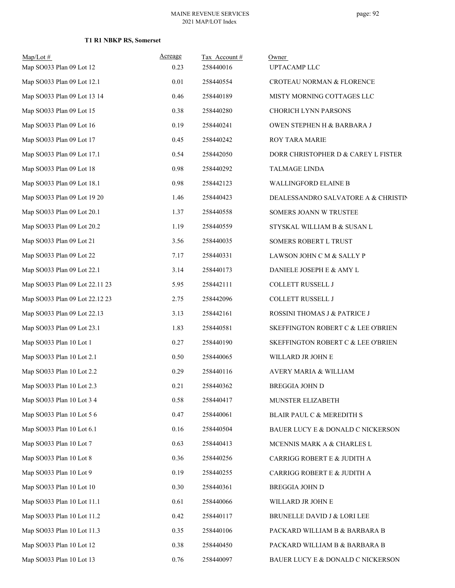| Map/Lot#<br>Map SO033 Plan 09 Lot 12 | Acreage<br>0.23 | Tax Account #<br>258440016 | Owner<br><b>UPTACAMP LLC</b>        |
|--------------------------------------|-----------------|----------------------------|-------------------------------------|
| Map SO033 Plan 09 Lot 12.1           | 0.01            | 258440554                  | CROTEAU NORMAN & FLORENCE           |
| Map SO033 Plan 09 Lot 13 14          | 0.46            | 258440189                  | MISTY MORNING COTTAGES LLC          |
| Map SO033 Plan 09 Lot 15             | 0.38            | 258440280                  | <b>CHORICH LYNN PARSONS</b>         |
| Map SO033 Plan 09 Lot 16             | 0.19            | 258440241                  | OWEN STEPHEN H & BARBARA J          |
| Map SO033 Plan 09 Lot 17             | 0.45            | 258440242                  | ROY TARA MARIE                      |
| Map SO033 Plan 09 Lot 17.1           | 0.54            | 258442050                  | DORR CHRISTOPHER D & CAREY L FISTER |
| Map SO033 Plan 09 Lot 18             | 0.98            | 258440292                  | <b>TALMAGE LINDA</b>                |
| Map SO033 Plan 09 Lot 18.1           | 0.98            | 258442123                  | WALLINGFORD ELAINE B                |
| Map SO033 Plan 09 Lot 19 20          | 1.46            | 258440423                  | DEALESSANDRO SALVATORE A & CHRISTIN |
| Map SO033 Plan 09 Lot 20.1           | 1.37            | 258440558                  | SOMERS JOANN W TRUSTEE              |
| Map SO033 Plan 09 Lot 20.2           | 1.19            | 258440559                  | STYSKAL WILLIAM B & SUSAN L         |
| Map SO033 Plan 09 Lot 21             | 3.56            | 258440035                  | SOMERS ROBERT L TRUST               |
| Map SO033 Plan 09 Lot 22             | 7.17            | 258440331                  | LAWSON JOHN C M & SALLY P           |
| Map SO033 Plan 09 Lot 22.1           | 3.14            | 258440173                  | DANIELE JOSEPH E & AMY L            |
| Map SO033 Plan 09 Lot 22.11 23       | 5.95            | 258442111                  | COLLETT RUSSELL J                   |
| Map SO033 Plan 09 Lot 22.12 23       | 2.75            | 258442096                  | COLLETT RUSSELL J                   |
| Map SO033 Plan 09 Lot 22.13          | 3.13            | 258442161                  | ROSSINI THOMAS J & PATRICE J        |
| Map SO033 Plan 09 Lot 23.1           | 1.83            | 258440581                  | SKEFFINGTON ROBERT C & LEE O'BRIEN  |
| Map SO033 Plan 10 Lot 1              | 0.27            | 258440190                  | SKEFFINGTON ROBERT C & LEE O'BRIEN  |
| Map SO033 Plan 10 Lot 2.1            | 0.50            | 258440065                  | WILLARD JR JOHN E                   |
| Map SO033 Plan 10 Lot 2.2            | 0.29            | 258440116                  | <b>AVERY MARIA &amp; WILLIAM</b>    |
| Map SO033 Plan 10 Lot 2.3            | 0.21            | 258440362                  | <b>BREGGIA JOHN D</b>               |
| Map SO033 Plan 10 Lot 3 4            | 0.58            | 258440417                  | MUNSTER ELIZABETH                   |
| Map SO033 Plan 10 Lot 5 6            | 0.47            | 258440061                  | BLAIR PAUL C & MEREDITH S           |
| Map SO033 Plan 10 Lot 6.1            | 0.16            | 258440504                  | BAUER LUCY E & DONALD C NICKERSON   |
| Map SO033 Plan 10 Lot 7              | 0.63            | 258440413                  | MCENNIS MARK A & CHARLES L          |
| Map SO033 Plan 10 Lot 8              | 0.36            | 258440256                  | CARRIGG ROBERT E & JUDITH A         |
| Map SO033 Plan 10 Lot 9              | 0.19            | 258440255                  | CARRIGG ROBERT E & JUDITH A         |
| Map SO033 Plan 10 Lot 10             | 0.30            | 258440361                  | <b>BREGGIA JOHN D</b>               |
| Map SO033 Plan 10 Lot 11.1           | 0.61            | 258440066                  | WILLARD JR JOHN E                   |
| Map SO033 Plan 10 Lot 11.2           | 0.42            | 258440117                  | BRUNELLE DAVID J & LORI LEE         |
| Map SO033 Plan 10 Lot 11.3           | 0.35            | 258440106                  | PACKARD WILLIAM B & BARBARA B       |
| Map SO033 Plan 10 Lot 12             | 0.38            | 258440450                  | PACKARD WILLIAM B & BARBARA B       |
| Map SO033 Plan 10 Lot 13             | 0.76            | 258440097                  | BAUER LUCY E & DONALD C NICKERSON   |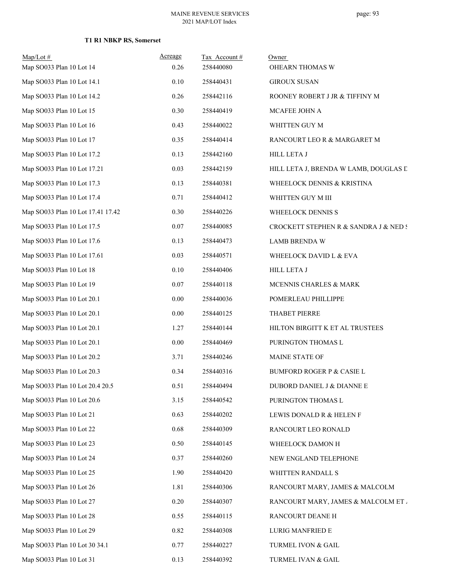| $Map/Lot$ #<br>Map SO033 Plan 10 Lot 14 | Acreage<br>0.26 | Tax Account#<br>258440080 | Owner<br>OHEARN THOMAS W              |
|-----------------------------------------|-----------------|---------------------------|---------------------------------------|
| Map SO033 Plan 10 Lot 14.1              | 0.10            | 258440431                 | <b>GIROUX SUSAN</b>                   |
| Map SO033 Plan 10 Lot 14.2              | 0.26            | 258442116                 | ROONEY ROBERT J JR & TIFFINY M        |
| Map SO033 Plan 10 Lot 15                | 0.30            | 258440419                 | MCAFEE JOHN A                         |
| Map SO033 Plan 10 Lot 16                | 0.43            | 258440022                 | WHITTEN GUY M                         |
| Map SO033 Plan 10 Lot 17                | 0.35            | 258440414                 | RANCOURT LEO R & MARGARET M           |
| Map SO033 Plan 10 Lot 17.2              | 0.13            | 258442160                 | HILL LETA J                           |
| Map SO033 Plan 10 Lot 17.21             | 0.03            | 258442159                 | HILL LETA J, BRENDA W LAMB, DOUGLAS D |
| Map SO033 Plan 10 Lot 17.3              | 0.13            | 258440381                 | WHEELOCK DENNIS & KRISTINA            |
| Map SO033 Plan 10 Lot 17.4              | 0.71            | 258440412                 | WHITTEN GUY M III                     |
| Map SO033 Plan 10 Lot 17.41 17.42       | 0.30            | 258440226                 | WHEELOCK DENNIS S                     |
| Map SO033 Plan 10 Lot 17.5              | 0.07            | 258440085                 | CROCKETT STEPHEN R & SANDRA J & NED S |
| Map SO033 Plan 10 Lot 17.6              | 0.13            | 258440473                 | <b>LAMB BRENDA W</b>                  |
| Map SO033 Plan 10 Lot 17.61             | 0.03            | 258440571                 | WHEELOCK DAVID L & EVA                |
| Map SO033 Plan 10 Lot 18                | 0.10            | 258440406                 | <b>HILL LETA J</b>                    |
| Map SO033 Plan 10 Lot 19                | 0.07            | 258440118                 | MCENNIS CHARLES & MARK                |
| Map SO033 Plan 10 Lot 20.1              | 0.00            | 258440036                 | POMERLEAU PHILLIPPE                   |
| Map SO033 Plan 10 Lot 20.1              | 0.00            | 258440125                 | THABET PIERRE                         |
| Map SO033 Plan 10 Lot 20.1              | 1.27            | 258440144                 | HILTON BIRGITT K ET AL TRUSTEES       |
| Map SO033 Plan 10 Lot 20.1              | 0.00            | 258440469                 | PURINGTON THOMAS L                    |
| Map SO033 Plan 10 Lot 20.2              | 3.71            | 258440246                 | MAINE STATE OF                        |
| Map SO033 Plan 10 Lot 20.3              | 0.34            | 258440316                 | <b>BUMFORD ROGER P &amp; CASIE L</b>  |
| Map SO033 Plan 10 Lot 20.4 20.5         | 0.51            | 258440494                 | DUBORD DANIEL J & DIANNE E            |
| Map SO033 Plan 10 Lot 20.6              | 3.15            | 258440542                 | PURINGTON THOMAS L                    |
| Map SO033 Plan 10 Lot 21                | 0.63            | 258440202                 | LEWIS DONALD R & HELEN F              |
| Map SO033 Plan 10 Lot 22                | 0.68            | 258440309                 | RANCOURT LEO RONALD                   |
| Map SO033 Plan 10 Lot 23                | 0.50            | 258440145                 | WHEELOCK DAMON H                      |
| Map SO033 Plan 10 Lot 24                | 0.37            | 258440260                 | NEW ENGLAND TELEPHONE                 |
| Map SO033 Plan 10 Lot 25                | 1.90            | 258440420                 | WHITTEN RANDALL S                     |
| Map SO033 Plan 10 Lot 26                | 1.81            | 258440306                 | RANCOURT MARY, JAMES & MALCOLM        |
| Map SO033 Plan 10 Lot 27                | 0.20            | 258440307                 | RANCOURT MARY, JAMES & MALCOLM ET .   |
| Map SO033 Plan 10 Lot 28                | 0.55            | 258440115                 | RANCOURT DEANE H                      |
| Map SO033 Plan 10 Lot 29                | 0.82            | 258440308                 | LURIG MANFRIED E                      |
| Map SO033 Plan 10 Lot 30 34.1           | 0.77            | 258440227                 | TURMEL IVON & GAIL                    |
| Map SO033 Plan 10 Lot 31                | 0.13            | 258440392                 | TURMEL IVAN & GAIL                    |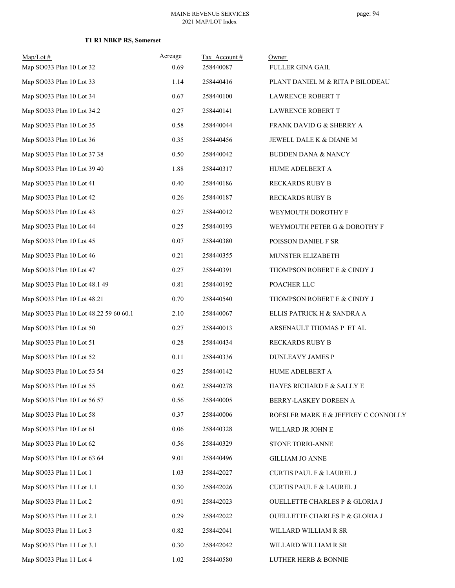| $Map/Lot$ #<br>Map SO033 Plan 10 Lot 32 | Acreage<br>0.69 | Tax Account#<br>258440087 | Owner<br><b>FULLER GINA GAIL</b>    |
|-----------------------------------------|-----------------|---------------------------|-------------------------------------|
| Map SO033 Plan 10 Lot 33                | 1.14            | 258440416                 | PLANT DANIEL M & RITA P BILODEAU    |
| Map SO033 Plan 10 Lot 34                | 0.67            | 258440100                 | <b>LAWRENCE ROBERT T</b>            |
| Map SO033 Plan 10 Lot 34.2              | 0.27            | 258440141                 | LAWRENCE ROBERT T                   |
| Map SO033 Plan 10 Lot 35                | 0.58            | 258440044                 | FRANK DAVID G & SHERRY A            |
| Map SO033 Plan 10 Lot 36                | 0.35            | 258440456                 | JEWELL DALE K & DIANE M             |
| Map SO033 Plan 10 Lot 37 38             | 0.50            | 258440042                 | <b>BUDDEN DANA &amp; NANCY</b>      |
| Map SO033 Plan 10 Lot 39 40             | 1.88            | 258440317                 | HUME ADELBERT A                     |
| Map SO033 Plan 10 Lot 41                | 0.40            | 258440186                 | <b>RECKARDS RUBY B</b>              |
| Map SO033 Plan 10 Lot 42                | 0.26            | 258440187                 | <b>RECKARDS RUBY B</b>              |
| Map SO033 Plan 10 Lot 43                | 0.27            | 258440012                 | WEYMOUTH DOROTHY F                  |
| Map SO033 Plan 10 Lot 44                | 0.25            | 258440193                 | WEYMOUTH PETER G & DOROTHY F        |
| Map SO033 Plan 10 Lot 45                | 0.07            | 258440380                 | POISSON DANIEL F SR                 |
| Map SO033 Plan 10 Lot 46                | 0.21            | 258440355                 | MUNSTER ELIZABETH                   |
| Map SO033 Plan 10 Lot 47                | 0.27            | 258440391                 | THOMPSON ROBERT E & CINDY J         |
| Map SO033 Plan 10 Lot 48.1 49           | 0.81            | 258440192                 | POACHER LLC                         |
| Map SO033 Plan 10 Lot 48.21             | 0.70            | 258440540                 | THOMPSON ROBERT E & CINDY J         |
| Map SO033 Plan 10 Lot 48.22 59 60 60.1  | 2.10            | 258440067                 | ELLIS PATRICK H & SANDRA A          |
| Map SO033 Plan 10 Lot 50                | 0.27            | 258440013                 | ARSENAULT THOMAS P ET AL            |
| Map SO033 Plan 10 Lot 51                | 0.28            | 258440434                 | <b>RECKARDS RUBY B</b>              |
| Map SO033 Plan 10 Lot 52                | 0.11            | 258440336                 | <b>DUNLEAVY JAMES P</b>             |
| Map SO033 Plan 10 Lot 53 54             | 0.25            | 258440142                 | HUME ADELBERT A                     |
| Map SO033 Plan 10 Lot 55                | 0.62            | 258440278                 | HAYES RICHARD F & SALLY E           |
| Map SO033 Plan 10 Lot 56 57             | 0.56            | 258440005                 | BERRY-LASKEY DOREEN A               |
| Map SO033 Plan 10 Lot 58                | 0.37            | 258440006                 | ROESLER MARK E & JEFFREY C CONNOLLY |
| Map SO033 Plan 10 Lot 61                | 0.06            | 258440328                 | WILLARD JR JOHN E                   |
| Map SO033 Plan 10 Lot 62                | 0.56            | 258440329                 | STONE TORRI-ANNE                    |
| Map SO033 Plan 10 Lot 63 64             | 9.01            | 258440496                 | <b>GILLIAM JO ANNE</b>              |
| Map SO033 Plan 11 Lot 1                 | 1.03            | 258442027                 | CURTIS PAUL F & LAUREL J            |
| Map SO033 Plan 11 Lot 1.1               | 0.30            | 258442026                 | CURTIS PAUL F & LAUREL J            |
| Map SO033 Plan 11 Lot 2                 | 0.91            | 258442023                 | OUELLETTE CHARLES P & GLORIA J      |
| Map SO033 Plan 11 Lot 2.1               | 0.29            | 258442022                 | OUELLETTE CHARLES P & GLORIA J      |
| Map SO033 Plan 11 Lot 3                 | 0.82            | 258442041                 | WILLARD WILLIAM R SR                |
| Map SO033 Plan 11 Lot 3.1               | 0.30            | 258442042                 | WILLARD WILLIAM R SR                |
| Map SO033 Plan 11 Lot 4                 | 1.02            | 258440580                 | LUTHER HERB & BONNIE                |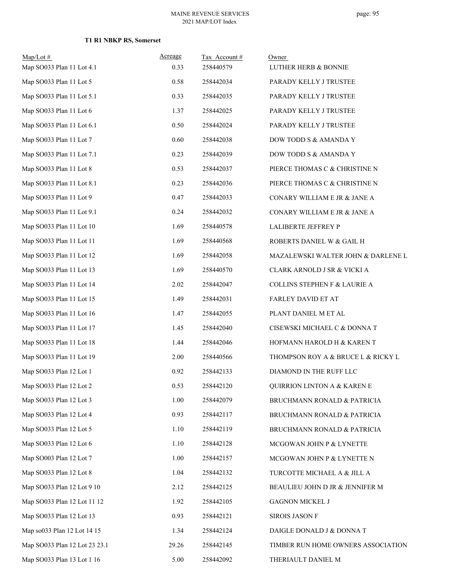| $Map/Lot$ #<br>Map SO033 Plan 11 Lot 4.1 | Acreage<br>0.33 | Tax Account#<br>258440579 | Owner<br><b>LUTHER HERB &amp; BONNIE</b> |
|------------------------------------------|-----------------|---------------------------|------------------------------------------|
| Map SO033 Plan 11 Lot 5                  | 0.58            | 258442034                 | PARADY KELLY J TRUSTEE                   |
| Map SO033 Plan 11 Lot 5.1                | 0.33            | 258442035                 | PARADY KELLY J TRUSTEE                   |
| Map SO033 Plan 11 Lot 6                  | 1.37            | 258442025                 | PARADY KELLY J TRUSTEE                   |
| Map SO033 Plan 11 Lot 6.1                | 0.50            | 258442024                 | PARADY KELLY J TRUSTEE                   |
| Map SO033 Plan 11 Lot 7                  | 0.60            | 258442038                 | DOW TODD S & AMANDA Y                    |
| Map SO033 Plan 11 Lot 7.1                | 0.23            | 258442039                 | DOW TODD S & AMANDA Y                    |
| Map SO033 Plan 11 Lot 8                  | 0.53            | 258442037                 | PIERCE THOMAS C & CHRISTINE N            |
| Map SO033 Plan 11 Lot 8.1                | 0.23            | 258442036                 | PIERCE THOMAS C & CHRISTINE N            |
| Map SO033 Plan 11 Lot 9                  | 0.47            | 258442033                 | CONARY WILLIAM E JR & JANE A             |
| Map SO033 Plan 11 Lot 9.1                | 0.24            | 258442032                 | CONARY WILLIAM E JR & JANE A             |
| Map SO033 Plan 11 Lot 10                 | 1.69            | 258440578                 | <b>LALIBERTE JEFFREY P</b>               |
| Map SO033 Plan 11 Lot 11                 | 1.69            | 258440568                 | ROBERTS DANIEL W & GAIL H                |
| Map SO033 Plan 11 Lot 12                 | 1.69            | 258442058                 | MAZALEWSKI WALTER JOHN & DARLENE L       |
| Map SO033 Plan 11 Lot 13                 | 1.69            | 258440570                 | CLARK ARNOLD J SR & VICKI A              |
| Map SO033 Plan 11 Lot 14                 | 2.02            | 258442047                 | COLLINS STEPHEN F & LAURIE A             |
| Map SO033 Plan 11 Lot 15                 | 1.49            | 258442031                 | FARLEY DAVID ET AT                       |
| Map SO033 Plan 11 Lot 16                 | 1.47            | 258442055                 | PLANT DANIEL M ET AL                     |
| Map SO033 Plan 11 Lot 17                 | 1.45            | 258442040                 | CISEWSKI MICHAEL C & DONNA T             |
| Map SO033 Plan 11 Lot 18                 | 1.44            | 258442046                 | HOFMANN HAROLD H & KAREN T               |
| Map SO033 Plan 11 Lot 19                 | 2.00            | 258440566                 | THOMPSON ROY A & BRUCE L & RICKY L       |
| Map SO033 Plan 12 Lot 1                  | 0.92            | 258442133                 | DIAMOND IN THE RUFF LLC                  |
| Map SO033 Plan 12 Lot 2                  | 0.53            | 258442120                 | QUIRRION LINTON A & KAREN E              |
| Map SO033 Plan 12 Lot 3                  | 1.00            | 258442079                 | BRUCHMANN RONALD & PATRICIA              |
| Map SO033 Plan 12 Lot 4                  | 0.93            | 258442117                 | BRUCHMANN RONALD & PATRICIA              |
| Map SO033 Plan 12 Lot 5                  | 1.10            | 258442119                 | BRUCHMANN RONALD & PATRICIA              |
| Map SO033 Plan 12 Lot 6                  | 1.10            | 258442128                 | MCGOWAN JOHN P & LYNETTE                 |
| Map SO003 Plan 12 Lot 7                  | 1.00            | 258442157                 | MCGOWAN JOHN P & LYNETTE N               |
| Map SO033 Plan 12 Lot 8                  | 1.04            | 258442132                 | TURCOTTE MICHAEL A & JILL A              |
| Map SO033 Plan 12 Lot 9 10               | 2.12            | 258442125                 | BEAULIEU JOHN D JR & JENNIFER M          |
| Map SO033 Plan 12 Lot 11 12              | 1.92            | 258442105                 | <b>GAGNON MICKEL J</b>                   |
| Map SO033 Plan 12 Lot 13                 | 0.93            | 258442121                 | <b>SIROIS JASON F</b>                    |
| Map so033 Plan 12 Lot 14 15              | 1.34            | 258442124                 | DAIGLE DONALD J & DONNA T                |
| Map SO033 Plan 12 Lot 23 23.1            | 29.26           | 258442145                 | TIMBER RUN HOME OWNERS ASSOCIATION       |
| Map SO033 Plan 13 Lot 1 16               | 5.00            | 258442092                 | THERIAULT DANIEL M                       |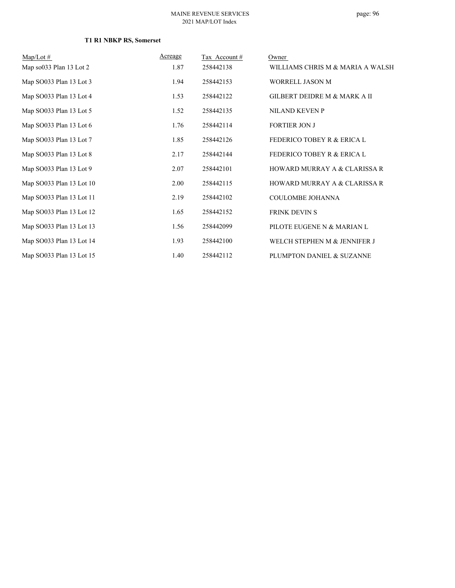#### MAINE REVENUE SERVICES 2021 MAP/LOT Index

| $Map/Lot \#$             | Acreage | Tax Account # | Owner                                 |
|--------------------------|---------|---------------|---------------------------------------|
| Map so033 Plan 13 Lot 2  | 1.87    | 258442138     | WILLIAMS CHRIS M & MARIA A WALSH      |
| Map SO033 Plan 13 Lot 3  | 1.94    | 258442153     | <b>WORRELL JASON M</b>                |
| Map SO033 Plan 13 Lot 4  | 1.53    | 258442122     | GILBERT DEIDRE M & MARK A II          |
| Map SO033 Plan 13 Lot 5  | 1.52    | 258442135     | <b>NILAND KEVEN P</b>                 |
| Map SO033 Plan 13 Lot 6  | 1.76    | 258442114     | <b>FORTIER JON J</b>                  |
| Map SO033 Plan 13 Lot 7  | 1.85    | 258442126     | <b>FEDERICO TOBEY R &amp; ERICA L</b> |
| Map SO033 Plan 13 Lot 8  | 2.17    | 258442144     | <b>FEDERICO TOBEY R &amp; ERICA L</b> |
| Map SO033 Plan 13 Lot 9  | 2.07    | 258442101     | HOWARD MURRAY A & CLARISSA R          |
| Map SO033 Plan 13 Lot 10 | 2.00    | 258442115     | HOWARD MURRAY A & CLARISSA R          |
| Map SO033 Plan 13 Lot 11 | 2.19    | 258442102     | COULOMBE JOHANNA                      |
| Map SO033 Plan 13 Lot 12 | 1.65    | 258442152     | <b>FRINK DEVIN S</b>                  |
| Map SO033 Plan 13 Lot 13 | 1.56    | 258442099     | PILOTE EUGENE N & MARIAN L            |
| Map SO033 Plan 13 Lot 14 | 1.93    | 258442100     | WELCH STEPHEN M & JENNIFER J          |
| Map SO033 Plan 13 Lot 15 | 1.40    | 258442112     | PLUMPTON DANIEL & SUZANNE             |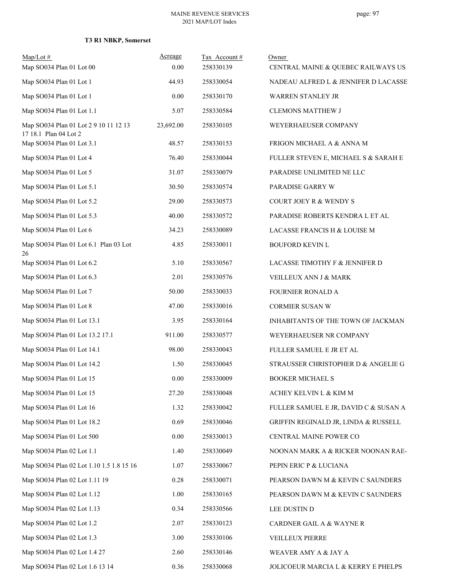| $Map/Lot \#$                                                   | Acreage   | Tax Account# | Owner                                 |
|----------------------------------------------------------------|-----------|--------------|---------------------------------------|
| Map SO034 Plan 01 Lot 00                                       | 0.00      | 258330139    | CENTRAL MAINE & QUEBEC RAILWAYS US    |
| Map SO034 Plan 01 Lot 1                                        | 44.93     | 258330054    | NADEAU ALFRED L & JENNIFER D LACASSE  |
| Map SO034 Plan 01 Lot 1                                        | 0.00      | 258330170    | WARREN STANLEY JR                     |
| Map SO034 Plan 01 Lot 1.1                                      | 5.07      | 258330584    | <b>CLEMONS MATTHEW J</b>              |
| Map SO034 Plan 01 Lot 2 9 10 11 12 13<br>17 18.1 Plan 04 Lot 2 | 23,692.00 | 258330105    | WEYERHAEUSER COMPANY                  |
| Map SO034 Plan 01 Lot 3.1                                      | 48.57     | 258330153    | FRIGON MICHAEL A & ANNA M             |
| Map SO034 Plan 01 Lot 4                                        | 76.40     | 258330044    | FULLER STEVEN E, MICHAEL S & SARAH E  |
| Map SO034 Plan 01 Lot 5                                        | 31.07     | 258330079    | PARADISE UNLIMITED NE LLC             |
| Map SO034 Plan 01 Lot 5.1                                      | 30.50     | 258330574    | PARADISE GARRY W                      |
| Map SO034 Plan 01 Lot 5.2                                      | 29.00     | 258330573    | <b>COURT JOEY R &amp; WENDY S</b>     |
| Map SO034 Plan 01 Lot 5.3                                      | 40.00     | 258330572    | PARADISE ROBERTS KENDRA L ET AL       |
| Map SO034 Plan 01 Lot 6                                        | 34.23     | 258330089    | LACASSE FRANCIS H & LOUISE M          |
| Map SO034 Plan 01 Lot 6.1 Plan 03 Lot<br>26                    | 4.85      | 258330011    | <b>BOUFORD KEVIN L</b>                |
| Map SO034 Plan 01 Lot 6.2                                      | 5.10      | 258330567    | LACASSE TIMOTHY F & JENNIFER D        |
| Map SO034 Plan 01 Lot 6.3                                      | 2.01      | 258330576    | VEILLEUX ANN J & MARK                 |
| Map SO034 Plan 01 Lot 7                                        | 50.00     | 258330033    | <b>FOURNIER RONALD A</b>              |
| Map SO034 Plan 01 Lot 8                                        | 47.00     | 258330016    | CORMIER SUSAN W                       |
| Map SO034 Plan 01 Lot 13.1                                     | 3.95      | 258330164    | INHABITANTS OF THE TOWN OF JACKMAN    |
| Map SO034 Plan 01 Lot 13.2 17.1                                | 911.00    | 258330577    | WEYERHAEUSER NR COMPANY               |
| Map SO034 Plan 01 Lot 14.1                                     | 98.00     | 258330043    | FULLER SAMUEL E JR ET AL              |
| Map SO034 Plan 01 Lot 14.2                                     | 1.50      | 258330045    | STRAUSSER CHRISTOPHER D & ANGELIE G   |
| Map SO034 Plan 01 Lot 15                                       | 0.00      | 258330009    | <b>BOOKER MICHAEL S</b>               |
| Map SO034 Plan 01 Lot 15                                       | 27.20     | 258330048    | ACHEY KELVIN L & KIM M                |
| Map SO034 Plan 01 Lot 16                                       | 1.32      | 258330042    | FULLER SAMUEL E JR, DAVID C & SUSAN A |
| Map SO034 Plan 01 Lot 18.2                                     | 0.69      | 258330046    | GRIFFIN REGINALD JR, LINDA & RUSSELL  |
| Map SO034 Plan 01 Lot 500                                      | 0.00      | 258330013    | CENTRAL MAINE POWER CO                |
| Map SO034 Plan 02 Lot 1.1                                      | 1.40      | 258330049    | NOONAN MARK A & RICKER NOONAN RAE-    |
| Map SO034 Plan 02 Lot 1.10 1.5 1.8 15 16                       | 1.07      | 258330067    | PEPIN ERIC P & LUCIANA                |
| Map SO034 Plan 02 Lot 1.11 19                                  | 0.28      | 258330071    | PEARSON DAWN M & KEVIN C SAUNDERS     |
| Map SO034 Plan 02 Lot 1.12                                     | 1.00      | 258330165    | PEARSON DAWN M & KEVIN C SAUNDERS     |
| Map SO034 Plan 02 Lot 1.13                                     | 0.34      | 258330566    | LEE DUSTIN D                          |
| Map SO034 Plan 02 Lot 1.2                                      | 2.07      | 258330123    | CARDNER GAIL A & WAYNE R              |
| Map SO034 Plan 02 Lot 1.3                                      | 3.00      | 258330106    | VEILLEUX PIERRE                       |
| Map SO034 Plan 02 Lot 1.4 27                                   | 2.60      | 258330146    | WEAVER AMY A & JAY A                  |
| Map SO034 Plan 02 Lot 1.6 13 14                                | 0.36      | 258330068    | JOLICOEUR MARCIA L & KERRY E PHELPS   |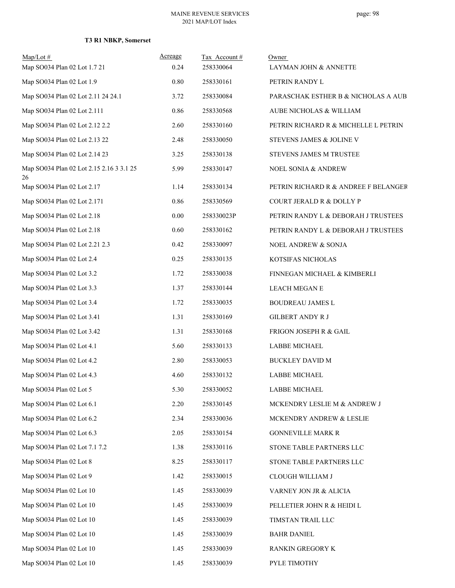| $Map/Lot \#$<br>Map SO034 Plan 02 Lot 1.7 21   | Acreage<br>0.24 | Tax Account #<br>258330064 | Owner<br>LAYMAN JOHN & ANNETTE       |
|------------------------------------------------|-----------------|----------------------------|--------------------------------------|
| Map SO034 Plan 02 Lot 1.9                      | 0.80            | 258330161                  | PETRIN RANDY L                       |
| Map SO034 Plan 02 Lot 2.11 24 24.1             | 3.72            | 258330084                  | PARASCHAK ESTHER B & NICHOLAS A AUB. |
| Map SO034 Plan 02 Lot 2.111                    | 0.86            | 258330568                  | AUBE NICHOLAS & WILLIAM              |
| Map SO034 Plan 02 Lot 2.12 2.2                 | 2.60            | 258330160                  | PETRIN RICHARD R & MICHELLE L PETRIN |
| Map SO034 Plan 02 Lot 2.13 22                  | 2.48            | 258330050                  | STEVENS JAMES & JOLINE V             |
| Map SO034 Plan 02 Lot 2.14 23                  | 3.25            | 258330138                  | STEVENS JAMES M TRUSTEE              |
| Map SO034 Plan 02 Lot 2.15 2.16 3 3.1 25<br>26 | 5.99            | 258330147                  | NOEL SONIA & ANDREW                  |
| Map SO034 Plan 02 Lot 2.17                     | 1.14            | 258330134                  | PETRIN RICHARD R & ANDREE F BELANGER |
| Map SO034 Plan 02 Lot 2.171                    | 0.86            | 258330569                  | COURT JERALD R & DOLLY P             |
| Map SO034 Plan 02 Lot 2.18                     | 0.00            | 258330023P                 | PETRIN RANDY L & DEBORAH J TRUSTEES  |
| Map SO034 Plan 02 Lot 2.18                     | 0.60            | 258330162                  | PETRIN RANDY L & DEBORAH J TRUSTEES  |
| Map SO034 Plan 02 Lot 2.21 2.3                 | 0.42            | 258330097                  | NOEL ANDREW & SONJA                  |
| Map SO034 Plan 02 Lot 2.4                      | 0.25            | 258330135                  | KOTSIFAS NICHOLAS                    |
| Map SO034 Plan 02 Lot 3.2                      | 1.72            | 258330038                  | FINNEGAN MICHAEL & KIMBERLI          |
| Map SO034 Plan 02 Lot 3.3                      | 1.37            | 258330144                  | LEACH MEGAN E                        |
| Map SO034 Plan 02 Lot 3.4                      | 1.72            | 258330035                  | <b>BOUDREAU JAMES L</b>              |
| Map SO034 Plan 02 Lot 3.41                     | 1.31            | 258330169                  | <b>GILBERT ANDY R J</b>              |
| Map SO034 Plan 02 Lot 3.42                     | 1.31            | 258330168                  | FRIGON JOSEPH R & GAIL               |
| Map SO034 Plan 02 Lot 4.1                      | 5.60            | 258330133                  | <b>LABBE MICHAEL</b>                 |
| Map SO034 Plan 02 Lot 4.2                      | 2.80            | 258330053                  | <b>BUCKLEY DAVID M</b>               |
| Map SO034 Plan 02 Lot 4.3                      | 4.60            | 258330132                  | <b>LABBE MICHAEL</b>                 |
| Map SO034 Plan 02 Lot 5                        | 5.30            | 258330052                  | LABBE MICHAEL                        |
| Map SO034 Plan 02 Lot 6.1                      | 2.20            | 258330145                  | MCKENDRY LESLIE M & ANDREW J         |
| Map SO034 Plan 02 Lot 6.2                      | 2.34            | 258330036                  | MCKENDRY ANDREW & LESLIE             |
| Map SO034 Plan 02 Lot 6.3                      | 2.05            | 258330154                  | <b>GONNEVILLE MARK R</b>             |
| Map SO034 Plan 02 Lot 7.1 7.2                  | 1.38            | 258330116                  | STONE TABLE PARTNERS LLC             |
| Map SO034 Plan 02 Lot 8                        | 8.25            | 258330117                  | STONE TABLE PARTNERS LLC             |
| Map SO034 Plan 02 Lot 9                        | 1.42            | 258330015                  | CLOUGH WILLIAM J                     |
| Map SO034 Plan 02 Lot 10                       | 1.45            | 258330039                  | VARNEY JON JR & ALICIA               |
| Map SO034 Plan 02 Lot 10                       | 1.45            | 258330039                  | PELLETIER JOHN R & HEIDI L           |
| Map SO034 Plan 02 Lot 10                       | 1.45            | 258330039                  | TIMSTAN TRAIL LLC                    |
| Map SO034 Plan 02 Lot 10                       | 1.45            | 258330039                  | <b>BAHR DANIEL</b>                   |
| Map SO034 Plan 02 Lot 10                       | 1.45            | 258330039                  | RANKIN GREGORY K                     |
| Map SO034 Plan 02 Lot 10                       | 1.45            | 258330039                  | PYLE TIMOTHY                         |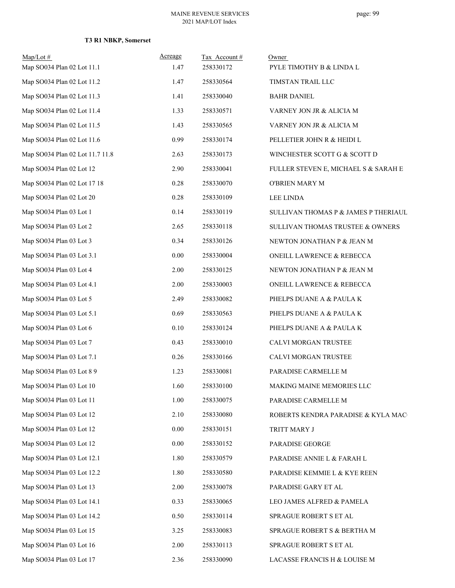| $Map/Lot \#$<br>Map SO034 Plan 02 Lot 11.1 | Acreage<br>1.47 | Tax Account #<br>258330172 | Owner<br>PYLE TIMOTHY B & LINDA L    |
|--------------------------------------------|-----------------|----------------------------|--------------------------------------|
| Map SO034 Plan 02 Lot 11.2                 | 1.47            | 258330564                  | TIMSTAN TRAIL LLC                    |
| Map SO034 Plan 02 Lot 11.3                 | 1.41            | 258330040                  | <b>BAHR DANIEL</b>                   |
| Map SO034 Plan 02 Lot 11.4                 | 1.33            | 258330571                  | VARNEY JON JR & ALICIA M             |
| Map SO034 Plan 02 Lot 11.5                 | 1.43            | 258330565                  | VARNEY JON JR & ALICIA M             |
| Map SO034 Plan 02 Lot 11.6                 | 0.99            | 258330174                  | PELLETIER JOHN R & HEIDI L           |
| Map SO034 Plan 02 Lot 11.7 11.8            | 2.63            | 258330173                  | WINCHESTER SCOTT G & SCOTT D         |
| Map SO034 Plan 02 Lot 12                   | 2.90            | 258330041                  | FULLER STEVEN E, MICHAEL S & SARAH E |
| Map SO034 Plan 02 Lot 17 18                | 0.28            | 258330070                  | O'BRIEN MARY M                       |
| Map SO034 Plan 02 Lot 20                   | 0.28            | 258330109                  | LEE LINDA                            |
| Map SO034 Plan 03 Lot 1                    | 0.14            | 258330119                  | SULLIVAN THOMAS P & JAMES P THERIAUL |
| Map SO034 Plan 03 Lot 2                    | 2.65            | 258330118                  | SULLIVAN THOMAS TRUSTEE & OWNERS     |
| Map SO034 Plan 03 Lot 3                    | 0.34            | 258330126                  | NEWTON JONATHAN P & JEAN M           |
| Map SO034 Plan 03 Lot 3.1                  | 0.00            | 258330004                  | ONEILL LAWRENCE & REBECCA            |
| Map SO034 Plan 03 Lot 4                    | 2.00            | 258330125                  | NEWTON JONATHAN P & JEAN M           |
| Map SO034 Plan 03 Lot 4.1                  | 2.00            | 258330003                  | ONEILL LAWRENCE & REBECCA            |
| Map SO034 Plan 03 Lot 5                    | 2.49            | 258330082                  | PHELPS DUANE A & PAULA K             |
| Map SO034 Plan 03 Lot 5.1                  | 0.69            | 258330563                  | PHELPS DUANE A & PAULA K             |
| Map SO034 Plan 03 Lot 6                    | 0.10            | 258330124                  | PHELPS DUANE A & PAULA K             |
| Map SO034 Plan 03 Lot 7                    | 0.43            | 258330010                  | CALVI MORGAN TRUSTEE                 |
| Map SO034 Plan 03 Lot 7.1                  | 0.26            | 258330166                  | CALVI MORGAN TRUSTEE                 |
| Map SO034 Plan 03 Lot 8 9                  | 1.23            | 258330081                  | PARADISE CARMELLE M                  |
| Map SO034 Plan 03 Lot 10                   | 1.60            | 258330100                  | MAKING MAINE MEMORIES LLC            |
| Map SO034 Plan 03 Lot 11                   | 1.00            | 258330075                  | PARADISE CARMELLE M                  |
| Map SO034 Plan 03 Lot 12                   | 2.10            | 258330080                  | ROBERTS KENDRA PARADISE & KYLA MAC   |
| Map SO034 Plan 03 Lot 12                   | 0.00            | 258330151                  | TRITT MARY J                         |
| Map SO034 Plan 03 Lot 12                   | 0.00            | 258330152                  | PARADISE GEORGE                      |
| Map SO034 Plan 03 Lot 12.1                 | 1.80            | 258330579                  | PARADISE ANNIE L & FARAH L           |
| Map SO034 Plan 03 Lot 12.2                 | 1.80            | 258330580                  | PARADISE KEMMIE L & KYE REEN         |
| Map SO034 Plan 03 Lot 13                   | 2.00            | 258330078                  | PARADISE GARY ET AL                  |
| Map SO034 Plan 03 Lot 14.1                 | 0.33            | 258330065                  | LEO JAMES ALFRED & PAMELA            |
| Map SO034 Plan 03 Lot 14.2                 | 0.50            | 258330114                  | SPRAGUE ROBERT S ET AL               |
| Map SO034 Plan 03 Lot 15                   | 3.25            | 258330083                  | SPRAGUE ROBERT S & BERTHA M          |
| Map SO034 Plan 03 Lot 16                   | 2.00            | 258330113                  | SPRAGUE ROBERT S ET AL               |
| Map SO034 Plan 03 Lot 17                   | 2.36            | 258330090                  | LACASSE FRANCIS H & LOUISE M         |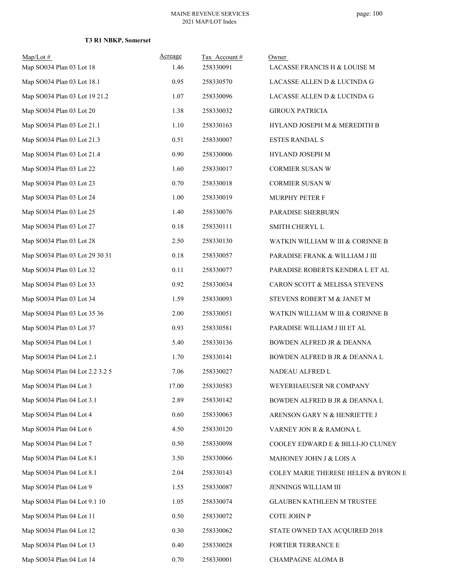| $Map/Lot \#$<br>Map SO034 Plan 03 Lot 18 | Acreage<br>1.46 | Tax Account#<br>258330091 | Owner<br>LACASSE FRANCIS H & LOUISE M |
|------------------------------------------|-----------------|---------------------------|---------------------------------------|
| Map SO034 Plan 03 Lot 18.1               | 0.95            | 258330570                 | LACASSE ALLEN D & LUCINDA G           |
| Map SO034 Plan 03 Lot 19 21.2            | 1.07            | 258330096                 | LACASSE ALLEN D & LUCINDA G           |
| Map SO034 Plan 03 Lot 20                 | 1.38            | 258330032                 | <b>GIROUX PATRICIA</b>                |
| Map SO034 Plan 03 Lot 21.1               | 1.10            | 258330163                 | HYLAND JOSEPH M & MEREDITH B          |
| Map SO034 Plan 03 Lot 21.3               | 0.51            | 258330007                 | <b>ESTES RANDAL S</b>                 |
| Map SO034 Plan 03 Lot 21.4               | 0.90            | 258330006                 | HYLAND JOSEPH M                       |
|                                          |                 |                           |                                       |
| Map SO034 Plan 03 Lot 22                 | 1.60            | 258330017                 | CORMIER SUSAN W                       |
| Map SO034 Plan 03 Lot 23                 | 0.70            | 258330018                 | CORMIER SUSAN W                       |
| Map SO034 Plan 03 Lot 24                 | 1.00            | 258330019                 | MURPHY PETER F                        |
| Map SO034 Plan 03 Lot 25                 | 1.40            | 258330076                 | PARADISE SHERBURN                     |
| Map SO034 Plan 03 Lot 27                 | 0.18            | 258330111                 | SMITH CHERYL L                        |
| Map SO034 Plan 03 Lot 28                 | 2.50            | 258330130                 | WATKIN WILLIAM W III & CORINNE B      |
| Map SO034 Plan 03 Lot 29 30 31           | 0.18            | 258330057                 | PARADISE FRANK & WILLIAM J III        |
| Map SO034 Plan 03 Lot 32                 | 0.11            | 258330077                 | PARADISE ROBERTS KENDRA L ET AL       |
| Map SO034 Plan 03 Lot 33                 | 0.92            | 258330034                 | CARON SCOTT & MELISSA STEVENS         |
| Map SO034 Plan 03 Lot 34                 | 1.59            | 258330093                 | STEVENS ROBERT M & JANET M            |
| Map SO034 Plan 03 Lot 35 36              | 2.00            | 258330051                 | WATKIN WILLIAM W III & CORINNE B      |
| Map SO034 Plan 03 Lot 37                 | 0.93            | 258330581                 | PARADISE WILLIAM J III ET AL          |
| Map SO034 Plan 04 Lot 1                  | 5.40            | 258330136                 | <b>BOWDEN ALFRED JR &amp; DEANNA</b>  |
| Map SO034 Plan 04 Lot 2.1                | 1.70            | 258330141                 | BOWDEN ALFRED B JR & DEANNA L         |
| Map SO034 Plan 04 Lot 2.2 3.2 5          | 7.06            | 258330027                 | NADEAU ALFRED L                       |
| Map SO034 Plan 04 Lot 3                  | 17.00           | 258330583                 | WEYERHAEUSER NR COMPANY               |
| Map SO034 Plan 04 Lot 3.1                | 2.89            | 258330142                 | BOWDEN ALFRED B JR & DEANNA L         |
| Map SO034 Plan 04 Lot 4                  | 0.60            | 258330063                 | ARENSON GARY N & HENRIETTE J          |
| Map SO034 Plan 04 Lot 6                  | 4.50            | 258330120                 | VARNEY JON R & RAMONA L               |
| Map SO034 Plan 04 Lot 7                  | 0.50            | 258330098                 | COOLEY EDWARD E & BILLI-JO CLUNEY     |
| Map SO034 Plan 04 Lot 8.1                | 3.50            | 258330066                 | MAHONEY JOHN J & LOIS A               |
| Map SO034 Plan 04 Lot 8.1                | 2.04            | 258330143                 | COLEY MARIE THERESE HELEN & BYRON E   |
| Map SO034 Plan 04 Lot 9                  | 1.55            | 258330087                 | JENNINGS WILLIAM III                  |
| Map SO034 Plan 04 Lot 9.1 10             | 1.05            | 258330074                 | <b>GLAUBEN KATHLEEN M TRUSTEE</b>     |
| Map SO034 Plan 04 Lot 11                 | 0.50            | 258330072                 | COTE JOHN P                           |
| Map SO034 Plan 04 Lot 12                 | 0.30            | 258330062                 | STATE OWNED TAX ACQUIRED 2018         |
| Map SO034 Plan 04 Lot 13                 | 0.40            | 258330028                 | FORTIER TERRANCE E                    |
| Map SO034 Plan 04 Lot 14                 | $0.70\,$        | 258330001                 | CHAMPAGNE ALOMA B                     |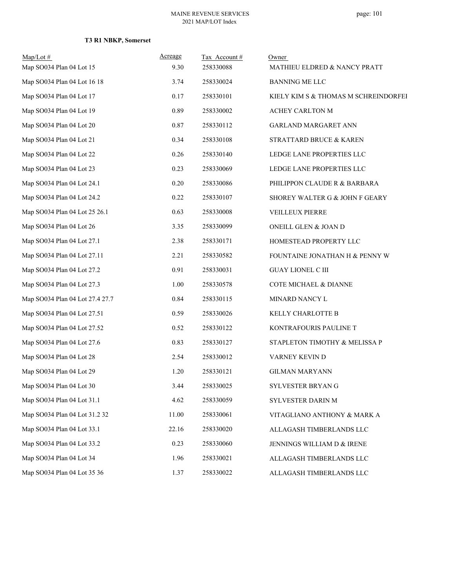| $Map/Lot \#$                    | Acreage | Tax Account# | Owner                                |
|---------------------------------|---------|--------------|--------------------------------------|
| Map SO034 Plan 04 Lot 15        | 9.30    | 258330088    | MATHIEU ELDRED & NANCY PRATT         |
| Map SO034 Plan 04 Lot 16 18     | 3.74    | 258330024    | <b>BANNING ME LLC</b>                |
| Map SO034 Plan 04 Lot 17        | 0.17    | 258330101    | KIELY KIM S & THOMAS M SCHREINDORFEI |
| Map SO034 Plan 04 Lot 19        | 0.89    | 258330002    | ACHEY CARLTON M                      |
| Map SO034 Plan 04 Lot 20        | 0.87    | 258330112    | GARLAND MARGARET ANN                 |
| Map SO034 Plan 04 Lot 21        | 0.34    | 258330108    | STRATTARD BRUCE & KAREN              |
| Map SO034 Plan 04 Lot 22        | 0.26    | 258330140    | LEDGE LANE PROPERTIES LLC            |
| Map SO034 Plan 04 Lot 23        | 0.23    | 258330069    | LEDGE LANE PROPERTIES LLC            |
| Map SO034 Plan 04 Lot 24.1      | 0.20    | 258330086    | PHILIPPON CLAUDE R & BARBARA         |
| Map SO034 Plan 04 Lot 24.2      | 0.22    | 258330107    | SHOREY WALTER G & JOHN F GEARY       |
| Map SO034 Plan 04 Lot 25 26.1   | 0.63    | 258330008    | VEILLEUX PIERRE                      |
| Map SO034 Plan 04 Lot 26        | 3.35    | 258330099    | ONEILL GLEN & JOAN D                 |
| Map SO034 Plan 04 Lot 27.1      | 2.38    | 258330171    | HOMESTEAD PROPERTY LLC               |
| Map SO034 Plan 04 Lot 27.11     | 2.21    | 258330582    | FOUNTAINE JONATHAN H & PENNY W       |
| Map SO034 Plan 04 Lot 27.2      | 0.91    | 258330031    | <b>GUAY LIONEL C III</b>             |
| Map SO034 Plan 04 Lot 27.3      | 1.00    | 258330578    | COTE MICHAEL & DIANNE                |
| Map SO034 Plan 04 Lot 27.4 27.7 | 0.84    | 258330115    | MINARD NANCY L                       |
| Map SO034 Plan 04 Lot 27.51     | 0.59    | 258330026    | KELLY CHARLOTTE B                    |
| Map SO034 Plan 04 Lot 27.52     | 0.52    | 258330122    | KONTRAFOURIS PAULINE T               |
| Map SO034 Plan 04 Lot 27.6      | 0.83    | 258330127    | STAPLETON TIMOTHY & MELISSA P        |
| Map SO034 Plan 04 Lot 28        | 2.54    | 258330012    | VARNEY KEVIN D                       |
| Map SO034 Plan 04 Lot 29        | 1.20    | 258330121    | <b>GILMAN MARYANN</b>                |
| Map SO034 Plan 04 Lot 30        | 3.44    | 258330025    | SYLVESTER BRYAN G                    |
| Map SO034 Plan 04 Lot 31.1      | 4.62    | 258330059    | SYLVESTER DARIN M                    |
| Map SO034 Plan 04 Lot 31.2 32   | 11.00   | 258330061    | VITAGLIANO ANTHONY & MARK A          |
| Map SO034 Plan 04 Lot 33.1      | 22.16   | 258330020    | ALLAGASH TIMBERLANDS LLC             |
| Map SO034 Plan 04 Lot 33.2      | 0.23    | 258330060    | JENNINGS WILLIAM D & IRENE           |
| Map SO034 Plan 04 Lot 34        | 1.96    | 258330021    | ALLAGASH TIMBERLANDS LLC             |
| Map SO034 Plan 04 Lot 35 36     | 1.37    | 258330022    | ALLAGASH TIMBERLANDS LLC             |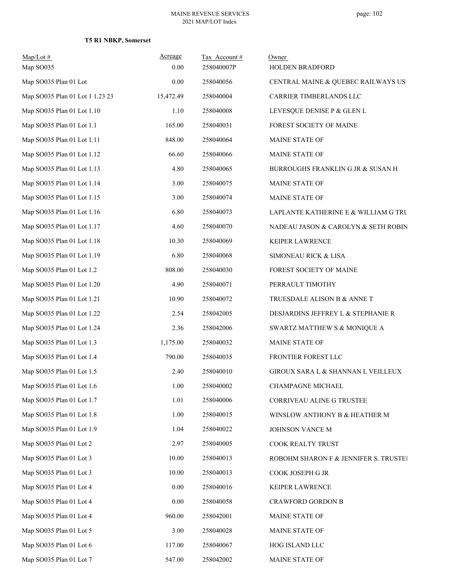| Map/Lot#<br>Map SO035           | Acreage<br>0.00 | Tax Account#<br>258040007P | Owner<br>HOLDEN BRADFORD              |
|---------------------------------|-----------------|----------------------------|---------------------------------------|
| Map SO035 Plan 01 Lot           | 0.00            | 258040056                  | CENTRAL MAINE & QUEBEC RAILWAYS US    |
| Map SO035 Plan 01 Lot 1 1.23 23 | 15,472.49       | 258040004                  | CARRIER TIMBERLANDS LLC               |
| Map SO035 Plan 01 Lot 1.10      | 1.10            | 258040008                  | LEVESQUE DENISE P & GLEN L            |
| Map SO035 Plan 01 Lot 1.1       | 165.00          | 258040031                  | FOREST SOCIETY OF MAINE               |
| Map SO035 Plan 01 Lot 1.11      | 848.00          | 258040064                  | MAINE STATE OF                        |
| Map SO035 Plan 01 Lot 1.12      | 66.60           | 258040066                  | MAINE STATE OF                        |
| Map SO035 Plan 01 Lot 1.13      | 4.80            | 258040065                  | BURROUGHS FRANKLIN G JR & SUSAN H     |
| Map SO035 Plan 01 Lot 1.14      | 3.00            | 258040075                  | MAINE STATE OF                        |
| Map SO035 Plan 01 Lot 1.15      | 3.00            | 258040074                  | MAINE STATE OF                        |
| Map SO035 Plan 01 Lot 1.16      | 6.80            | 258040073                  | LAPLANTE KATHERINE E & WILLIAM G TRU  |
| Map SO035 Plan 01 Lot 1.17      | 4.60            | 258040070                  | NADEAU JASON & CAROLYN & SETH ROBIN   |
| Map SO035 Plan 01 Lot 1.18      | 10.30           | 258040069                  | KEIPER LAWRENCE                       |
| Map SO035 Plan 01 Lot 1.19      | 6.80            | 258040068                  | SIMONEAU RICK & LISA                  |
| Map SO035 Plan 01 Lot 1.2       | 808.00          | 258040030                  | FOREST SOCIETY OF MAINE               |
| Map SO035 Plan 01 Lot 1.20      | 4.90            | 258040071                  | PERRAULT TIMOTHY                      |
| Map SO035 Plan 01 Lot 1.21      | 10.90           | 258040072                  | TRUESDALE ALISON B & ANNE T           |
| Map SO035 Plan 01 Lot 1.22      | 2.54            | 258042005                  | DESJARDINS JEFFREY L & STEPHANIE R    |
| Map SO035 Plan 01 Lot 1.24      | 2.36            | 258042006                  | SWARTZ MATTHEW S & MONIQUE A          |
| Map SO035 Plan 01 Lot 1.3       | 1,175.00        | 258040032                  | MAINE STATE OF                        |
| Map SO035 Plan 01 Lot 1.4       | 790.00          | 258040035                  | FRONTIER FOREST LLC                   |
| Map SO035 Plan 01 Lot 1.5       | 2.40            | 258040010                  | GIROUX SARA L & SHANNAN L VEILLEUX    |
| Map SO035 Plan 01 Lot 1.6       | 1.00            | 258040002                  | CHAMPAGNE MICHAEL                     |
| Map SO035 Plan 01 Lot 1.7       | 1.01            | 258040006                  | CORRIVEAU ALINE G TRUSTEE             |
| Map SO035 Plan 01 Lot 1.8       | 1.00            | 258040015                  | WINSLOW ANTHONY B & HEATHER M         |
| Map SO035 Plan 01 Lot 1.9       | 1.04            | 258040022                  | JOHNSON VANCE M                       |
| Map SO035 Plan 01 Lot 2         | 2.97            | 258040005                  | COOK REALTY TRUST                     |
| Map SO035 Plan 01 Lot 3         | 10.00           | 258040013                  | ROBOHM SHARON F & JENNIFER S. TRUSTEI |
| Map SO035 Plan 01 Lot 3         | 10.00           | 258040013                  | COOK JOSEPH G JR                      |
| Map SO035 Plan 01 Lot 4         | 0.00            | 258040016                  | KEIPER LAWRENCE                       |
| Map SO035 Plan 01 Lot 4         | 0.00            | 258040058                  | <b>CRAWFORD GORDON B</b>              |
| Map SO035 Plan 01 Lot 4         | 960.00          | 258042001                  | MAINE STATE OF                        |
| Map SO035 Plan 01 Lot 5         | 3.00            | 258040028                  | MAINE STATE OF                        |
| Map SO035 Plan 01 Lot 6         | 117.00          | 258040067                  | HOG ISLAND LLC                        |
| Map SO035 Plan 01 Lot 7         | 547.00          | 258042002                  | MAINE STATE OF                        |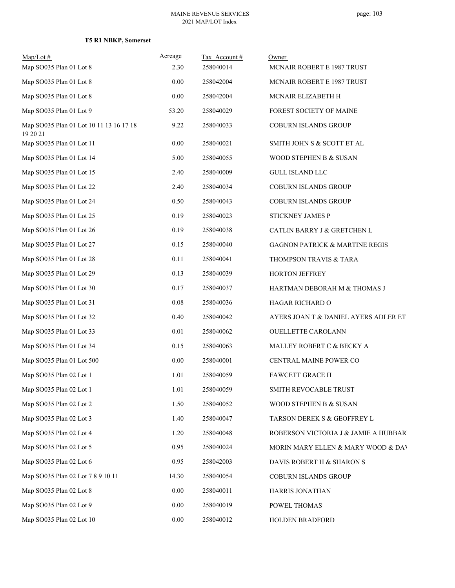| $Map/Lot \#$                                        | Acreage<br>2.30 | Tax Account#<br>258040014 | Owner                                     |
|-----------------------------------------------------|-----------------|---------------------------|-------------------------------------------|
| Map SO035 Plan 01 Lot 8                             |                 |                           | <b>MCNAIR ROBERT E 1987 TRUST</b>         |
| Map SO035 Plan 01 Lot 8                             | 0.00            | 258042004                 | <b>MCNAIR ROBERT E 1987 TRUST</b>         |
| Map SO035 Plan 01 Lot 8                             | 0.00            | 258042004                 | MCNAIR ELIZABETH H                        |
| Map SO035 Plan 01 Lot 9                             | 53.20           | 258040029                 | FOREST SOCIETY OF MAINE                   |
| Map SO035 Plan 01 Lot 10 11 13 16 17 18<br>19 20 21 | 9.22            | 258040033                 | COBURN ISLANDS GROUP                      |
| Map SO035 Plan 01 Lot 11                            | 0.00            | 258040021                 | SMITH JOHN S & SCOTT ET AL                |
| Map SO035 Plan 01 Lot 14                            | 5.00            | 258040055                 | WOOD STEPHEN B & SUSAN                    |
| Map SO035 Plan 01 Lot 15                            | 2.40            | 258040009                 | <b>GULL ISLAND LLC</b>                    |
| Map SO035 Plan 01 Lot 22                            | 2.40            | 258040034                 | COBURN ISLANDS GROUP                      |
| Map SO035 Plan 01 Lot 24                            | 0.50            | 258040043                 | COBURN ISLANDS GROUP                      |
| Map SO035 Plan 01 Lot 25                            | 0.19            | 258040023                 | STICKNEY JAMES P                          |
| Map SO035 Plan 01 Lot 26                            | 0.19            | 258040038                 | CATLIN BARRY J & GRETCHEN L               |
| Map SO035 Plan 01 Lot 27                            | 0.15            | 258040040                 | <b>GAGNON PATRICK &amp; MARTINE REGIS</b> |
| Map SO035 Plan 01 Lot 28                            | 0.11            | 258040041                 | THOMPSON TRAVIS & TARA                    |
| Map SO035 Plan 01 Lot 29                            | 0.13            | 258040039                 | HORTON JEFFREY                            |
| Map SO035 Plan 01 Lot 30                            | 0.17            | 258040037                 | HARTMAN DEBORAH M & THOMAS J              |
| Map SO035 Plan 01 Lot 31                            | 0.08            | 258040036                 | HAGAR RICHARD O                           |
| Map SO035 Plan 01 Lot 32                            | 0.40            | 258040042                 | AYERS JOAN T & DANIEL AYERS ADLER ET      |
| Map SO035 Plan 01 Lot 33                            | 0.01            | 258040062                 | OUELLETTE CAROLANN                        |
| Map SO035 Plan 01 Lot 34                            | 0.15            | 258040063                 | MALLEY ROBERT C & BECKY A                 |
| Map SO035 Plan 01 Lot 500                           | 0.00            | 258040001                 | CENTRAL MAINE POWER CO                    |
| Map SO035 Plan 02 Lot 1                             | 1.01            | 258040059                 | FAWCETT GRACE H                           |
| Map SO035 Plan 02 Lot 1                             | 1.01            | 258040059                 | SMITH REVOCABLE TRUST                     |
| Map SO035 Plan 02 Lot 2                             | 1.50            | 258040052                 | WOOD STEPHEN B & SUSAN                    |
| Map SO035 Plan 02 Lot 3                             | 1.40            | 258040047                 | TARSON DEREK S & GEOFFREY L               |
| Map SO035 Plan 02 Lot 4                             | 1.20            | 258040048                 | ROBERSON VICTORIA J & JAMIE A HUBBARI     |
| Map SO035 Plan 02 Lot 5                             | 0.95            | 258040024                 | MORIN MARY ELLEN & MARY WOOD & DAV        |
| Map SO035 Plan 02 Lot 6                             | 0.95            | 258042003                 | DAVIS ROBERT H & SHARON S                 |
| Map SO035 Plan 02 Lot 7 8 9 10 11                   | 14.30           | 258040054                 | COBURN ISLANDS GROUP                      |
| Map SO035 Plan 02 Lot 8                             | $0.00\,$        | 258040011                 | HARRIS JONATHAN                           |
| Map SO035 Plan 02 Lot 9                             | 0.00            | 258040019                 | POWEL THOMAS                              |
| Map SO035 Plan 02 Lot 10                            | 0.00            | 258040012                 | HOLDEN BRADFORD                           |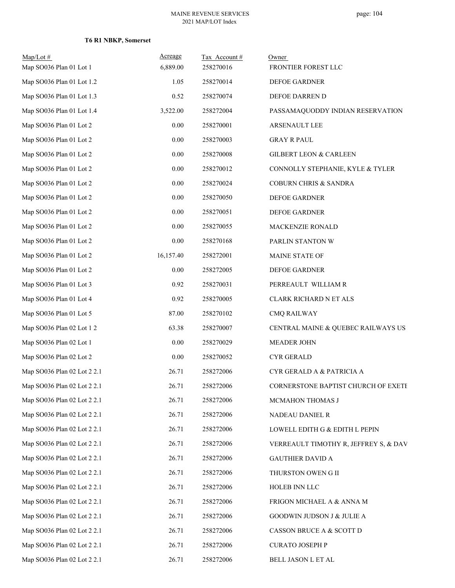| Map/Lot#<br>Map SO036 Plan 01 Lot 1 | Acreage<br>6,889.00 | Tax Account#<br>258270016 | Owner<br>FRONTIER FOREST LLC          |
|-------------------------------------|---------------------|---------------------------|---------------------------------------|
| Map SO036 Plan 01 Lot 1.2           | 1.05                | 258270014                 | DEFOE GARDNER                         |
| Map SO036 Plan 01 Lot 1.3           | 0.52                | 258270074                 | DEFOE DARREN D                        |
| Map SO036 Plan 01 Lot 1.4           | 3,522.00            | 258272004                 | PASSAMAQUODDY INDIAN RESERVATION      |
| Map SO036 Plan 01 Lot 2             | $0.00\,$            | 258270001                 | <b>ARSENAULT LEE</b>                  |
| Map SO036 Plan 01 Lot 2             | 0.00                | 258270003                 | <b>GRAY R PAUL</b>                    |
| Map SO036 Plan 01 Lot 2             | 0.00                | 258270008                 | <b>GILBERT LEON &amp; CARLEEN</b>     |
| Map SO036 Plan 01 Lot 2             | 0.00                | 258270012                 | CONNOLLY STEPHANIE, KYLE & TYLER      |
| Map SO036 Plan 01 Lot 2             | $0.00\,$            | 258270024                 | <b>COBURN CHRIS &amp; SANDRA</b>      |
| Map SO036 Plan 01 Lot 2             | 0.00                | 258270050                 | DEFOE GARDNER                         |
| Map SO036 Plan 01 Lot 2             | 0.00                | 258270051                 | DEFOE GARDNER                         |
| Map SO036 Plan 01 Lot 2             | 0.00                | 258270055                 | MACKENZIE RONALD                      |
| Map SO036 Plan 01 Lot 2             | 0.00                | 258270168                 | PARLIN STANTON W                      |
| Map SO036 Plan 01 Lot 2             | 16,157.40           | 258272001                 | MAINE STATE OF                        |
| Map SO036 Plan 01 Lot 2             | 0.00                | 258272005                 | DEFOE GARDNER                         |
| Map SO036 Plan 01 Lot 3             | 0.92                | 258270031                 | PERREAULT WILLIAM R                   |
| Map SO036 Plan 01 Lot 4             | 0.92                | 258270005                 | CLARK RICHARD N ET ALS                |
| Map SO036 Plan 01 Lot 5             | 87.00               | 258270102                 | <b>CMQ RAILWAY</b>                    |
| Map SO036 Plan 02 Lot 1 2           | 63.38               | 258270007                 | CENTRAL MAINE & QUEBEC RAILWAYS US    |
| Map SO036 Plan 02 Lot 1             | 0.00                | 258270029                 | MEADER JOHN                           |
| Map SO036 Plan 02 Lot 2             | 0.00                | 258270052                 | <b>CYR GERALD</b>                     |
| Map SO036 Plan 02 Lot 2 2.1         | 26.71               | 258272006                 | CYR GERALD A & PATRICIA A             |
| Map SO036 Plan 02 Lot 2 2.1         | 26.71               | 258272006                 | CORNERSTONE BAPTIST CHURCH OF EXETE   |
| Map SO036 Plan 02 Lot 2 2.1         | 26.71               | 258272006                 | MCMAHON THOMAS J                      |
| Map SO036 Plan 02 Lot 2 2.1         | 26.71               | 258272006                 | NADEAU DANIEL R                       |
| Map SO036 Plan 02 Lot 2 2.1         | 26.71               | 258272006                 | LOWELL EDITH G & EDITH L PEPIN        |
| Map SO036 Plan 02 Lot 2 2.1         | 26.71               | 258272006                 | VERREAULT TIMOTHY R, JEFFREY S, & DAV |
| Map SO036 Plan 02 Lot 2 2.1         | 26.71               | 258272006                 | <b>GAUTHIER DAVID A</b>               |
| Map SO036 Plan 02 Lot 2 2.1         | 26.71               | 258272006                 | THURSTON OWEN G II                    |
| Map SO036 Plan 02 Lot 2 2.1         | 26.71               | 258272006                 | HOLEB INN LLC                         |
| Map SO036 Plan 02 Lot 2 2.1         | 26.71               | 258272006                 | FRIGON MICHAEL A & ANNA M             |
| Map SO036 Plan 02 Lot 2 2.1         | 26.71               | 258272006                 | <b>GOODWIN JUDSON J &amp; JULIE A</b> |
| Map SO036 Plan 02 Lot 2 2.1         | 26.71               | 258272006                 | CASSON BRUCE A & SCOTT D              |
| Map SO036 Plan 02 Lot 2 2.1         | 26.71               | 258272006                 | <b>CURATO JOSEPH P</b>                |
| Map SO036 Plan 02 Lot 2 2.1         | 26.71               | 258272006                 | BELL JASON L ET AL                    |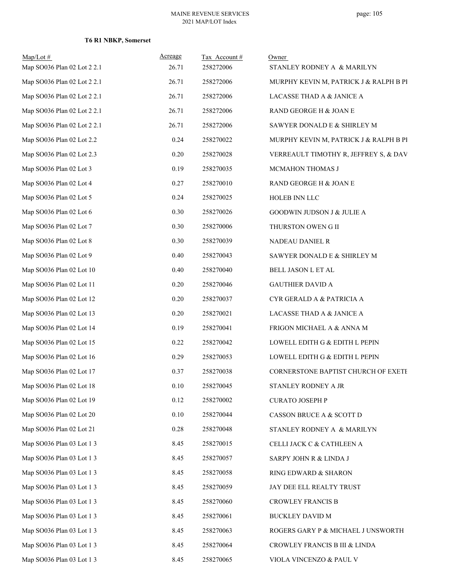| $Map/Lot \#$<br>Map SO036 Plan 02 Lot 2 2.1 | Acreage<br>26.71 | Tax Account#<br>258272006 | Owner<br>STANLEY RODNEY A & MARILYN    |
|---------------------------------------------|------------------|---------------------------|----------------------------------------|
| Map SO036 Plan 02 Lot 2 2.1                 | 26.71            | 258272006                 | MURPHY KEVIN M, PATRICK J & RALPH B PI |
| Map SO036 Plan 02 Lot 2 2.1                 | 26.71            | 258272006                 | LACASSE THAD A & JANICE A              |
| Map SO036 Plan 02 Lot 2 2.1                 | 26.71            | 258272006                 | RAND GEORGE H & JOAN E                 |
| Map SO036 Plan 02 Lot 2 2.1                 | 26.71            | 258272006                 | SAWYER DONALD E & SHIRLEY M            |
| Map SO036 Plan 02 Lot 2.2                   | 0.24             | 258270022                 | MURPHY KEVIN M, PATRICK J & RALPH B PI |
| Map SO036 Plan 02 Lot 2.3                   | 0.20             | 258270028                 | VERREAULT TIMOTHY R, JEFFREY S, & DAV  |
| Map SO036 Plan 02 Lot 3                     | 0.19             | 258270035                 | MCMAHON THOMAS J                       |
| Map SO036 Plan 02 Lot 4                     | 0.27             | 258270010                 | RAND GEORGE H & JOAN E                 |
| Map SO036 Plan 02 Lot 5                     | 0.24             | 258270025                 | HOLEB INN LLC                          |
| Map SO036 Plan 02 Lot 6                     | 0.30             | 258270026                 | GOODWIN JUDSON J & JULIE A             |
| Map SO036 Plan 02 Lot 7                     | 0.30             | 258270006                 | THURSTON OWEN G II                     |
| Map SO036 Plan 02 Lot 8                     | 0.30             | 258270039                 | NADEAU DANIEL R                        |
| Map SO036 Plan 02 Lot 9                     | 0.40             | 258270043                 | SAWYER DONALD E & SHIRLEY M            |
| Map SO036 Plan 02 Lot 10                    | 0.40             | 258270040                 | BELL JASON L ET AL                     |
| Map SO036 Plan 02 Lot 11                    | 0.20             | 258270046                 | <b>GAUTHIER DAVID A</b>                |
| Map SO036 Plan 02 Lot 12                    | 0.20             | 258270037                 | CYR GERALD A & PATRICIA A              |
| Map SO036 Plan 02 Lot 13                    | 0.20             | 258270021                 | LACASSE THAD A & JANICE A              |
| Map SO036 Plan 02 Lot 14                    | 0.19             | 258270041                 | FRIGON MICHAEL A & ANNA M              |
| Map SO036 Plan 02 Lot 15                    | 0.22             | 258270042                 | LOWELL EDITH G & EDITH L PEPIN         |
| Map SO036 Plan 02 Lot 16                    | 0.29             | 258270053                 | LOWELL EDITH G & EDITH L PEPIN         |
| Map SO036 Plan 02 Lot 17                    | 0.37             | 258270038                 | CORNERSTONE BAPTIST CHURCH OF EXETE    |
| Map SO036 Plan 02 Lot 18                    | 0.10             | 258270045                 | STANLEY RODNEY A JR                    |
| Map SO036 Plan 02 Lot 19                    | 0.12             | 258270002                 | <b>CURATO JOSEPH P</b>                 |
| Map SO036 Plan 02 Lot 20                    | 0.10             | 258270044                 | CASSON BRUCE A & SCOTT D               |
| Map SO036 Plan 02 Lot 21                    | 0.28             | 258270048                 | STANLEY RODNEY A & MARILYN             |
| Map SO036 Plan 03 Lot 1 3                   | 8.45             | 258270015                 | CELLI JACK C & CATHLEEN A              |
| Map SO036 Plan 03 Lot 1 3                   | 8.45             | 258270057                 | SARPY JOHN R & LINDA J                 |
| Map SO036 Plan 03 Lot 1 3                   | 8.45             | 258270058                 | RING EDWARD & SHARON                   |
| Map SO036 Plan 03 Lot 1 3                   | 8.45             | 258270059                 | JAY DEE ELL REALTY TRUST               |
| Map SO036 Plan 03 Lot 1 3                   | 8.45             | 258270060                 | <b>CROWLEY FRANCIS B</b>               |
| Map SO036 Plan 03 Lot 1 3                   | 8.45             | 258270061                 | <b>BUCKLEY DAVID M</b>                 |
| Map SO036 Plan 03 Lot 1 3                   | 8.45             | 258270063                 | ROGERS GARY P & MICHAEL J UNSWORTH     |
| Map SO036 Plan 03 Lot 1 3                   | 8.45             | 258270064                 | CROWLEY FRANCIS B III & LINDA          |
| Map SO036 Plan 03 Lot 1 3                   | 8.45             | 258270065                 | VIOLA VINCENZO & PAUL V                |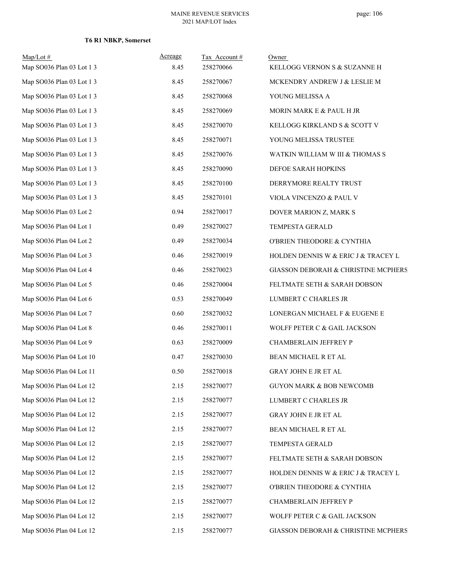| $Map/Lot \#$<br>Map SO036 Plan 03 Lot 1 3 | <b>Acreage</b><br>8.45 | Tax Account#<br>258270066 | Owner<br>KELLOGG VERNON S & SUZANNE H |
|-------------------------------------------|------------------------|---------------------------|---------------------------------------|
| Map SO036 Plan 03 Lot 1 3                 | 8.45                   | 258270067                 | MCKENDRY ANDREW J & LESLIE M          |
| Map SO036 Plan 03 Lot 1 3                 | 8.45                   | 258270068                 | YOUNG MELISSA A                       |
| Map SO036 Plan 03 Lot 1 3                 | 8.45                   | 258270069                 | MORIN MARK E & PAUL H JR              |
| Map SO036 Plan 03 Lot 1 3                 | 8.45                   | 258270070                 | KELLOGG KIRKLAND S & SCOTT V          |
| Map SO036 Plan 03 Lot 1 3                 | 8.45                   | 258270071                 | YOUNG MELISSA TRUSTEE                 |
| Map SO036 Plan 03 Lot 1 3                 | 8.45                   | 258270076                 | WATKIN WILLIAM W III & THOMAS S       |
| Map SO036 Plan 03 Lot 1 3                 | 8.45                   | 258270090                 | DEFOE SARAH HOPKINS                   |
| Map SO036 Plan 03 Lot 1 3                 | 8.45                   | 258270100                 | DERRYMORE REALTY TRUST                |
| Map SO036 Plan 03 Lot 1 3                 | 8.45                   | 258270101                 | VIOLA VINCENZO & PAUL V               |
| Map SO036 Plan 03 Lot 2                   | 0.94                   | 258270017                 | DOVER MARION Z, MARK S                |
| Map SO036 Plan 04 Lot 1                   | 0.49                   | 258270027                 | TEMPESTA GERALD                       |
| Map SO036 Plan 04 Lot 2                   | 0.49                   | 258270034                 | O'BRIEN THEODORE & CYNTHIA            |
| Map SO036 Plan 04 Lot 3                   | 0.46                   | 258270019                 | HOLDEN DENNIS W & ERIC J & TRACEY L   |
| Map SO036 Plan 04 Lot 4                   | 0.46                   | 258270023                 | GIASSON DEBORAH & CHRISTINE MCPHERS   |
| Map SO036 Plan 04 Lot 5                   | 0.46                   | 258270004                 | FELTMATE SETH & SARAH DOBSON          |
| Map SO036 Plan 04 Lot 6                   | 0.53                   | 258270049                 | LUMBERT C CHARLES JR                  |
| Map SO036 Plan 04 Lot 7                   | 0.60                   | 258270032                 | LONERGAN MICHAEL F & EUGENE E         |
| Map SO036 Plan 04 Lot 8                   | 0.46                   | 258270011                 | WOLFF PETER C & GAIL JACKSON          |
| Map SO036 Plan 04 Lot 9                   | 0.63                   | 258270009                 | CHAMBERLAIN JEFFREY P                 |
| Map SO036 Plan 04 Lot 10                  | 0.47                   | 258270030                 | BEAN MICHAEL R ET AL                  |
| Map SO036 Plan 04 Lot 11                  | 0.50                   | 258270018                 | GRAY JOHN E JR ET AL                  |
| Map SO036 Plan 04 Lot 12                  | 2.15                   | 258270077                 | <b>GUYON MARK &amp; BOB NEWCOMB</b>   |
| Map SO036 Plan 04 Lot 12                  | 2.15                   | 258270077                 | LUMBERT C CHARLES JR                  |
| Map SO036 Plan 04 Lot 12                  | 2.15                   | 258270077                 | GRAY JOHN E JR ET AL                  |
| Map SO036 Plan 04 Lot 12                  | 2.15                   | 258270077                 | BEAN MICHAEL R ET AL                  |
| Map SO036 Plan 04 Lot 12                  | 2.15                   | 258270077                 | TEMPESTA GERALD                       |
| Map SO036 Plan 04 Lot 12                  | 2.15                   | 258270077                 | FELTMATE SETH & SARAH DOBSON          |
| Map SO036 Plan 04 Lot 12                  | 2.15                   | 258270077                 | HOLDEN DENNIS W & ERIC J & TRACEY L   |
| Map SO036 Plan 04 Lot 12                  | 2.15                   | 258270077                 | O'BRIEN THEODORE & CYNTHIA            |
| Map SO036 Plan 04 Lot 12                  | 2.15                   | 258270077                 | CHAMBERLAIN JEFFREY P                 |
| Map SO036 Plan 04 Lot 12                  | 2.15                   | 258270077                 | WOLFF PETER C & GAIL JACKSON          |
| Map SO036 Plan 04 Lot 12                  | 2.15                   | 258270077                 | GIASSON DEBORAH & CHRISTINE MCPHERS   |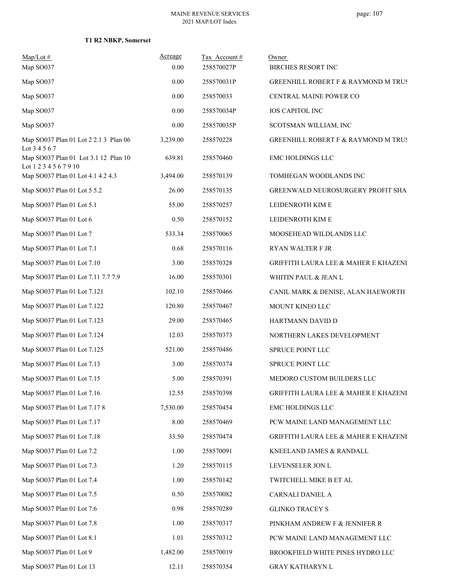### **T1 R2 NBKP, Somerset**

| $Map/Lot \#$                                                   | Acreage  | Tax Account # | Owner                                           |
|----------------------------------------------------------------|----------|---------------|-------------------------------------------------|
| Map SO037                                                      | 0.00     | 258570027P    | <b>BIRCHES RESORT INC</b>                       |
| Map SO037                                                      | 0.00     | 258570031P    | GREENHILL ROBERT F & RAYMOND M TRUS             |
| Map SO037                                                      | 0.00     | 258570033     | CENTRAL MAINE POWER CO                          |
| Map SO037                                                      | 0.00     | 258570034P    | <b>IOS CAPITOL INC</b>                          |
| Map SO037                                                      | 0.00     | 258570035P    | SCOTSMAN WILLIAM, INC                           |
| Map SO037 Plan 01 Lot 2 2.1 3 Plan 06<br>Lot 3 4 5 6 7         | 3,239.00 | 258570228     | <b>GREENHILL ROBERT F &amp; RAYMOND M TRUS</b>  |
| Map SO037 Plan 01 Lot 3.1 12 Plan 10<br>Lot 1 2 3 4 5 6 7 9 10 | 639.81   | 258570460     | EMC HOLDINGS LLC                                |
| Map SO037 Plan 01 Lot 4.1 4.2 4.3                              | 3,494.00 | 258570139     | TOMHEGAN WOODLANDS INC                          |
| Map SO037 Plan 01 Lot 5 5.2                                    | 26.00    | 258570135     | <b>GREENWALD NEUROSURGERY PROFIT SHAT</b>       |
| Map SO037 Plan 01 Lot 5.1                                      | 55.00    | 258570257     | LEIDENROTH KIM E                                |
| Map SO037 Plan 01 Lot 6                                        | 0.50     | 258570152     | LEIDENROTH KIM E                                |
| Map SO037 Plan 01 Lot 7                                        | 533.34   | 258570065     | MOOSEHEAD WILDLANDS LLC                         |
| Map SO037 Plan 01 Lot 7.1                                      | 0.68     | 258570116     | <b>RYAN WALTER F JR</b>                         |
| Map SO037 Plan 01 Lot 7.10                                     | 3.00     | 258570328     | GRIFFITH LAURA LEE & MAHER E KHAZENI            |
| Map SO037 Plan 01 Lot 7.11 7.7 7.9                             | 16.00    | 258570301     | WHITIN PAUL & JEAN L                            |
| Map SO037 Plan 01 Lot 7.121                                    | 102.10   | 258570466     | CANIL MARK & DENISE, ALAN HAEWORTH .            |
| Map SO037 Plan 01 Lot 7.122                                    | 120.80   | 258570467     | MOUNT KINEO LLC                                 |
| Map SO037 Plan 01 Lot 7.123                                    | 29.00    | 258570465     | HARTMANN DAVID D                                |
| Map SO037 Plan 01 Lot 7.124                                    | 12.03    | 258570373     | NORTHERN LAKES DEVELOPMENT                      |
| Map SO037 Plan 01 Lot 7.125                                    | 521.00   | 258570486     | SPRUCE POINT LLC                                |
| Map SO037 Plan 01 Lot 7.13                                     | 3.00     | 258570374     | SPRUCE POINT LLC                                |
| Map SO037 Plan 01 Lot 7.15                                     | 5.00     | 258570391     | MEDORO CUSTOM BUILDERS LLC                      |
| Map SO037 Plan 01 Lot 7.16                                     | 12.55    | 258570398     | <b>GRIFFITH LAURA LEE &amp; MAHER E KHAZENI</b> |
| Map SO037 Plan 01 Lot 7.17 8                                   | 7,530.00 | 258570454     | EMC HOLDINGS LLC                                |
| Map SO037 Plan 01 Lot 7.17                                     | 8.00     | 258570469     | PCW MAINE LAND MANAGEMENT LLC                   |
| Map SO037 Plan 01 Lot 7.18                                     | 33.50    | 258570474     | <b>GRIFFITH LAURA LEE &amp; MAHER E KHAZENI</b> |
| Map SO037 Plan 01 Lot 7.2                                      | 1.00     | 258570091     | KNEELAND JAMES & RANDALL                        |
| Map SO037 Plan 01 Lot 7.3                                      | 1.20     | 258570115     | LEVENSELER JON L                                |
| Map SO037 Plan 01 Lot 7.4                                      | 1.00     | 258570142     | TWITCHELL MIKE B ET AL                          |
| Map SO037 Plan 01 Lot 7.5                                      | 0.50     | 258570082     | CARNALI DANIEL A                                |
| Map SO037 Plan 01 Lot 7.6                                      | 0.98     | 258570289     | <b>GLINKO TRACEY S</b>                          |
| Map SO037 Plan 01 Lot 7.8                                      | 1.00     | 258570317     | PINKHAM ANDREW F & JENNIFER R                   |
| Map SO037 Plan 01 Lot 8.1                                      | 1.01     | 258570312     | PCW MAINE LAND MANAGEMENT LLC                   |
| Map SO037 Plan 01 Lot 9                                        | 1,482.00 | 258570019     | BROOKFIELD WHITE PINES HYDRO LLC                |
| Map SO037 Plan 01 Lot 13                                       | 12.11    | 258570354     | GRAY KATHARYN L                                 |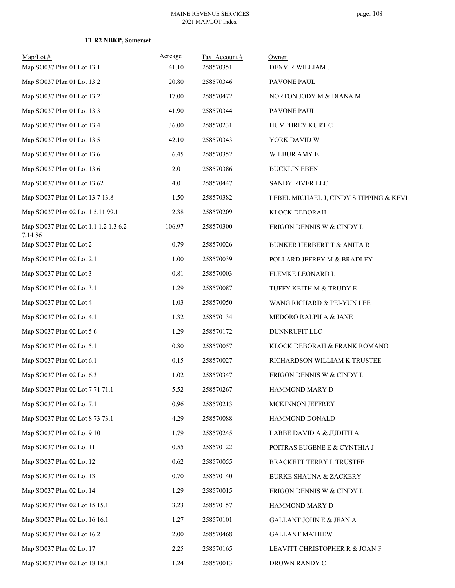| $Map/Lot \#$<br>Map SO037 Plan 01 Lot 13.1      | Acreage<br>41.10 | Tax Account#<br>258570351 | Owner<br>DENVIR WILLIAM J               |
|-------------------------------------------------|------------------|---------------------------|-----------------------------------------|
| Map SO037 Plan 01 Lot 13.2                      | 20.80            | 258570346                 | PAVONE PAUL                             |
| Map SO037 Plan 01 Lot 13.21                     | 17.00            | 258570472                 | NORTON JODY M & DIANA M                 |
| Map SO037 Plan 01 Lot 13.3                      | 41.90            | 258570344                 | PAVONE PAUL                             |
| Map SO037 Plan 01 Lot 13.4                      | 36.00            | 258570231                 | HUMPHREY KURT C                         |
| Map SO037 Plan 01 Lot 13.5                      | 42.10            | 258570343                 | YORK DAVID W                            |
| Map SO037 Plan 01 Lot 13.6                      | 6.45             | 258570352                 | WILBUR AMY E                            |
| Map SO037 Plan 01 Lot 13.61                     | 2.01             | 258570386                 | <b>BUCKLIN EBEN</b>                     |
| Map SO037 Plan 01 Lot 13.62                     | 4.01             | 258570447                 | SANDY RIVER LLC                         |
| Map SO037 Plan 01 Lot 13.7 13.8                 | 1.50             | 258570382                 | LEBEL MICHAEL J, CINDY S TIPPING & KEVI |
| Map SO037 Plan 02 Lot 1 5.11 99.1               | 2.38             | 258570209                 | KLOCK DEBORAH                           |
| Map SO037 Plan 02 Lot 1.1 1.2 1.3 6.2<br>7.1486 | 106.97           | 258570300                 | FRIGON DENNIS W & CINDY L               |
| Map SO037 Plan 02 Lot 2                         | 0.79             | 258570026                 | <b>BUNKER HERBERT T &amp; ANITA R</b>   |
| Map SO037 Plan 02 Lot 2.1                       | 1.00             | 258570039                 | POLLARD JEFREY M & BRADLEY              |
| Map SO037 Plan 02 Lot 3                         | 0.81             | 258570003                 | FLEMKE LEONARD L                        |
| Map SO037 Plan 02 Lot 3.1                       | 1.29             | 258570087                 | TUFFY KEITH M & TRUDY E                 |
| Map SO037 Plan 02 Lot 4                         | 1.03             | 258570050                 | WANG RICHARD & PEI-YUN LEE              |
| Map SO037 Plan 02 Lot 4.1                       | 1.32             | 258570134                 | MEDORO RALPH A & JANE                   |
| Map SO037 Plan 02 Lot 5 6                       | 1.29             | 258570172                 | DUNNRUFIT LLC                           |
| Map SO037 Plan 02 Lot 5.1                       | 0.80             | 258570057                 | KLOCK DEBORAH & FRANK ROMANO            |
| Map SO037 Plan 02 Lot 6.1                       | 0.15             | 258570027                 | RICHARDSON WILLIAM K TRUSTEE            |
| Map SO037 Plan 02 Lot 6.3                       | 1.02             | 258570347                 | FRIGON DENNIS W & CINDY L               |
| Map SO037 Plan 02 Lot 7 71 71.1                 | 5.52             | 258570267                 | HAMMOND MARY D                          |
| Map SO037 Plan 02 Lot 7.1                       | 0.96             | 258570213                 | MCKINNON JEFFREY                        |
| Map SO037 Plan 02 Lot 8 73 73.1                 | 4.29             | 258570088                 | HAMMOND DONALD                          |
| Map SO037 Plan 02 Lot 9 10                      | 1.79             | 258570245                 | LABBE DAVID A & JUDITH A                |
| Map SO037 Plan 02 Lot 11                        | 0.55             | 258570122                 | POITRAS EUGENE E & CYNTHIA J            |
| Map SO037 Plan 02 Lot 12                        | 0.62             | 258570055                 | BRACKETT TERRY L TRUSTEE                |
| Map SO037 Plan 02 Lot 13                        | 0.70             | 258570140                 | <b>BURKE SHAUNA &amp; ZACKERY</b>       |
| Map SO037 Plan 02 Lot 14                        | 1.29             | 258570015                 | FRIGON DENNIS W & CINDY L               |
| Map SO037 Plan 02 Lot 15 15.1                   | 3.23             | 258570157                 | HAMMOND MARY D                          |
| Map SO037 Plan 02 Lot 16 16.1                   | 1.27             | 258570101                 | GALLANT JOHN E & JEAN A                 |
| Map SO037 Plan 02 Lot 16.2                      | 2.00             | 258570468                 | <b>GALLANT MATHEW</b>                   |
| Map SO037 Plan 02 Lot 17                        | 2.25             | 258570165                 | LEAVITT CHRISTOPHER R & JOAN F          |
| Map SO037 Plan 02 Lot 18 18.1                   | 1.24             | 258570013                 | DROWN RANDY C                           |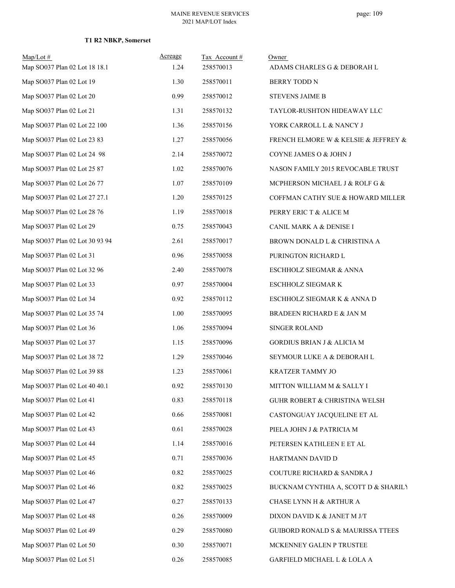| Map/Lot#                       | Acreage  | Tax Account# | Owner                                    |
|--------------------------------|----------|--------------|------------------------------------------|
| Map SO037 Plan 02 Lot 18 18.1  | 1.24     | 258570013    | ADAMS CHARLES G & DEBORAH L              |
| Map SO037 Plan 02 Lot 19       | 1.30     | 258570011    | BERRY TODD N                             |
| Map SO037 Plan 02 Lot 20       | 0.99     | 258570012    | <b>STEVENS JAIME B</b>                   |
| Map SO037 Plan 02 Lot 21       | 1.31     | 258570132    | TAYLOR-RUSHTON HIDEAWAY LLC              |
| Map SO037 Plan 02 Lot 22 100   | 1.36     | 258570156    | YORK CARROLL L & NANCY J                 |
| Map SO037 Plan 02 Lot 23 83    | 1.27     | 258570056    | FRENCH ELMORE W & KELSIE & JEFFREY &     |
| Map SO037 Plan 02 Lot 24 98    | 2.14     | 258570072    | COYNE JAMES O & JOHN J                   |
| Map SO037 Plan 02 Lot 25 87    | 1.02     | 258570076    | NASON FAMILY 2015 REVOCABLE TRUST        |
| Map SO037 Plan 02 Lot 26 77    | 1.07     | 258570109    | MCPHERSON MICHAEL J & ROLF G &           |
| Map SO037 Plan 02 Lot 27 27.1  | 1.20     | 258570125    | COFFMAN CATHY SUE & HOWARD MILLER        |
| Map SO037 Plan 02 Lot 28 76    | 1.19     | 258570018    | PERRY ERIC T & ALICE M                   |
| Map SO037 Plan 02 Lot 29       | 0.75     | 258570043    | CANIL MARK A & DENISE I                  |
| Map SO037 Plan 02 Lot 30 93 94 | 2.61     | 258570017    | BROWN DONALD L & CHRISTINA A             |
| Map SO037 Plan 02 Lot 31       | 0.96     | 258570058    | PURINGTON RICHARD L                      |
| Map SO037 Plan 02 Lot 32 96    | 2.40     | 258570078    | ESCHHOLZ SIEGMAR & ANNA                  |
| Map SO037 Plan 02 Lot 33       | 0.97     | 258570004    | ESCHHOLZ SIEGMAR K                       |
| Map SO037 Plan 02 Lot 34       | 0.92     | 258570112    | ESCHHOLZ SIEGMAR K & ANNA D              |
| Map SO037 Plan 02 Lot 35 74    | 1.00     | 258570095    | BRADEEN RICHARD E & JAN M                |
| Map SO037 Plan 02 Lot 36       | 1.06     | 258570094    | SINGER ROLAND                            |
| Map SO037 Plan 02 Lot 37       | 1.15     | 258570096    | <b>GORDIUS BRIAN J &amp; ALICIA M</b>    |
| Map SO037 Plan 02 Lot 38 72    | 1.29     | 258570046    | SEYMOUR LUKE A & DEBORAH L               |
| Map SO037 Plan 02 Lot 39 88    | 1.23     | 258570061    | KRATZER TAMMY JO                         |
| Map SO037 Plan 02 Lot 40 40.1  | 0.92     | 258570130    | MITTON WILLIAM M & SALLY I               |
| Map SO037 Plan 02 Lot 41       | 0.83     | 258570118    | <b>GUHR ROBERT &amp; CHRISTINA WELSH</b> |
| Map SO037 Plan 02 Lot 42       | 0.66     | 258570081    | CASTONGUAY JACQUELINE ET AL              |
| Map SO037 Plan 02 Lot 43       | 0.61     | 258570028    | PIELA JOHN J & PATRICIA M                |
| Map SO037 Plan 02 Lot 44       | 1.14     | 258570016    | PETERSEN KATHLEEN E ET AL                |
| Map SO037 Plan 02 Lot 45       | 0.71     | 258570036    | HARTMANN DAVID D                         |
| Map SO037 Plan 02 Lot 46       | 0.82     | 258570025    | COUTURE RICHARD & SANDRA J               |
| Map SO037 Plan 02 Lot 46       | 0.82     | 258570025    | BUCKNAM CYNTHIA A, SCOTT D & SHARILY     |
| Map SO037 Plan 02 Lot 47       | 0.27     | 258570133    | CHASE LYNN H & ARTHUR A                  |
| Map SO037 Plan 02 Lot 48       | 0.26     | 258570009    | DIXON DAVID K & JANET M J/T              |
| Map SO037 Plan 02 Lot 49       | 0.29     | 258570080    | GUIBORD RONALD S & MAURISSA TTEES        |
| Map SO037 Plan 02 Lot 50       | 0.30     | 258570071    | MCKENNEY GALEN P TRUSTEE                 |
| Map SO037 Plan 02 Lot 51       | $0.26\,$ | 258570085    | GARFIELD MICHAEL L & LOLA A              |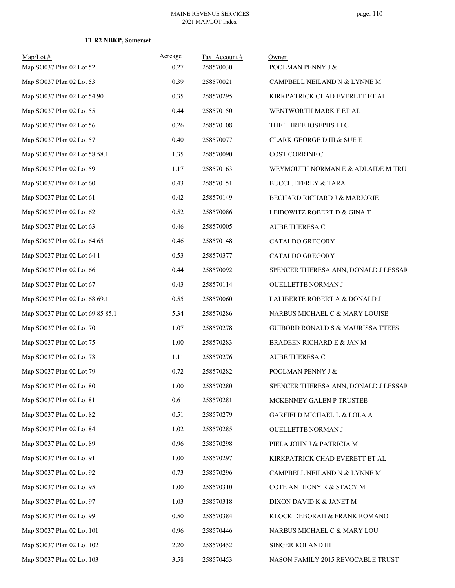| $Map/Lot \#$                     | Acreage | Tax Account# | Owner                                |
|----------------------------------|---------|--------------|--------------------------------------|
| Map SO037 Plan 02 Lot 52         | 0.27    | 258570030    | POOLMAN PENNY J &                    |
| Map SO037 Plan 02 Lot 53         | 0.39    | 258570021    | CAMPBELL NEILAND N & LYNNE M         |
| Map SO037 Plan 02 Lot 54 90      | 0.35    | 258570295    | KIRKPATRICK CHAD EVERETT ET AL       |
| Map SO037 Plan 02 Lot 55         | 0.44    | 258570150    | WENTWORTH MARK F ET AL               |
| Map SO037 Plan 02 Lot 56         | 0.26    | 258570108    | THE THREE JOSEPHS LLC                |
| Map SO037 Plan 02 Lot 57         | 0.40    | 258570077    | CLARK GEORGE D III & SUE E           |
| Map SO037 Plan 02 Lot 58 58.1    | 1.35    | 258570090    | COST CORRINE C                       |
| Map SO037 Plan 02 Lot 59         | 1.17    | 258570163    | WEYMOUTH NORMAN E & ADLAIDE M TRU:   |
| Map SO037 Plan 02 Lot 60         | 0.43    | 258570151    | <b>BUCCI JEFFREY &amp; TARA</b>      |
| Map SO037 Plan 02 Lot 61         | 0.42    | 258570149    | BECHARD RICHARD J & MARJORIE         |
| Map SO037 Plan 02 Lot 62         | 0.52    | 258570086    | LEIBOWITZ ROBERT D & GINA T          |
| Map SO037 Plan 02 Lot 63         | 0.46    | 258570005    | <b>AUBE THERESA C</b>                |
| Map SO037 Plan 02 Lot 64 65      | 0.46    | 258570148    | <b>CATALDO GREGORY</b>               |
| Map SO037 Plan 02 Lot 64.1       | 0.53    | 258570377    | CATALDO GREGORY                      |
| Map SO037 Plan 02 Lot 66         | 0.44    | 258570092    | SPENCER THERESA ANN, DONALD J LESSAR |
| Map SO037 Plan 02 Lot 67         | 0.43    | 258570114    | <b>OUELLETTE NORMAN J</b>            |
| Map SO037 Plan 02 Lot 68 69.1    | 0.55    | 258570060    | LALIBERTE ROBERT A & DONALD J        |
| Map SO037 Plan 02 Lot 69 85 85.1 | 5.34    | 258570286    | NARBUS MICHAEL C & MARY LOUISE       |
| Map SO037 Plan 02 Lot 70         | 1.07    | 258570278    | GUIBORD RONALD S & MAURISSA TTEES    |
| Map SO037 Plan 02 Lot 75         | 1.00    | 258570283    | BRADEEN RICHARD E & JAN M            |
| Map SO037 Plan 02 Lot 78         | 1.11    | 258570276    | AUBE THERESA C                       |
| Map SO037 Plan 02 Lot 79         | 0.72    | 258570282    | POOLMAN PENNY J &                    |
| Map SO037 Plan 02 Lot 80         | 1.00    | 258570280    | SPENCER THERESA ANN, DONALD J LESSAR |
| Map SO037 Plan 02 Lot 81         | 0.61    | 258570281    | MCKENNEY GALEN P TRUSTEE             |
| Map SO037 Plan 02 Lot 82         | 0.51    | 258570279    | GARFIELD MICHAEL L & LOLA A          |
| Map SO037 Plan 02 Lot 84         | 1.02    | 258570285    | OUELLETTE NORMAN J                   |
| Map SO037 Plan 02 Lot 89         | 0.96    | 258570298    | PIELA JOHN J & PATRICIA M            |
| Map SO037 Plan 02 Lot 91         | 1.00    | 258570297    | KIRKPATRICK CHAD EVERETT ET AL       |
| Map SO037 Plan 02 Lot 92         | 0.73    | 258570296    | CAMPBELL NEILAND N & LYNNE M         |
| Map SO037 Plan 02 Lot 95         | 1.00    | 258570310    | COTE ANTHONY R & STACY M             |
| Map SO037 Plan 02 Lot 97         | 1.03    | 258570318    | DIXON DAVID K & JANET M              |
| Map SO037 Plan 02 Lot 99         | 0.50    | 258570384    | KLOCK DEBORAH & FRANK ROMANO         |
| Map SO037 Plan 02 Lot 101        | 0.96    | 258570446    | NARBUS MICHAEL C & MARY LOU          |
| Map SO037 Plan 02 Lot 102        | 2.20    | 258570452    | SINGER ROLAND III                    |
| Map SO037 Plan 02 Lot 103        | 3.58    | 258570453    | NASON FAMILY 2015 REVOCABLE TRUST    |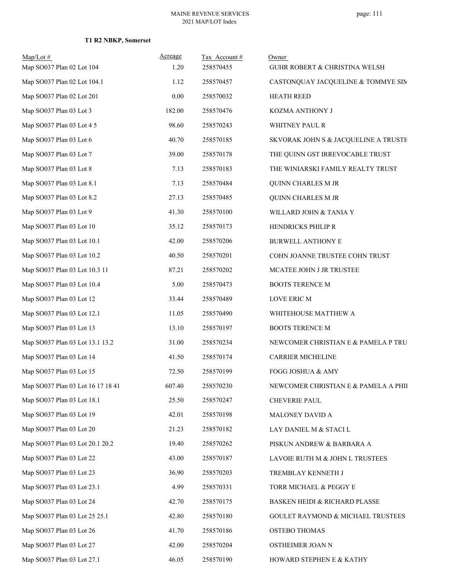| Map/Lot#<br>Map SO037 Plan 02 Lot 104 | Acreage<br>1.20 | Tax Account#<br>258570455 | Owner<br>GUHR ROBERT & CHRISTINA WELSH |
|---------------------------------------|-----------------|---------------------------|----------------------------------------|
| Map SO037 Plan 02 Lot 104.1           | 1.12            | 258570457                 | CASTONQUAY JACQUELINE & TOMMYE SIM     |
| Map SO037 Plan 02 Lot 201             | $0.00\,$        | 258570032                 | <b>HEATH REED</b>                      |
| Map SO037 Plan 03 Lot 3               | 182.00          | 258570476                 | KOZMA ANTHONY J                        |
| Map SO037 Plan 03 Lot 4 5             | 98.60           | 258570243                 | WHITNEY PAUL R                         |
| Map SO037 Plan 03 Lot 6               | 40.70           | 258570185                 | SKVORAK JOHN S & JACQUELINE A TRUSTE   |
| Map SO037 Plan 03 Lot 7               | 39.00           | 258570178                 | THE QUINN GST IRREVOCABLE TRUST        |
| Map SO037 Plan 03 Lot 8               | 7.13            | 258570183                 | THE WINIARSKI FAMILY REALTY TRUST      |
| Map SO037 Plan 03 Lot 8.1             | 7.13            | 258570484                 | QUINN CHARLES M JR                     |
| Map SO037 Plan 03 Lot 8.2             | 27.13           | 258570485                 | QUINN CHARLES M JR                     |
| Map SO037 Plan 03 Lot 9               | 41.30           | 258570100                 | WILLARD JOHN & TANIA Y                 |
| Map SO037 Plan 03 Lot 10              | 35.12           | 258570173                 | HENDRICKS PHILIP R                     |
| Map SO037 Plan 03 Lot 10.1            | 42.00           | 258570206                 | BURWELL ANTHONY E                      |
| Map SO037 Plan 03 Lot 10.2            | 40.50           | 258570201                 | COHN JOANNE TRUSTEE COHN TRUST         |
| Map SO037 Plan 03 Lot 10.3 11         | 87.21           | 258570202                 | MCATEE JOHN J JR TRUSTEE               |
| Map SO037 Plan 03 Lot 10.4            | 5.00            | 258570473                 | <b>BOOTS TERENCE M</b>                 |
| Map SO037 Plan 03 Lot 12              | 33.44           | 258570489                 | LOVE ERIC M                            |
| Map SO037 Plan 03 Lot 12.1            | 11.05           | 258570490                 | WHITEHOUSE MATTHEW A                   |
| Map SO037 Plan 03 Lot 13              | 13.10           | 258570197                 | <b>BOOTS TERENCE M</b>                 |
| Map SO037 Plan 03 Lot 13.1 13.2       | 31.00           | 258570234                 | NEWCOMER CHRISTIAN E & PAMELA P TRU    |
| Map SO037 Plan 03 Lot 14              | 41.50           | 258570174                 | CARRIER MICHELINE                      |
| Map SO037 Plan 03 Lot 15              | 72.50           | 258570199                 | FOGG JOSHUA & AMY                      |
| Map SO037 Plan 03 Lot 16 17 18 41     | 607.40          | 258570230                 | NEWCOMER CHRISTIAN E & PAMELA A PHII   |
| Map SO037 Plan 03 Lot 18.1            | 25.50           | 258570247                 | <b>CHEVERIE PAUL</b>                   |
| Map SO037 Plan 03 Lot 19              | 42.01           | 258570198                 | MALONEY DAVID A                        |
| Map SO037 Plan 03 Lot 20              | 21.23           | 258570182                 | LAY DANIEL M & STACI L                 |
| Map SO037 Plan 03 Lot 20.1 20.2       | 19.40           | 258570262                 | PISKUN ANDREW & BARBARA A              |
| Map SO037 Plan 03 Lot 22              | 43.00           | 258570187                 | LAVOIE RUTH M & JOHN L TRUSTEES        |
| Map SO037 Plan 03 Lot 23              | 36.90           | 258570203                 | TREMBLAY KENNETH J                     |
| Map SO037 Plan 03 Lot 23.1            | 4.99            | 258570331                 | TORR MICHAEL & PEGGY E                 |
| Map SO037 Plan 03 Lot 24              | 42.70           | 258570175                 | BASKEN HEIDI & RICHARD PLASSE          |
| Map SO037 Plan 03 Lot 25 25.1         | 42.80           | 258570180                 | GOULET RAYMOND & MICHAEL TRUSTEES      |
| Map SO037 Plan 03 Lot 26              | 41.70           | 258570186                 | OSTEBO THOMAS                          |
| Map SO037 Plan 03 Lot 27              | 42.00           | 258570204                 | OSTHEIMER JOAN N                       |
| Map SO037 Plan 03 Lot 27.1            | 46.05           | 258570190                 | HOWARD STEPHEN E & KATHY               |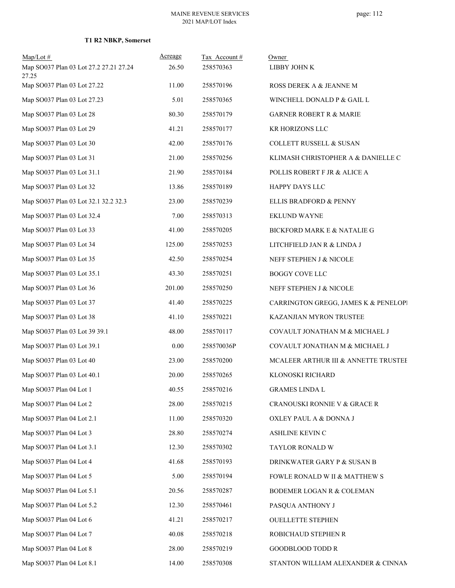| $Map/Lot \#$                                    | Acreage | Tax Account# | Owner                                |
|-------------------------------------------------|---------|--------------|--------------------------------------|
| Map SO037 Plan 03 Lot 27.2 27.21 27.24<br>27.25 | 26.50   | 258570363    | LIBBY JOHN K                         |
| Map SO037 Plan 03 Lot 27.22                     | 11.00   | 258570196    | ROSS DEREK A & JEANNE M              |
| Map SO037 Plan 03 Lot 27.23                     | 5.01    | 258570365    | WINCHELL DONALD P & GAIL L           |
| Map SO037 Plan 03 Lot 28                        | 80.30   | 258570179    | <b>GARNER ROBERT R &amp; MARIE</b>   |
| Map SO037 Plan 03 Lot 29                        | 41.21   | 258570177    | KR HORIZONS LLC                      |
| Map SO037 Plan 03 Lot 30                        | 42.00   | 258570176    | COLLETT RUSSELL & SUSAN              |
| Map SO037 Plan 03 Lot 31                        | 21.00   | 258570256    | KLIMASH CHRISTOPHER A & DANIELLE C   |
| Map SO037 Plan 03 Lot 31.1                      | 21.90   | 258570184    | POLLIS ROBERT F JR & ALICE A         |
| Map SO037 Plan 03 Lot 32                        | 13.86   | 258570189    | HAPPY DAYS LLC                       |
| Map SO037 Plan 03 Lot 32.1 32.2 32.3            | 23.00   | 258570239    | ELLIS BRADFORD & PENNY               |
| Map SO037 Plan 03 Lot 32.4                      | 7.00    | 258570313    | EKLUND WAYNE                         |
| Map SO037 Plan 03 Lot 33                        | 41.00   | 258570205    | BICKFORD MARK E & NATALIE G          |
| Map SO037 Plan 03 Lot 34                        | 125.00  | 258570253    | LITCHFIELD JAN R & LINDA J           |
| Map SO037 Plan 03 Lot 35                        | 42.50   | 258570254    | NEFF STEPHEN J & NICOLE              |
| Map SO037 Plan 03 Lot 35.1                      | 43.30   | 258570251    | BOGGY COVE LLC                       |
| Map SO037 Plan 03 Lot 36                        | 201.00  | 258570250    | NEFF STEPHEN J & NICOLE              |
| Map SO037 Plan 03 Lot 37                        | 41.40   | 258570225    | CARRINGTON GREGG, JAMES K & PENELOPI |
| Map SO037 Plan 03 Lot 38                        | 41.10   | 258570221    | KAZANJIAN MYRON TRUSTEE              |
| Map SO037 Plan 03 Lot 39 39.1                   | 48.00   | 258570117    | COVAULT JONATHAN M & MICHAEL J       |
| Map SO037 Plan 03 Lot 39.1                      | 0.00    | 258570036P   | COVAULT JONATHAN M & MICHAEL J       |
| Map SO037 Plan 03 Lot 40                        | 23.00   | 258570200    | MCALEER ARTHUR III & ANNETTE TRUSTEE |
| Map SO037 Plan 03 Lot 40.1                      | 20.00   | 258570265    | KLONOSKI RICHARD                     |
| Map SO037 Plan 04 Lot 1                         | 40.55   | 258570216    | <b>GRAMES LINDA L</b>                |
| Map SO037 Plan 04 Lot 2                         | 28.00   | 258570215    | CRANOUSKI RONNIE V & GRACE R         |
| Map SO037 Plan 04 Lot 2.1                       | 11.00   | 258570320    | OXLEY PAUL A & DONNA J               |
| Map SO037 Plan 04 Lot 3                         | 28.80   | 258570274    | ASHLINE KEVIN C                      |
| Map SO037 Plan 04 Lot 3.1                       | 12.30   | 258570302    | TAYLOR RONALD W                      |
| Map SO037 Plan 04 Lot 4                         | 41.68   | 258570193    | DRINKWATER GARY P & SUSAN B          |
| Map SO037 Plan 04 Lot 5                         | 5.00    | 258570194    | FOWLE RONALD W II & MATTHEW S        |
| Map SO037 Plan 04 Lot 5.1                       | 20.56   | 258570287    | BODEMER LOGAN R & COLEMAN            |
| Map SO037 Plan 04 Lot 5.2                       | 12.30   | 258570461    | PASQUA ANTHONY J                     |
| Map SO037 Plan 04 Lot 6                         | 41.21   | 258570217    | <b>OUELLETTE STEPHEN</b>             |
| Map SO037 Plan 04 Lot 7                         | 40.08   | 258570218    | ROBICHAUD STEPHEN R                  |
| Map SO037 Plan 04 Lot 8                         | 28.00   | 258570219    | <b>GOODBLOOD TODD R</b>              |
| Map SO037 Plan 04 Lot 8.1                       | 14.00   | 258570308    | STANTON WILLIAM ALEXANDER & CINNAN   |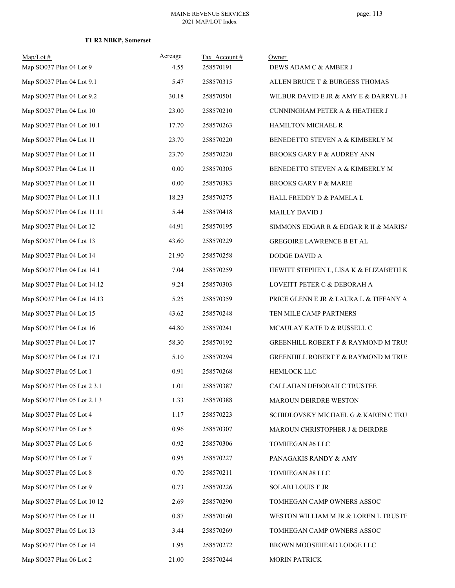| $Map/Lot \#$                | Acreage | Tax Account# | Owner                                          |
|-----------------------------|---------|--------------|------------------------------------------------|
| Map SO037 Plan 04 Lot 9     | 4.55    | 258570191    | DEWS ADAM C & AMBER J                          |
| Map SO037 Plan 04 Lot 9.1   | 5.47    | 258570315    | ALLEN BRUCE T & BURGESS THOMAS                 |
| Map SO037 Plan 04 Lot 9.2   | 30.18   | 258570501    | WILBUR DAVID E JR & AMY E & DARRYL J I         |
| Map SO037 Plan 04 Lot 10    | 23.00   | 258570210    | CUNNINGHAM PETER A & HEATHER J                 |
| Map SO037 Plan 04 Lot 10.1  | 17.70   | 258570263    | HAMILTON MICHAEL R                             |
| Map SO037 Plan 04 Lot 11    | 23.70   | 258570220    | BENEDETTO STEVEN A & KIMBERLY M                |
| Map SO037 Plan 04 Lot 11    | 23.70   | 258570220    | BROOKS GARY F & AUDREY ANN                     |
| Map SO037 Plan 04 Lot 11    | 0.00    | 258570305    | BENEDETTO STEVEN A & KIMBERLY M                |
| Map SO037 Plan 04 Lot 11    | 0.00    | 258570383    | <b>BROOKS GARY F &amp; MARIE</b>               |
| Map SO037 Plan 04 Lot 11.1  | 18.23   | 258570275    | HALL FREDDY D & PAMELA L                       |
| Map SO037 Plan 04 Lot 11.11 | 5.44    | 258570418    | <b>MAILLY DAVID J</b>                          |
| Map SO037 Plan 04 Lot 12    | 44.91   | 258570195    | SIMMONS EDGAR R & EDGAR R II & MARISA          |
| Map SO037 Plan 04 Lot 13    | 43.60   | 258570229    | GREGOIRE LAWRENCE B ET AL                      |
| Map SO037 Plan 04 Lot 14    | 21.90   | 258570258    | DODGE DAVID A                                  |
| Map SO037 Plan 04 Lot 14.1  | 7.04    | 258570259    | HEWITT STEPHEN L, LISA K & ELIZABETH K         |
| Map SO037 Plan 04 Lot 14.12 | 9.24    | 258570303    | LOVEITT PETER C & DEBORAH A                    |
| Map SO037 Plan 04 Lot 14.13 | 5.25    | 258570359    | PRICE GLENN E JR & LAURA L & TIFFANY A         |
| Map SO037 Plan 04 Lot 15    | 43.62   | 258570248    | TEN MILE CAMP PARTNERS                         |
| Map SO037 Plan 04 Lot 16    | 44.80   | 258570241    | MCAULAY KATE D & RUSSELL C                     |
| Map SO037 Plan 04 Lot 17    | 58.30   | 258570192    | <b>GREENHILL ROBERT F &amp; RAYMOND M TRUS</b> |
| Map SO037 Plan 04 Lot 17.1  | 5.10    | 258570294    | GREENHILL ROBERT F & RAYMOND M TRUS            |
| Map SO037 Plan 05 Lot 1     | 0.91    | 258570268    | <b>HEMLOCK LLC</b>                             |
| Map SO037 Plan 05 Lot 2 3.1 | 1.01    | 258570387    | CALLAHAN DEBORAH C TRUSTEE                     |
| Map SO037 Plan 05 Lot 2.1 3 | 1.33    | 258570388    | MAROUN DEIRDRE WESTON                          |
| Map SO037 Plan 05 Lot 4     | 1.17    | 258570223    | SCHIDLOVSKY MICHAEL G & KAREN C TRU            |
| Map SO037 Plan 05 Lot 5     | 0.96    | 258570307    | MAROUN CHRISTOPHER J & DEIRDRE                 |
| Map SO037 Plan 05 Lot 6     | 0.92    | 258570306    | TOMHEGAN #6 LLC                                |
| Map SO037 Plan 05 Lot 7     | 0.95    | 258570227    | PANAGAKIS RANDY & AMY                          |
| Map SO037 Plan 05 Lot 8     | 0.70    | 258570211    | TOMHEGAN #8 LLC                                |
| Map SO037 Plan 05 Lot 9     | 0.73    | 258570226    | SOLARI LOUIS F JR                              |
| Map SO037 Plan 05 Lot 10 12 | 2.69    | 258570290    | TOMHEGAN CAMP OWNERS ASSOC                     |
| Map SO037 Plan 05 Lot 11    | 0.87    | 258570160    | WESTON WILLIAM M JR & LOREN L TRUSTE           |
| Map SO037 Plan 05 Lot 13    | 3.44    | 258570269    | TOMHEGAN CAMP OWNERS ASSOC                     |
| Map SO037 Plan 05 Lot 14    | 1.95    | 258570272    | BROWN MOOSEHEAD LODGE LLC                      |
| Map SO037 Plan 06 Lot 2     | 21.00   | 258570244    | <b>MORIN PATRICK</b>                           |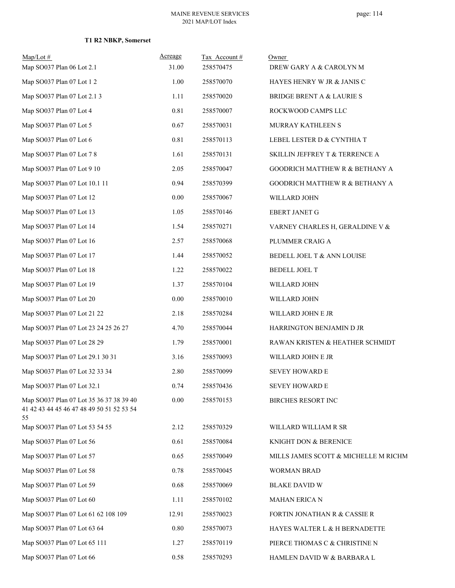| $Map/Lot \#$                                                                               | Acreage  | Tax Account# | Owner                                |
|--------------------------------------------------------------------------------------------|----------|--------------|--------------------------------------|
| Map SO037 Plan 06 Lot 2.1                                                                  | 31.00    | 258570475    | DREW GARY A & CAROLYN M              |
| Map SO037 Plan 07 Lot 1 2                                                                  | 1.00     | 258570070    | HAYES HENRY W JR & JANIS C           |
| Map SO037 Plan 07 Lot 2.1 3                                                                | 1.11     | 258570020    | <b>BRIDGE BRENT A &amp; LAURIE S</b> |
| Map SO037 Plan 07 Lot 4                                                                    | 0.81     | 258570007    | ROCKWOOD CAMPS LLC                   |
| Map SO037 Plan 07 Lot 5                                                                    | 0.67     | 258570031    | MURRAY KATHLEEN S                    |
| Map SO037 Plan 07 Lot 6                                                                    | 0.81     | 258570113    | LEBEL LESTER D & CYNTHIA T           |
| Map SO037 Plan 07 Lot 7 8                                                                  | 1.61     | 258570131    | SKILLIN JEFFREY T & TERRENCE A       |
| Map SO037 Plan 07 Lot 9 10                                                                 | 2.05     | 258570047    | GOODRICH MATTHEW R & BETHANY A       |
| Map SO037 Plan 07 Lot 10.1 11                                                              | 0.94     | 258570399    | GOODRICH MATTHEW R & BETHANY A       |
| Map SO037 Plan 07 Lot 12                                                                   | 0.00     | 258570067    | WILLARD JOHN                         |
| Map SO037 Plan 07 Lot 13                                                                   | 1.05     | 258570146    | <b>EBERT JANET G</b>                 |
| Map SO037 Plan 07 Lot 14                                                                   | 1.54     | 258570271    | VARNEY CHARLES H, GERALDINE V &      |
| Map SO037 Plan 07 Lot 16                                                                   | 2.57     | 258570068    | PLUMMER CRAIG A                      |
| Map SO037 Plan 07 Lot 17                                                                   | 1.44     | 258570052    | BEDELL JOEL T & ANN LOUISE           |
| Map SO037 Plan 07 Lot 18                                                                   | 1.22     | 258570022    | BEDELL JOEL T                        |
| Map SO037 Plan 07 Lot 19                                                                   | 1.37     | 258570104    | WILLARD JOHN                         |
| Map SO037 Plan 07 Lot 20                                                                   | 0.00     | 258570010    | WILLARD JOHN                         |
| Map SO037 Plan 07 Lot 21 22                                                                | 2.18     | 258570284    | WILLARD JOHN E JR                    |
| Map SO037 Plan 07 Lot 23 24 25 26 27                                                       | 4.70     | 258570044    | HARRINGTON BENJAMIN D JR             |
| Map SO037 Plan 07 Lot 28 29                                                                | 1.79     | 258570001    | RAWAN KRISTEN & HEATHER SCHMIDT      |
| Map SO037 Plan 07 Lot 29.1 30 31                                                           | 3.16     | 258570093    | WILLARD JOHN E JR                    |
| Map SO037 Plan 07 Lot 32 33 34                                                             | 2.80     | 258570099    | <b>SEVEY HOWARD E</b>                |
| Map SO037 Plan 07 Lot 32.1                                                                 | 0.74     | 258570436    | <b>SEVEY HOWARD E</b>                |
| Map SO037 Plan 07 Lot 35 36 37 38 39 40<br>41 42 43 44 45 46 47 48 49 50 51 52 53 54<br>55 | $0.00\,$ | 258570153    | <b>BIRCHES RESORT INC</b>            |
| Map SO037 Plan 07 Lot 53 54 55                                                             | 2.12     | 258570329    | WILLARD WILLIAM R SR                 |
| Map SO037 Plan 07 Lot 56                                                                   | 0.61     | 258570084    | KNIGHT DON & BERENICE                |
| Map SO037 Plan 07 Lot 57                                                                   | 0.65     | 258570049    | MILLS JAMES SCOTT & MICHELLE M RICHM |
| Map SO037 Plan 07 Lot 58                                                                   | 0.78     | 258570045    | <b>WORMAN BRAD</b>                   |
| Map SO037 Plan 07 Lot 59                                                                   | 0.68     | 258570069    | <b>BLAKE DAVID W</b>                 |
| Map SO037 Plan 07 Lot 60                                                                   | 1.11     | 258570102    | MAHAN ERICA N                        |
| Map SO037 Plan 07 Lot 61 62 108 109                                                        | 12.91    | 258570023    | FORTIN JONATHAN R & CASSIE R         |
| Map SO037 Plan 07 Lot 63 64                                                                | 0.80     | 258570073    | HAYES WALTER L & H BERNADETTE        |
| Map SO037 Plan 07 Lot 65 111                                                               | 1.27     | 258570119    | PIERCE THOMAS C & CHRISTINE N        |
| Map SO037 Plan 07 Lot 66                                                                   | 0.58     | 258570293    | HAMLEN DAVID W & BARBARA L           |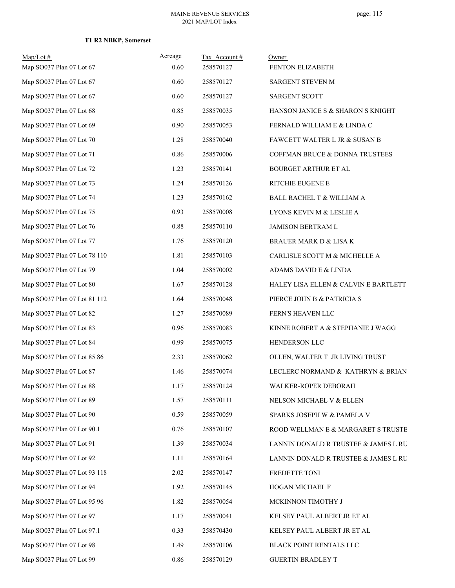| $Map/Lot$ #                  | Acreage  | Tax Account# | Owner                                |
|------------------------------|----------|--------------|--------------------------------------|
| Map SO037 Plan 07 Lot 67     | 0.60     | 258570127    | FENTON ELIZABETH                     |
| Map SO037 Plan 07 Lot 67     | 0.60     | 258570127    | SARGENT STEVEN M                     |
| Map SO037 Plan 07 Lot 67     | 0.60     | 258570127    | <b>SARGENT SCOTT</b>                 |
| Map SO037 Plan 07 Lot 68     | 0.85     | 258570035    | HANSON JANICE S & SHARON S KNIGHT    |
| Map SO037 Plan 07 Lot 69     | 0.90     | 258570053    | FERNALD WILLIAM E & LINDA C          |
| Map SO037 Plan 07 Lot 70     | 1.28     | 258570040    | FAWCETT WALTER L JR & SUSAN B        |
| Map SO037 Plan 07 Lot 71     | 0.86     | 258570006    | COFFMAN BRUCE & DONNA TRUSTEES       |
| Map SO037 Plan 07 Lot 72     | 1.23     | 258570141    | <b>BOURGET ARTHUR ET AL</b>          |
| Map SO037 Plan 07 Lot 73     | 1.24     | 258570126    | RITCHIE EUGENE E                     |
| Map SO037 Plan 07 Lot 74     | 1.23     | 258570162    | BALL RACHEL T & WILLIAM A            |
| Map SO037 Plan 07 Lot 75     | 0.93     | 258570008    | LYONS KEVIN M & LESLIE A             |
| Map SO037 Plan 07 Lot 76     | 0.88     | 258570110    | JAMISON BERTRAM L                    |
| Map SO037 Plan 07 Lot 77     | 1.76     | 258570120    | <b>BRAUER MARK D &amp; LISA K</b>    |
| Map SO037 Plan 07 Lot 78 110 | 1.81     | 258570103    | CARLISLE SCOTT M & MICHELLE A        |
| Map SO037 Plan 07 Lot 79     | 1.04     | 258570002    | ADAMS DAVID E & LINDA                |
| Map SO037 Plan 07 Lot 80     | 1.67     | 258570128    | HALEY LISA ELLEN & CALVIN E BARTLETT |
| Map SO037 Plan 07 Lot 81 112 | 1.64     | 258570048    | PIERCE JOHN B & PATRICIA S           |
| Map SO037 Plan 07 Lot 82     | 1.27     | 258570089    | FERN'S HEAVEN LLC                    |
| Map SO037 Plan 07 Lot 83     | 0.96     | 258570083    | KINNE ROBERT A & STEPHANIE J WAGG    |
| Map SO037 Plan 07 Lot 84     | 0.99     | 258570075    | HENDERSON LLC                        |
| Map SO037 Plan 07 Lot 85 86  | 2.33     | 258570062    | OLLEN, WALTER T JR LIVING TRUST      |
| Map SO037 Plan 07 Lot 87     | 1.46     | 258570074    | LECLERC NORMAND & KATHRYN & BRIAN    |
| Map SO037 Plan 07 Lot 88     | 1.17     | 258570124    | WALKER-ROPER DEBORAH                 |
| Map SO037 Plan 07 Lot 89     | 1.57     | 258570111    | NELSON MICHAEL V & ELLEN             |
| Map SO037 Plan 07 Lot 90     | 0.59     | 258570059    | SPARKS JOSEPH W & PAMELA V           |
| Map SO037 Plan 07 Lot 90.1   | 0.76     | 258570107    | ROOD WELLMAN E & MARGARET S TRUSTE   |
| Map SO037 Plan 07 Lot 91     | 1.39     | 258570034    | LANNIN DONALD R TRUSTEE & JAMES L RU |
| Map SO037 Plan 07 Lot 92     | 1.11     | 258570164    | LANNIN DONALD R TRUSTEE & JAMES L RU |
| Map SO037 Plan 07 Lot 93 118 | 2.02     | 258570147    | FREDETTE TONI                        |
| Map SO037 Plan 07 Lot 94     | 1.92     | 258570145    | HOGAN MICHAEL F                      |
| Map SO037 Plan 07 Lot 95 96  | 1.82     | 258570054    | MCKINNON TIMOTHY J                   |
| Map SO037 Plan 07 Lot 97     | 1.17     | 258570041    | KELSEY PAUL ALBERT JR ET AL          |
| Map SO037 Plan 07 Lot 97.1   | 0.33     | 258570430    | KELSEY PAUL ALBERT JR ET AL          |
| Map SO037 Plan 07 Lot 98     | 1.49     | 258570106    | BLACK POINT RENTALS LLC              |
| Map SO037 Plan 07 Lot 99     | $0.86\,$ | 258570129    | <b>GUERTIN BRADLEY T</b>             |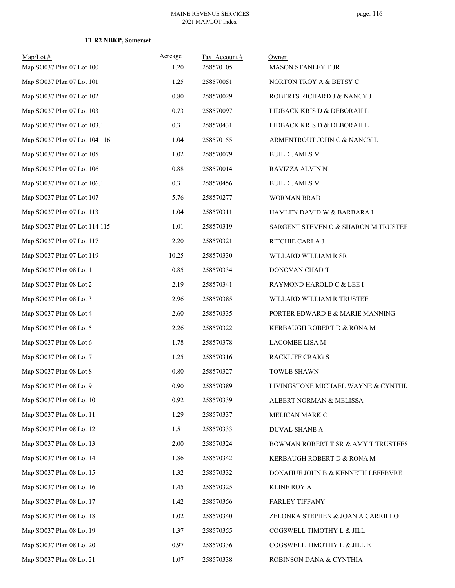| $Map/Lot \#$<br>Map SO037 Plan 07 Lot 100 | Acreage<br>1.20 | Tax Account#<br>258570105 | Owner<br>MASON STANLEY E JR         |
|-------------------------------------------|-----------------|---------------------------|-------------------------------------|
| Map SO037 Plan 07 Lot 101                 | 1.25            | 258570051                 | NORTON TROY A & BETSY C             |
| Map SO037 Plan 07 Lot 102                 | $0.80\,$        | 258570029                 | ROBERTS RICHARD J & NANCY J         |
| Map SO037 Plan 07 Lot 103                 | 0.73            | 258570097                 | LIDBACK KRIS D & DEBORAH L          |
| Map SO037 Plan 07 Lot 103.1               | 0.31            | 258570431                 | LIDBACK KRIS D & DEBORAH L          |
| Map SO037 Plan 07 Lot 104 116             | 1.04            | 258570155                 | ARMENTROUT JOHN C & NANCY L         |
| Map SO037 Plan 07 Lot 105                 | 1.02            | 258570079                 | <b>BUILD JAMES M</b>                |
| Map SO037 Plan 07 Lot 106                 | 0.88            | 258570014                 | RAVIZZA ALVIN N                     |
| Map SO037 Plan 07 Lot 106.1               | 0.31            | 258570456                 | <b>BUILD JAMES M</b>                |
| Map SO037 Plan 07 Lot 107                 | 5.76            | 258570277                 | <b>WORMAN BRAD</b>                  |
| Map SO037 Plan 07 Lot 113                 | 1.04            | 258570311                 | HAMLEN DAVID W & BARBARA L          |
| Map SO037 Plan 07 Lot 114 115             | 1.01            | 258570319                 | SARGENT STEVEN O & SHARON M TRUSTEE |
| Map SO037 Plan 07 Lot 117                 | 2.20            | 258570321                 | RITCHIE CARLA J                     |
| Map SO037 Plan 07 Lot 119                 | 10.25           | 258570330                 | WILLARD WILLIAM R SR                |
| Map SO037 Plan 08 Lot 1                   | 0.85            | 258570334                 | DONOVAN CHAD T                      |
| Map SO037 Plan 08 Lot 2                   | 2.19            | 258570341                 | RAYMOND HAROLD C & LEE I            |
| Map SO037 Plan 08 Lot 3                   | 2.96            | 258570385                 | WILLARD WILLIAM R TRUSTEE           |
| Map SO037 Plan 08 Lot 4                   | 2.60            | 258570335                 | PORTER EDWARD E & MARIE MANNING     |
| Map SO037 Plan 08 Lot 5                   | 2.26            | 258570322                 | KERBAUGH ROBERT D & RONA M          |
| Map SO037 Plan 08 Lot 6                   | 1.78            | 258570378                 | <b>LACOMBE LISA M</b>               |
| Map SO037 Plan 08 Lot 7                   | 1.25            | 258570316                 | RACKLIFF CRAIG S                    |
| Map SO037 Plan 08 Lot 8                   | 0.80            | 258570327                 | <b>TOWLE SHAWN</b>                  |
| Map SO037 Plan 08 Lot 9                   | 0.90            | 258570389                 | LIVINGSTONE MICHAEL WAYNE & CYNTHL  |
| Map SO037 Plan 08 Lot 10                  | 0.92            | 258570339                 | ALBERT NORMAN & MELISSA             |
| Map SO037 Plan 08 Lot 11                  | 1.29            | 258570337                 | MELICAN MARK C                      |
| Map SO037 Plan 08 Lot 12                  | 1.51            | 258570333                 | <b>DUVAL SHANE A</b>                |
| Map SO037 Plan 08 Lot 13                  | 2.00            | 258570324                 | BOWMAN ROBERT T SR & AMY T TRUSTEES |
| Map SO037 Plan 08 Lot 14                  | 1.86            | 258570342                 | KERBAUGH ROBERT D & RONA M          |
| Map SO037 Plan 08 Lot 15                  | 1.32            | 258570332                 | DONAHUE JOHN B & KENNETH LEFEBVRE   |
| Map SO037 Plan 08 Lot 16                  | 1.45            | 258570325                 | <b>KLINE ROY A</b>                  |
| Map SO037 Plan 08 Lot 17                  | 1.42            | 258570356                 | <b>FARLEY TIFFANY</b>               |
| Map SO037 Plan 08 Lot 18                  | 1.02            | 258570340                 | ZELONKA STEPHEN & JOAN A CARRILLO   |
| Map SO037 Plan 08 Lot 19                  | 1.37            | 258570355                 | COGSWELL TIMOTHY L & JILL           |
| Map SO037 Plan 08 Lot 20                  | 0.97            | 258570336                 | COGSWELL TIMOTHY L & JILL E         |
| Map SO037 Plan 08 Lot 21                  | 1.07            | 258570338                 | ROBINSON DANA & CYNTHIA             |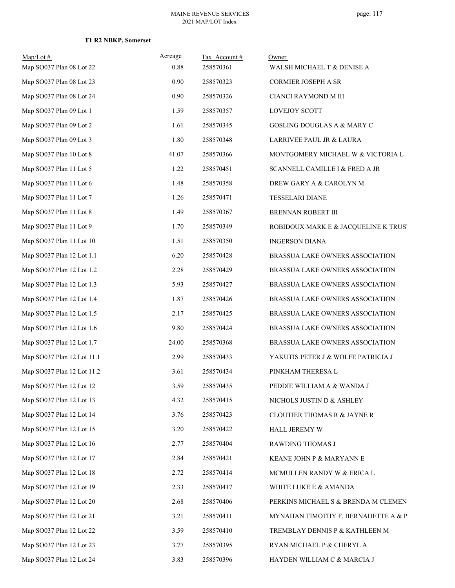| Map/Lot#<br>Map SO037 Plan 08 Lot 22 | Acreage | Tax Account#<br>258570361 | Owner                                  |
|--------------------------------------|---------|---------------------------|----------------------------------------|
|                                      | 0.88    |                           | WALSH MICHAEL T & DENISE A             |
| Map SO037 Plan 08 Lot 23             | 0.90    | 258570323                 | CORMIER JOSEPH A SR                    |
| Map SO037 Plan 08 Lot 24             | 0.90    | 258570326                 | CIANCI RAYMOND M III                   |
| Map SO037 Plan 09 Lot 1              | 1.59    | 258570357                 | LOVEJOY SCOTT                          |
| Map SO037 Plan 09 Lot 2              | 1.61    | 258570345                 | <b>GOSLING DOUGLAS A &amp; MARY C</b>  |
| Map SO037 Plan 09 Lot 3              | 1.80    | 258570348                 | LARRIVEE PAUL JR & LAURA               |
| Map SO037 Plan 10 Lot 8              | 41.07   | 258570366                 | MONTGOMERY MICHAEL W & VICTORIA L      |
| Map SO037 Plan 11 Lot 5              | 1.22    | 258570451                 | SCANNELL CAMILLE I $\&$ FRED A JR      |
| Map SO037 Plan 11 Lot 6              | 1.48    | 258570358                 | DREW GARY A & CAROLYN M                |
| Map SO037 Plan 11 Lot 7              | 1.26    | 258570471                 | <b>TESSELARI DIANE</b>                 |
| Map SO037 Plan 11 Lot 8              | 1.49    | 258570367                 | BRENNAN ROBERT III                     |
| Map SO037 Plan 11 Lot 9              | 1.70    | 258570349                 | ROBIDOUX MARK E & JACQUELINE K TRUS'   |
| Map SO037 Plan 11 Lot 10             | 1.51    | 258570350                 | <b>INGERSON DIANA</b>                  |
| Map SO037 Plan 12 Lot 1.1            | 6.20    | 258570428                 | BRASSUA LAKE OWNERS ASSOCIATION        |
| Map SO037 Plan 12 Lot 1.2            | 2.28    | 258570429                 | BRASSUA LAKE OWNERS ASSOCIATION        |
| Map SO037 Plan 12 Lot 1.3            | 5.93    | 258570427                 | BRASSUA LAKE OWNERS ASSOCIATION        |
| Map SO037 Plan 12 Lot 1.4            | 1.87    | 258570426                 | BRASSUA LAKE OWNERS ASSOCIATION        |
| Map SO037 Plan 12 Lot 1.5            | 2.17    | 258570425                 | BRASSUA LAKE OWNERS ASSOCIATION        |
| Map SO037 Plan 12 Lot 1.6            | 9.80    | 258570424                 | BRASSUA LAKE OWNERS ASSOCIATION        |
| Map SO037 Plan 12 Lot 1.7            | 24.00   | 258570368                 | BRASSUA LAKE OWNERS ASSOCIATION        |
| Map SO037 Plan 12 Lot 11.1           | 2.99    | 258570433                 | YAKUTIS PETER J & WOLFE PATRICIA J     |
| Map SO037 Plan 12 Lot 11.2           | 3.61    | 258570434                 | PINKHAM THERESA L                      |
| Map SO037 Plan 12 Lot 12             | 3.59    | 258570435                 | PEDDIE WILLIAM A & WANDA J             |
| Map SO037 Plan 12 Lot 13             | 4.32    | 258570415                 | NICHOLS JUSTIN D & ASHLEY              |
| Map SO037 Plan 12 Lot 14             | 3.76    | 258570423                 | <b>CLOUTIER THOMAS R &amp; JAYNE R</b> |
| Map SO037 Plan 12 Lot 15             | 3.20    | 258570422                 | HALL JEREMY W                          |
| Map SO037 Plan 12 Lot 16             | 2.77    | 258570404                 | RAWDING THOMAS J                       |
| Map SO037 Plan 12 Lot 17             | 2.84    | 258570421                 | KEANE JOHN P & MARYANN E               |
| Map SO037 Plan 12 Lot 18             | 2.72    | 258570414                 | MCMULLEN RANDY W & ERICA L             |
| Map SO037 Plan 12 Lot 19             | 2.33    | 258570417                 | WHITE LUKE E & AMANDA                  |
| Map SO037 Plan 12 Lot 20             | 2.68    | 258570406                 | PERKINS MICHAEL S & BRENDA M CLEMEN'   |
| Map SO037 Plan 12 Lot 21             | 3.21    | 258570411                 | MYNAHAN TIMOTHY F, BERNADETTE A & P    |
| Map SO037 Plan 12 Lot 22             | 3.59    | 258570410                 | TREMBLAY DENNIS P & KATHLEEN M         |
| Map SO037 Plan 12 Lot 23             | 3.77    | 258570395                 | RYAN MICHAEL P & CHERYL A              |
| Map SO037 Plan 12 Lot 24             | 3.83    | 258570396                 | HAYDEN WILLIAM C & MARCIA J            |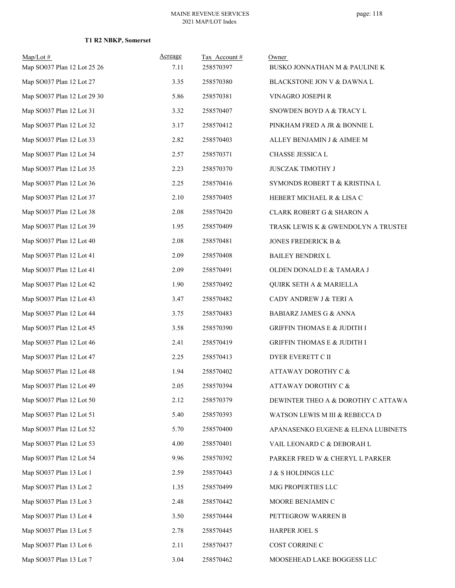| $Map/Lot \#$<br>Map SO037 Plan 12 Lot 25 26 | Acreage<br>7.11 | Tax Account#<br>258570397 | Owner<br>BUSKO JONNATHAN M & PAULINE K |
|---------------------------------------------|-----------------|---------------------------|----------------------------------------|
| Map SO037 Plan 12 Lot 27                    | 3.35            | 258570380                 | BLACKSTONE JON V & DAWNA L             |
| Map SO037 Plan 12 Lot 29 30                 | 5.86            | 258570381                 | VINAGRO JOSEPH R                       |
| Map SO037 Plan 12 Lot 31                    | 3.32            | 258570407                 | SNOWDEN BOYD A & TRACY L               |
| Map SO037 Plan 12 Lot 32                    | 3.17            | 258570412                 | PINKHAM FRED A JR & BONNIE L           |
| Map SO037 Plan 12 Lot 33                    | 2.82            | 258570403                 | ALLEY BENJAMIN J & AIMEE M             |
| Map SO037 Plan 12 Lot 34                    | 2.57            | 258570371                 | CHASSE JESSICA L                       |
| Map SO037 Plan 12 Lot 35                    | 2.23            | 258570370                 | JUSCZAK TIMOTHY J                      |
| Map SO037 Plan 12 Lot 36                    | 2.25            | 258570416                 | SYMONDS ROBERT T & KRISTINA L          |
| Map SO037 Plan 12 Lot 37                    | 2.10            | 258570405                 | HEBERT MICHAEL R & LISA C              |
| Map SO037 Plan 12 Lot 38                    | 2.08            | 258570420                 | CLARK ROBERT G & SHARON A              |
| Map SO037 Plan 12 Lot 39                    | 1.95            | 258570409                 | TRASK LEWIS K & GWENDOLYN A TRUSTEF    |
| Map SO037 Plan 12 Lot 40                    | 2.08            | 258570481                 | JONES FREDERICK B &                    |
| Map SO037 Plan 12 Lot 41                    | 2.09            | 258570408                 | <b>BAILEY BENDRIX L</b>                |
| Map SO037 Plan 12 Lot 41                    | 2.09            | 258570491                 | OLDEN DONALD E & TAMARA J              |
| Map SO037 Plan 12 Lot 42                    | 1.90            | 258570492                 | <b>QUIRK SETH A &amp; MARIELLA</b>     |
| Map SO037 Plan 12 Lot 43                    | 3.47            | 258570482                 | CADY ANDREW J & TERI A                 |
| Map SO037 Plan 12 Lot 44                    | 3.75            | 258570483                 | <b>BABIARZ JAMES G &amp; ANNA</b>      |
| Map SO037 Plan 12 Lot 45                    | 3.58            | 258570390                 | <b>GRIFFIN THOMAS E &amp; JUDITH I</b> |
| Map SO037 Plan 12 Lot 46                    | 2.41            | 258570419                 | <b>GRIFFIN THOMAS E &amp; JUDITH I</b> |
| Map SO037 Plan 12 Lot 47                    | 2.25            | 258570413                 | DYER EVERETT C II                      |
| Map SO037 Plan 12 Lot 48                    | 1.94            | 258570402                 | <b>ATTAWAY DOROTHY C &amp;</b>         |
| Map SO037 Plan 12 Lot 49                    | 2.05            | 258570394                 | ATTAWAY DOROTHY C &                    |
| Map SO037 Plan 12 Lot 50                    | 2.12            | 258570379                 | DEWINTER THEO A & DOROTHY C ATTAWA     |
| Map SO037 Plan 12 Lot 51                    | 5.40            | 258570393                 | WATSON LEWIS M III & REBECCA D         |
| Map SO037 Plan 12 Lot 52                    | 5.70            | 258570400                 | APANASENKO EUGENE & ELENA LUBINETS     |
| Map SO037 Plan 12 Lot 53                    | 4.00            | 258570401                 | VAIL LEONARD C & DEBORAH L             |
| Map SO037 Plan 12 Lot 54                    | 9.96            | 258570392                 | PARKER FRED W & CHERYL L PARKER        |
| Map SO037 Plan 13 Lot 1                     | 2.59            | 258570443                 | <b>J &amp; S HOLDINGS LLC</b>          |
| Map SO037 Plan 13 Lot 2                     | 1.35            | 258570499                 | MJG PROPERTIES LLC                     |
| Map SO037 Plan 13 Lot 3                     | 2.48            | 258570442                 | MOORE BENJAMIN C                       |
| Map SO037 Plan 13 Lot 4                     | 3.50            | 258570444                 | PETTEGROW WARREN B                     |
| Map SO037 Plan 13 Lot 5                     | 2.78            | 258570445                 | <b>HARPER JOEL S</b>                   |
| Map SO037 Plan 13 Lot 6                     | 2.11            | 258570437                 | COST CORRINE C                         |
| Map SO037 Plan 13 Lot 7                     | 3.04            | 258570462                 | MOOSEHEAD LAKE BOGGESS LLC             |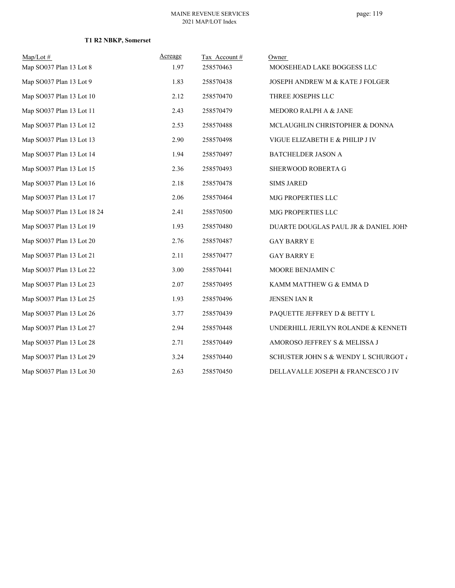| $Map/Lot \#$                | Acreage | Tax Account# | Owner                                      |
|-----------------------------|---------|--------------|--------------------------------------------|
| Map SO037 Plan 13 Lot 8     | 1.97    | 258570463    | MOOSEHEAD LAKE BOGGESS LLC                 |
| Map SO037 Plan 13 Lot 9     | 1.83    | 258570438    | <b>JOSEPH ANDREW M &amp; KATE J FOLGER</b> |
| Map SO037 Plan 13 Lot 10    | 2.12    | 258570470    | THREE JOSEPHS LLC                          |
| Map SO037 Plan 13 Lot 11    | 2.43    | 258570479    | MEDORO RALPH A & JANE                      |
| Map SO037 Plan 13 Lot 12    | 2.53    | 258570488    | MCLAUGHLIN CHRISTOPHER & DONNA             |
| Map SO037 Plan 13 Lot 13    | 2.90    | 258570498    | VIGUE ELIZABETH E & PHILIP J IV            |
| Map SO037 Plan 13 Lot 14    | 1.94    | 258570497    | BATCHELDER JASON A                         |
| Map SO037 Plan 13 Lot 15    | 2.36    | 258570493    | SHERWOOD ROBERTA G                         |
| Map SO037 Plan 13 Lot 16    | 2.18    | 258570478    | <b>SIMS JARED</b>                          |
| Map SO037 Plan 13 Lot 17    | 2.06    | 258570464    | MJG PROPERTIES LLC                         |
| Map SO037 Plan 13 Lot 18 24 | 2.41    | 258570500    | MJG PROPERTIES LLC                         |
| Map SO037 Plan 13 Lot 19    | 1.93    | 258570480    | DUARTE DOUGLAS PAUL JR & DANIEL JOHN       |
| Map SO037 Plan 13 Lot 20    | 2.76    | 258570487    | <b>GAY BARRY E</b>                         |
| Map SO037 Plan 13 Lot 21    | 2.11    | 258570477    | <b>GAY BARRY E</b>                         |
| Map SO037 Plan 13 Lot 22    | 3.00    | 258570441    | MOORE BENJAMIN C                           |
| Map SO037 Plan 13 Lot 23    | 2.07    | 258570495    | KAMM MATTHEW G & EMMA D                    |
| Map SO037 Plan 13 Lot 25    | 1.93    | 258570496    | <b>JENSEN IAN R</b>                        |
| Map SO037 Plan 13 Lot 26    | 3.77    | 258570439    | PAQUETTE JEFFREY D & BETTY L               |
| Map SO037 Plan 13 Lot 27    | 2.94    | 258570448    | UNDERHILL JERILYN ROLANDE & KENNETH        |
| Map SO037 Plan 13 Lot 28    | 2.71    | 258570449    | AMOROSO JEFFREY S & MELISSA J              |
| Map SO037 Plan 13 Lot 29    | 3.24    | 258570440    | SCHUSTER JOHN S & WENDY L SCHURGOT &       |
| Map SO037 Plan 13 Lot 30    | 2.63    | 258570450    | DELLAVALLE JOSEPH & FRANCESCO J IV         |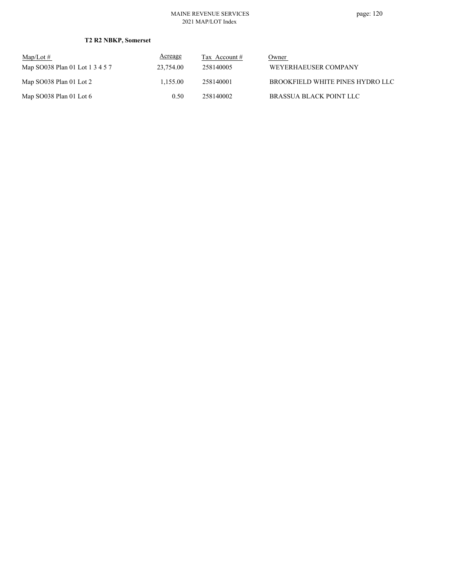| $\text{Map/Lot} \#$             | Acreage   | Tax Account # | Owner                            |
|---------------------------------|-----------|---------------|----------------------------------|
| Map SO038 Plan 01 Lot 1 3 4 5 7 | 23,754.00 | 258140005     | WEYERHAEUSER COMPANY             |
| Map SO038 Plan 01 Lot 2         | 1.155.00  | 258140001     | BROOKFIELD WHITE PINES HYDRO LLC |
| Map $SO038$ Plan 01 Lot 6       | 0.50      | 258140002     | BRASSUA BLACK POINT LLC          |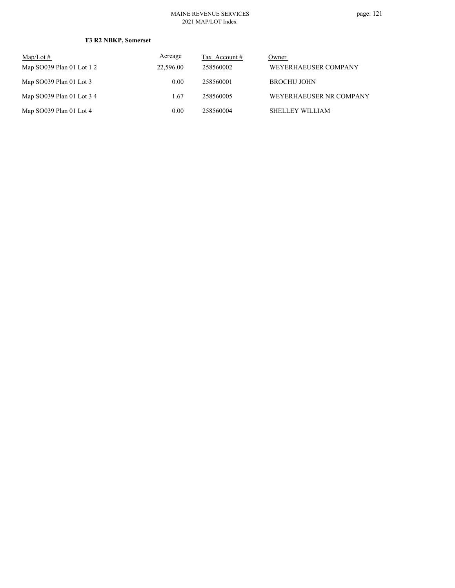| $Map/Lot \#$              | Acreage   | Tax Account # | Owner                   |
|---------------------------|-----------|---------------|-------------------------|
| Map SO039 Plan 01 Lot 1 2 | 22,596.00 | 258560002     | WEYERHAEUSER COMPANY    |
| Map $SO039$ Plan 01 Lot 3 | 0.00      | 258560001     | <b>BROCHU JOHN</b>      |
| Map SO039 Plan 01 Lot 3 4 | 1.67      | 258560005     | WEYERHAEUSER NR COMPANY |
| Map SO039 Plan 01 Lot 4   | 0.00      | 258560004     | SHELLEY WILLIAM         |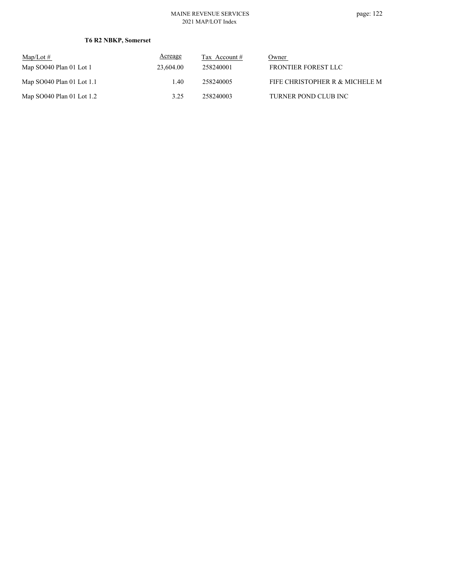| Map/Lot $#$                 | Acreage   | Tax Account $#$ | Owner                          |
|-----------------------------|-----------|-----------------|--------------------------------|
| Map SO040 Plan 01 Lot 1     | 23,604.00 | 258240001       | FRONTIER FOREST LLC            |
| Map $SO040$ Plan 01 Lot 1.1 | 1.40      | 258240005       | FIFE CHRISTOPHER R & MICHELE M |
| Map $SO040$ Plan 01 Lot 1.2 | 3.25      | 258240003       | TURNER POND CLUB INC           |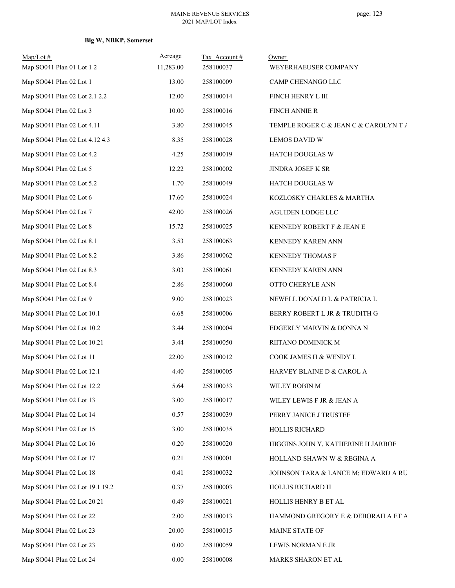# **Big W, NBKP, Somerset**

| $Map/Lot \#$<br>Map SO041 Plan 01 Lot 1 2 | Acreage<br>11,283.00 | Tax Account#<br>258100037 | Owner<br>WEYERHAEUSER COMPANY         |
|-------------------------------------------|----------------------|---------------------------|---------------------------------------|
| Map SO041 Plan 02 Lot 1                   | 13.00                | 258100009                 | CAMP CHENANGO LLC                     |
| Map SO041 Plan 02 Lot 2.1 2.2             | 12.00                | 258100014                 | FINCH HENRY L III                     |
| Map SO041 Plan 02 Lot 3                   | 10.00                | 258100016                 | <b>FINCH ANNIE R</b>                  |
| Map SO041 Plan 02 Lot 4.11                | 3.80                 | 258100045                 | TEMPLE ROGER C & JEAN C & CAROLYN T A |
| Map SO041 Plan 02 Lot 4.12 4.3            | 8.35                 | 258100028                 | <b>LEMOS DAVID W</b>                  |
| Map SO041 Plan 02 Lot 4.2                 | 4.25                 | 258100019                 | HATCH DOUGLAS W                       |
| Map SO041 Plan 02 Lot 5                   | 12.22                | 258100002                 | JINDRA JOSEF K SR                     |
| Map SO041 Plan 02 Lot 5.2                 | 1.70                 | 258100049                 | HATCH DOUGLAS W                       |
| Map SO041 Plan 02 Lot 6                   | 17.60                | 258100024                 | KOZLOSKY CHARLES & MARTHA             |
| Map SO041 Plan 02 Lot 7                   | 42.00                | 258100026                 | AGUIDEN LODGE LLC                     |
| Map SO041 Plan 02 Lot 8                   | 15.72                | 258100025                 | KENNEDY ROBERT F & JEAN E             |
| Map SO041 Plan 02 Lot 8.1                 | 3.53                 | 258100063                 | KENNEDY KAREN ANN                     |
| Map SO041 Plan 02 Lot 8.2                 | 3.86                 | 258100062                 | KENNEDY THOMAS F                      |
| Map SO041 Plan 02 Lot 8.3                 | 3.03                 | 258100061                 | KENNEDY KAREN ANN                     |
| Map SO041 Plan 02 Lot 8.4                 | 2.86                 | 258100060                 | OTTO CHERYLE ANN                      |
| Map SO041 Plan 02 Lot 9                   | 9.00                 | 258100023                 | NEWELL DONALD L & PATRICIA L          |
| Map SO041 Plan 02 Lot 10.1                | 6.68                 | 258100006                 | BERRY ROBERT L JR & TRUDITH G         |
| Map SO041 Plan 02 Lot 10.2                | 3.44                 | 258100004                 | EDGERLY MARVIN & DONNA N              |
| Map SO041 Plan 02 Lot 10.21               | 3.44                 | 258100050                 | RIITANO DOMINICK M                    |
| Map SO041 Plan 02 Lot 11                  | 22.00                | 258100012                 | COOK JAMES H & WENDY L                |
| Map SO041 Plan 02 Lot 12.1                | 4.40                 | 258100005                 | HARVEY BLAINE D & CAROL A             |
| Map SO041 Plan 02 Lot 12.2                | 5.64                 | 258100033                 | WILEY ROBIN M                         |
| Map SO041 Plan 02 Lot 13                  | 3.00                 | 258100017                 | WILEY LEWIS F JR & JEAN A             |
| Map SO041 Plan 02 Lot 14                  | 0.57                 | 258100039                 | PERRY JANICE J TRUSTEE                |
| Map SO041 Plan 02 Lot 15                  | 3.00                 | 258100035                 | HOLLIS RICHARD                        |
| Map SO041 Plan 02 Lot 16                  | 0.20                 | 258100020                 | HIGGINS JOHN Y, KATHERINE H JARBOE    |
| Map SO041 Plan 02 Lot 17                  | 0.21                 | 258100001                 | HOLLAND SHAWN W & REGINA A            |
| Map SO041 Plan 02 Lot 18                  | 0.41                 | 258100032                 | JOHNSON TARA & LANCE M; EDWARD A RU   |
| Map SO041 Plan 02 Lot 19.1 19.2           | 0.37                 | 258100003                 | HOLLIS RICHARD H                      |
| Map SO041 Plan 02 Lot 20 21               | 0.49                 | 258100021                 | HOLLIS HENRY B ET AL                  |
| Map SO041 Plan 02 Lot 22                  | 2.00                 | 258100013                 | HAMMOND GREGORY E & DEBORAH A ET A    |
| Map SO041 Plan 02 Lot 23                  | 20.00                | 258100015                 | MAINE STATE OF                        |
| Map SO041 Plan 02 Lot 23                  | 0.00                 | 258100059                 | LEWIS NORMAN E JR                     |
| Map SO041 Plan 02 Lot 24                  | 0.00                 | 258100008                 | MARKS SHARON ET AL                    |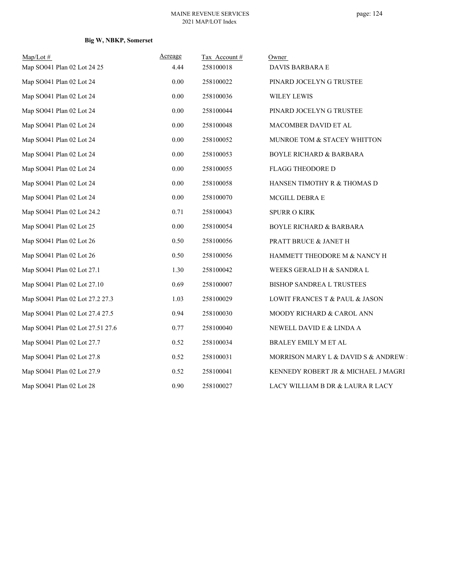# **Big W, NBKP, Somerset**

| $Map/Lot \#$                     | Acreage  | Tax Account# | Owner                                |
|----------------------------------|----------|--------------|--------------------------------------|
| Map SO041 Plan 02 Lot 24 25      | 4.44     | 258100018    | DAVIS BARBARA E                      |
| Map SO041 Plan 02 Lot 24         | 0.00     | 258100022    | PINARD JOCELYN G TRUSTEE             |
| Map SO041 Plan 02 Lot 24         | 0.00     | 258100036    | WILEY LEWIS                          |
| Map SO041 Plan 02 Lot 24         | 0.00     | 258100044    | PINARD JOCELYN G TRUSTEE             |
| Map SO041 Plan 02 Lot 24         | 0.00     | 258100048    | MACOMBER DAVID ET AL                 |
| Map SO041 Plan 02 Lot 24         | 0.00     | 258100052    | MUNROE TOM & STACEY WHITTON          |
| Map SO041 Plan 02 Lot 24         | 0.00     | 258100053    | <b>BOYLE RICHARD &amp; BARBARA</b>   |
| Map SO041 Plan 02 Lot 24         | 0.00     | 258100055    | <b>FLAGG THEODORE D</b>              |
| Map SO041 Plan 02 Lot 24         | 0.00     | 258100058    | HANSEN TIMOTHY R & THOMAS D          |
| Map SO041 Plan 02 Lot 24         | 0.00     | 258100070    | MCGILL DEBRA E                       |
| Map SO041 Plan 02 Lot 24.2       | 0.71     | 258100043    | <b>SPURR O KIRK</b>                  |
| Map SO041 Plan 02 Lot 25         | $0.00\,$ | 258100054    | <b>BOYLE RICHARD &amp; BARBARA</b>   |
| Map SO041 Plan 02 Lot 26         | 0.50     | 258100056    | PRATT BRUCE & JANET H                |
| Map SO041 Plan 02 Lot 26         | 0.50     | 258100056    | HAMMETT THEODORE M & NANCY H         |
| Map SO041 Plan 02 Lot 27.1       | 1.30     | 258100042    | WEEKS GERALD H & SANDRA L            |
| Map SO041 Plan 02 Lot 27.10      | 0.69     | 258100007    | BISHOP SANDREA L TRUSTEES            |
| Map SO041 Plan 02 Lot 27.2 27.3  | 1.03     | 258100029    | LOWIT FRANCES T & PAUL & JASON       |
| Map SO041 Plan 02 Lot 27.4 27.5  | 0.94     | 258100030    | MOODY RICHARD & CAROL ANN            |
| Map SO041 Plan 02 Lot 27.51 27.6 | 0.77     | 258100040    | NEWELL DAVID E & LINDA A             |
| Map SO041 Plan 02 Lot 27.7       | 0.52     | 258100034    | BRALEY EMILY M ET AL                 |
| Map SO041 Plan 02 Lot 27.8       | 0.52     | 258100031    | MORRISON MARY L & DAVID S & ANDREW : |
| Map SO041 Plan 02 Lot 27.9       | 0.52     | 258100041    | KENNEDY ROBERT JR & MICHAEL J MAGRI  |
| Map SO041 Plan 02 Lot 28         | 0.90     | 258100027    | LACY WILLIAM B DR & LAURA R LACY     |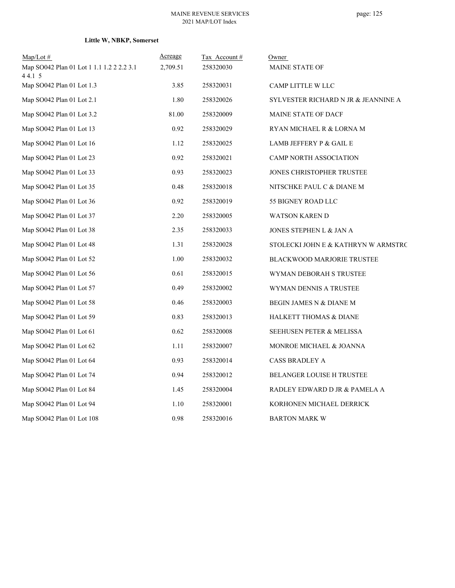# **Little W, NBKP, Somerset**

| $Map/Lot$ #                                        | <u>Acreage</u> | Tax Account# | Owner                               |
|----------------------------------------------------|----------------|--------------|-------------------------------------|
| Map SO042 Plan 01 Lot 1 1.1 1.2 2 2.2 3.1<br>44.15 | 2,709.51       | 258320030    | <b>MAINE STATE OF</b>               |
| Map SO042 Plan 01 Lot 1.3                          | 3.85           | 258320031    | CAMP LITTLE W LLC                   |
| Map SO042 Plan 01 Lot 2.1                          | 1.80           | 258320026    | SYLVESTER RICHARD N JR & JEANNINE A |
| Map SO042 Plan 01 Lot 3.2                          | 81.00          | 258320009    | MAINE STATE OF DACF                 |
| Map SO042 Plan 01 Lot 13                           | 0.92           | 258320029    | RYAN MICHAEL R & LORNA M            |
| Map SO042 Plan 01 Lot 16                           | 1.12           | 258320025    | LAMB JEFFERY P & GAIL E             |
| Map SO042 Plan 01 Lot 23                           | 0.92           | 258320021    | CAMP NORTH ASSOCIATION              |
| Map SO042 Plan 01 Lot 33                           | 0.93           | 258320023    | JONES CHRISTOPHER TRUSTEE           |
| Map SO042 Plan 01 Lot 35                           | 0.48           | 258320018    | NITSCHKE PAUL C & DIANE M           |
| Map SO042 Plan 01 Lot 36                           | 0.92           | 258320019    | 55 BIGNEY ROAD LLC                  |
| Map SO042 Plan 01 Lot 37                           | 2.20           | 258320005    | WATSON KAREN D                      |
| Map SO042 Plan 01 Lot 38                           | 2.35           | 258320033    | JONES STEPHEN L & JAN A             |
| Map $SO042$ Plan 01 Lot 48                         | 1.31           | 258320028    | STOLECKI JOHN E & KATHRYN W ARMSTRC |
| Map SO042 Plan 01 Lot 52                           | 1.00           | 258320032    | <b>BLACKWOOD MARJORIE TRUSTEE</b>   |
| Map SO042 Plan 01 Lot 56                           | 0.61           | 258320015    | WYMAN DEBORAH S TRUSTEE             |
| Map SO042 Plan 01 Lot 57                           | 0.49           | 258320002    | WYMAN DENNIS A TRUSTEE              |
| Map SO042 Plan 01 Lot 58                           | 0.46           | 258320003    | BEGIN JAMES N & DIANE M             |
| Map SO042 Plan 01 Lot 59                           | 0.83           | 258320013    | <b>HALKETT THOMAS &amp; DIANE</b>   |
| Map SO042 Plan 01 Lot 61                           | 0.62           | 258320008    | <b>SEEHUSEN PETER &amp; MELISSA</b> |
| Map $SO042$ Plan 01 Lot 62                         | 1.11           | 258320007    | MONROE MICHAEL & JOANNA             |
| Map SO042 Plan 01 Lot 64                           | 0.93           | 258320014    | <b>CASS BRADLEY A</b>               |
| Map SO042 Plan 01 Lot 74                           | 0.94           | 258320012    | <b>BELANGER LOUISE H TRUSTEE</b>    |
| Map SO042 Plan 01 Lot 84                           | 1.45           | 258320004    | RADLEY EDWARD D JR & PAMELA A       |
| Map SO042 Plan 01 Lot 94                           | 1.10           | 258320001    | KORHONEN MICHAEL DERRICK            |
| Map SO042 Plan 01 Lot 108                          | 0.98           | 258320016    | <b>BARTON MARK W</b>                |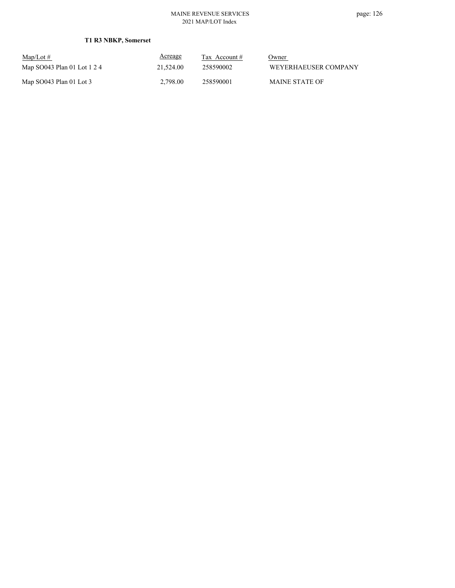| $\text{Map/Lot} \#$         | Acreage   | Tax Account $#$ | Owner                 |
|-----------------------------|-----------|-----------------|-----------------------|
| Map SO043 Plan 01 Lot 1 2 4 | 21,524.00 | 258590002       | WEYERHAEUSER COMPANY  |
| Map $SO043$ Plan 01 Lot 3   | 2.798.00  | 258590001       | <b>MAINE STATE OF</b> |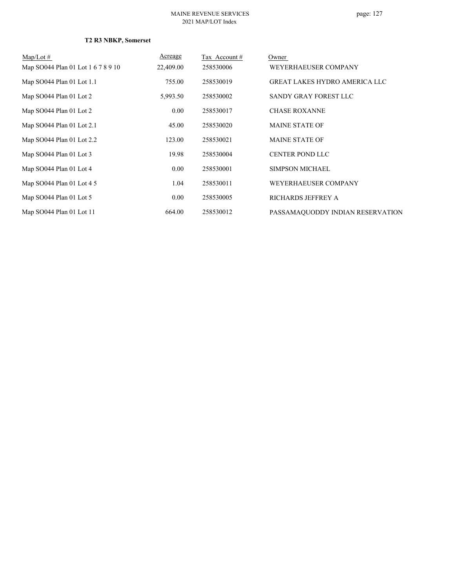### **T2 R3 NBKP, Somerset**

| $\text{Map/Lot}\,\#$               | Acreage   | Tax Account# | Owner                                |
|------------------------------------|-----------|--------------|--------------------------------------|
| Map SO044 Plan 01 Lot 1 6 7 8 9 10 | 22,409.00 | 258530006    | WEYERHAEUSER COMPANY                 |
| Map SO044 Plan 01 Lot 1.1          | 755.00    | 258530019    | <b>GREAT LAKES HYDRO AMERICA LLC</b> |
| Map SO044 Plan 01 Lot 2            | 5,993.50  | 258530002    | SANDY GRAY FOREST LLC                |
| Map SO044 Plan 01 Lot 2            | 0.00      | 258530017    | <b>CHASE ROXANNE</b>                 |
| Map SO044 Plan 01 Lot 2.1          | 45.00     | 258530020    | <b>MAINE STATE OF</b>                |
| Map SO044 Plan 01 Lot 2.2          | 123.00    | 258530021    | <b>MAINE STATE OF</b>                |
| Map SO044 Plan 01 Lot 3            | 19.98     | 258530004    | <b>CENTER POND LLC</b>               |
| Map SO044 Plan 01 Lot 4            | 0.00      | 258530001    | <b>SIMPSON MICHAEL</b>               |
| Map SO044 Plan 01 Lot 4 5          | 1.04      | 258530011    | WEYERHAEUSER COMPANY                 |
| Map SO044 Plan 01 Lot 5            | 0.00      | 258530005    | RICHARDS JEFFREY A                   |
| Map SO044 Plan 01 Lot 11           | 664.00    | 258530012    | PASSAMAQUODDY INDIAN RESERVATION     |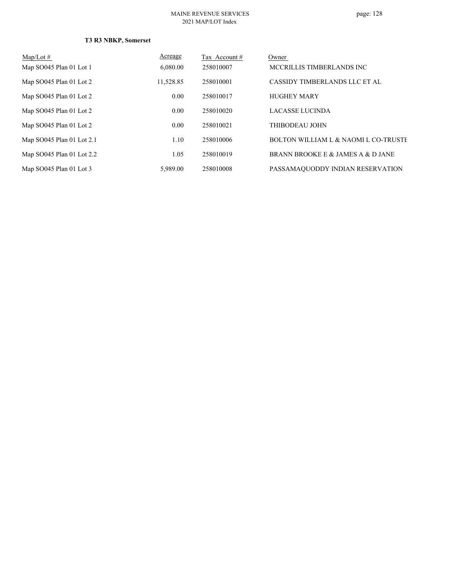### **T3 R3 NBKP, Somerset**

| $Map/Lot \#$              | Acreage   | Tax Account# | Owner                                           |
|---------------------------|-----------|--------------|-------------------------------------------------|
| Map SO045 Plan 01 Lot 1   | 6,080.00  | 258010007    | MCCRILLIS TIMBERLANDS INC                       |
| Map SO045 Plan 01 Lot 2   | 11,528.85 | 258010001    | CASSIDY TIMBERLANDS LLC ET AL                   |
| Map SO045 Plan 01 Lot 2   | 0.00      | 258010017    | <b>HUGHEY MARY</b>                              |
| Map SO045 Plan 01 Lot 2   | 0.00      | 258010020    | LACASSE LUCINDA                                 |
| Map SO045 Plan 01 Lot 2   | 0.00      | 258010021    | THIBODEAU JOHN                                  |
| Map SO045 Plan 01 Lot 2.1 | 1.10      | 258010006    | <b>BOLTON WILLIAM L &amp; NAOMI L CO-TRUSTE</b> |
| Map SO045 Plan 01 Lot 2.2 | 1.05      | 258010019    | BRANN BROOKEE & JAMES A & D JANE                |
| Map SO045 Plan 01 Lot 3   | 5,989.00  | 258010008    | PASSAMAQUODDY INDIAN RESERVATION                |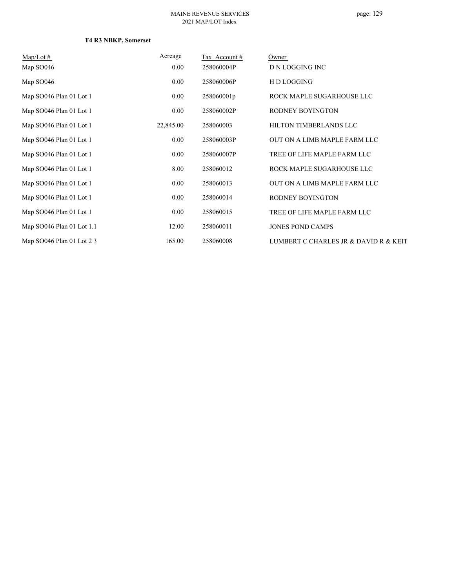### **T4 R3 NBKP, Somerset**

| $Map/Lot \#$              | Acreage   | Tax Account# | Owner                                 |
|---------------------------|-----------|--------------|---------------------------------------|
| Map SO046                 | $0.00\,$  | 258060004P   | D N LOGGING INC                       |
| Map SO046                 | $0.00\,$  | 258060006P   | H D LOGGING                           |
| Map SO046 Plan 01 Lot 1   | $0.00\,$  | 258060001p   | ROCK MAPLE SUGARHOUSE LLC             |
| Map SO046 Plan 01 Lot 1   | $0.00\,$  | 258060002P   | RODNEY BOYINGTON                      |
| Map SO046 Plan 01 Lot 1   | 22,845.00 | 258060003    | HILTON TIMBERLANDS LLC                |
| Map SO046 Plan 01 Lot 1   | $0.00\,$  | 258060003P   | OUT ON A LIMB MAPLE FARM LLC          |
| Map SO046 Plan 01 Lot 1   | $0.00\,$  | 258060007P   | TREE OF LIFE MAPLE FARM LLC           |
| Map SO046 Plan 01 Lot 1   | 8.00      | 258060012    | ROCK MAPLE SUGARHOUSE LLC             |
| Map SO046 Plan 01 Lot 1   | $0.00\,$  | 258060013    | OUT ON A LIMB MAPLE FARM LLC          |
| Map SO046 Plan 01 Lot 1   | 0.00      | 258060014    | RODNEY BOYINGTON                      |
| Map SO046 Plan 01 Lot 1   | $0.00\,$  | 258060015    | TREE OF LIFE MAPLE FARM LLC           |
| Map SO046 Plan 01 Lot 1.1 | 12.00     | 258060011    | <b>JONES POND CAMPS</b>               |
| Map SO046 Plan 01 Lot 2 3 | 165.00    | 258060008    | LUMBERT C CHARLES JR & DAVID R & KEIT |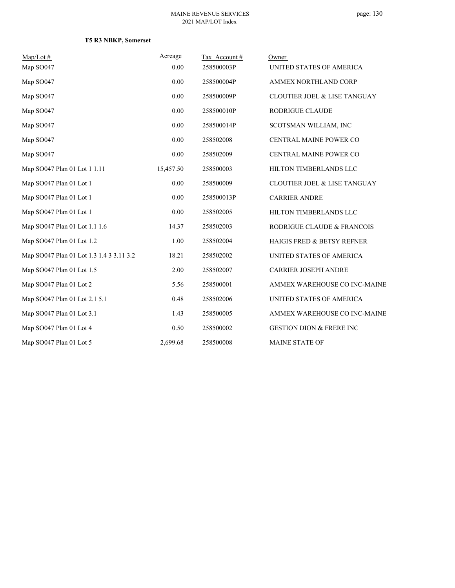|  |  |  | T5 R3 NBKP, Somerset |
|--|--|--|----------------------|
|--|--|--|----------------------|

| $Map/Lot \#$                             | Acreage   | Tax Account# | Owner                                   |
|------------------------------------------|-----------|--------------|-----------------------------------------|
| Map SO047                                | 0.00      | 258500003P   | UNITED STATES OF AMERICA                |
| Map SO047                                | 0.00      | 258500004P   | AMMEX NORTHLAND CORP                    |
| Map SO047                                | 0.00      | 258500009P   | <b>CLOUTIER JOEL &amp; LISE TANGUAY</b> |
| Map SO047                                | 0.00      | 258500010P   | RODRIGUE CLAUDE                         |
| Map SO047                                | 0.00      | 258500014P   | SCOTSMAN WILLIAM, INC                   |
| Map SO047                                | 0.00      | 258502008    | CENTRAL MAINE POWER CO                  |
| Map SO047                                | 0.00      | 258502009    | CENTRAL MAINE POWER CO                  |
| Map SO047 Plan 01 Lot 1 1.11             | 15,457.50 | 258500003    | HILTON TIMBERLANDS LLC                  |
| Map SO047 Plan 01 Lot 1                  | 0.00      | 258500009    | CLOUTIER JOEL & LISE TANGUAY            |
| Map SO047 Plan 01 Lot 1                  | 0.00      | 258500013P   | <b>CARRIER ANDRE</b>                    |
| Map SO047 Plan 01 Lot 1                  | 0.00      | 258502005    | HILTON TIMBERLANDS LLC                  |
| Map SO047 Plan 01 Lot 1.1 1.6            | 14.37     | 258502003    | RODRIGUE CLAUDE & FRANCOIS              |
| Map SO047 Plan 01 Lot 1.2                | 1.00      | 258502004    | <b>HAIGIS FRED &amp; BETSY REFNER</b>   |
| Map SO047 Plan 01 Lot 1.3 1.4 3 3.11 3.2 | 18.21     | 258502002    | UNITED STATES OF AMERICA                |
| Map SO047 Plan 01 Lot 1.5                | 2.00      | 258502007    | <b>CARRIER JOSEPH ANDRE</b>             |
| Map SO047 Plan 01 Lot 2                  | 5.56      | 258500001    | AMMEX WAREHOUSE CO INC-MAINE            |
| Map SO047 Plan 01 Lot 2.1 5.1            | 0.48      | 258502006    | UNITED STATES OF AMERICA                |
| Map SO047 Plan 01 Lot 3.1                | 1.43      | 258500005    | AMMEX WAREHOUSE CO INC-MAINE            |
| Map SO047 Plan 01 Lot 4                  | 0.50      | 258500002    | <b>GESTION DION &amp; FRERE INC</b>     |
| Map SO047 Plan 01 Lot 5                  | 2,699.68  | 258500008    | <b>MAINE STATE OF</b>                   |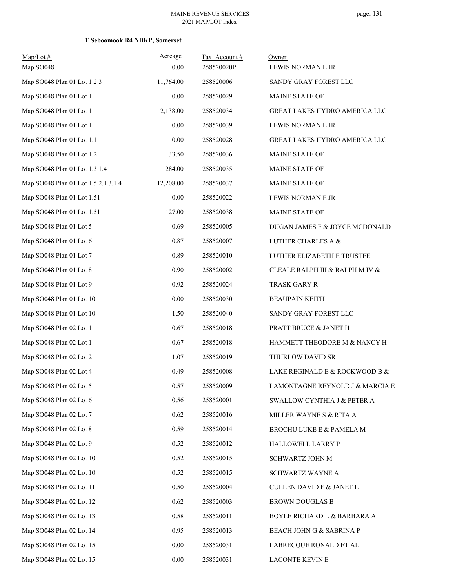### **T Seboomook R4 NBKP, Somerset**

| $Map/Lot \#$<br>Map SO048           | Acreage<br>0.00 | Tax Account #<br>258520020P | Owner<br>LEWIS NORMAN E JR           |
|-------------------------------------|-----------------|-----------------------------|--------------------------------------|
| Map SO048 Plan 01 Lot 1 2 3         | 11,764.00       | 258520006                   | SANDY GRAY FOREST LLC                |
| Map SO048 Plan 01 Lot 1             | 0.00            | 258520029                   | MAINE STATE OF                       |
| Map SO048 Plan 01 Lot 1             | 2,138.00        | 258520034                   | GREAT LAKES HYDRO AMERICA LLC        |
| Map SO048 Plan 01 Lot 1             | 0.00            | 258520039                   | LEWIS NORMAN E JR                    |
| Map SO048 Plan 01 Lot 1.1           | 0.00            | 258520028                   | <b>GREAT LAKES HYDRO AMERICA LLC</b> |
| Map SO048 Plan 01 Lot 1.2           | 33.50           | 258520036                   | MAINE STATE OF                       |
| Map SO048 Plan 01 Lot 1.3 1.4       | 284.00          | 258520035                   | <b>MAINE STATE OF</b>                |
| Map SO048 Plan 01 Lot 1.5 2.1 3.1 4 | 12,208.00       | 258520037                   | MAINE STATE OF                       |
| Map SO048 Plan 01 Lot 1.51          | 0.00            | 258520022                   | LEWIS NORMAN E JR                    |
| Map SO048 Plan 01 Lot 1.51          | 127.00          | 258520038                   | MAINE STATE OF                       |
| Map SO048 Plan 01 Lot 5             | 0.69            | 258520005                   | DUGAN JAMES F & JOYCE MCDONALD       |
| Map SO048 Plan 01 Lot 6             | 0.87            | 258520007                   | LUTHER CHARLES A &                   |
| Map SO048 Plan 01 Lot 7             | 0.89            | 258520010                   | LUTHER ELIZABETH E TRUSTEE           |
| Map SO048 Plan 01 Lot 8             | 0.90            | 258520002                   | CLEALE RALPH III & RALPH M IV &      |
| Map SO048 Plan 01 Lot 9             | 0.92            | 258520024                   | TRASK GARY R                         |
| Map SO048 Plan 01 Lot 10            | 0.00            | 258520030                   | <b>BEAUPAIN KEITH</b>                |
| Map SO048 Plan 01 Lot 10            | 1.50            | 258520040                   | SANDY GRAY FOREST LLC                |
| Map SO048 Plan 02 Lot 1             | 0.67            | 258520018                   | PRATT BRUCE & JANET H                |
| Map SO048 Plan 02 Lot 1             | 0.67            | 258520018                   | HAMMETT THEODORE M & NANCY H         |
| Map SO048 Plan 02 Lot 2             | 1.07            | 258520019                   | THURLOW DAVID SR                     |
| Map SO048 Plan 02 Lot 4             | 0.49            | 258520008                   | LAKE REGINALD E & ROCKWOOD B &       |
| Map SO048 Plan 02 Lot 5             | 0.57            | 258520009                   | LAMONTAGNE REYNOLD J & MARCIA E      |
| Map SO048 Plan 02 Lot 6             | 0.56            | 258520001                   | SWALLOW CYNTHIA J & PETER A          |
| Map SO048 Plan 02 Lot 7             | 0.62            | 258520016                   | MILLER WAYNE S & RITA A              |
| Map SO048 Plan 02 Lot 8             | 0.59            | 258520014                   | BROCHU LUKE E & PAMELA M             |
| Map SO048 Plan 02 Lot 9             | 0.52            | 258520012                   | HALLOWELL LARRY P                    |
| Map SO048 Plan 02 Lot 10            | 0.52            | 258520015                   | SCHWARTZ JOHN M                      |
| Map SO048 Plan 02 Lot 10            | 0.52            | 258520015                   | SCHWARTZ WAYNE A                     |
| Map SO048 Plan 02 Lot 11            | 0.50            | 258520004                   | <b>CULLEN DAVID F &amp; JANET L</b>  |
| Map SO048 Plan 02 Lot 12            | 0.62            | 258520003                   | <b>BROWN DOUGLAS B</b>               |
| Map SO048 Plan 02 Lot 13            | 0.58            | 258520011                   | BOYLE RICHARD L & BARBARA A          |
| Map SO048 Plan 02 Lot 14            | 0.95            | 258520013                   | BEACH JOHN G & SABRINA P             |
| Map SO048 Plan 02 Lot 15            | $0.00\,$        | 258520031                   | LABRECQUE RONALD ET AL               |
| Map SO048 Plan 02 Lot 15            | $0.00\,$        | 258520031                   | LACONTE KEVIN E                      |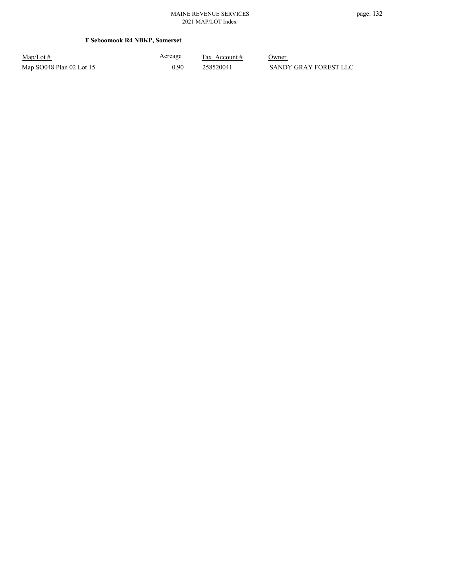### **T Seboomook R4 NBKP, Somerset**

| $Map/Lot \#$               | <u>Acreage</u> | Tax Account # | Owner                 |
|----------------------------|----------------|---------------|-----------------------|
| Map $SO048$ Plan 02 Lot 15 | 0.90           | 258520041     | SANDY GRAY FOREST LLC |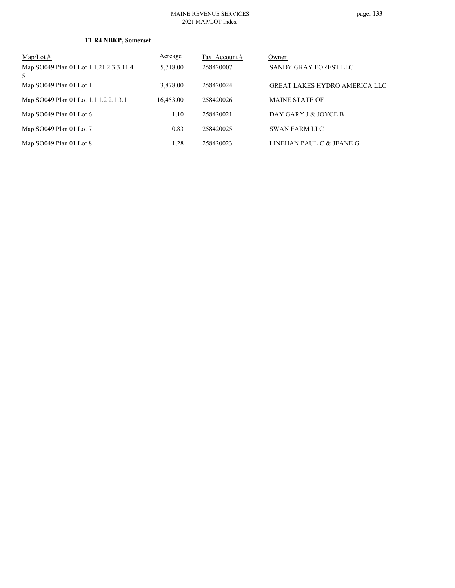| $Map/Lot \#$                                 | Acreage   | Tax Account# | Owner                                |
|----------------------------------------------|-----------|--------------|--------------------------------------|
| Map SO049 Plan 01 Lot 1 1.21 2 3 3.11 4<br>5 | 5,718.00  | 258420007    | SANDY GRAY FOREST LLC                |
| Map SO049 Plan 01 Lot 1                      | 3,878.00  | 258420024    | <b>GREAT LAKES HYDRO AMERICA LLC</b> |
| Map SO049 Plan 01 Lot 1.1 1.2 2.1 3.1        | 16,453.00 | 258420026    | <b>MAINE STATE OF</b>                |
| Map $SO(49$ Plan 01 Lot 6                    | 1.10      | 258420021    | DAY GARY J & JOYCE B                 |
| Map SO049 Plan 01 Lot 7                      | 0.83      | 258420025    | <b>SWAN FARM LLC</b>                 |
| Map SO049 Plan 01 Lot 8                      | 1.28      | 258420023    | LINEHAN PAUL C & JEANE G             |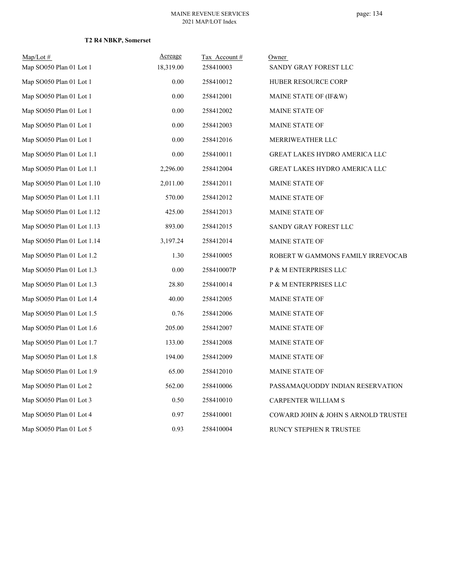### **T2 R4 NBKP, Somerset**

| $Map/Lot \#$               | Acreage   | Tax Account # | <u>Owner</u>                        |
|----------------------------|-----------|---------------|-------------------------------------|
| Map SO050 Plan 01 Lot 1    | 18,319.00 | 258410003     | SANDY GRAY FOREST LLC               |
| Map SO050 Plan 01 Lot 1    | 0.00      | 258410012     | HUBER RESOURCE CORP                 |
| Map SO050 Plan 01 Lot 1    | 0.00      | 258412001     | MAINE STATE OF (IF&W)               |
| Map SO050 Plan 01 Lot 1    | 0.00      | 258412002     | <b>MAINE STATE OF</b>               |
| Map SO050 Plan 01 Lot 1    | 0.00      | 258412003     | MAINE STATE OF                      |
| Map SO050 Plan 01 Lot 1    | 0.00      | 258412016     | MERRIWEATHER LLC                    |
| Map SO050 Plan 01 Lot 1.1  | 0.00      | 258410011     | GREAT LAKES HYDRO AMERICA LLC       |
| Map SO050 Plan 01 Lot 1.1  | 2,296.00  | 258412004     | GREAT LAKES HYDRO AMERICA LLC       |
| Map SO050 Plan 01 Lot 1.10 | 2,011.00  | 258412011     | MAINE STATE OF                      |
| Map SO050 Plan 01 Lot 1.11 | 570.00    | 258412012     | <b>MAINE STATE OF</b>               |
| Map SO050 Plan 01 Lot 1.12 | 425.00    | 258412013     | <b>MAINE STATE OF</b>               |
| Map SO050 Plan 01 Lot 1.13 | 893.00    | 258412015     | SANDY GRAY FOREST LLC               |
| Map SO050 Plan 01 Lot 1.14 | 3,197.24  | 258412014     | <b>MAINE STATE OF</b>               |
| Map SO050 Plan 01 Lot 1.2  | 1.30      | 258410005     | ROBERT W GAMMONS FAMILY IRREVOCAB   |
| Map SO050 Plan 01 Lot 1.3  | 0.00      | 258410007P    | P & M ENTERPRISES LLC               |
| Map SO050 Plan 01 Lot 1.3  | 28.80     | 258410014     | P & M ENTERPRISES LLC               |
| Map SO050 Plan 01 Lot 1.4  | 40.00     | 258412005     | <b>MAINE STATE OF</b>               |
| Map SO050 Plan 01 Lot 1.5  | 0.76      | 258412006     | <b>MAINE STATE OF</b>               |
| Map SO050 Plan 01 Lot 1.6  | 205.00    | 258412007     | <b>MAINE STATE OF</b>               |
| Map SO050 Plan 01 Lot 1.7  | 133.00    | 258412008     | <b>MAINE STATE OF</b>               |
| Map SO050 Plan 01 Lot 1.8  | 194.00    | 258412009     | <b>MAINE STATE OF</b>               |
| Map SO050 Plan 01 Lot 1.9  | 65.00     | 258412010     | <b>MAINE STATE OF</b>               |
| Map SO050 Plan 01 Lot 2    | 562.00    | 258410006     | PASSAMAQUODDY INDIAN RESERVATION    |
| Map SO050 Plan 01 Lot 3    | 0.50      | 258410010     | CARPENTER WILLIAM S                 |
| Map SO050 Plan 01 Lot 4    | 0.97      | 258410001     | COWARD JOHN & JOHN S ARNOLD TRUSTEE |
| Map SO050 Plan 01 Lot 5    | 0.93      | 258410004     | RUNCY STEPHEN R TRUSTEE             |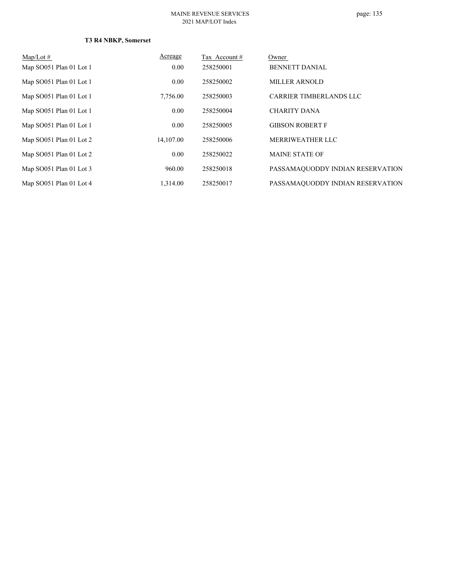### **T3 R4 NBKP, Somerset**

| $Map/Lot \#$            | Acreage   | Tax Account # | Owner                            |
|-------------------------|-----------|---------------|----------------------------------|
| Map SO051 Plan 01 Lot 1 | 0.00      | 258250001     | <b>BENNETT DANIAL</b>            |
| Map SO051 Plan 01 Lot 1 | 0.00      | 258250002     | <b>MILLER ARNOLD</b>             |
| Map SO051 Plan 01 Lot 1 | 7,756.00  | 258250003     | <b>CARRIER TIMBERLANDS LLC</b>   |
| Map SO051 Plan 01 Lot 1 | 0.00      | 258250004     | <b>CHARITY DANA</b>              |
| Map SO051 Plan 01 Lot 1 | 0.00      | 258250005     | <b>GIBSON ROBERT F</b>           |
| Map SO051 Plan 01 Lot 2 | 14,107.00 | 258250006     | MERRIWEATHER LLC                 |
| Map SO051 Plan 01 Lot 2 | 0.00      | 258250022     | <b>MAINE STATE OF</b>            |
| Map SO051 Plan 01 Lot 3 | 960.00    | 258250018     | PASSAMAQUODDY INDIAN RESERVATION |
| Map SO051 Plan 01 Lot 4 | 1.314.00  | 258250017     | PASSAMAQUODDY INDIAN RESERVATION |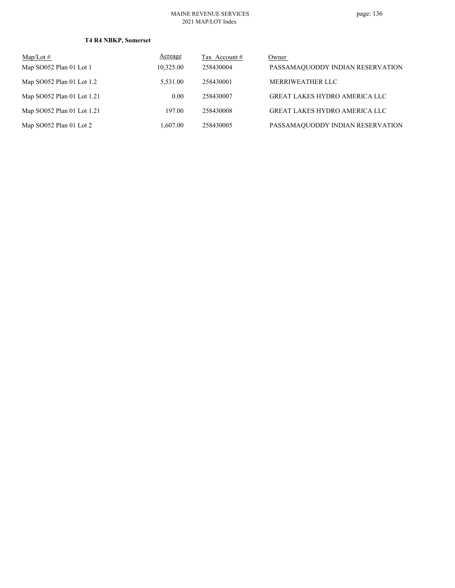### **T4 R4 NBKP, Somerset**

| $\text{Map/Lot} \#$        | Acreage   | Tax Account # | Owner                                |
|----------------------------|-----------|---------------|--------------------------------------|
| Map SO052 Plan 01 Lot 1    | 10,325.00 | 258430004     | PASSAMAQUODDY INDIAN RESERVATION     |
| Map SO052 Plan 01 Lot 1.2  | 5.531.00  | 258430001     | MERRIWEATHER LLC                     |
| Map SO052 Plan 01 Lot 1.21 | 0.00      | 258430007     | <b>GREAT LAKES HYDRO AMERICA LLC</b> |
| Map SO052 Plan 01 Lot 1.21 | 197.00    | 258430008     | <b>GREAT LAKES HYDRO AMERICA LLC</b> |
| Map SO052 Plan 01 Lot 2    | 1.607.00  | 258430005     | PASSAMAQUODDY INDIAN RESERVATION     |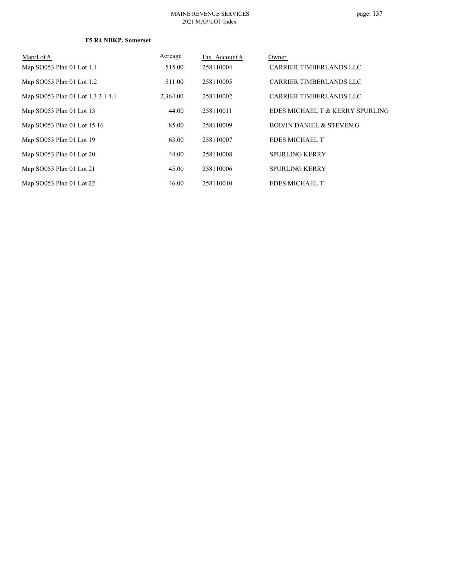### **T5 R4 NBKP, Somerset**

| $Map/Lot \#$                      | Acreage  | Tax Account# | Owner                               |
|-----------------------------------|----------|--------------|-------------------------------------|
| Map SO053 Plan 01 Lot 1.1         | 515.00   | 258110004    | <b>CARRIER TIMBERLANDS LLC</b>      |
| Map SO053 Plan 01 Lot 1.2         | 511.00   | 258110005    | CARRIER TIMBERLANDS LLC             |
| Map SO053 Plan 01 Lot 1.3 3.1 4.1 | 2,364.00 | 258110002    | <b>CARRIER TIMBERLANDS LLC</b>      |
| Map SO053 Plan 01 Lot 13          | 44.00    | 258110011    | EDES MICHAEL T & KERRY SPURLING     |
| Map SO053 Plan 01 Lot 15 16       | 85.00    | 258110009    | <b>BOIVIN DANIEL &amp; STEVEN G</b> |
| Map SO053 Plan 01 Lot 19          | 63.00    | 258110007    | <b>EDES MICHAEL T</b>               |
| Map SO053 Plan 01 Lot 20          | 44.00    | 258110008    | <b>SPURLING KERRY</b>               |
| Map SO053 Plan 01 Lot 21          | 45.00    | 258110006    | <b>SPURLING KERRY</b>               |
| Map SO053 Plan 01 Lot 22          | 46.00    | 258110010    | <b>EDES MICHAEL T</b>               |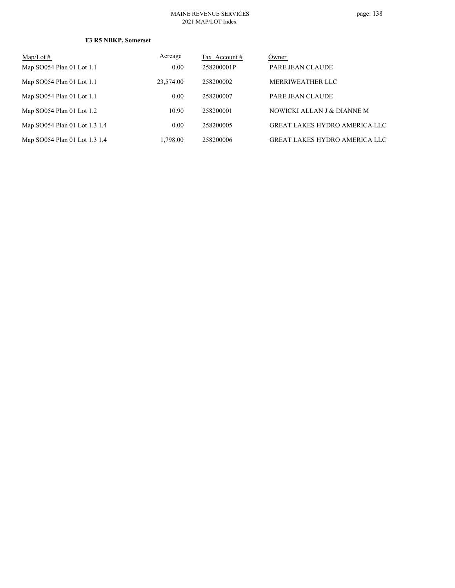### **T3 R5 NBKP, Somerset**

| $Map/Lot \#$                  | Acreage   | Tax Account # | Owner                                |
|-------------------------------|-----------|---------------|--------------------------------------|
| Map SO054 Plan 01 Lot 1.1     | 0.00      | 258200001P    | PARE JEAN CLAUDE                     |
| Map SO054 Plan 01 Lot 1.1     | 23,574.00 | 258200002     | MERRIWEATHER LLC                     |
| Map SO054 Plan 01 Lot 1.1     | 0.00      | 258200007     | PARE JEAN CLAUDE                     |
| Map SO054 Plan 01 Lot 1.2     | 10.90     | 258200001     | NOWICKI ALLAN J & DIANNE M           |
| Map SO054 Plan 01 Lot 1.3 1.4 | 0.00      | 258200005     | <b>GREAT LAKES HYDRO AMERICA LLC</b> |
| Map SO054 Plan 01 Lot 1.3 1.4 | 1.798.00  | 258200006     | <b>GREAT LAKES HYDRO AMERICA LLC</b> |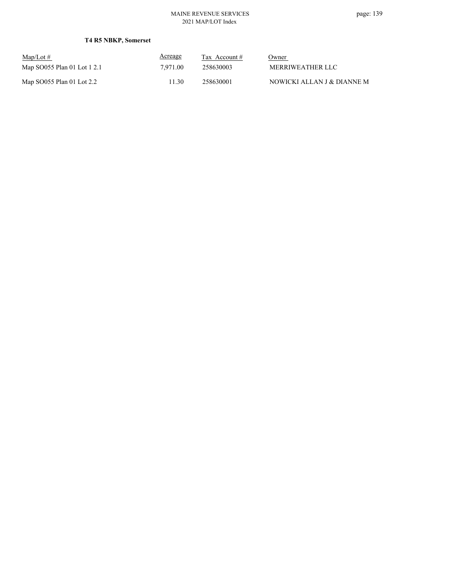### **T4 R5 NBKP, Somerset**

| $\text{Map/Lot} \#$         | <b>Acreage</b> | Tax Account $#$ | Owner                      |
|-----------------------------|----------------|-----------------|----------------------------|
| Map SO055 Plan 01 Lot 1 2.1 | 7.971.00       | 258630003       | MERRIWEATHER LLC           |
| Map SO055 Plan 01 Lot 2.2   | 11.30          | 258630001       | NOWICKI ALLAN J & DIANNE M |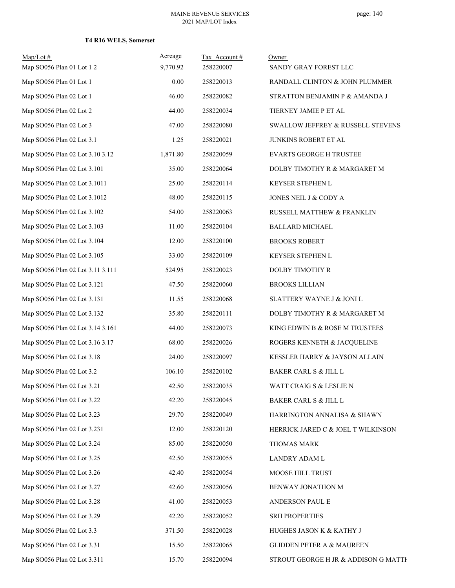### **T4 R16 WELS, Somerset**

| $Map/Lot \#$<br>Map SO056 Plan 01 Lot 1 2 | Acreage<br>9,770.92 | Tax Account#<br>258220007 | Owner<br>SANDY GRAY FOREST LLC       |
|-------------------------------------------|---------------------|---------------------------|--------------------------------------|
| Map SO056 Plan 01 Lot 1                   | 0.00                | 258220013                 | RANDALL CLINTON & JOHN PLUMMER       |
| Map SO056 Plan 02 Lot 1                   | 46.00               | 258220082                 | STRATTON BENJAMIN P & AMANDA J       |
| Map SO056 Plan 02 Lot 2                   | 44.00               | 258220034                 | TIERNEY JAMIE P ET AL                |
| Map SO056 Plan 02 Lot 3                   | 47.00               | 258220080                 | SWALLOW JEFFREY & RUSSELL STEVENS    |
| Map SO056 Plan 02 Lot 3.1                 | 1.25                | 258220021                 | JUNKINS ROBERT ET AL                 |
| Map SO056 Plan 02 Lot 3.10 3.12           | 1,871.80            | 258220059                 | <b>EVARTS GEORGE H TRUSTEE</b>       |
| Map SO056 Plan 02 Lot 3.101               | 35.00               | 258220064                 | DOLBY TIMOTHY R & MARGARET M         |
| Map SO056 Plan 02 Lot 3.1011              | 25.00               | 258220114                 | KEYSER STEPHEN L                     |
| Map SO056 Plan 02 Lot 3.1012              | 48.00               | 258220115                 | JONES NEIL J & CODY A                |
| Map SO056 Plan 02 Lot 3.102               | 54.00               | 258220063                 | RUSSELL MATTHEW & FRANKLIN           |
| Map SO056 Plan 02 Lot 3.103               | 11.00               | 258220104                 | <b>BALLARD MICHAEL</b>               |
| Map SO056 Plan 02 Lot 3.104               | 12.00               | 258220100                 | <b>BROOKS ROBERT</b>                 |
| Map SO056 Plan 02 Lot 3.105               | 33.00               | 258220109                 | <b>KEYSER STEPHEN L</b>              |
| Map SO056 Plan 02 Lot 3.11 3.111          | 524.95              | 258220023                 | DOLBY TIMOTHY R                      |
| Map SO056 Plan 02 Lot 3.121               | 47.50               | 258220060                 | <b>BROOKS LILLIAN</b>                |
| Map SO056 Plan 02 Lot 3.131               | 11.55               | 258220068                 | SLATTERY WAYNE J & JONI L            |
| Map SO056 Plan 02 Lot 3.132               | 35.80               | 258220111                 | DOLBY TIMOTHY R & MARGARET M         |
| Map SO056 Plan 02 Lot 3.14 3.161          | 44.00               | 258220073                 | KING EDWIN B & ROSE M TRUSTEES       |
| Map SO056 Plan 02 Lot 3.16 3.17           | 68.00               | 258220026                 | ROGERS KENNETH & JACQUELINE          |
| Map SO056 Plan 02 Lot 3.18                | 24.00               | 258220097                 | KESSLER HARRY & JAYSON ALLAIN        |
| Map SO056 Plan 02 Lot 3.2                 | 106.10              | 258220102                 | <b>BAKER CARL S &amp; JILL L</b>     |
| Map SO056 Plan 02 Lot 3.21                | 42.50               | 258220035                 | WATT CRAIG S & LESLIE N              |
| Map SO056 Plan 02 Lot 3.22                | 42.20               | 258220045                 | BAKER CARL S & JILL L                |
| Map SO056 Plan 02 Lot 3.23                | 29.70               | 258220049                 | HARRINGTON ANNALISA & SHAWN          |
| Map SO056 Plan 02 Lot 3.231               | 12.00               | 258220120                 | HERRICK JARED C & JOEL T WILKINSON   |
| Map SO056 Plan 02 Lot 3.24                | 85.00               | 258220050                 | THOMAS MARK                          |
| Map SO056 Plan 02 Lot 3.25                | 42.50               | 258220055                 | LANDRY ADAM L                        |
| Map SO056 Plan 02 Lot 3.26                | 42.40               | 258220054                 | MOOSE HILL TRUST                     |
| Map SO056 Plan 02 Lot 3.27                | 42.60               | 258220056                 | BENWAY JONATHON M                    |
| Map SO056 Plan 02 Lot 3.28                | 41.00               | 258220053                 | ANDERSON PAUL E                      |
| Map SO056 Plan 02 Lot 3.29                | 42.20               | 258220052                 | <b>SRH PROPERTIES</b>                |
| Map SO056 Plan 02 Lot 3.3                 | 371.50              | 258220028                 | HUGHES JASON K & KATHY J             |
| Map SO056 Plan 02 Lot 3.31                | 15.50               | 258220065                 | <b>GLIDDEN PETER A &amp; MAUREEN</b> |
| Map SO056 Plan 02 Lot 3.311               | 15.70               | 258220094                 | STROUT GEORGE H JR & ADDISON G MATTE |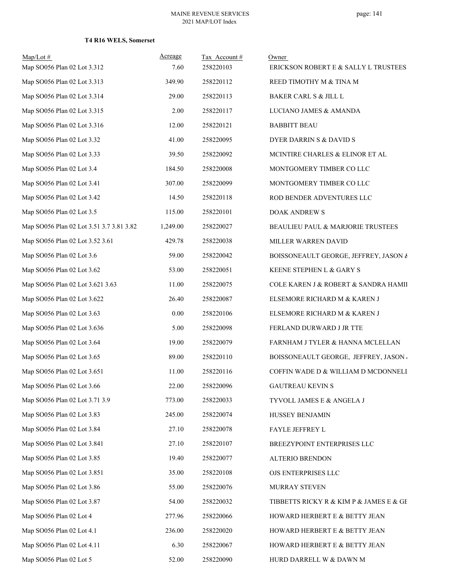### **T4 R16 WELS, Somerset**

| $Map/Lot \#$<br>Map SO056 Plan 02 Lot 3.312 | Acreage<br>7.60 | Tax Account#<br>258220103 | Owner<br>ERICKSON ROBERT E & SALLY L TRUSTEES |
|---------------------------------------------|-----------------|---------------------------|-----------------------------------------------|
| Map SO056 Plan 02 Lot 3.313                 | 349.90          | 258220112                 | REED TIMOTHY M & TINA M                       |
| Map SO056 Plan 02 Lot 3.314                 | 29.00           | 258220113                 | BAKER CARL S & JILL L                         |
| Map SO056 Plan 02 Lot 3.315                 | 2.00            | 258220117                 | LUCIANO JAMES & AMANDA                        |
| Map SO056 Plan 02 Lot 3.316                 | 12.00           | 258220121                 | <b>BABBITT BEAU</b>                           |
| Map SO056 Plan 02 Lot 3.32                  | 41.00           | 258220095                 | DYER DARRIN S & DAVID S                       |
| Map SO056 Plan 02 Lot 3.33                  | 39.50           | 258220092                 | MCINTIRE CHARLES & ELINOR ET AL               |
| Map SO056 Plan 02 Lot 3.4                   | 184.50          | 258220008                 | MONTGOMERY TIMBER CO LLC                      |
| Map SO056 Plan 02 Lot 3.41                  | 307.00          | 258220099                 | MONTGOMERY TIMBER CO LLC                      |
| Map SO056 Plan 02 Lot 3.42                  | 14.50           | 258220118                 | ROD BENDER ADVENTURES LLC                     |
| Map SO056 Plan 02 Lot 3.5                   | 115.00          | 258220101                 | DOAK ANDREW S                                 |
| Map SO056 Plan 02 Lot 3.51 3.7 3.81 3.82    | 1,249.00        | 258220027                 | BEAULIEU PAUL & MARJORIE TRUSTEES             |
| Map SO056 Plan 02 Lot 3.52 3.61             | 429.78          | 258220038                 | MILLER WARREN DAVID                           |
| Map SO056 Plan 02 Lot 3.6                   | 59.00           | 258220042                 | BOISSONEAULT GEORGE, JEFFREY, JASON &         |
| Map SO056 Plan 02 Lot 3.62                  | 53.00           | 258220051                 | KEENE STEPHEN L & GARY S                      |
| Map SO056 Plan 02 Lot 3.621 3.63            | 11.00           | 258220075                 | COLE KAREN J & ROBERT & SANDRA HAMII          |
| Map SO056 Plan 02 Lot 3.622                 | 26.40           | 258220087                 | ELSEMORE RICHARD M & KAREN J                  |
| Map SO056 Plan 02 Lot 3.63                  | 0.00            | 258220106                 | ELSEMORE RICHARD M & KAREN J                  |
| Map SO056 Plan 02 Lot 3.636                 | 5.00            | 258220098                 | FERLAND DURWARD J JR TTE                      |
| Map SO056 Plan 02 Lot 3.64                  | 19.00           | 258220079                 | FARNHAM J TYLER & HANNA MCLELLAN              |
| Map SO056 Plan 02 Lot 3.65                  | 89.00           | 258220110                 | BOISSONEAULT GEORGE, JEFFREY, JASON           |
| Map SO056 Plan 02 Lot 3.651                 | 11.00           | 258220116                 | COFFIN WADE D & WILLIAM D MCDONNELI           |
| Map SO056 Plan 02 Lot 3.66                  | 22.00           | 258220096                 | <b>GAUTREAU KEVIN S</b>                       |
| Map SO056 Plan 02 Lot 3.71 3.9              | 773.00          | 258220033                 | TYVOLL JAMES E & ANGELA J                     |
| Map SO056 Plan 02 Lot 3.83                  | 245.00          | 258220074                 | HUSSEY BENJAMIN                               |
| Map SO056 Plan 02 Lot 3.84                  | 27.10           | 258220078                 | FAYLE JEFFREY L                               |
| Map SO056 Plan 02 Lot 3.841                 | 27.10           | 258220107                 | BREEZYPOINT ENTERPRISES LLC                   |
| Map SO056 Plan 02 Lot 3.85                  | 19.40           | 258220077                 | ALTERIO BRENDON                               |
| Map SO056 Plan 02 Lot 3.851                 | 35.00           | 258220108                 | OJS ENTERPRISES LLC                           |
| Map SO056 Plan 02 Lot 3.86                  | 55.00           | 258220076                 | MURRAY STEVEN                                 |
| Map SO056 Plan 02 Lot 3.87                  | 54.00           | 258220032                 | TIBBETTS RICKY R & KIM P & JAMES E & GE       |
| Map SO056 Plan 02 Lot 4                     | 277.96          | 258220066                 | HOWARD HERBERT E & BETTY JEAN                 |
| Map SO056 Plan 02 Lot 4.1                   | 236.00          | 258220020                 | HOWARD HERBERT E & BETTY JEAN                 |
| Map SO056 Plan 02 Lot 4.11                  | 6.30            | 258220067                 | HOWARD HERBERT E & BETTY JEAN                 |
| Map SO056 Plan 02 Lot 5                     | 52.00           | 258220090                 | HURD DARRELL W & DAWN M                       |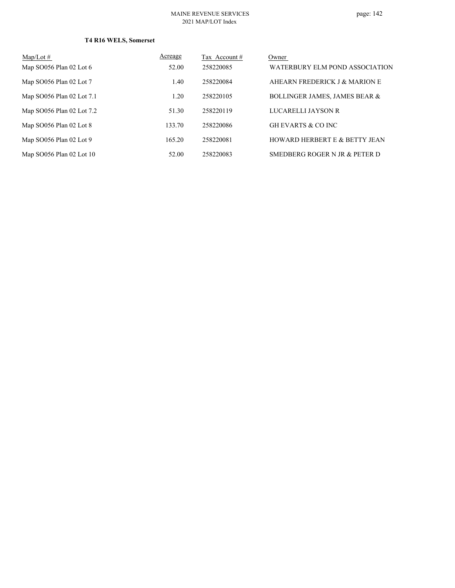### **T4 R16 WELS, Somerset**

| $Map/Lot \#$              | Acreage | Tax Account # | Owner                                    |
|---------------------------|---------|---------------|------------------------------------------|
| Map SO056 Plan 02 Lot 6   | 52.00   | 258220085     | WATERBURY ELM POND ASSOCIATION           |
| Map SO056 Plan 02 Lot 7   | 1.40    | 258220084     | AHEARN FREDERICK J & MARION E            |
| Map SO056 Plan 02 Lot 7.1 | 1.20    | 258220105     | <b>BOLLINGER JAMES, JAMES BEAR &amp;</b> |
| Map SO056 Plan 02 Lot 7.2 | 51.30   | 258220119     | LUCARELLI JAYSON R                       |
| Map SO056 Plan 02 Lot 8   | 133.70  | 258220086     | <b>GH EVARTS &amp; CO INC</b>            |
| Map SO056 Plan 02 Lot 9   | 165.20  | 258220081     | <b>HOWARD HERBERT E &amp; BETTY JEAN</b> |
| Map SO056 Plan 02 Lot 10  | 52.00   | 258220083     | SMEDBERG ROGER N JR & PETER D            |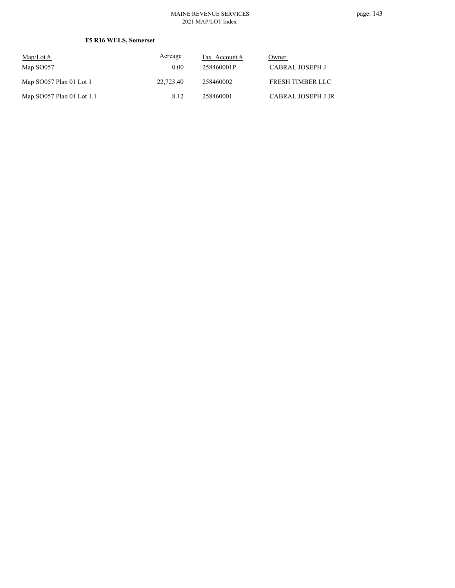### **T5 R16 WELS, Somerset**

| $Map/Lot \#$              | Acreage   | Tax Account $#$ | Owner              |
|---------------------------|-----------|-----------------|--------------------|
| Map SO057                 | 0.00      | 258460001P      | CABRAL JOSEPH J    |
| Map SO057 Plan 01 Lot 1   | 22,723.40 | 258460002       | FRESH TIMBER LLC   |
| Map SO057 Plan 01 Lot 1.1 | 8.12      | 258460001       | CABRAL JOSEPH J JR |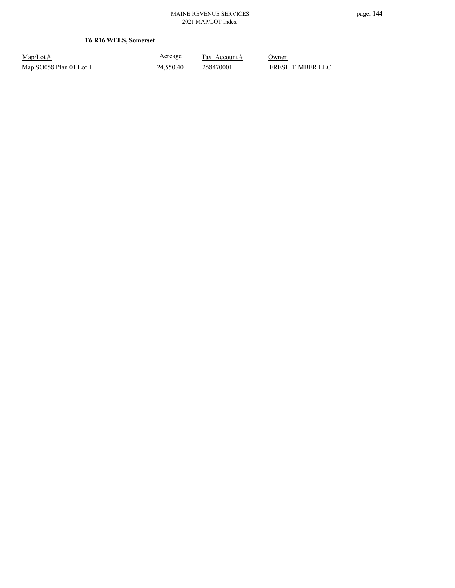**T6 R16 WELS, Somerset**

Map/Lot #  $\frac{\text{Areage}}{\text{2x} + \text{Account}}$  0wner Map SO058 Plan 01 Lot 1 24,550.40 258470001 FRESH TIMBER LLC

Acreage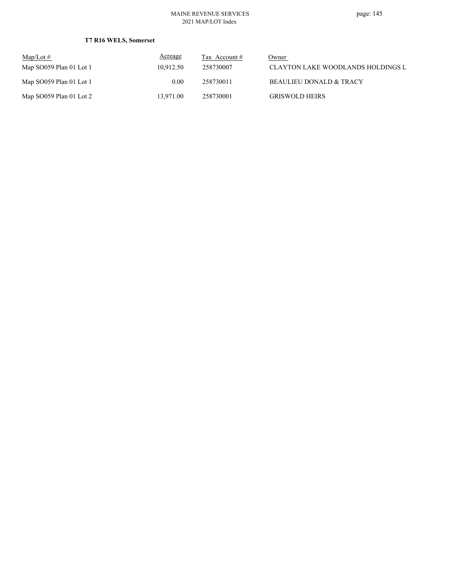### **T7 R16 WELS, Somerset**

| Map/Lot $#$                | <b>Acreage</b> | Tax Account $#$ | Owner                              |
|----------------------------|----------------|-----------------|------------------------------------|
| Map $SO(59)$ Plan 01 Lot 1 | 10.912.50      | 258730007       | CLAYTON LAKE WOODLANDS HOLDINGS LI |
| Map $SO(059$ Plan 01 Lot 1 | 0.00           | 258730011       | <b>BEAULIEU DONALD &amp; TRACY</b> |
| Map $SO(059$ Plan 01 Lot 2 | 13.971.00      | 258730001       | <b>GRISWOLD HEIRS</b>              |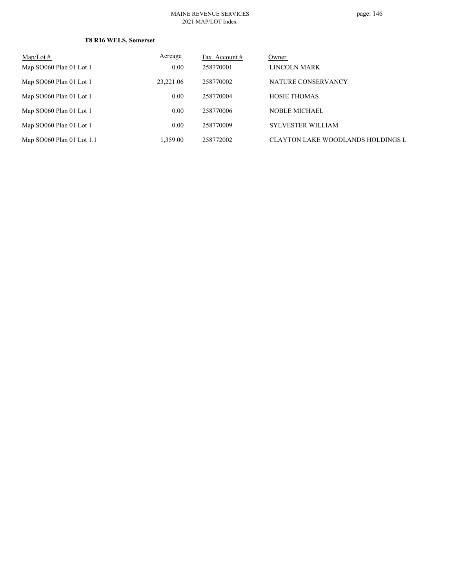### **T8 R16 WELS, Somerset**

| $Map/Lot \#$                | Acreage   | Tax Account # | Owner                                     |
|-----------------------------|-----------|---------------|-------------------------------------------|
| Map SO060 Plan 01 Lot 1     | 0.00      | 258770001     | LINCOLN MARK                              |
| Map SO060 Plan 01 Lot 1     | 23,221.06 | 258770002     | NATURE CONSERVANCY                        |
| Map SO060 Plan 01 Lot 1     | 0.00      | 258770004     | <b>HOSIE THOMAS</b>                       |
| Map SO060 Plan 01 Lot 1     | 0.00      | 258770006     | <b>NOBLE MICHAEL</b>                      |
| Map SO060 Plan 01 Lot 1     | 0.00      | 258770009     | <b>SYLVESTER WILLIAM</b>                  |
| Map $SO060$ Plan 01 Lot 1.1 | 1,359.00  | 258772002     | <b>CLAYTON LAKE WOODLANDS HOLDINGS LI</b> |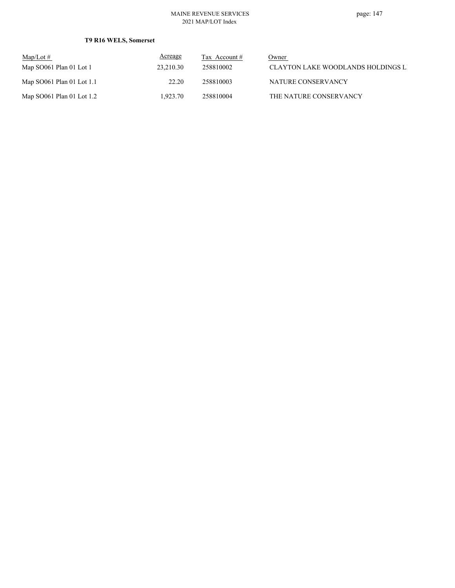### **T9 R16 WELS, Somerset**

| $\text{Map/Lot} \#$         | <b>Acreage</b> | Tax Account $#$ | Owner                              |
|-----------------------------|----------------|-----------------|------------------------------------|
| Map SO061 Plan 01 Lot 1     | 23.210.30      | 258810002       | CLAYTON LAKE WOODLANDS HOLDINGS LI |
| Map $SO061$ Plan 01 Lot 1.1 | 22.20          | 258810003       | NATURE CONSERVANCY                 |
| Map $SO061$ Plan 01 Lot 1.2 | 1.923.70       | 258810004       | THE NATURE CONSERVANCY             |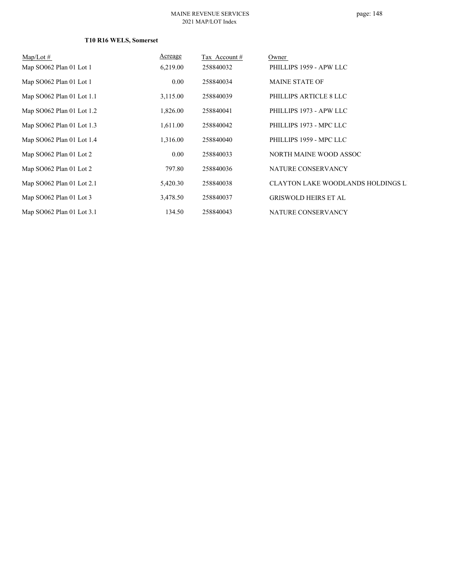### **T10 R16 WELS, Somerset**

| $Map/Lot \#$              | Acreage  | Tax Account# | Owner                                     |
|---------------------------|----------|--------------|-------------------------------------------|
| Map SO062 Plan 01 Lot 1   | 6,219.00 | 258840032    | PHILLIPS 1959 - APW LLC                   |
| Map SO062 Plan 01 Lot 1   | 0.00     | 258840034    | <b>MAINE STATE OF</b>                     |
| Map SO062 Plan 01 Lot 1.1 | 3,115.00 | 258840039    | PHILLIPS ARTICLE 8 LLC                    |
| Map SO062 Plan 01 Lot 1.2 | 1,826.00 | 258840041    | PHILLIPS 1973 - APW LLC                   |
| Map SO062 Plan 01 Lot 1.3 | 1,611.00 | 258840042    | PHILLIPS 1973 - MPC LLC                   |
| Map SO062 Plan 01 Lot 1.4 | 1,316.00 | 258840040    | PHILLIPS 1959 - MPC LLC                   |
| Map SO062 Plan 01 Lot 2   | 0.00     | 258840033    | NORTH MAINE WOOD ASSOC                    |
| Map SO062 Plan 01 Lot 2   | 797.80   | 258840036    | NATURE CONSERVANCY                        |
| Map SO062 Plan 01 Lot 2.1 | 5,420.30 | 258840038    | <b>CLAYTON LAKE WOODLANDS HOLDINGS LI</b> |
| Map SO062 Plan 01 Lot 3   | 3,478.50 | 258840037    | <b>GRISWOLD HEIRS ET AL</b>               |
| Map SO062 Plan 01 Lot 3.1 | 134.50   | 258840043    | NATURE CONSERVANCY                        |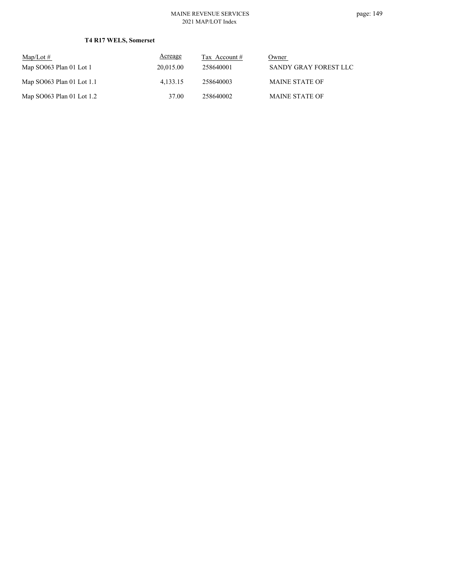page: 149

### **T4 R17 WELS, Somerset**

| $\text{Map/Lot} \#$         | Acreage   | Tax Account # | Owner                 |
|-----------------------------|-----------|---------------|-----------------------|
| Map SO063 Plan 01 Lot 1     | 20,015.00 | 258640001     | SANDY GRAY FOREST LLC |
| Map $SO063$ Plan 01 Lot 1.1 | 4.133.15  | 258640003     | <b>MAINE STATE OF</b> |
| Map SO063 Plan 01 Lot 1.2   | 37.00     | 258640002     | <b>MAINE STATE OF</b> |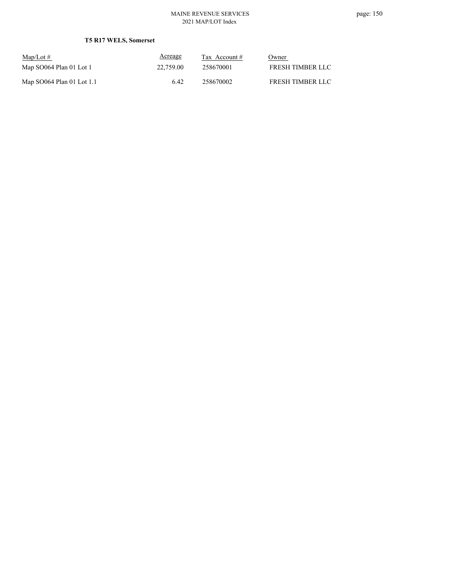### **T5 R17 WELS, Somerset**

| $\text{Map/Lot} \#$         | Acreage   | Tax Account # | Owner            |
|-----------------------------|-----------|---------------|------------------|
| Map SO064 Plan 01 Lot 1     | 22,759.00 | 258670001     | FRESH TIMBER LLC |
| Map $SO064$ Plan 01 Lot 1.1 | 6.42      | 258670002     | FRESH TIMBER LLC |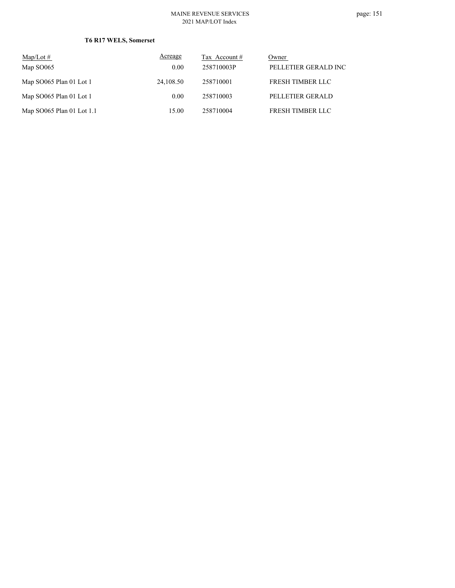### **T6 R17 WELS, Somerset**

| $Map/Lot \#$              | Acreage   | Tax Account # | Owner                   |
|---------------------------|-----------|---------------|-------------------------|
| Map SO065                 | 0.00      | 258710003P    | PELLETIER GERALD INC    |
| Map SO065 Plan 01 Lot 1   | 24,108.50 | 258710001     | <b>FRESH TIMBER LLC</b> |
| Map SO065 Plan 01 Lot 1   | 0.00      | 258710003     | PELLETIER GERALD        |
| Map SO065 Plan 01 Lot 1.1 | 15.00     | 258710004     | FRESH TIMBER LLC        |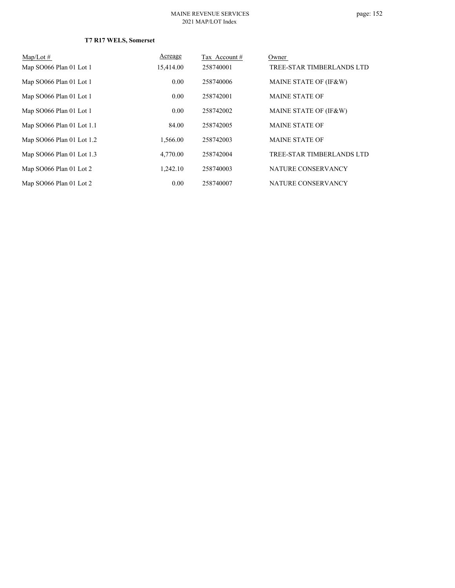# page: 152

### **T7 R17 WELS, Somerset**

| Map/Lot $#$               | Acreage   | Tax Account # | Owner                     |
|---------------------------|-----------|---------------|---------------------------|
| Map SO066 Plan 01 Lot 1   | 15,414.00 | 258740001     | TREE-STAR TIMBERLANDS LTD |
| Map SO066 Plan 01 Lot 1   | 0.00      | 258740006     | MAINE STATE OF (IF&W)     |
| Map SO066 Plan 01 Lot 1   | 0.00      | 258742001     | <b>MAINE STATE OF</b>     |
| Map SO066 Plan 01 Lot 1   | 0.00      | 258742002     | MAINE STATE OF (IF&W)     |
| Map SO066 Plan 01 Lot 1.1 | 84.00     | 258742005     | <b>MAINE STATE OF</b>     |
| Map SO066 Plan 01 Lot 1.2 | 1.566.00  | 258742003     | <b>MAINE STATE OF</b>     |
| Map SO066 Plan 01 Lot 1.3 | 4,770.00  | 258742004     | TREE-STAR TIMBERLANDS LTD |
| Map SO066 Plan 01 Lot 2   | 1.242.10  | 258740003     | NATURE CONSERVANCY        |
| Map SO066 Plan 01 Lot 2   | 0.00      | 258740007     | NATURE CONSERVANCY        |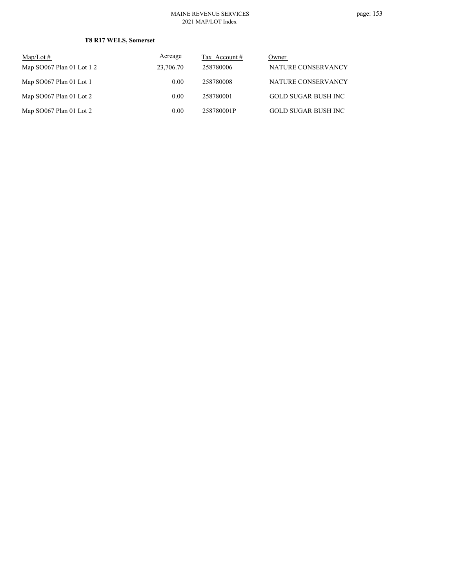### **T8 R17 WELS, Somerset**

| Map/Lot $#$                 | Acreage   | Tax Account $#$ | Owner                      |
|-----------------------------|-----------|-----------------|----------------------------|
| Map $SO067$ Plan 01 Lot 1 2 | 23,706.70 | 258780006       | NATURE CONSERVANCY         |
| Map SO067 Plan 01 Lot 1     | 0.00      | 258780008       | NATURE CONSERVANCY         |
| Map SO067 Plan 01 Lot 2     | 0.00      | 258780001       | GOLD SUGAR BUSH INC        |
| Map SO067 Plan 01 Lot 2     | 0.00      | 258780001P      | <b>GOLD SUGAR BUSH INC</b> |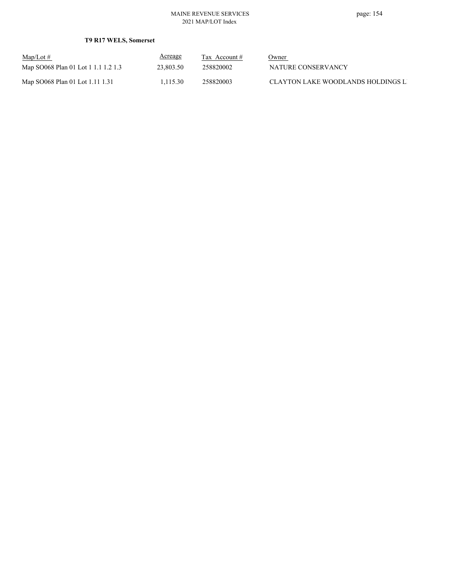### **T9 R17 WELS, Somerset**

| $Map/Lot \#$                        | <b>Acreage</b> | Tax Account $#$ | Owner                              |
|-------------------------------------|----------------|-----------------|------------------------------------|
| Map SO068 Plan 01 Lot 1 1.1 1.2 1.3 | 23,803.50      | 258820002       | NATURE CONSERVANCY                 |
| Map SO068 Plan 01 Lot 1.11 1.31     | 1.115.30       | 258820003       | CLAYTON LAKE WOODLANDS HOLDINGS LI |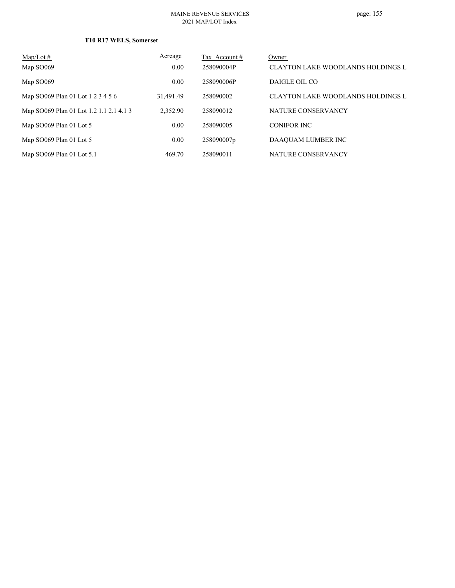### **T10 R17 WELS, Somerset**

| $Map/Lot \#$                            | Acreage   | Tax Account # | Owner                                     |
|-----------------------------------------|-----------|---------------|-------------------------------------------|
| Map SO <sub>069</sub>                   | 0.00      | 258090004P    | <b>CLAYTON LAKE WOODLANDS HOLDINGS LI</b> |
| Map SO <sub>069</sub>                   | 0.00      | 258090006P    | DAIGLE OIL CO                             |
| Map SO069 Plan 01 Lot 1 2 3 4 5 6       | 31,491.49 | 258090002     | <b>CLAYTON LAKE WOODLANDS HOLDINGS LI</b> |
| Map SO069 Plan 01 Lot 1.2 1.1 2.1 4.1 3 | 2,352.90  | 258090012     | NATURE CONSERVANCY                        |
| Map SO069 Plan 01 Lot 5                 | 0.00      | 258090005     | <b>CONIFOR INC</b>                        |
| Map SO069 Plan 01 Lot 5                 | 0.00      | 258090007p    | DAAQUAM LUMBER INC                        |
| Map SO069 Plan 01 Lot 5.1               | 469.70    | 258090011     | NATURE CONSERVANCY                        |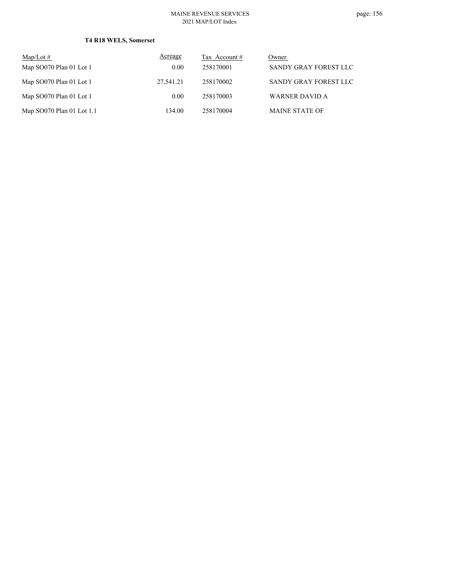### **T4 R18 WELS, Somerset**

| $Map/Lot \#$              | Acreage   | Tax Account # | Owner                 |
|---------------------------|-----------|---------------|-----------------------|
| Map SO070 Plan 01 Lot 1   | 0.00      | 258170001     | SANDY GRAY FOREST LLC |
| Map SO070 Plan 01 Lot 1   | 27.541.21 | 258170002     | SANDY GRAY FOREST LLC |
| Map SO070 Plan 01 Lot 1   | 0.00      | 258170003     | WARNER DAVID A        |
| Map $SO0$ Plan 01 Lot 1.1 | 134.00    | 258170004     | <b>MAINE STATE OF</b> |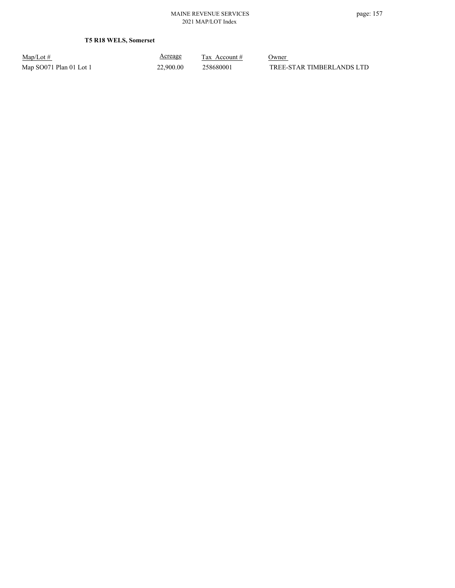**T5 R18 WELS, Somerset**

Map/Lot #  $\frac{\text{Areage}}{\text{2x} + \text{Account}}$  0wner

Acreage

Map SO071 Plan 01 Lot 1 22,900.00 258680001 TREE-STAR TIMBERLANDS LTD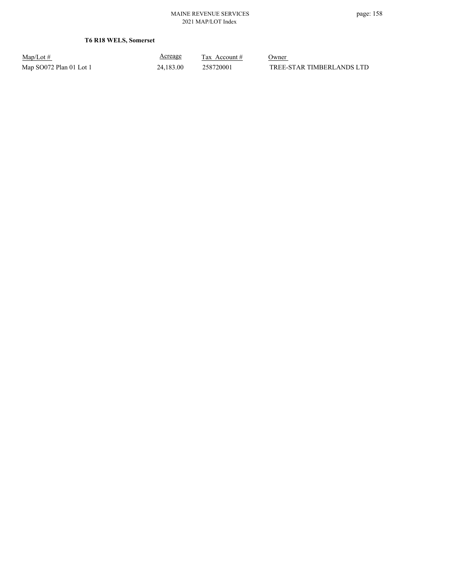**T6 R18 WELS, Somerset**

| $Map/Lot \#$            |  |
|-------------------------|--|
| Map SO072 Plan 01 Lot 1 |  |

Acreage

 $\frac{\text{Tax} \text{ Account #}}{}$  Owner 24,183.00 258720001 TREE-STAR TIMBERLANDS LTD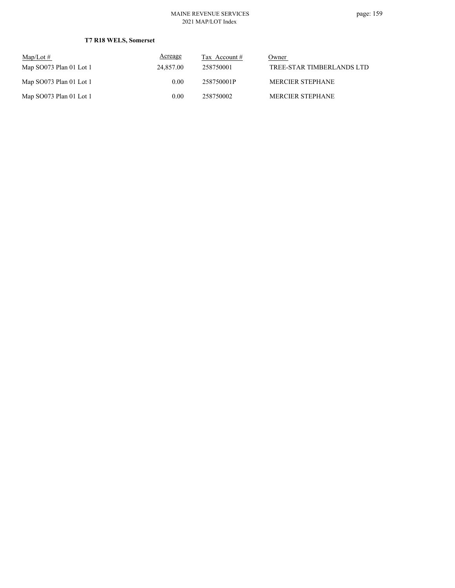### **T7 R18 WELS, Somerset**

| $Map/Lot \#$              | Acreage   | Tax Account # | Owner                     |
|---------------------------|-----------|---------------|---------------------------|
| Map SO073 Plan 01 Lot 1   | 24,857.00 | 258750001     | TREE-STAR TIMBERLANDS LTD |
| Map $SO073$ Plan 01 Lot 1 | 0.00      | 258750001P    | <b>MERCIER STEPHANE</b>   |
| Map $SO073$ Plan 01 Lot 1 | 0.00      | 258750002     | <b>MERCIER STEPHANE</b>   |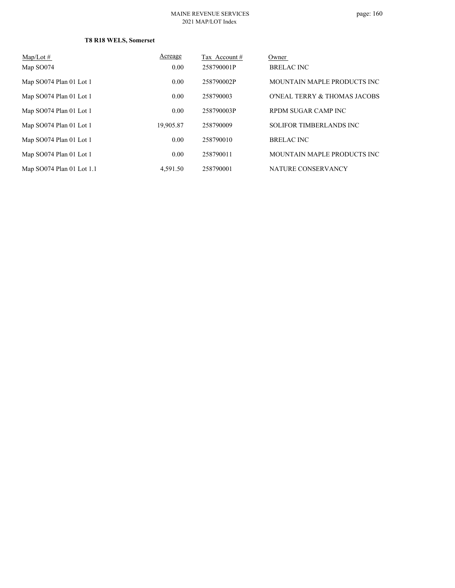### **T8 R18 WELS, Somerset**

| $Map/Lot \#$              | Acreage   | Tax Account# | Owner                          |
|---------------------------|-----------|--------------|--------------------------------|
| Map SO074                 | 0.00      | 258790001P   | <b>BRELAC INC</b>              |
| Map SO074 Plan 01 Lot 1   | 0.00      | 258790002P   | MOUNTAIN MAPLE PRODUCTS INC    |
| Map SO074 Plan 01 Lot 1   | 0.00      | 258790003    | O'NEAL TERRY & THOMAS JACOBS   |
| Map SO074 Plan 01 Lot 1   | 0.00      | 258790003P   | RPDM SUGAR CAMP INC            |
| Map SO074 Plan 01 Lot 1   | 19,905.87 | 258790009    | <b>SOLIFOR TIMBERLANDS INC</b> |
| Map SO074 Plan 01 Lot 1   | 0.00      | 258790010    | <b>BRELAC INC</b>              |
| Map SO074 Plan 01 Lot 1   | 0.00      | 258790011    | MOUNTAIN MAPLE PRODUCTS INC    |
| Map SO074 Plan 01 Lot 1.1 | 4,591.50  | 258790001    | NATURE CONSERVANCY             |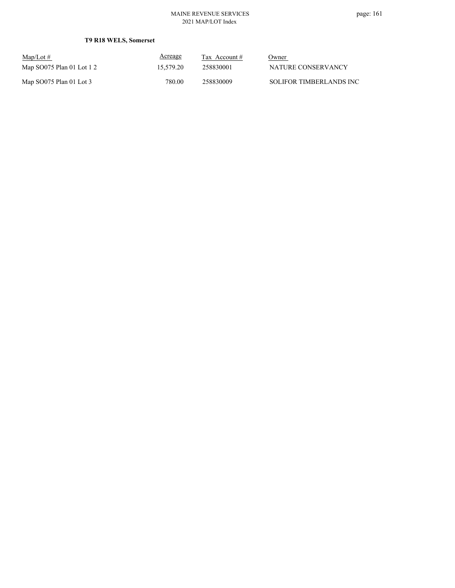### **T9 R18 WELS, Somerset**

| $\text{Map/Lot} \#$       | Acreage   | Tax Account # | Owner                   |
|---------------------------|-----------|---------------|-------------------------|
| Map SO075 Plan 01 Lot 1 2 | 15,579.20 | 258830001     | NATURE CONSERVANCY      |
| Map $SO075$ Plan 01 Lot 3 | 780.00    | 258830009     | SOLIFOR TIMBERLANDS INC |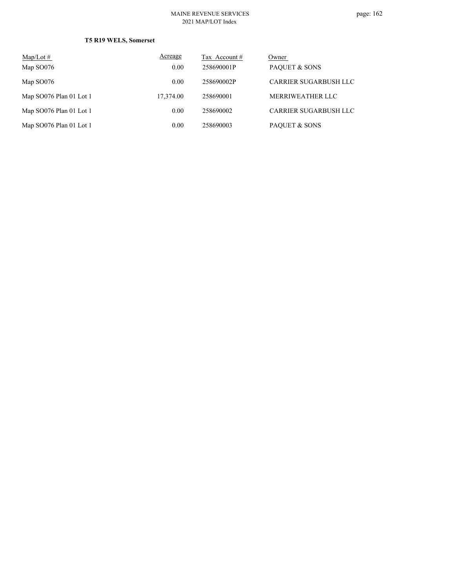### **T5 R19 WELS, Somerset**

| $\text{Map/Lot} \#$     | Acreage   | Tax Account # | Owner                 |
|-------------------------|-----------|---------------|-----------------------|
| Map SO076               | 0.00      | 258690001P    | PAQUET & SONS         |
| Map SO076               | 0.00      | 258690002P    | CARRIER SUGARBUSH LLC |
| Map SO076 Plan 01 Lot 1 | 17,374.00 | 258690001     | MERRIWEATHER LLC      |
| Map SO076 Plan 01 Lot 1 | 0.00      | 258690002     | CARRIER SUGARBUSH LLC |
| Map SO076 Plan 01 Lot 1 | 0.00      | 258690003     | PAQUET & SONS         |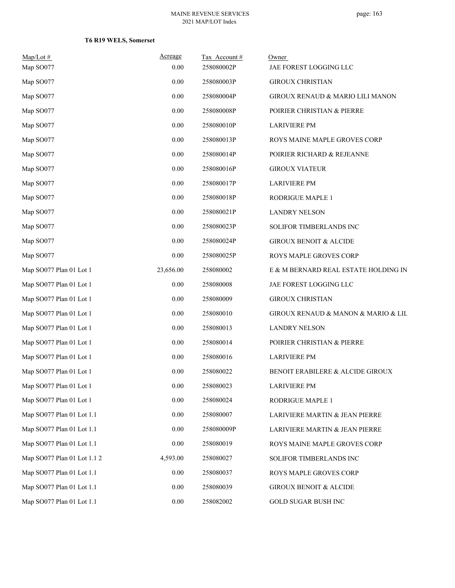### **T6 R19 WELS, Somerset**

| $Map/Lot \#$                | Acreage   | Tax Account# | Owner                                |
|-----------------------------|-----------|--------------|--------------------------------------|
| Map SO077                   | 0.00      | 258080002P   | JAE FOREST LOGGING LLC               |
| Map SO077                   | 0.00      | 258080003P   | <b>GIROUX CHRISTIAN</b>              |
| Map SO077                   | 0.00      | 258080004P   | GIROUX RENAUD & MARIO LILI MANON     |
| Map SO077                   | 0.00      | 258080008P   | POIRIER CHRISTIAN & PIERRE           |
| Map SO077                   | 0.00      | 258080010P   | <b>LARIVIERE PM</b>                  |
| Map SO077                   | 0.00      | 258080013P   | ROYS MAINE MAPLE GROVES CORP         |
| Map SO077                   | 0.00      | 258080014P   | POIRIER RICHARD & REJEANNE           |
| Map SO077                   | 0.00      | 258080016P   | <b>GIROUX VIATEUR</b>                |
| Map SO077                   | 0.00      | 258080017P   | <b>LARIVIERE PM</b>                  |
| Map SO077                   | 0.00      | 258080018P   | RODRIGUE MAPLE 1                     |
| Map SO077                   | 0.00      | 258080021P   | <b>LANDRY NELSON</b>                 |
| Map SO077                   | 0.00      | 258080023P   | SOLIFOR TIMBERLANDS INC              |
| Map SO077                   | 0.00      | 258080024P   | <b>GIROUX BENOIT &amp; ALCIDE</b>    |
| Map SO077                   | 0.00      | 258080025P   | ROYS MAPLE GROVES CORP               |
| Map SO077 Plan 01 Lot 1     | 23,656.00 | 258080002    | E & M BERNARD REAL ESTATE HOLDING IN |
| Map SO077 Plan 01 Lot 1     | 0.00      | 258080008    | JAE FOREST LOGGING LLC               |
| Map SO077 Plan 01 Lot 1     | 0.00      | 258080009    | <b>GIROUX CHRISTIAN</b>              |
| Map SO077 Plan 01 Lot 1     | 0.00      | 258080010    | GIROUX RENAUD & MANON & MARIO & LIL  |
| Map SO077 Plan 01 Lot 1     | 0.00      | 258080013    | <b>LANDRY NELSON</b>                 |
| Map SO077 Plan 01 Lot 1     | 0.00      | 258080014    | POIRIER CHRISTIAN & PIERRE           |
| Map SO077 Plan 01 Lot 1     | 0.00      | 258080016    | <b>LARIVIERE PM</b>                  |
| Map SO077 Plan 01 Lot 1     | 0.00      | 258080022    | BENOIT ERABILERE & ALCIDE GIROUX     |
| Map SO077 Plan 01 Lot 1     | 0.00      | 258080023    | <b>LARIVIERE PM</b>                  |
| Map SO077 Plan 01 Lot 1     | 0.00      | 258080024    | RODRIGUE MAPLE 1                     |
| Map SO077 Plan 01 Lot 1.1   | 0.00      | 258080007    | LARIVIERE MARTIN & JEAN PIERRE       |
| Map SO077 Plan 01 Lot 1.1   | 0.00      | 258080009P   | LARIVIERE MARTIN & JEAN PIERRE       |
| Map SO077 Plan 01 Lot 1.1   | 0.00      | 258080019    | ROYS MAINE MAPLE GROVES CORP         |
| Map SO077 Plan 01 Lot 1.1 2 | 4,593.00  | 258080027    | SOLIFOR TIMBERLANDS INC              |
| Map SO077 Plan 01 Lot 1.1   | 0.00      | 258080037    | ROYS MAPLE GROVES CORP               |
| Map SO077 Plan 01 Lot 1.1   | 0.00      | 258080039    | GIROUX BENOIT & ALCIDE               |
| Map SO077 Plan 01 Lot 1.1   | 0.00      | 258082002    | GOLD SUGAR BUSH INC                  |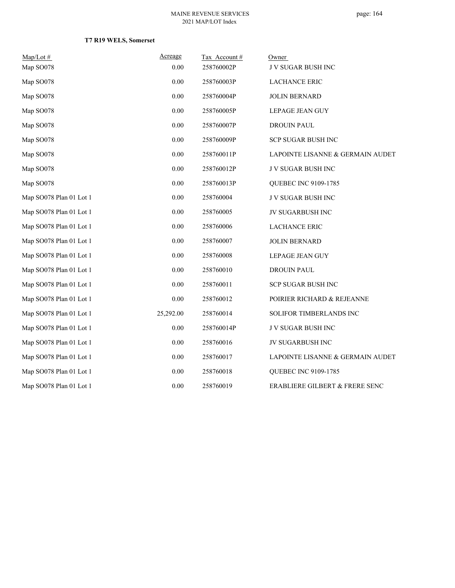### **T7 R19 WELS, Somerset**

| $Map/Lot \#$            | Acreage   | Tax Account# | Owner                            |
|-------------------------|-----------|--------------|----------------------------------|
| Map SO078               | 0.00      | 258760002P   | <b>JV SUGAR BUSH INC</b>         |
| Map SO078               | 0.00      | 258760003P   | <b>LACHANCE ERIC</b>             |
| Map SO078               | 0.00      | 258760004P   | <b>JOLIN BERNARD</b>             |
| Map SO078               | $0.00\,$  | 258760005P   | LEPAGE JEAN GUY                  |
| Map SO078               | $0.00\,$  | 258760007P   | DROUIN PAUL                      |
| Map SO078               | $0.00\,$  | 258760009P   | SCP SUGAR BUSH INC               |
| Map SO078               | 0.00      | 258760011P   | LAPOINTE LISANNE & GERMAIN AUDET |
| Map SO078               | 0.00      | 258760012P   | J V SUGAR BUSH INC               |
| Map SO078               | 0.00      | 258760013P   | QUEBEC INC 9109-1785             |
| Map SO078 Plan 01 Lot 1 | 0.00      | 258760004    | J V SUGAR BUSH INC               |
| Map SO078 Plan 01 Lot 1 | $0.00\,$  | 258760005    | JV SUGARBUSH INC                 |
| Map SO078 Plan 01 Lot 1 | $0.00\,$  | 258760006    | <b>LACHANCE ERIC</b>             |
| Map SO078 Plan 01 Lot 1 | $0.00\,$  | 258760007    | <b>JOLIN BERNARD</b>             |
| Map SO078 Plan 01 Lot 1 | 0.00      | 258760008    | LEPAGE JEAN GUY                  |
| Map SO078 Plan 01 Lot 1 | 0.00      | 258760010    | <b>DROUIN PAUL</b>               |
| Map SO078 Plan 01 Lot 1 | 0.00      | 258760011    | SCP SUGAR BUSH INC               |
| Map SO078 Plan 01 Lot 1 | 0.00      | 258760012    | POIRIER RICHARD & REJEANNE       |
| Map SO078 Plan 01 Lot 1 | 25,292.00 | 258760014    | SOLIFOR TIMBERLANDS INC          |
| Map SO078 Plan 01 Lot 1 | 0.00      | 258760014P   | J V SUGAR BUSH INC               |
| Map SO078 Plan 01 Lot 1 | $0.00\,$  | 258760016    | JV SUGARBUSH INC                 |
| Map SO078 Plan 01 Lot 1 | 0.00      | 258760017    | LAPOINTE LISANNE & GERMAIN AUDET |
| Map SO078 Plan 01 Lot 1 | 0.00      | 258760018    | QUEBEC INC 9109-1785             |
| Map SO078 Plan 01 Lot 1 | 0.00      | 258760019    | ERABLIERE GILBERT & FRERE SENC   |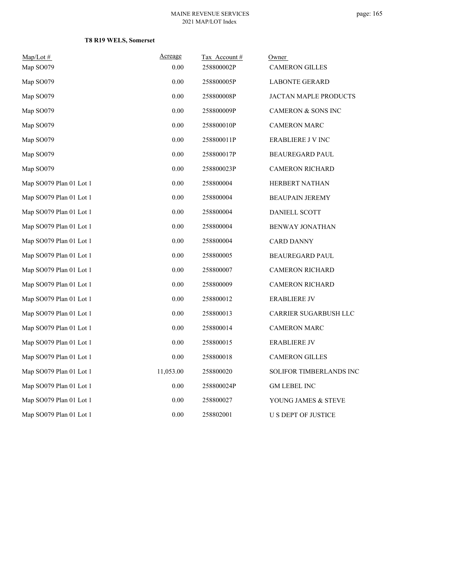### **T8 R19 WELS, Somerset**

| Map/Lot #               | Acreage   | Tax Account# | Owner                          |
|-------------------------|-----------|--------------|--------------------------------|
| Map SO079               | 0.00      | 258800002P   | <b>CAMERON GILLES</b>          |
| Map SO079               | 0.00      | 258800005P   | <b>LABONTE GERARD</b>          |
| Map SO079               | 0.00      | 258800008P   | JACTAN MAPLE PRODUCTS          |
| Map SO079               | 0.00      | 258800009P   | <b>CAMERON &amp; SONS INC</b>  |
| Map SO079               | 0.00      | 258800010P   | <b>CAMERON MARC</b>            |
| Map SO079               | 0.00      | 258800011P   | <b>ERABLIERE J V INC</b>       |
| Map SO079               | 0.00      | 258800017P   | <b>BEAUREGARD PAUL</b>         |
| Map SO079               | 0.00      | 258800023P   | <b>CAMERON RICHARD</b>         |
| Map SO079 Plan 01 Lot 1 | 0.00      | 258800004    | <b>HERBERT NATHAN</b>          |
| Map SO079 Plan 01 Lot 1 | 0.00      | 258800004    | <b>BEAUPAIN JEREMY</b>         |
| Map SO079 Plan 01 Lot 1 | 0.00      | 258800004    | <b>DANIELL SCOTT</b>           |
| Map SO079 Plan 01 Lot 1 | 0.00      | 258800004    | <b>BENWAY JONATHAN</b>         |
| Map SO079 Plan 01 Lot 1 | 0.00      | 258800004    | <b>CARD DANNY</b>              |
| Map SO079 Plan 01 Lot 1 | 0.00      | 258800005    | <b>BEAUREGARD PAUL</b>         |
| Map SO079 Plan 01 Lot 1 | 0.00      | 258800007    | <b>CAMERON RICHARD</b>         |
| Map SO079 Plan 01 Lot 1 | 0.00      | 258800009    | <b>CAMERON RICHARD</b>         |
| Map SO079 Plan 01 Lot 1 | 0.00      | 258800012    | <b>ERABLIERE JV</b>            |
| Map SO079 Plan 01 Lot 1 | 0.00      | 258800013    | CARRIER SUGARBUSH LLC          |
| Map SO079 Plan 01 Lot 1 | 0.00      | 258800014    | <b>CAMERON MARC</b>            |
| Map SO079 Plan 01 Lot 1 | 0.00      | 258800015    | <b>ERABLIERE JV</b>            |
| Map SO079 Plan 01 Lot 1 | 0.00      | 258800018    | <b>CAMERON GILLES</b>          |
| Map SO079 Plan 01 Lot 1 | 11,053.00 | 258800020    | <b>SOLIFOR TIMBERLANDS INC</b> |
| Map SO079 Plan 01 Lot 1 | 0.00      | 258800024P   | <b>GM LEBEL INC</b>            |
| Map SO079 Plan 01 Lot 1 | 0.00      | 258800027    | YOUNG JAMES & STEVE            |
| Map SO079 Plan 01 Lot 1 | 0.00      | 258802001    | <b>U S DEPT OF JUSTICE</b>     |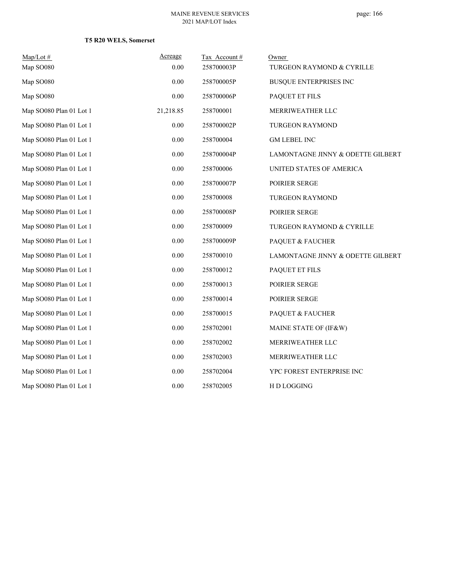### **T5 R20 WELS, Somerset**

| $Map/Lot \#$            | Acreage   | Tax Account# | Owner                             |
|-------------------------|-----------|--------------|-----------------------------------|
| Map SO080               | 0.00      | 258700003P   | TURGEON RAYMOND & CYRILLE         |
| Map SO080               | 0.00      | 258700005P   | <b>BUSQUE ENTERPRISES INC</b>     |
| Map SO080               | 0.00      | 258700006P   | PAQUET ET FILS                    |
| Map SO080 Plan 01 Lot 1 | 21,218.85 | 258700001    | MERRIWEATHER LLC                  |
| Map SO080 Plan 01 Lot 1 | 0.00      | 258700002P   | <b>TURGEON RAYMOND</b>            |
| Map SO080 Plan 01 Lot 1 | 0.00      | 258700004    | <b>GM LEBEL INC</b>               |
| Map SO080 Plan 01 Lot 1 | 0.00      | 258700004P   | LAMONTAGNE JINNY & ODETTE GILBERT |
| Map SO080 Plan 01 Lot 1 | 0.00      | 258700006    | UNITED STATES OF AMERICA          |
| Map SO080 Plan 01 Lot 1 | 0.00      | 258700007P   | POIRIER SERGE                     |
| Map SO080 Plan 01 Lot 1 | 0.00      | 258700008    | <b>TURGEON RAYMOND</b>            |
| Map SO080 Plan 01 Lot 1 | 0.00      | 258700008P   | POIRIER SERGE                     |
| Map SO080 Plan 01 Lot 1 | 0.00      | 258700009    | TURGEON RAYMOND & CYRILLE         |
| Map SO080 Plan 01 Lot 1 | 0.00      | 258700009P   | PAQUET & FAUCHER                  |
| Map SO080 Plan 01 Lot 1 | 0.00      | 258700010    | LAMONTAGNE JINNY & ODETTE GILBERT |
| Map SO080 Plan 01 Lot 1 | 0.00      | 258700012    | PAQUET ET FILS                    |
| Map SO080 Plan 01 Lot 1 | 0.00      | 258700013    | POIRIER SERGE                     |
| Map SO080 Plan 01 Lot 1 | 0.00      | 258700014    | POIRIER SERGE                     |
| Map SO080 Plan 01 Lot 1 | 0.00      | 258700015    | PAQUET & FAUCHER                  |
| Map SO080 Plan 01 Lot 1 | 0.00      | 258702001    | MAINE STATE OF (IF&W)             |
| Map SO080 Plan 01 Lot 1 | 0.00      | 258702002    | MERRIWEATHER LLC                  |
| Map SO080 Plan 01 Lot 1 | 0.00      | 258702003    | MERRIWEATHER LLC                  |
| Map SO080 Plan 01 Lot 1 | 0.00      | 258702004    | YPC FOREST ENTERPRISE INC         |
| Map SO080 Plan 01 Lot 1 | 0.00      | 258702005    | HD LOGGING                        |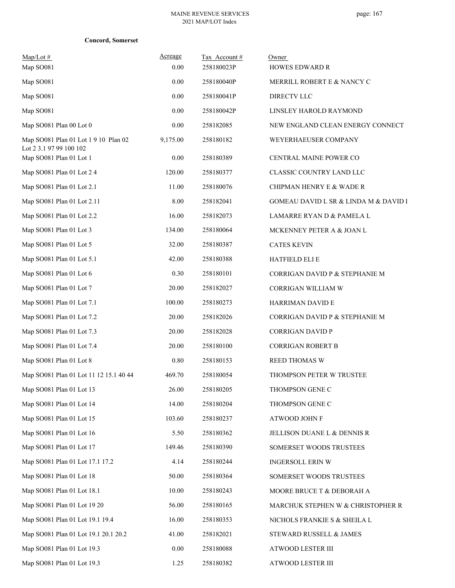|  | Concord, Somerset |
|--|-------------------|
|--|-------------------|

| $Map/Lot \#$<br>Map SO081                                       | Acreage<br>0.00 | Tax Account#<br>258180023P | Owner<br><b>HOWES EDWARD R</b>                       |
|-----------------------------------------------------------------|-----------------|----------------------------|------------------------------------------------------|
| Map SO081                                                       | 0.00            | 258180040P                 | MERRILL ROBERT E & NANCY C                           |
| Map SO081                                                       | 0.00            | 258180041P                 | <b>DIRECTV LLC</b>                                   |
| Map SO081                                                       | 0.00            | 258180042P                 | LINSLEY HAROLD RAYMOND                               |
| Map SO081 Plan 00 Lot 0                                         | 0.00            | 258182085                  | NEW ENGLAND CLEAN ENERGY CONNECT                     |
| Map SO081 Plan 01 Lot 1 9 10 Plan 02<br>Lot 2 3.1 97 99 100 102 | 9,175.00        | 258180182                  | WEYERHAEUSER COMPANY                                 |
| Map SO081 Plan 01 Lot 1                                         | 0.00            | 258180389                  | CENTRAL MAINE POWER CO                               |
| Map SO081 Plan 01 Lot 2 4                                       | 120.00          | 258180377                  | CLASSIC COUNTRY LAND LLC                             |
| Map SO081 Plan 01 Lot 2.1                                       | 11.00           | 258180076                  | CHIPMAN HENRY E & WADE R                             |
| Map SO081 Plan 01 Lot 2.11                                      | 8.00            | 258182041                  | <b>GOMEAU DAVID L SR &amp; LINDA M &amp; DAVID I</b> |
| Map SO081 Plan 01 Lot 2.2                                       | 16.00           | 258182073                  | LAMARRE RYAN D & PAMELA L                            |
| Map SO081 Plan 01 Lot 3                                         | 134.00          | 258180064                  | MCKENNEY PETER A & JOAN L                            |
| Map SO081 Plan 01 Lot 5                                         | 32.00           | 258180387                  | <b>CATES KEVIN</b>                                   |
| Map SO081 Plan 01 Lot 5.1                                       | 42.00           | 258180388                  | <b>HATFIELD ELI E</b>                                |
| Map SO081 Plan 01 Lot 6                                         | 0.30            | 258180101                  | CORRIGAN DAVID P & STEPHANIE M                       |
| Map SO081 Plan 01 Lot 7                                         | 20.00           | 258182027                  | CORRIGAN WILLIAM W                                   |
| Map SO081 Plan 01 Lot 7.1                                       | 100.00          | 258180273                  | HARRIMAN DAVID E                                     |
| Map SO081 Plan 01 Lot 7.2                                       | 20.00           | 258182026                  | CORRIGAN DAVID P & STEPHANIE M                       |
| Map SO081 Plan 01 Lot 7.3                                       | 20.00           | 258182028                  | CORRIGAN DAVID P                                     |
| Map SO081 Plan 01 Lot 7.4                                       | 20.00           | 258180100                  | <b>CORRIGAN ROBERT B</b>                             |
| Map SO081 Plan 01 Lot 8                                         | 0.80            | 258180153                  | <b>REED THOMAS W</b>                                 |
| Map SO081 Plan 01 Lot 11 12 15.1 40 44                          | 469.70          | 258180054                  | THOMPSON PETER W TRUSTEE                             |
| Map SO081 Plan 01 Lot 13                                        | 26.00           | 258180205                  | THOMPSON GENE C                                      |
| Map SO081 Plan 01 Lot 14                                        | 14.00           | 258180204                  | THOMPSON GENE C                                      |
| Map SO081 Plan 01 Lot 15                                        | 103.60          | 258180237                  | ATWOOD JOHN F                                        |
| Map SO081 Plan 01 Lot 16                                        | 5.50            | 258180362                  | JELLISON DUANE L & DENNIS R                          |
| Map SO081 Plan 01 Lot 17                                        | 149.46          | 258180390                  | SOMERSET WOODS TRUSTEES                              |
| Map SO081 Plan 01 Lot 17.1 17.2                                 | 4.14            | 258180244                  | <b>INGERSOLL ERIN W</b>                              |
| Map SO081 Plan 01 Lot 18                                        | 50.00           | 258180364                  | SOMERSET WOODS TRUSTEES                              |
| Map SO081 Plan 01 Lot 18.1                                      | 10.00           | 258180243                  | MOORE BRUCE T & DEBORAH A                            |
| Map SO081 Plan 01 Lot 19 20                                     | 56.00           | 258180165                  | MARCHUK STEPHEN W & CHRISTOPHER R                    |
| Map SO081 Plan 01 Lot 19.1 19.4                                 | 16.00           | 258180353                  | NICHOLS FRANKIE S & SHEILA L                         |
| Map SO081 Plan 01 Lot 19.1 20.1 20.2                            | 41.00           | 258182021                  | STEWARD RUSSELL & JAMES                              |
| Map SO081 Plan 01 Lot 19.3                                      | 0.00            | 258180088                  | ATWOOD LESTER III                                    |
| Map SO081 Plan 01 Lot 19.3                                      | 1.25            | 258180382                  | ATWOOD LESTER III                                    |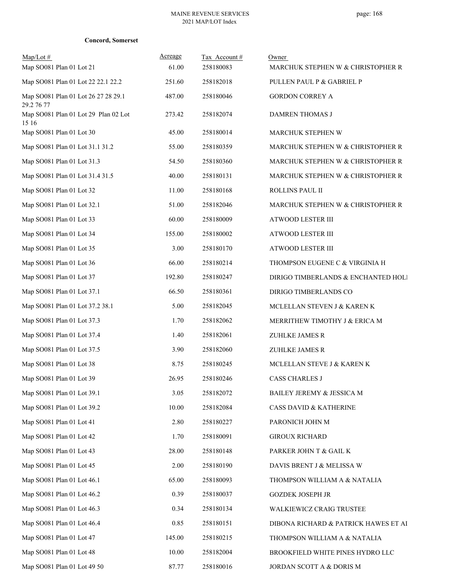| <b>Concord, Somerset</b> |  |
|--------------------------|--|
|--------------------------|--|

| $Map/Lot \#$<br>Map SO081 Plan 01 Lot 21          | Acreage<br>61.00 | Tax Account#<br>258180083 | Owner<br>MARCHUK STEPHEN W & CHRISTOPHER R |
|---------------------------------------------------|------------------|---------------------------|--------------------------------------------|
| Map SO081 Plan 01 Lot 22 22.1 22.2                | 251.60           | 258182018                 | PULLEN PAUL P & GABRIEL P                  |
| Map SO081 Plan 01 Lot 26 27 28 29.1<br>29.2 76 77 | 487.00           | 258180046                 | <b>GORDON CORREY A</b>                     |
| Map SO081 Plan 01 Lot 29 Plan 02 Lot<br>15 16     | 273.42           | 258182074                 | DAMREN THOMAS J                            |
| Map SO081 Plan 01 Lot 30                          | 45.00            | 258180014                 | MARCHUK STEPHEN W                          |
| Map SO081 Plan 01 Lot 31.1 31.2                   | 55.00            | 258180359                 | MARCHUK STEPHEN W & CHRISTOPHER R          |
| Map SO081 Plan 01 Lot 31.3                        | 54.50            | 258180360                 | MARCHUK STEPHEN W & CHRISTOPHER R          |
| Map SO081 Plan 01 Lot 31.4 31.5                   | 40.00            | 258180131                 | MARCHUK STEPHEN W & CHRISTOPHER R          |
| Map SO081 Plan 01 Lot 32                          | 11.00            | 258180168                 | ROLLINS PAUL II                            |
| Map SO081 Plan 01 Lot 32.1                        | 51.00            | 258182046                 | MARCHUK STEPHEN W & CHRISTOPHER R          |
| Map SO081 Plan 01 Lot 33                          | 60.00            | 258180009                 | ATWOOD LESTER III                          |
| Map SO081 Plan 01 Lot 34                          | 155.00           | 258180002                 | ATWOOD LESTER III                          |
| Map SO081 Plan 01 Lot 35                          | 3.00             | 258180170                 | ATWOOD LESTER III                          |
| Map SO081 Plan 01 Lot 36                          | 66.00            | 258180214                 | THOMPSON EUGENE C & VIRGINIA H             |
| Map SO081 Plan 01 Lot 37                          | 192.80           | 258180247                 | DIRIGO TIMBERLANDS & ENCHANTED HOLI        |
| Map SO081 Plan 01 Lot 37.1                        | 66.50            | 258180361                 | DIRIGO TIMBERLANDS CO                      |
| Map SO081 Plan 01 Lot 37.2 38.1                   | 5.00             | 258182045                 | MCLELLAN STEVEN J & KAREN K                |
| Map SO081 Plan 01 Lot 37.3                        | 1.70             | 258182062                 | MERRITHEW TIMOTHY J & ERICA M              |
| Map SO081 Plan 01 Lot 37.4                        | 1.40             | 258182061                 | ZUHLKE JAMES R                             |
| Map SO081 Plan 01 Lot 37.5                        | 3.90             | 258182060                 | ZUHLKE JAMES R                             |
| Map SO081 Plan 01 Lot 38                          | 8.75             | 258180245                 | MCLELLAN STEVE J & KAREN K                 |
| Map SO081 Plan 01 Lot 39                          | 26.95            | 258180246                 | <b>CASS CHARLES J</b>                      |
| Map SO081 Plan 01 Lot 39.1                        | 3.05             | 258182072                 | BAILEY JEREMY & JESSICA M                  |
| Map SO081 Plan 01 Lot 39.2                        | 10.00            | 258182084                 | <b>CASS DAVID &amp; KATHERINE</b>          |
| Map SO081 Plan 01 Lot 41                          | 2.80             | 258180227                 | PARONICH JOHN M                            |
| Map SO081 Plan 01 Lot 42                          | 1.70             | 258180091                 | <b>GIROUX RICHARD</b>                      |
| Map SO081 Plan 01 Lot 43                          | 28.00            | 258180148                 | PARKER JOHN T & GAIL K                     |
| Map SO081 Plan 01 Lot 45                          | 2.00             | 258180190                 | DAVIS BRENT J & MELISSA W                  |
| Map SO081 Plan 01 Lot 46.1                        | 65.00            | 258180093                 | THOMPSON WILLIAM A & NATALIA               |
| Map SO081 Plan 01 Lot 46.2                        | 0.39             | 258180037                 | <b>GOZDEK JOSEPH JR</b>                    |
| Map SO081 Plan 01 Lot 46.3                        | 0.34             | 258180134                 | WALKIEWICZ CRAIG TRUSTEE                   |
| Map SO081 Plan 01 Lot 46.4                        | 0.85             | 258180151                 | DIBONA RICHARD & PATRICK HAWES ET AI       |
| Map SO081 Plan 01 Lot 47                          | 145.00           | 258180215                 | THOMPSON WILLIAM A & NATALIA               |
| Map SO081 Plan 01 Lot 48                          | 10.00            | 258182004                 | BROOKFIELD WHITE PINES HYDRO LLC           |
| Map SO081 Plan 01 Lot 49 50                       | 87.77            | 258180016                 | JORDAN SCOTT A & DORIS M                   |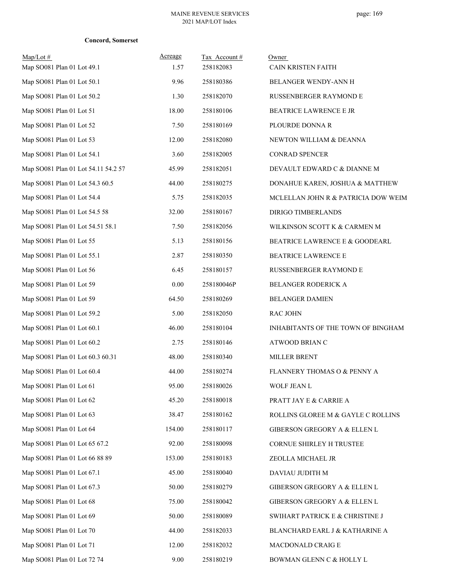|  | <b>Concord, Somerset</b> |
|--|--------------------------|
|--|--------------------------|

| $Map/Lot \#$<br>Map SO081 Plan 01 Lot 49.1 | Acreage<br>1.57 | Tax Account#<br>258182083 | Owner<br>CAIN KRISTEN FAITH         |
|--------------------------------------------|-----------------|---------------------------|-------------------------------------|
| Map SO081 Plan 01 Lot 50.1                 | 9.96            | 258180386                 | BELANGER WENDY-ANN H                |
| Map SO081 Plan 01 Lot 50.2                 | 1.30            | 258182070                 | <b>RUSSENBERGER RAYMOND E</b>       |
| Map SO081 Plan 01 Lot 51                   | 18.00           | 258180106                 | BEATRICE LAWRENCE E JR              |
| Map SO081 Plan 01 Lot 52                   | 7.50            | 258180169                 | PLOURDE DONNA R                     |
| Map SO081 Plan 01 Lot 53                   | 12.00           | 258182080                 | NEWTON WILLIAM & DEANNA             |
| Map SO081 Plan 01 Lot 54.1                 | 3.60            | 258182005                 | CONRAD SPENCER                      |
| Map SO081 Plan 01 Lot 54.11 54.2 57        | 45.99           | 258182051                 | DEVAULT EDWARD C & DIANNE M         |
| Map SO081 Plan 01 Lot 54.3 60.5            | 44.00           | 258180275                 | DONAHUE KAREN, JOSHUA & MATTHEW     |
| Map SO081 Plan 01 Lot 54.4                 | 5.75            | 258182035                 | MCLELLAN JOHN R & PATRICIA DOW WEIM |
| Map SO081 Plan 01 Lot 54.5 58              | 32.00           | 258180167                 | <b>DIRIGO TIMBERLANDS</b>           |
| Map SO081 Plan 01 Lot 54.51 58.1           | 7.50            | 258182056                 | WILKINSON SCOTT K & CARMEN M        |
| Map SO081 Plan 01 Lot 55                   | 5.13            | 258180156                 | BEATRICE LAWRENCE E & GOODEARL      |
| Map SO081 Plan 01 Lot 55.1                 | 2.87            | 258180350                 | BEATRICE LAWRENCE E                 |
| Map SO081 Plan 01 Lot 56                   | 6.45            | 258180157                 | RUSSENBERGER RAYMOND E              |
| Map SO081 Plan 01 Lot 59                   | 0.00            | 258180046P                | BELANGER RODERICK A                 |
| Map SO081 Plan 01 Lot 59                   | 64.50           | 258180269                 | <b>BELANGER DAMIEN</b>              |
| Map SO081 Plan 01 Lot 59.2                 | 5.00            | 258182050                 | <b>RAC JOHN</b>                     |
| Map SO081 Plan 01 Lot 60.1                 | 46.00           | 258180104                 | INHABITANTS OF THE TOWN OF BINGHAM  |
| Map SO081 Plan 01 Lot 60.2                 | 2.75            | 258180146                 | ATWOOD BRIAN C                      |
| Map SO081 Plan 01 Lot 60.3 60.31           | 48.00           | 258180340                 | <b>MILLER BRENT</b>                 |
| Map SO081 Plan 01 Lot 60.4                 | 44.00           | 258180274                 | FLANNERY THOMAS O & PENNY A         |
| Map SO081 Plan 01 Lot 61                   | 95.00           | 258180026                 | WOLF JEAN L                         |
| Map SO081 Plan 01 Lot 62                   | 45.20           | 258180018                 | PRATT JAY E & CARRIE A              |
| Map SO081 Plan 01 Lot 63                   | 38.47           | 258180162                 | ROLLINS GLOREE M & GAYLE C ROLLINS  |
| Map SO081 Plan 01 Lot 64                   | 154.00          | 258180117                 | GIBERSON GREGORY A & ELLEN L        |
| Map SO081 Plan 01 Lot 65 67.2              | 92.00           | 258180098                 | CORNUE SHIRLEY H TRUSTEE            |
| Map SO081 Plan 01 Lot 66 88 89             | 153.00          | 258180183                 | ZEOLLA MICHAEL JR                   |
| Map SO081 Plan 01 Lot 67.1                 | 45.00           | 258180040                 | DAVIAU JUDITH M                     |
| Map SO081 Plan 01 Lot 67.3                 | 50.00           | 258180279                 | GIBERSON GREGORY A & ELLEN L        |
| Map SO081 Plan 01 Lot 68                   | 75.00           | 258180042                 | GIBERSON GREGORY A & ELLEN L        |
| Map SO081 Plan 01 Lot 69                   | 50.00           | 258180089                 | SWIHART PATRICK E & CHRISTINE J     |
| Map SO081 Plan 01 Lot 70                   | 44.00           | 258182033                 | BLANCHARD EARL J & KATHARINE A      |
| Map SO081 Plan 01 Lot 71                   | 12.00           | 258182032                 | MACDONALD CRAIG E                   |
| Map SO081 Plan 01 Lot 72 74                | 9.00            | 258180219                 | BOWMAN GLENN C & HOLLY L            |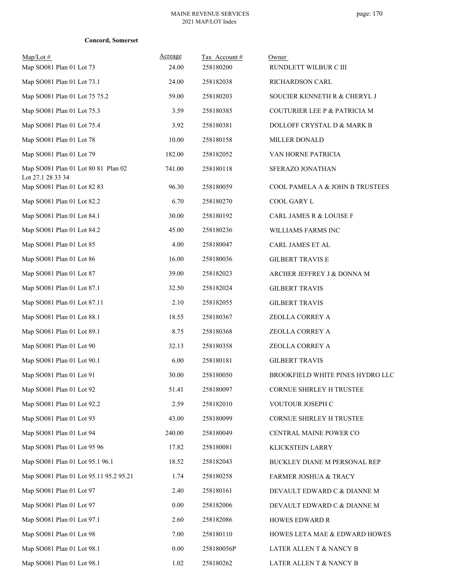|  | Concord, Somerset |
|--|-------------------|
|--|-------------------|

| $Map/Lot \#$<br>Map SO081 Plan 01 Lot 73                 | Acreage<br>24.00 | Tax Account#<br>258180200 | Owner<br>RUNDLETT WILBUR C III   |
|----------------------------------------------------------|------------------|---------------------------|----------------------------------|
| Map SO081 Plan 01 Lot 73.1                               | 24.00            | 258182038                 | RICHARDSON CARL                  |
| Map SO081 Plan 01 Lot 75 75.2                            | 59.00            | 258180203                 | SOUCIER KENNETH R & CHERYL J     |
| Map SO081 Plan 01 Lot 75.3                               | 3.59             | 258180385                 | COUTURIER LEE P & PATRICIA M     |
| Map SO081 Plan 01 Lot 75.4                               | 3.92             | 258180381                 | DOLLOFF CRYSTAL D & MARK B       |
| Map SO081 Plan 01 Lot 78                                 | 10.00            | 258180158                 | <b>MILLER DONALD</b>             |
| Map SO081 Plan 01 Lot 79                                 | 182.00           | 258182052                 | VAN HORNE PATRICIA               |
| Map SO081 Plan 01 Lot 80 81 Plan 02<br>Lot 27.1 28 33 34 | 741.00           | 258180118                 | SFERAZO JONATHAN                 |
| Map SO081 Plan 01 Lot 82 83                              | 96.30            | 258180059                 | COOL PAMELA A & JOHN B TRUSTEES  |
| Map SO081 Plan 01 Lot 82.2                               | 6.70             | 258180270                 | <b>COOL GARY L</b>               |
| Map SO081 Plan 01 Lot 84.1                               | 30.00            | 258180192                 | CARL JAMES R & LOUISE F          |
| Map SO081 Plan 01 Lot 84.2                               | 45.00            | 258180236                 | WILLIAMS FARMS INC               |
| Map SO081 Plan 01 Lot 85                                 | 4.00             | 258180047                 | CARL JAMES ET AL                 |
| Map SO081 Plan 01 Lot 86                                 | 16.00            | 258180036                 | <b>GILBERT TRAVIS E</b>          |
| Map SO081 Plan 01 Lot 87                                 | 39.00            | 258182023                 | ARCHER JEFFREY J & DONNA M       |
| Map SO081 Plan 01 Lot 87.1                               | 32.50            | 258182024                 | <b>GILBERT TRAVIS</b>            |
| Map SO081 Plan 01 Lot 87.11                              | 2.10             | 258182055                 | <b>GILBERT TRAVIS</b>            |
| Map SO081 Plan 01 Lot 88.1                               | 18.55            | 258180367                 | ZEOLLA CORREY A                  |
| Map SO081 Plan 01 Lot 89.1                               | 8.75             | 258180368                 | ZEOLLA CORREY A                  |
| Map SO081 Plan 01 Lot 90                                 | 32.13            | 258180358                 | ZEOLLA CORREY A                  |
| Map SO081 Plan 01 Lot 90.1                               | 6.00             | 258180181                 | <b>GILBERT TRAVIS</b>            |
| Map SO081 Plan 01 Lot 91                                 | 30.00            | 258180050                 | BROOKFIELD WHITE PINES HYDRO LLC |
| Map SO081 Plan 01 Lot 92                                 | 51.41            | 258180097                 | CORNUE SHIRLEY H TRUSTEE         |
| Map SO081 Plan 01 Lot 92.2                               | 2.59             | 258182010                 | VOUTOUR JOSEPH C                 |
| Map SO081 Plan 01 Lot 93                                 | 43.00            | 258180099                 | CORNUE SHIRLEY H TRUSTEE         |
| Map SO081 Plan 01 Lot 94                                 | 240.00           | 258180049                 | CENTRAL MAINE POWER CO           |
| Map SO081 Plan 01 Lot 95 96                              | 17.82            | 258180081                 | KLICKSTEIN LARRY                 |
| Map SO081 Plan 01 Lot 95.1 96.1                          | 18.52            | 258182043                 | BUCKLEY DIANE M PERSONAL REP     |
| Map SO081 Plan 01 Lot 95.11 95.2 95.21                   | 1.74             | 258180258                 | FARMER JOSHUA & TRACY            |
| Map SO081 Plan 01 Lot 97                                 | 2.40             | 258180161                 | DEVAULT EDWARD C & DIANNE M      |
| Map SO081 Plan 01 Lot 97                                 | 0.00             | 258182006                 | DEVAULT EDWARD C & DIANNE M      |
| Map SO081 Plan 01 Lot 97.1                               | 2.60             | 258182086                 | <b>HOWES EDWARD R</b>            |
| Map SO081 Plan 01 Lot 98                                 | 7.00             | 258180110                 | HOWES LETA MAE & EDWARD HOWES    |
| Map SO081 Plan 01 Lot 98.1                               | 0.00             | 258180056P                | LATER ALLEN T & NANCY B          |
| Map SO081 Plan 01 Lot 98.1                               | 1.02             | 258180262                 | LATER ALLEN T & NANCY B          |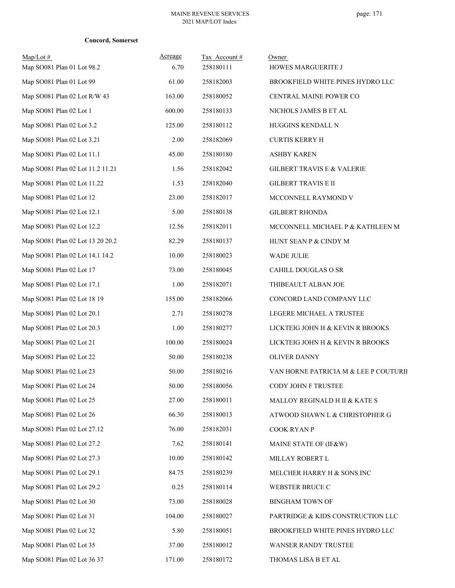|  | Concord, Somerset |
|--|-------------------|
|--|-------------------|

| $Map/Lot \#$<br>Map SO081 Plan 01 Lot 98.2 | Acreage<br>6.70 | Tax Account#<br>258180111 | Owner<br>HOWES MARGUERITE J           |
|--------------------------------------------|-----------------|---------------------------|---------------------------------------|
| Map SO081 Plan 01 Lot 99                   | 61.00           | 258182003                 | BROOKFIELD WHITE PINES HYDRO LLC      |
| Map SO081 Plan 02 Lot R/W 43               | 163.00          | 258180052                 | CENTRAL MAINE POWER CO                |
| Map SO081 Plan 02 Lot 1                    | 600.00          | 258180133                 | NICHOLS JAMES B ET AL                 |
| Map SO081 Plan 02 Lot 3.2                  | 125.00          | 258180112                 | HUGGINS KENDALL N                     |
| Map SO081 Plan 02 Lot 3.21                 | 2.00            | 258182069                 | <b>CURTIS KERRY H</b>                 |
| Map SO081 Plan 02 Lot 11.1                 | 45.00           | 258180180                 | <b>ASHBY KAREN</b>                    |
| Map SO081 Plan 02 Lot 11.2 11.21           | 1.56            | 258182042                 | <b>GILBERT TRAVIS E &amp; VALERIE</b> |
| Map SO081 Plan 02 Lot 11.22                | 1.53            | 258182040                 | <b>GILBERT TRAVIS E II</b>            |
| Map SO081 Plan 02 Lot 12                   | 23.00           | 258182017                 | MCCONNELL RAYMOND V                   |
| Map SO081 Plan 02 Lot 12.1                 | 5.00            | 258180138                 | <b>GILBERT RHONDA</b>                 |
| Map SO081 Plan 02 Lot 12.2                 | 12.56           | 258182011                 | MCCONNELL MICHAEL P & KATHLEEN M      |
| Map SO081 Plan 02 Lot 13 20 20.2           | 82.29           | 258180137                 | HUNT SEAN P & CINDY M                 |
| Map SO081 Plan 02 Lot 14.1 14.2            | 10.00           | 258180023                 | <b>WADE JULIE</b>                     |
| Map SO081 Plan 02 Lot 17                   | 73.00           | 258180045                 | CAHILL DOUGLAS O SR                   |
| Map SO081 Plan 02 Lot 17.1                 | 1.00            | 258182071                 | THIBEAULT ALBAN JOE                   |
| Map SO081 Plan 02 Lot 18 19                | 155.00          | 258182066                 | CONCORD LAND COMPANY LLC              |
| Map SO081 Plan 02 Lot 20.1                 | 2.71            | 258180278                 | LEGERE MICHAEL A TRUSTEE              |
| Map SO081 Plan 02 Lot 20.3                 | 1.00            | 258180277                 | LICKTEIG JOHN H & KEVIN R BROOKS      |
| Map SO081 Plan 02 Lot 21                   | 100.00          | 258180024                 | LICKTEIG JOHN H & KEVIN R BROOKS      |
| Map SO081 Plan 02 Lot 22                   | 50.00           | 258180238                 | <b>OLIVER DANNY</b>                   |
| Map SO081 Plan 02 Lot 23                   | 50.00           | 258180216                 | VAN HORNE PATRICIA M & LEE P COUTURII |
| Map SO081 Plan 02 Lot 24                   | 50.00           | 258180056                 | CODY JOHN F TRUSTEE                   |
| Map SO081 Plan 02 Lot 25                   | 27.00           | 258180011                 | MALLOY REGINALD H II & KATE S         |
| Map SO081 Plan 02 Lot 26                   | 66.30           | 258180013                 | ATWOOD SHAWN L & CHRISTOPHER G        |
| Map SO081 Plan 02 Lot 27.12                | 76.00           | 258182031                 | COOK RYAN P                           |
| Map SO081 Plan 02 Lot 27.2                 | 7.62            | 258180141                 | MAINE STATE OF (IF&W)                 |
| Map SO081 Plan 02 Lot 27.3                 | 10.00           | 258180142                 | MILLAY ROBERT L                       |
| Map SO081 Plan 02 Lot 29.1                 | 84.75           | 258180239                 | MELCHER HARRY H & SONS INC            |
| Map SO081 Plan 02 Lot 29.2                 | 0.25            | 258180114                 | WEBSTER BRUCE C                       |
| Map SO081 Plan 02 Lot 30                   | 73.00           | 258180028                 | <b>BINGHAM TOWN OF</b>                |
| Map SO081 Plan 02 Lot 31                   | 104.00          | 258180027                 | PARTRIDGE & KIDS CONSTRUCTION LLC     |
| Map SO081 Plan 02 Lot 32                   | 5.80            | 258180051                 | BROOKFIELD WHITE PINES HYDRO LLC      |
| Map SO081 Plan 02 Lot 35                   | 37.00           | 258180012                 | WANSER RANDY TRUSTEE                  |
| Map SO081 Plan 02 Lot 36 37                | 171.00          | 258180172                 | THOMAS LISA B ET AL                   |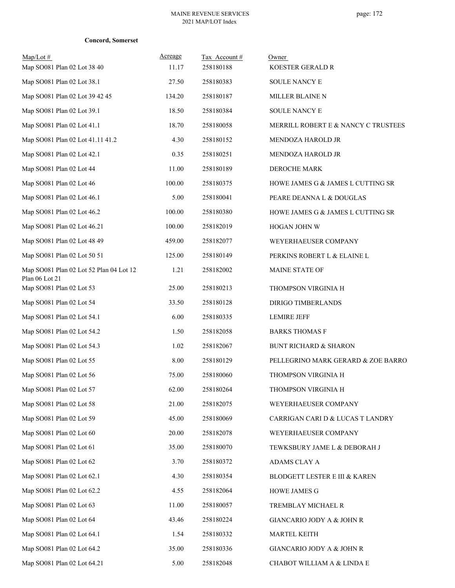|  | Concord, Somerset |
|--|-------------------|
|--|-------------------|

| $Map/Lot \#$<br>Map SO081 Plan 02 Lot 38 40 | Acreage<br>11.17 | Tax Account#<br>258180188 | Owner<br><b>KOESTER GERALD R</b>    |
|---------------------------------------------|------------------|---------------------------|-------------------------------------|
| Map SO081 Plan 02 Lot 38.1                  | 27.50            | 258180383                 | SOULE NANCY E                       |
| Map SO081 Plan 02 Lot 39 42 45              | 134.20           | 258180187                 | MILLER BLAINE N                     |
| Map SO081 Plan 02 Lot 39.1                  | 18.50            | 258180384                 | SOULE NANCY E                       |
| Map SO081 Plan 02 Lot 41.1                  | 18.70            | 258180058                 | MERRILL ROBERT E & NANCY C TRUSTEES |
| Map SO081 Plan 02 Lot 41.11 41.2            | 4.30             | 258180152                 | MENDOZA HAROLD JR                   |
| Map SO081 Plan 02 Lot 42.1                  | 0.35             | 258180251                 | MENDOZA HAROLD JR                   |
| Map SO081 Plan 02 Lot 44                    | 11.00            | 258180189                 | DEROCHE MARK                        |
| Map SO081 Plan 02 Lot 46                    | 100.00           | 258180375                 | HOWE JAMES G & JAMES L CUTTING SR   |
| Map SO081 Plan 02 Lot 46.1                  | 5.00             | 258180041                 | PEARE DEANNA L & DOUGLAS            |
| Map SO081 Plan 02 Lot 46.2                  | 100.00           | 258180380                 | HOWE JAMES G & JAMES L CUTTING SR   |
| Map SO081 Plan 02 Lot 46.21                 | 100.00           | 258182019                 | HOGAN JOHN W                        |
| Map SO081 Plan 02 Lot 48 49                 | 459.00           | 258182077                 | WEYERHAEUSER COMPANY                |
| Map SO081 Plan 02 Lot 50 51                 | 125.00           | 258180149                 | PERKINS ROBERT L & ELAINE L         |
| Map SO081 Plan 02 Lot 52 Plan 04 Lot 12     | 1.21             | 258182002                 | MAINE STATE OF                      |
| Plan 06 Lot 21                              |                  |                           |                                     |
| Map SO081 Plan 02 Lot 53                    | 25.00            | 258180213                 | THOMPSON VIRGINIA H                 |
| Map SO081 Plan 02 Lot 54                    | 33.50            | 258180128                 | DIRIGO TIMBERLANDS                  |
| Map SO081 Plan 02 Lot 54.1                  | 6.00             | 258180335                 | <b>LEMIRE JEFF</b>                  |
| Map SO081 Plan 02 Lot 54.2                  | 1.50             | 258182058                 | <b>BARKS THOMAS F</b>               |
| Map SO081 Plan 02 Lot 54.3                  | 1.02             | 258182067                 | <b>BUNT RICHARD &amp; SHARON</b>    |
| Map SO081 Plan 02 Lot 55                    | 8.00             | 258180129                 | PELLEGRINO MARK GERARD & ZOE BARRO  |
| Map SO081 Plan 02 Lot 56                    | 75.00            | 258180060                 | THOMPSON VIRGINIA H                 |
| Map SO081 Plan 02 Lot 57                    | 62.00            | 258180264                 | THOMPSON VIRGINIA H                 |
| Map SO081 Plan 02 Lot 58                    | 21.00            | 258182075                 | WEYERHAEUSER COMPANY                |
| Map SO081 Plan 02 Lot 59                    | 45.00            | 258180069                 | CARRIGAN CARI D & LUCAS T LANDRY    |
| Map SO081 Plan 02 Lot 60                    | 20.00            | 258182078                 | WEYERHAEUSER COMPANY                |
| Map SO081 Plan 02 Lot 61                    | 35.00            | 258180070                 | TEWKSBURY JAME L & DEBORAH J        |
| Map SO081 Plan 02 Lot 62                    | 3.70             | 258180372                 | ADAMS CLAY A                        |
| Map SO081 Plan 02 Lot 62.1                  | 4.30             | 258180354                 | BLODGETT LESTER E III & KAREN       |
| Map SO081 Plan 02 Lot 62.2                  | 4.55             | 258182064                 | <b>HOWE JAMES G</b>                 |
| Map SO081 Plan 02 Lot 63                    | 11.00            | 258180057                 | TREMBLAY MICHAEL R                  |
| Map SO081 Plan 02 Lot 64                    | 43.46            | 258180224                 | GIANCARIO JODY A & JOHN R           |
| Map SO081 Plan 02 Lot 64.1                  | 1.54             | 258180332                 | MARTEL KEITH                        |
| Map SO081 Plan 02 Lot 64.2                  | 35.00            | 258180336                 | GIANCARIO JODY A & JOHN R           |
| Map SO081 Plan 02 Lot 64.21                 | 5.00             | 258182048                 | CHABOT WILLIAM A & LINDA E          |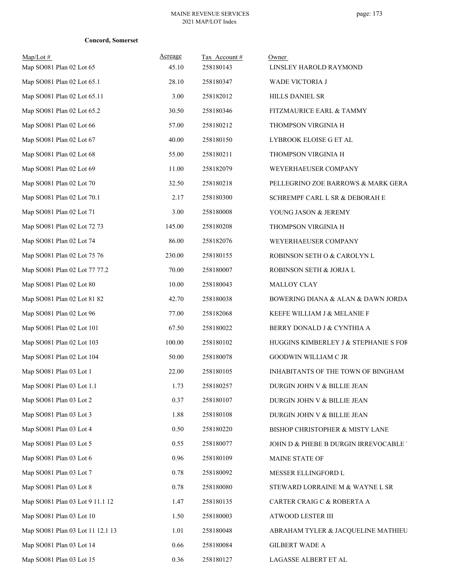|  | Concord, Somerset |
|--|-------------------|
|--|-------------------|

| $Map/Lot \#$<br>Map SO081 Plan 02 Lot 65 | Acreage<br>45.10 | Tax Account #<br>258180143 | Owner<br>LINSLEY HAROLD RAYMOND       |
|------------------------------------------|------------------|----------------------------|---------------------------------------|
| Map SO081 Plan 02 Lot 65.1               | 28.10            | 258180347                  | WADE VICTORIA J                       |
| Map SO081 Plan 02 Lot 65.11              | 3.00             | 258182012                  | HILLS DANIEL SR                       |
| Map SO081 Plan 02 Lot 65.2               | 30.50            | 258180346                  | FITZMAURICE EARL & TAMMY              |
| Map SO081 Plan 02 Lot 66                 | 57.00            | 258180212                  | THOMPSON VIRGINIA H                   |
| Map SO081 Plan 02 Lot 67                 | 40.00            | 258180150                  | LYBROOK ELOISE G ET AL                |
| Map SO081 Plan 02 Lot 68                 | 55.00            | 258180211                  | THOMPSON VIRGINIA H                   |
| Map SO081 Plan 02 Lot 69                 | 11.00            | 258182079                  | WEYERHAEUSER COMPANY                  |
| Map SO081 Plan 02 Lot 70                 | 32.50            | 258180218                  | PELLEGRINO ZOE BARROWS & MARK GERA    |
| Map SO081 Plan 02 Lot 70.1               | 2.17             | 258180300                  | SCHREMPF CARL L SR & DEBORAH E        |
| Map SO081 Plan 02 Lot 71                 | 3.00             | 258180008                  | YOUNG JASON & JEREMY                  |
| Map SO081 Plan 02 Lot 72 73              | 145.00           | 258180208                  | THOMPSON VIRGINIA H                   |
| Map SO081 Plan 02 Lot 74                 | 86.00            | 258182076                  | WEYERHAEUSER COMPANY                  |
| Map SO081 Plan 02 Lot 75 76              | 230.00           | 258180155                  | ROBINSON SETH O & CAROLYN L           |
| Map SO081 Plan 02 Lot 77 77.2            | 70.00            | 258180007                  | ROBINSON SETH & JORJA L               |
| Map SO081 Plan 02 Lot 80                 | 10.00            | 258180043                  | MALLOY CLAY                           |
| Map SO081 Plan 02 Lot 81 82              | 42.70            | 258180038                  | BOWERING DIANA & ALAN & DAWN JORDA    |
| Map SO081 Plan 02 Lot 96                 | 77.00            | 258182068                  | KEEFE WILLIAM J & MELANIE F           |
| Map SO081 Plan 02 Lot 101                | 67.50            | 258180022                  | BERRY DONALD J & CYNTHIA A            |
| Map SO081 Plan 02 Lot 103                | 100.00           | 258180102                  | HUGGINS KIMBERLEY J & STEPHANIE S FOR |
| Map SO081 Plan 02 Lot 104                | 50.00            | 258180078                  | GOODWIN WILLIAM C JR                  |
| Map SO081 Plan 03 Lot 1                  | 22.00            | 258180105                  | INHABITANTS OF THE TOWN OF BINGHAM    |
| Map SO081 Plan 03 Lot 1.1                | 1.73             | 258180257                  | DURGIN JOHN V & BILLIE JEAN           |
| Map SO081 Plan 03 Lot 2                  | 0.37             | 258180107                  | DURGIN JOHN V & BILLIE JEAN           |
| Map SO081 Plan 03 Lot 3                  | 1.88             | 258180108                  | DURGIN JOHN V & BILLIE JEAN           |
| Map SO081 Plan 03 Lot 4                  | 0.50             | 258180220                  | BISHOP CHRISTOPHER & MISTY LANE       |
| Map SO081 Plan 03 Lot 5                  | 0.55             | 258180077                  | JOHN D & PHEBE B DURGIN IRREVOCABLE . |
| Map SO081 Plan 03 Lot 6                  | 0.96             | 258180109                  | MAINE STATE OF                        |
| Map SO081 Plan 03 Lot 7                  | 0.78             | 258180092                  | MESSER ELLINGFORD L                   |
| Map SO081 Plan 03 Lot 8                  | 0.78             | 258180080                  | STEWARD LORRAINE M & WAYNE L SR       |
| Map SO081 Plan 03 Lot 9 11.1 12          | 1.47             | 258180135                  | CARTER CRAIG C & ROBERTA A            |
| Map SO081 Plan 03 Lot 10                 | 1.50             | 258180003                  | ATWOOD LESTER III                     |
| Map SO081 Plan 03 Lot 11 12.1 13         | 1.01             | 258180048                  | ABRAHAM TYLER & JACQUELINE MATHIEU    |
| Map SO081 Plan 03 Lot 14                 | 0.66             | 258180084                  | <b>GILBERT WADE A</b>                 |
| Map SO081 Plan 03 Lot 15                 | 0.36             | 258180127                  | LAGASSE ALBERT ET AL                  |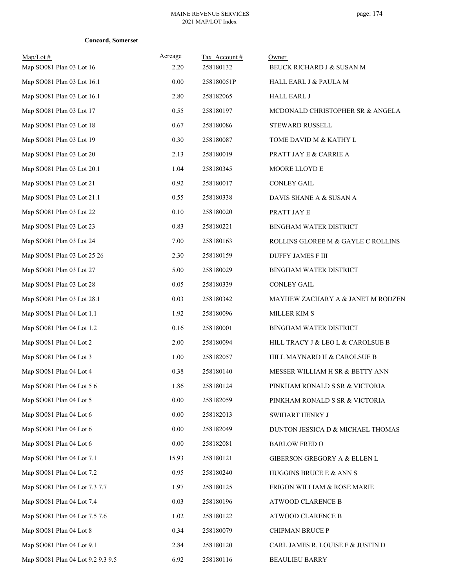### **Concord, Somerset**

| $Map/Lot \#$<br>Map SO081 Plan 03 Lot 16 | Acreage<br>2.20 | Tax Account#<br>258180132 | Owner<br>BEUCK RICHARD J & SUSAN M |
|------------------------------------------|-----------------|---------------------------|------------------------------------|
| Map SO081 Plan 03 Lot 16.1               | 0.00            | 258180051P                | HALL EARL J & PAULA M              |
| Map SO081 Plan 03 Lot 16.1               | 2.80            | 258182065                 | <b>HALL EARL J</b>                 |
| Map SO081 Plan 03 Lot 17                 | 0.55            | 258180197                 | MCDONALD CHRISTOPHER SR & ANGELA   |
| Map SO081 Plan 03 Lot 18                 | 0.67            | 258180086                 | <b>STEWARD RUSSELL</b>             |
| Map SO081 Plan 03 Lot 19                 | 0.30            | 258180087                 | TOME DAVID M & KATHY L             |
| Map SO081 Plan 03 Lot 20                 | 2.13            | 258180019                 | PRATT JAY E & CARRIE A             |
| Map SO081 Plan 03 Lot 20.1               | 1.04            | 258180345                 | MOORE LLOYD E                      |
| Map SO081 Plan 03 Lot 21                 | 0.92            | 258180017                 | <b>CONLEY GAIL</b>                 |
| Map SO081 Plan 03 Lot 21.1               | 0.55            | 258180338                 | DAVIS SHANE A & SUSAN A            |
| Map SO081 Plan 03 Lot 22                 | 0.10            | 258180020                 | PRATT JAY E                        |
| Map SO081 Plan 03 Lot 23                 | 0.83            | 258180221                 | <b>BINGHAM WATER DISTRICT</b>      |
| Map SO081 Plan 03 Lot 24                 | 7.00            | 258180163                 | ROLLINS GLOREE M & GAYLE C ROLLINS |
| Map SO081 Plan 03 Lot 25 26              | 2.30            | 258180159                 | <b>DUFFY JAMES F III</b>           |
| Map SO081 Plan 03 Lot 27                 | 5.00            | 258180029                 | <b>BINGHAM WATER DISTRICT</b>      |
| Map SO081 Plan 03 Lot 28                 | 0.05            | 258180339                 | <b>CONLEY GAIL</b>                 |
| Map SO081 Plan 03 Lot 28.1               | 0.03            | 258180342                 | MAYHEW ZACHARY A & JANET M RODZEN  |
| Map SO081 Plan 04 Lot 1.1                | 1.92            | 258180096                 | <b>MILLER KIM S</b>                |
| Map SO081 Plan 04 Lot 1.2                | 0.16            | 258180001                 | <b>BINGHAM WATER DISTRICT</b>      |
| Map SO081 Plan 04 Lot 2                  | 2.00            | 258180094                 | HILL TRACY J & LEO L & CAROLSUE B  |
| Map SO081 Plan 04 Lot 3                  | 1.00            | 258182057                 | HILL MAYNARD H & CAROLSUE B        |
| Map SO081 Plan 04 Lot 4                  | 0.38            | 258180140                 | MESSER WILLIAM H SR & BETTY ANN    |
| Map SO081 Plan 04 Lot 5 6                | 1.86            | 258180124                 | PINKHAM RONALD S SR & VICTORIA     |
| Map SO081 Plan 04 Lot 5                  | $0.00\,$        | 258182059                 | PINKHAM RONALD S SR & VICTORIA     |
| Map SO081 Plan 04 Lot 6                  | 0.00            | 258182013                 | SWIHART HENRY J                    |
| Map SO081 Plan 04 Lot 6                  | 0.00            | 258182049                 | DUNTON JESSICA D & MICHAEL THOMAS  |
| Map SO081 Plan 04 Lot 6                  | 0.00            | 258182081                 | <b>BARLOW FRED O</b>               |
| Map SO081 Plan 04 Lot 7.1                | 15.93           | 258180121                 | GIBERSON GREGORY A & ELLEN L       |
| Map SO081 Plan 04 Lot 7.2                | 0.95            | 258180240                 | HUGGINS BRUCE E & ANN S            |
| Map SO081 Plan 04 Lot 7.3 7.7            | 1.97            | 258180125                 | FRIGON WILLIAM & ROSE MARIE        |
| Map SO081 Plan 04 Lot 7.4                | 0.03            | 258180196                 | ATWOOD CLARENCE B                  |
| Map SO081 Plan 04 Lot 7.5 7.6            | 1.02            | 258180122                 | ATWOOD CLARENCE B                  |
| Map SO081 Plan 04 Lot 8                  | 0.34            | 258180079                 | CHIPMAN BRUCE P                    |
| Map SO081 Plan 04 Lot 9.1                | 2.84            | 258180120                 | CARL JAMES R, LOUISE F & JUSTIN D  |
| Map SO081 Plan 04 Lot 9.2 9.3 9.5        | 6.92            | 258180116                 | <b>BEAULIEU BARRY</b>              |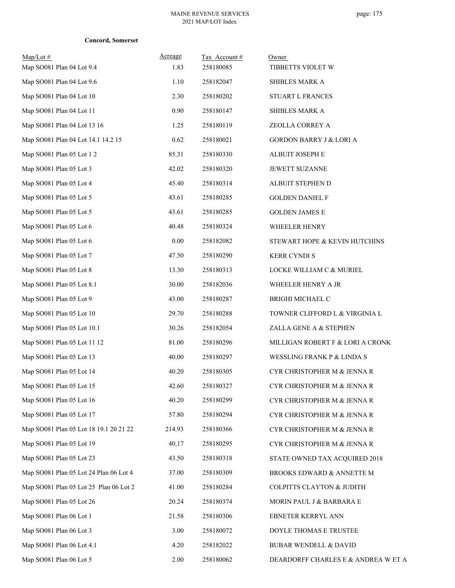|  | <b>Concord, Somerset</b> |
|--|--------------------------|
|--|--------------------------|

| $Map/Lot \#$<br>Map SO081 Plan 04 Lot 9.4 | Acreage<br>1.83 | Tax Account#<br>258180085 | Owner<br>TIBBETTS VIOLET W          |
|-------------------------------------------|-----------------|---------------------------|-------------------------------------|
| Map SO081 Plan 04 Lot 9.6                 | 1.10            | 258182047                 | SHIBLES MARK A                      |
| Map SO081 Plan 04 Lot 10                  | 2.30            | 258180202                 | <b>STUART L FRANCES</b>             |
| Map SO081 Plan 04 Lot 11                  | 0.90            | 258180147                 | SHIBLES MARK A                      |
| Map SO081 Plan 04 Lot 13 16               | 1.25            | 258180119                 | ZEOLLA CORREY A                     |
| Map SO081 Plan 04 Lot 14.1 14.2 15        | 0.62            | 258180021                 | <b>GORDON BARRY J &amp; LORI A</b>  |
| Map SO081 Plan 05 Lot 1 2                 | 85.31           | 258180330                 | ALBUIT JOSEPH E                     |
| Map SO081 Plan 05 Lot 3                   | 42.02           | 258180320                 | JEWETT SUZANNE                      |
| Map SO081 Plan 05 Lot 4                   | 45.40           | 258180314                 | ALBUIT STEPHEN D                    |
| Map SO081 Plan 05 Lot 5                   | 43.61           | 258180285                 | <b>GOLDEN DANIEL F</b>              |
| Map SO081 Plan 05 Lot 5                   | 43.61           | 258180285                 | <b>GOLDEN JAMES E</b>               |
| Map SO081 Plan 05 Lot 6                   | 40.48           | 258180324                 | WHEELER HENRY                       |
| Map SO081 Plan 05 Lot 6                   | 0.00            | 258182082                 | STEWART HOPE & KEVIN HUTCHINS       |
| Map SO081 Plan 05 Lot 7                   | 47.50           | 258180290                 | <b>KERR CYNDIS</b>                  |
| Map SO081 Plan 05 Lot 8                   | 13.30           | 258180313                 | LOCKE WILLIAM C & MURIEL            |
| Map SO081 Plan 05 Lot 8.1                 | 30.00           | 258182036                 | WHEELER HENRY A JR                  |
| Map SO081 Plan 05 Lot 9                   | 43.00           | 258180287                 | <b>BRIGHI MICHAEL C</b>             |
| Map SO081 Plan 05 Lot 10                  | 29.70           | 258180288                 | TOWNER CLIFFORD L & VIRGINIA L      |
| Map SO081 Plan 05 Lot 10.1                | 30.26           | 258182054                 | ZALLA GENE A & STEPHEN              |
| Map SO081 Plan 05 Lot 11 12               | 81.00           | 258180296                 | MILLIGAN ROBERT F & LORI A CRONK    |
| Map SO081 Plan 05 Lot 13                  | 40.00           | 258180297                 | WESSLING FRANK P & LINDA S          |
| Map SO081 Plan 05 Lot 14                  | 40.20           | 258180305                 | CYR CHRISTOPHER M & JENNA R         |
| Map SO081 Plan 05 Lot 15                  | 42.60           | 258180327                 | CYR CHRISTOPHER M & JENNA R         |
| Map SO081 Plan 05 Lot 16                  | 40.20           | 258180299                 | CYR CHRISTOPHER M & JENNA R         |
| Map SO081 Plan 05 Lot 17                  | 57.80           | 258180294                 | CYR CHRISTOPHER M & JENNA R         |
| Map SO081 Plan 05 Lot 18 19.1 20 21 22    | 214.93          | 258180366                 | CYR CHRISTOPHER M & JENNA R         |
| Map SO081 Plan 05 Lot 19                  | 40.17           | 258180295                 | CYR CHRISTOPHER M & JENNA R         |
| Map SO081 Plan 05 Lot 23                  | 43.50           | 258180318                 | STATE OWNED TAX ACQUIRED 2018       |
| Map SO081 Plan 05 Lot 24 Plan 06 Lot 4    | 37.00           | 258180309                 | BROOKS EDWARD & ANNETTE M           |
| Map SO081 Plan 05 Lot 25 Plan 06 Lot 2    | 41.00           | 258180284                 | COLPITTS CLAYTON & JUDITH           |
| Map SO081 Plan 05 Lot 26                  | 20.24           | 258180374                 | MORIN PAUL J & BARBARA E            |
| Map SO081 Plan 06 Lot 1                   | 21.58           | 258180306                 | EBNETER KERRYL ANN                  |
| Map SO081 Plan 06 Lot 3                   | 3.00            | 258180072                 | DOYLE THOMAS E TRUSTEE              |
| Map SO081 Plan 06 Lot 4.1                 | 4.20            | 258182022                 | <b>BUBAR WENDELL &amp; DAVID</b>    |
| Map SO081 Plan 06 Lot 5                   | 2.00            | 258180062                 | DEARDORFF CHARLES E & ANDREA W ET A |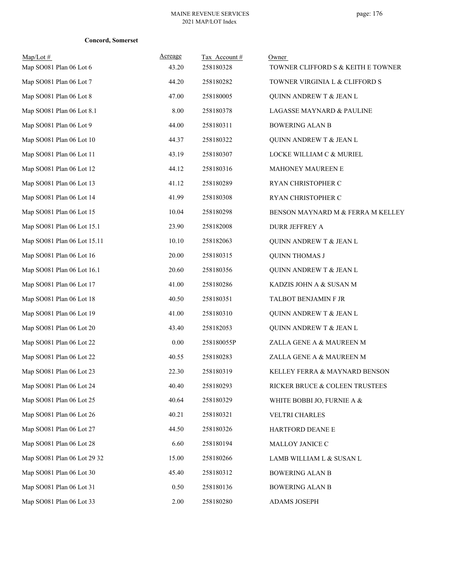|  | <b>Concord, Somerset</b> |
|--|--------------------------|
|--|--------------------------|

| $Map/Lot \#$                | Acreage | Tax Account# | Owner                              |
|-----------------------------|---------|--------------|------------------------------------|
| Map SO081 Plan 06 Lot 6     | 43.20   | 258180328    | TOWNER CLIFFORD S & KEITH E TOWNER |
| Map SO081 Plan 06 Lot 7     | 44.20   | 258180282    | TOWNER VIRGINIA L & CLIFFORD S     |
| Map SO081 Plan 06 Lot 8     | 47.00   | 258180005    | QUINN ANDREW T & JEAN L            |
| Map SO081 Plan 06 Lot 8.1   | 8.00    | 258180378    | LAGASSE MAYNARD & PAULINE          |
| Map SO081 Plan 06 Lot 9     | 44.00   | 258180311    | <b>BOWERING ALAN B</b>             |
| Map SO081 Plan 06 Lot 10    | 44.37   | 258180322    | QUINN ANDREW T & JEAN L            |
| Map SO081 Plan 06 Lot 11    | 43.19   | 258180307    | LOCKE WILLIAM C & MURIEL           |
| Map SO081 Plan 06 Lot 12    | 44.12   | 258180316    | MAHONEY MAUREEN E                  |
| Map SO081 Plan 06 Lot 13    | 41.12   | 258180289    | RYAN CHRISTOPHER C                 |
| Map SO081 Plan 06 Lot 14    | 41.99   | 258180308    | RYAN CHRISTOPHER C                 |
| Map SO081 Plan 06 Lot 15    | 10.04   | 258180298    | BENSON MAYNARD M & FERRA M KELLEY  |
| Map SO081 Plan 06 Lot 15.1  | 23.90   | 258182008    | <b>DURR JEFFREY A</b>              |
| Map SO081 Plan 06 Lot 15.11 | 10.10   | 258182063    | QUINN ANDREW T & JEAN L            |
| Map SO081 Plan 06 Lot 16    | 20.00   | 258180315    | <b>QUINN THOMAS J</b>              |
| Map SO081 Plan 06 Lot 16.1  | 20.60   | 258180356    | QUINN ANDREW T & JEAN L            |
| Map SO081 Plan 06 Lot 17    | 41.00   | 258180286    | KADZIS JOHN A & SUSAN M            |
| Map SO081 Plan 06 Lot 18    | 40.50   | 258180351    | TALBOT BENJAMIN F JR               |
| Map SO081 Plan 06 Lot 19    | 41.00   | 258180310    | QUINN ANDREW T & JEAN L            |
| Map SO081 Plan 06 Lot 20    | 43.40   | 258182053    | <b>QUINN ANDREW T &amp; JEAN L</b> |
| Map SO081 Plan 06 Lot 22    | 0.00    | 258180055P   | ZALLA GENE A & MAUREEN M           |
| Map SO081 Plan 06 Lot 22    | 40.55   | 258180283    | ZALLA GENE A & MAUREEN M           |
| Map SO081 Plan 06 Lot 23    | 22.30   | 258180319    | KELLEY FERRA & MAYNARD BENSON      |
| Map SO081 Plan 06 Lot 24    | 40.40   | 258180293    | RICKER BRUCE & COLEEN TRUSTEES     |
| Map SO081 Plan 06 Lot 25    | 40.64   | 258180329    | WHITE BOBBI JO, FURNIE A &         |
| Map SO081 Plan 06 Lot 26    | 40.21   | 258180321    | VELTRI CHARLES                     |
| Map SO081 Plan 06 Lot 27    | 44.50   | 258180326    | HARTFORD DEANE E                   |
| Map SO081 Plan 06 Lot 28    | 6.60    | 258180194    | MALLOY JANICE C                    |
| Map SO081 Plan 06 Lot 29 32 | 15.00   | 258180266    | LAMB WILLIAM L & SUSAN L           |
| Map SO081 Plan 06 Lot 30    | 45.40   | 258180312    | <b>BOWERING ALAN B</b>             |
| Map SO081 Plan 06 Lot 31    | 0.50    | 258180136    | <b>BOWERING ALAN B</b>             |
| Map SO081 Plan 06 Lot 33    | 2.00    | 258180280    | ADAMS JOSEPH                       |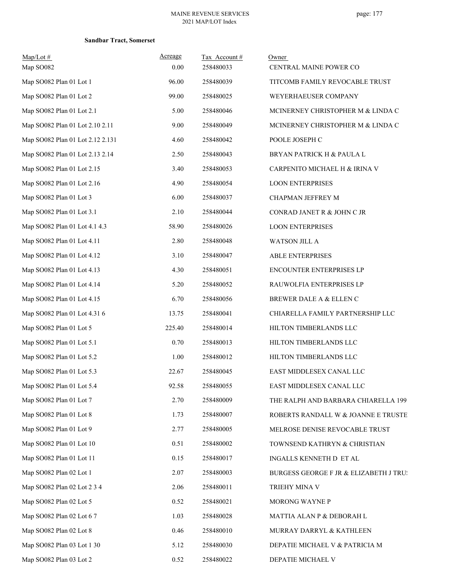### **Sandbar Tract, Somerset**

| $Map/Lot$ #<br>Map SO082         | Acreage<br>0.00 | Tax Account#<br>258480033 | Owner<br>CENTRAL MAINE POWER CO        |
|----------------------------------|-----------------|---------------------------|----------------------------------------|
| Map SO082 Plan 01 Lot 1          | 96.00           | 258480039                 | TITCOMB FAMILY REVOCABLE TRUST         |
| Map SO082 Plan 01 Lot 2          | 99.00           | 258480025                 | WEYERHAEUSER COMPANY                   |
| Map SO082 Plan 01 Lot 2.1        | 5.00            | 258480046                 | MCINERNEY CHRISTOPHER M & LINDA C      |
| Map SO082 Plan 01 Lot 2.10 2.11  | 9.00            | 258480049                 | MCINERNEY CHRISTOPHER M & LINDA C      |
| Map SO082 Plan 01 Lot 2.12 2.131 | 4.60            | 258480042                 | POOLE JOSEPH C                         |
| Map SO082 Plan 01 Lot 2.13 2.14  | 2.50            | 258480043                 | BRYAN PATRICK H & PAULA L              |
| Map SO082 Plan 01 Lot 2.15       | 3.40            | 258480053                 | CARPENITO MICHAEL H & IRINA V          |
| Map SO082 Plan 01 Lot 2.16       | 4.90            | 258480054                 | <b>LOON ENTERPRISES</b>                |
| Map SO082 Plan 01 Lot 3          | 6.00            | 258480037                 | CHAPMAN JEFFREY M                      |
| Map SO082 Plan 01 Lot 3.1        | 2.10            | 258480044                 | CONRAD JANET R & JOHN C JR             |
| Map SO082 Plan 01 Lot 4.1 4.3    | 58.90           | 258480026                 | <b>LOON ENTERPRISES</b>                |
| Map SO082 Plan 01 Lot 4.11       | 2.80            | 258480048                 | WATSON JILL A                          |
| Map SO082 Plan 01 Lot 4.12       | 3.10            | 258480047                 | <b>ABLE ENTERPRISES</b>                |
| Map SO082 Plan 01 Lot 4.13       | 4.30            | 258480051                 | ENCOUNTER ENTERPRISES LP               |
| Map SO082 Plan 01 Lot 4.14       | 5.20            | 258480052                 | RAUWOLFIA ENTERPRISES LP               |
| Map SO082 Plan 01 Lot 4.15       | 6.70            | 258480056                 | BREWER DALE A & ELLEN C                |
| Map SO082 Plan 01 Lot 4.31 6     | 13.75           | 258480041                 | CHIARELLA FAMILY PARTNERSHIP LLC       |
| Map SO082 Plan 01 Lot 5          | 225.40          | 258480014                 | HILTON TIMBERLANDS LLC                 |
| Map SO082 Plan 01 Lot 5.1        | 0.70            | 258480013                 | HILTON TIMBERLANDS LLC                 |
| Map SO082 Plan 01 Lot 5.2        | 1.00            | 258480012                 | HILTON TIMBERLANDS LLC                 |
| Map SO082 Plan 01 Lot 5.3        | 22.67           | 258480045                 | EAST MIDDLESEX CANAL LLC               |
| Map SO082 Plan 01 Lot 5.4        | 92.58           | 258480055                 | EAST MIDDLESEX CANAL LLC               |
| Map SO082 Plan 01 Lot 7          | 2.70            | 258480009                 | THE RALPH AND BARBARA CHIARELLA 199    |
| Map SO082 Plan 01 Lot 8          | 1.73            | 258480007                 | ROBERTS RANDALL W & JOANNE E TRUSTE    |
| Map SO082 Plan 01 Lot 9          | 2.77            | 258480005                 | MELROSE DENISE REVOCABLE TRUST         |
| Map SO082 Plan 01 Lot 10         | 0.51            | 258480002                 | TOWNSEND KATHRYN & CHRISTIAN           |
| Map SO082 Plan 01 Lot 11         | 0.15            | 258480017                 | INGALLS KENNETH D ET AL                |
| Map SO082 Plan 02 Lot 1          | 2.07            | 258480003                 | BURGESS GEORGE F JR & ELIZABETH J TRU! |
| Map SO082 Plan 02 Lot 2 3 4      | 2.06            | 258480011                 | TRIEHY MINA V                          |
| Map SO082 Plan 02 Lot 5          | 0.52            | 258480021                 | MORONG WAYNE P                         |
| Map SO082 Plan 02 Lot 67         | 1.03            | 258480028                 | MATTIA ALAN P & DEBORAH L              |
| Map SO082 Plan 02 Lot 8          | 0.46            | 258480010                 | MURRAY DARRYL & KATHLEEN               |
| Map SO082 Plan 03 Lot 1 30       | 5.12            | 258480030                 | DEPATIE MICHAEL V & PATRICIA M         |
| Map SO082 Plan 03 Lot 2          | 0.52            | 258480022                 | DEPATIE MICHAEL V                      |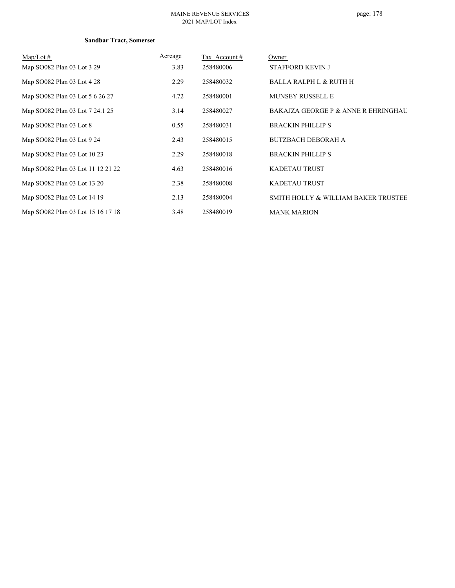### **Sandbar Tract, Somerset**

| $Map/Lot \#$                      | Acreage | Tax Account# | Owner                               |
|-----------------------------------|---------|--------------|-------------------------------------|
| Map SO082 Plan 03 Lot 3 29        | 3.83    | 258480006    | <b>STAFFORD KEVIN J</b>             |
| Map SO082 Plan 03 Lot 4 28        | 2.29    | 258480032    | <b>BALLA RALPH L &amp; RUTH H</b>   |
| Map SO082 Plan 03 Lot 5 6 26 27   | 4.72    | 258480001    | <b>MUNSEY RUSSELL E</b>             |
| Map SO082 Plan 03 Lot 7 24.1 25   | 3.14    | 258480027    | BAKAJZA GEORGE P & ANNE R EHRINGHAU |
| Map SO082 Plan 03 Lot 8           | 0.55    | 258480031    | <b>BRACKIN PHILLIP S</b>            |
| Map SO082 Plan 03 Lot 9 24        | 2.43    | 258480015    | <b>BUTZBACH DEBORAH A</b>           |
| Map SO082 Plan 03 Lot 10 23       | 2.29    | 258480018    | <b>BRACKIN PHILLIP S</b>            |
| Map SO082 Plan 03 Lot 11 12 21 22 | 4.63    | 258480016    | <b>KADETAU TRUST</b>                |
| Map SO082 Plan 03 Lot 13 20       | 2.38    | 258480008    | <b>KADETAU TRUST</b>                |
| Map SO082 Plan 03 Lot 14 19       | 2.13    | 258480004    | SMITH HOLLY & WILLIAM BAKER TRUSTEE |
| Map SO082 Plan 03 Lot 15 16 17 18 | 3.48    | 258480019    | <b>MANK MARION</b>                  |